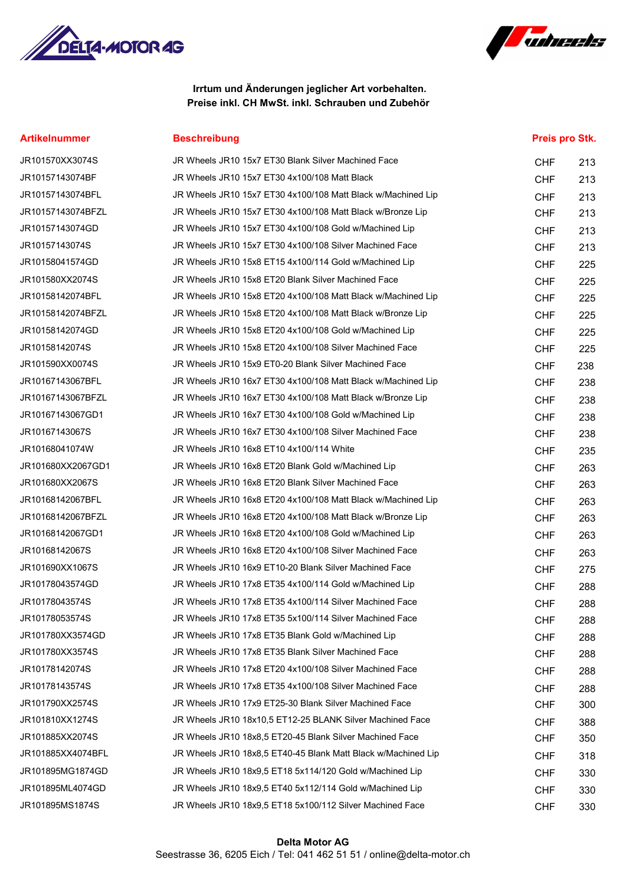



# Irrtum und Änderungen jeglicher Art vorbehalten. Preise inkl. CH MwSt. inkl. Schrauben und Zubehör

# Artikelnummer Beschreibung Preis pro Stk.

| JR101570XX3074S   | JR Wheels JR10 15x7 ET30 Blank Silver Machined Face           | <b>CHF</b> | 213 |
|-------------------|---------------------------------------------------------------|------------|-----|
| JR10157143074BF   | JR Wheels JR10 15x7 ET30 4x100/108 Matt Black                 | <b>CHF</b> | 213 |
| JR10157143074BFL  | JR Wheels JR10 15x7 ET30 4x100/108 Matt Black w/Machined Lip  | <b>CHF</b> | 213 |
| JR10157143074BFZL | JR Wheels JR10 15x7 ET30 4x100/108 Matt Black w/Bronze Lip    | <b>CHF</b> | 213 |
| JR10157143074GD   | JR Wheels JR10 15x7 ET30 4x100/108 Gold w/Machined Lip        | <b>CHF</b> | 213 |
| JR10157143074S    | JR Wheels JR10 15x7 ET30 4x100/108 Silver Machined Face       | <b>CHF</b> | 213 |
| JR10158041574GD   | JR Wheels JR10 15x8 ET15 4x100/114 Gold w/Machined Lip        | <b>CHF</b> | 225 |
| JR101580XX2074S   | JR Wheels JR10 15x8 ET20 Blank Silver Machined Face           | <b>CHF</b> | 225 |
| JR10158142074BFL  | JR Wheels JR10 15x8 ET20 4x100/108 Matt Black w/Machined Lip  | <b>CHF</b> | 225 |
| JR10158142074BFZL | JR Wheels JR10 15x8 ET20 4x100/108 Matt Black w/Bronze Lip    | <b>CHF</b> | 225 |
| JR10158142074GD   | JR Wheels JR10 15x8 ET20 4x100/108 Gold w/Machined Lip        | <b>CHF</b> | 225 |
| JR10158142074S    | JR Wheels JR10 15x8 ET20 4x100/108 Silver Machined Face       | <b>CHF</b> | 225 |
| JR101590XX0074S   | JR Wheels JR10 15x9 ET0-20 Blank Silver Machined Face         | <b>CHF</b> | 238 |
| JR10167143067BFL  | JR Wheels JR10 16x7 ET30 4x100/108 Matt Black w/Machined Lip  | <b>CHF</b> | 238 |
| JR10167143067BFZL | JR Wheels JR10 16x7 ET30 4x100/108 Matt Black w/Bronze Lip    | <b>CHF</b> | 238 |
| JR10167143067GD1  | JR Wheels JR10 16x7 ET30 4x100/108 Gold w/Machined Lip        | <b>CHF</b> | 238 |
| JR10167143067S    | JR Wheels JR10 16x7 ET30 4x100/108 Silver Machined Face       | <b>CHF</b> | 238 |
| JR10168041074W    | JR Wheels JR10 16x8 ET10 4x100/114 White                      | <b>CHF</b> | 235 |
| JR101680XX2067GD1 | JR Wheels JR10 16x8 ET20 Blank Gold w/Machined Lip            | <b>CHF</b> | 263 |
| JR101680XX2067S   | JR Wheels JR10 16x8 ET20 Blank Silver Machined Face           | <b>CHF</b> | 263 |
| JR10168142067BFL  | JR Wheels JR10 16x8 ET20 4x100/108 Matt Black w/Machined Lip  | <b>CHF</b> | 263 |
| JR10168142067BFZL | JR Wheels JR10 16x8 ET20 4x100/108 Matt Black w/Bronze Lip    | <b>CHF</b> | 263 |
| JR10168142067GD1  | JR Wheels JR10 16x8 ET20 4x100/108 Gold w/Machined Lip        | <b>CHF</b> | 263 |
| JR10168142067S    | JR Wheels JR10 16x8 ET20 4x100/108 Silver Machined Face       | <b>CHF</b> | 263 |
| JR101690XX1067S   | JR Wheels JR10 16x9 ET10-20 Blank Silver Machined Face        | <b>CHF</b> | 275 |
| JR10178043574GD   | JR Wheels JR10 17x8 ET35 4x100/114 Gold w/Machined Lip        | <b>CHF</b> | 288 |
| JR10178043574S    | JR Wheels JR10 17x8 ET35 4x100/114 Silver Machined Face       | <b>CHF</b> | 288 |
| JR10178053574S    | JR Wheels JR10 17x8 ET35 5x100/114 Silver Machined Face       | <b>CHF</b> | 288 |
| JR101780XX3574GD  | JR Wheels JR10 17x8 ET35 Blank Gold w/Machined Lip            | <b>CHF</b> | 288 |
| JR101780XX3574S   | JR Wheels JR10 17x8 ET35 Blank Silver Machined Face           | <b>CHF</b> | 288 |
| JR10178142074S    | JR Wheels JR10 17x8 ET20 4x100/108 Silver Machined Face       | <b>CHF</b> | 288 |
| JR10178143574S    | JR Wheels JR10 17x8 ET35 4x100/108 Silver Machined Face       | <b>CHF</b> | 288 |
| JR101790XX2574S   | JR Wheels JR10 17x9 ET25-30 Blank Silver Machined Face        | <b>CHF</b> | 300 |
| JR101810XX1274S   | JR Wheels JR10 18x10,5 ET12-25 BLANK Silver Machined Face     | <b>CHF</b> | 388 |
| JR101885XX2074S   | JR Wheels JR10 18x8.5 ET20-45 Blank Silver Machined Face      | <b>CHF</b> | 350 |
| JR101885XX4074BFL | JR Wheels JR10 18x8,5 ET40-45 Blank Matt Black w/Machined Lip | <b>CHF</b> | 318 |
| JR101895MG1874GD  | JR Wheels JR10 18x9,5 ET18 5x114/120 Gold w/Machined Lip      | <b>CHF</b> | 330 |
| JR101895ML4074GD  | JR Wheels JR10 18x9,5 ET40 5x112/114 Gold w/Machined Lip      | <b>CHF</b> | 330 |
| JR101895MS1874S   | JR Wheels JR10 18x9,5 ET18 5x100/112 Silver Machined Face     | <b>CHF</b> | 330 |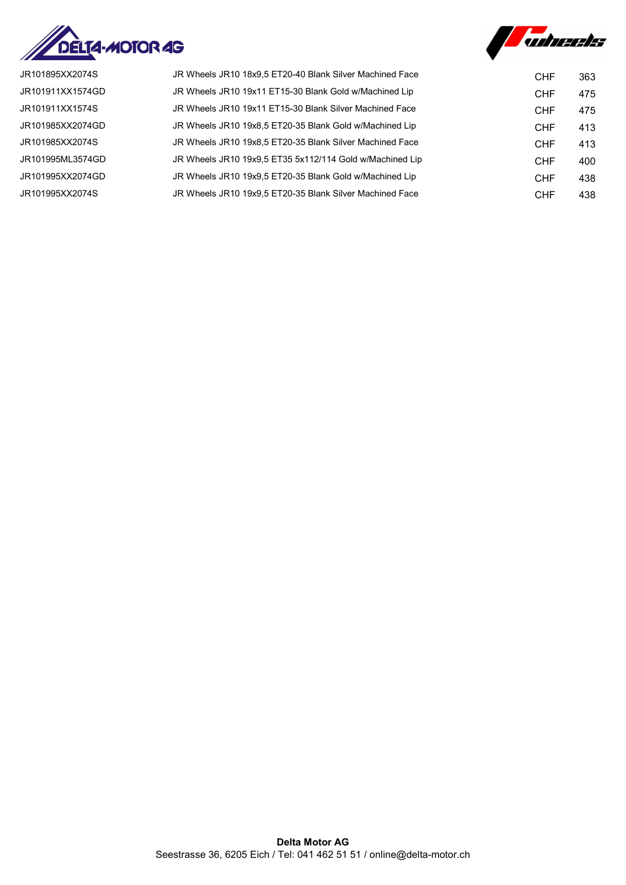



JR101895XX2074S JR Wheels JR10 18x9,5 ET20-40 Blank Silver Machined Face CHF 363 JR101911XX1574GD JR Wheels JR10 19x11 ET15-30 Blank Gold w/Machined Lip CHF 475 JR101911XX1574S JR Wheels JR10 19x11 ET15-30 Blank Silver Machined Face CHF 475 JR101985XX2074GD JR Wheels JR10 19x8,5 ET20-35 Blank Gold w/Machined Lip CHF 413 JR101985XX2074S JR Wheels JR10 19x8,5 ET20-35 Blank Silver Machined Face CHF 413 JR101995ML3574GD JR Wheels JR10 19x9,5 ET35 5x112/114 Gold w/Machined Lip CHF 400 JR101995XX2074GD JR Wheels JR10 19x9,5 ET20-35 Blank Gold w/Machined Lip CHF 438 JR101995XX2074S JR Wheels JR10 19x9,5 ET20-35 Blank Silver Machined Face CHF 438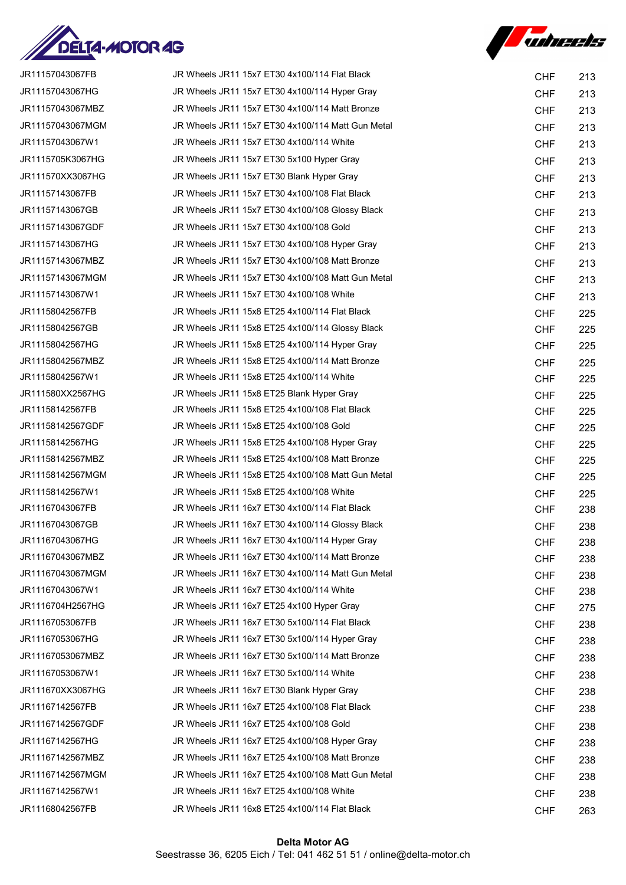



| JR11157043067FB  | JR Wheels JR11 15x7 ET30 4x100/114 Flat Black     | <b>CHF</b> | 213 |
|------------------|---------------------------------------------------|------------|-----|
| JR11157043067HG  | JR Wheels JR11 15x7 ET30 4x100/114 Hyper Gray     | <b>CHF</b> | 213 |
| JR11157043067MBZ | JR Wheels JR11 15x7 ET30 4x100/114 Matt Bronze    | <b>CHF</b> | 213 |
| JR11157043067MGM | JR Wheels JR11 15x7 ET30 4x100/114 Matt Gun Metal | <b>CHF</b> | 213 |
| JR11157043067W1  | JR Wheels JR11 15x7 ET30 4x100/114 White          | <b>CHF</b> | 213 |
| JR1115705K3067HG | JR Wheels JR11 15x7 ET30 5x100 Hyper Gray         | <b>CHF</b> | 213 |
| JR111570XX3067HG | JR Wheels JR11 15x7 ET30 Blank Hyper Gray         | <b>CHF</b> | 213 |
| JR11157143067FB  | JR Wheels JR11 15x7 ET30 4x100/108 Flat Black     | <b>CHF</b> | 213 |
| JR11157143067GB  | JR Wheels JR11 15x7 ET30 4x100/108 Glossy Black   | <b>CHF</b> | 213 |
| JR11157143067GDF | JR Wheels JR11 15x7 ET30 4x100/108 Gold           | <b>CHF</b> | 213 |
| JR11157143067HG  | JR Wheels JR11 15x7 ET30 4x100/108 Hyper Gray     | <b>CHF</b> | 213 |
| JR11157143067MBZ | JR Wheels JR11 15x7 ET30 4x100/108 Matt Bronze    | <b>CHF</b> | 213 |
| JR11157143067MGM | JR Wheels JR11 15x7 ET30 4x100/108 Matt Gun Metal | <b>CHF</b> | 213 |
| JR11157143067W1  | JR Wheels JR11 15x7 ET30 4x100/108 White          | <b>CHF</b> | 213 |
| JR11158042567FB  | JR Wheels JR11 15x8 ET25 4x100/114 Flat Black     | <b>CHF</b> | 225 |
| JR11158042567GB  | JR Wheels JR11 15x8 ET25 4x100/114 Glossy Black   | <b>CHF</b> | 225 |
| JR11158042567HG  | JR Wheels JR11 15x8 ET25 4x100/114 Hyper Gray     | <b>CHF</b> | 225 |
| JR11158042567MBZ | JR Wheels JR11 15x8 ET25 4x100/114 Matt Bronze    | <b>CHF</b> | 225 |
| JR11158042567W1  | JR Wheels JR11 15x8 ET25 4x100/114 White          | <b>CHF</b> | 225 |
| JR111580XX2567HG | JR Wheels JR11 15x8 ET25 Blank Hyper Gray         | <b>CHF</b> | 225 |
| JR11158142567FB  | JR Wheels JR11 15x8 ET25 4x100/108 Flat Black     | <b>CHF</b> | 225 |
| JR11158142567GDF | JR Wheels JR11 15x8 ET25 4x100/108 Gold           | <b>CHF</b> | 225 |
| JR11158142567HG  | JR Wheels JR11 15x8 ET25 4x100/108 Hyper Gray     | <b>CHF</b> | 225 |
| JR11158142567MBZ | JR Wheels JR11 15x8 ET25 4x100/108 Matt Bronze    | <b>CHF</b> | 225 |
| JR11158142567MGM | JR Wheels JR11 15x8 ET25 4x100/108 Matt Gun Metal | <b>CHF</b> | 225 |
| JR11158142567W1  | JR Wheels JR11 15x8 ET25 4x100/108 White          | <b>CHF</b> | 225 |
| JR11167043067FB  | JR Wheels JR11 16x7 ET30 4x100/114 Flat Black     | <b>CHF</b> | 238 |
| JR11167043067GB  | JR Wheels JR11 16x7 ET30 4x100/114 Glossy Black   | <b>CHF</b> | 238 |
| JR11167043067HG  | JR Wheels JR11 16x7 ET30 4x100/114 Hyper Gray     | <b>CHF</b> | 238 |
| JR11167043067MBZ | JR Wheels JR11 16x7 ET30 4x100/114 Matt Bronze    | <b>CHF</b> | 238 |
| JR11167043067MGM | JR Wheels JR11 16x7 ET30 4x100/114 Matt Gun Metal | <b>CHF</b> | 238 |
| JR11167043067W1  | JR Wheels JR11 16x7 ET30 4x100/114 White          | <b>CHF</b> | 238 |
| JR1116704H2567HG | JR Wheels JR11 16x7 ET25 4x100 Hyper Gray         | <b>CHF</b> | 275 |
| JR11167053067FB  | JR Wheels JR11 16x7 ET30 5x100/114 Flat Black     | <b>CHF</b> | 238 |
| JR11167053067HG  | JR Wheels JR11 16x7 ET30 5x100/114 Hyper Gray     | <b>CHF</b> | 238 |
| JR11167053067MBZ | JR Wheels JR11 16x7 ET30 5x100/114 Matt Bronze    | <b>CHF</b> | 238 |
| JR11167053067W1  | JR Wheels JR11 16x7 ET30 5x100/114 White          | <b>CHF</b> | 238 |
| JR111670XX3067HG | JR Wheels JR11 16x7 ET30 Blank Hyper Gray         | <b>CHF</b> | 238 |
| JR11167142567FB  | JR Wheels JR11 16x7 ET25 4x100/108 Flat Black     | <b>CHF</b> | 238 |
| JR11167142567GDF | JR Wheels JR11 16x7 ET25 4x100/108 Gold           | <b>CHF</b> | 238 |
| JR11167142567HG  | JR Wheels JR11 16x7 ET25 4x100/108 Hyper Gray     | <b>CHF</b> | 238 |
| JR11167142567MBZ | JR Wheels JR11 16x7 ET25 4x100/108 Matt Bronze    | <b>CHF</b> | 238 |
| JR11167142567MGM | JR Wheels JR11 16x7 ET25 4x100/108 Matt Gun Metal | <b>CHF</b> | 238 |
| JR11167142567W1  | JR Wheels JR11 16x7 ET25 4x100/108 White          | <b>CHF</b> | 238 |
| JR11168042567FB  | JR Wheels JR11 16x8 ET25 4x100/114 Flat Black     | <b>CHF</b> | 263 |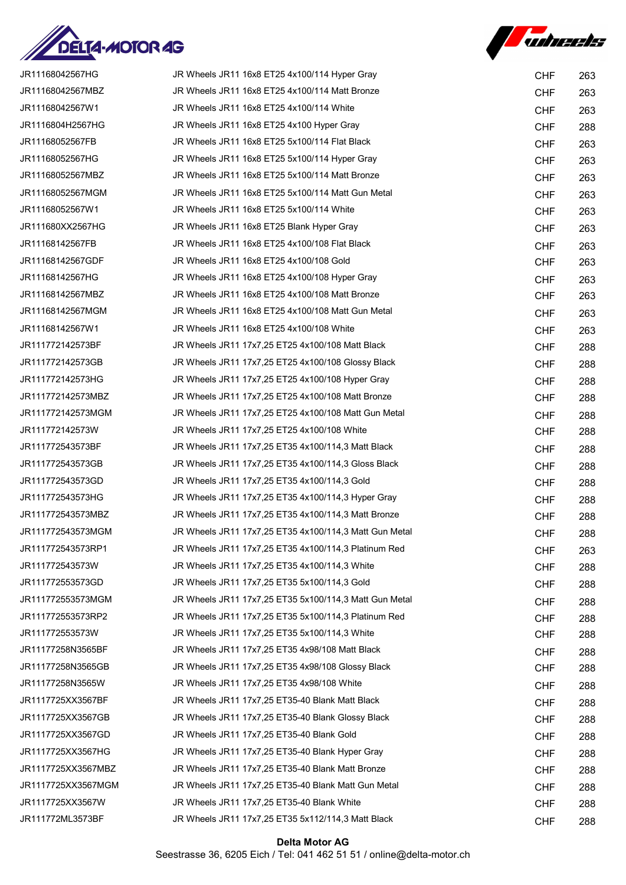



| JR11168042567HG    | JR Wheels JR11 16x8 ET25 4x100/114 Hyper Gray          | <b>CHF</b> | 263 |
|--------------------|--------------------------------------------------------|------------|-----|
| JR11168042567MBZ   | JR Wheels JR11 16x8 ET25 4x100/114 Matt Bronze         | <b>CHF</b> | 263 |
| JR11168042567W1    | JR Wheels JR11 16x8 ET25 4x100/114 White               | <b>CHF</b> | 263 |
| JR1116804H2567HG   | JR Wheels JR11 16x8 ET25 4x100 Hyper Gray              | <b>CHF</b> | 288 |
| JR11168052567FB    | JR Wheels JR11 16x8 ET25 5x100/114 Flat Black          | <b>CHF</b> | 263 |
| JR11168052567HG    | JR Wheels JR11 16x8 ET25 5x100/114 Hyper Gray          | <b>CHF</b> | 263 |
| JR11168052567MBZ   | JR Wheels JR11 16x8 ET25 5x100/114 Matt Bronze         | <b>CHF</b> | 263 |
| JR11168052567MGM   | JR Wheels JR11 16x8 ET25 5x100/114 Matt Gun Metal      | <b>CHF</b> | 263 |
| JR11168052567W1    | JR Wheels JR11 16x8 ET25 5x100/114 White               | <b>CHF</b> | 263 |
| JR111680XX2567HG   | JR Wheels JR11 16x8 ET25 Blank Hyper Gray              | <b>CHF</b> | 263 |
| JR11168142567FB    | JR Wheels JR11 16x8 ET25 4x100/108 Flat Black          | <b>CHF</b> | 263 |
| JR11168142567GDF   | JR Wheels JR11 16x8 ET25 4x100/108 Gold                | <b>CHF</b> | 263 |
| JR11168142567HG    | JR Wheels JR11 16x8 ET25 4x100/108 Hyper Gray          | <b>CHF</b> | 263 |
| JR11168142567MBZ   | JR Wheels JR11 16x8 ET25 4x100/108 Matt Bronze         | <b>CHF</b> | 263 |
| JR11168142567MGM   | JR Wheels JR11 16x8 ET25 4x100/108 Matt Gun Metal      | <b>CHF</b> | 263 |
| JR11168142567W1    | JR Wheels JR11 16x8 ET25 4x100/108 White               | <b>CHF</b> | 263 |
| JR111772142573BF   | JR Wheels JR11 17x7,25 ET25 4x100/108 Matt Black       | <b>CHF</b> | 288 |
| JR111772142573GB   | JR Wheels JR11 17x7,25 ET25 4x100/108 Glossy Black     | <b>CHF</b> | 288 |
| JR111772142573HG   | JR Wheels JR11 17x7,25 ET25 4x100/108 Hyper Gray       | <b>CHF</b> | 288 |
| JR111772142573MBZ  | JR Wheels JR11 17x7,25 ET25 4x100/108 Matt Bronze      | <b>CHF</b> | 288 |
| JR111772142573MGM  | JR Wheels JR11 17x7,25 ET25 4x100/108 Matt Gun Metal   | <b>CHF</b> | 288 |
| JR111772142573W    | JR Wheels JR11 17x7,25 ET25 4x100/108 White            | <b>CHF</b> | 288 |
| JR111772543573BF   | JR Wheels JR11 17x7,25 ET35 4x100/114,3 Matt Black     | <b>CHF</b> | 288 |
| JR111772543573GB   | JR Wheels JR11 17x7,25 ET35 4x100/114,3 Gloss Black    | <b>CHF</b> | 288 |
| JR111772543573GD   | JR Wheels JR11 17x7,25 ET35 4x100/114,3 Gold           | <b>CHF</b> | 288 |
| JR111772543573HG   | JR Wheels JR11 17x7,25 ET35 4x100/114,3 Hyper Gray     | <b>CHF</b> | 288 |
| JR111772543573MBZ  | JR Wheels JR11 17x7,25 ET35 4x100/114,3 Matt Bronze    | <b>CHF</b> | 288 |
| JR111772543573MGM  | JR Wheels JR11 17x7,25 ET35 4x100/114,3 Matt Gun Metal | <b>CHF</b> | 288 |
| JR111772543573RP1  | JR Wheels JR11 17x7,25 ET35 4x100/114,3 Platinum Red   | <b>CHF</b> | 263 |
| JR111772543573W    | JR Wheels JR11 17x7,25 ET35 4x100/114,3 White          | <b>CHF</b> | 288 |
| JR111772553573GD   | JR Wheels JR11 17x7,25 ET35 5x100/114,3 Gold           | <b>CHF</b> | 288 |
| JR111772553573MGM  | JR Wheels JR11 17x7,25 ET35 5x100/114,3 Matt Gun Metal | <b>CHF</b> | 288 |
| JR111772553573RP2  | JR Wheels JR11 17x7,25 ET35 5x100/114,3 Platinum Red   | <b>CHF</b> | 288 |
| JR111772553573W    | JR Wheels JR11 17x7,25 ET35 5x100/114,3 White          | <b>CHF</b> | 288 |
| JR11177258N3565BF  | JR Wheels JR11 17x7,25 ET35 4x98/108 Matt Black        | <b>CHF</b> | 288 |
| JR11177258N3565GB  | JR Wheels JR11 17x7,25 ET35 4x98/108 Glossy Black      | <b>CHF</b> | 288 |
| JR11177258N3565W   | JR Wheels JR11 17x7,25 ET35 4x98/108 White             | <b>CHF</b> | 288 |
| JR1117725XX3567BF  | JR Wheels JR11 17x7,25 ET35-40 Blank Matt Black        | <b>CHF</b> | 288 |
| JR1117725XX3567GB  | JR Wheels JR11 17x7,25 ET35-40 Blank Glossy Black      | <b>CHF</b> | 288 |
| JR1117725XX3567GD  | JR Wheels JR11 17x7,25 ET35-40 Blank Gold              | <b>CHF</b> | 288 |
| JR1117725XX3567HG  | JR Wheels JR11 17x7,25 ET35-40 Blank Hyper Gray        | <b>CHF</b> | 288 |
| JR1117725XX3567MBZ | JR Wheels JR11 17x7,25 ET35-40 Blank Matt Bronze       | <b>CHF</b> | 288 |
| JR1117725XX3567MGM | JR Wheels JR11 17x7,25 ET35-40 Blank Matt Gun Metal    | <b>CHF</b> | 288 |
| JR1117725XX3567W   | JR Wheels JR11 17x7,25 ET35-40 Blank White             | <b>CHF</b> | 288 |
| JR111772ML3573BF   | JR Wheels JR11 17x7,25 ET35 5x112/114,3 Matt Black     | <b>CHF</b> | 288 |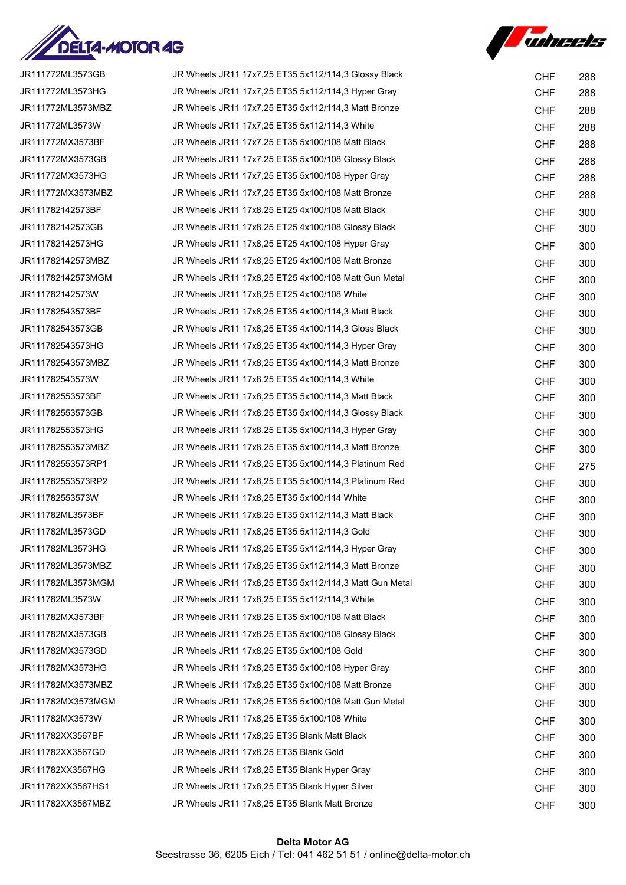



| JR111772ML3573GB  | JR Wheels JR11 17x7,25 ET35 5x112/114,3 Glossy Black   | <b>CHF</b> | 288 |
|-------------------|--------------------------------------------------------|------------|-----|
| JR111772ML3573HG  | JR Wheels JR11 17x7,25 ET35 5x112/114,3 Hyper Gray     | <b>CHF</b> | 288 |
| JR111772ML3573MBZ | JR Wheels JR11 17x7,25 ET35 5x112/114,3 Matt Bronze    | <b>CHF</b> | 288 |
| JR111772ML3573W   | JR Wheels JR11 17x7,25 ET35 5x112/114,3 White          | <b>CHF</b> | 288 |
| JR111772MX3573BF  | JR Wheels JR11 17x7,25 ET35 5x100/108 Matt Black       | <b>CHF</b> | 288 |
| JR111772MX3573GB  | JR Wheels JR11 17x7,25 ET35 5x100/108 Glossy Black     | <b>CHF</b> | 288 |
| JR111772MX3573HG  | JR Wheels JR11 17x7,25 ET35 5x100/108 Hyper Gray       | <b>CHF</b> | 288 |
| JR111772MX3573MBZ | JR Wheels JR11 17x7,25 ET35 5x100/108 Matt Bronze      | <b>CHF</b> | 288 |
| JR111782142573BF  | JR Wheels JR11 17x8,25 ET25 4x100/108 Matt Black       | <b>CHF</b> | 300 |
| JR111782142573GB  | JR Wheels JR11 17x8,25 ET25 4x100/108 Glossy Black     | <b>CHF</b> | 300 |
| JR111782142573HG  | JR Wheels JR11 17x8,25 ET25 4x100/108 Hyper Gray       | <b>CHF</b> | 300 |
| JR111782142573MBZ | JR Wheels JR11 17x8,25 ET25 4x100/108 Matt Bronze      | <b>CHF</b> | 300 |
| JR111782142573MGM | JR Wheels JR11 17x8,25 ET25 4x100/108 Matt Gun Metal   | <b>CHF</b> | 300 |
| JR111782142573W   | JR Wheels JR11 17x8,25 ET25 4x100/108 White            | <b>CHF</b> | 300 |
| JR111782543573BF  | JR Wheels JR11 17x8,25 ET35 4x100/114,3 Matt Black     | <b>CHF</b> | 300 |
| JR111782543573GB  | JR Wheels JR11 17x8,25 ET35 4x100/114,3 Gloss Black    | <b>CHF</b> | 300 |
| JR111782543573HG  | JR Wheels JR11 17x8,25 ET35 4x100/114,3 Hyper Gray     | <b>CHF</b> | 300 |
| JR111782543573MBZ | JR Wheels JR11 17x8,25 ET35 4x100/114,3 Matt Bronze    | <b>CHF</b> | 300 |
| JR111782543573W   | JR Wheels JR11 17x8,25 ET35 4x100/114,3 White          | <b>CHF</b> | 300 |
| JR111782553573BF  | JR Wheels JR11 17x8,25 ET35 5x100/114,3 Matt Black     | <b>CHF</b> | 300 |
| JR111782553573GB  | JR Wheels JR11 17x8,25 ET35 5x100/114,3 Glossy Black   | <b>CHF</b> | 300 |
| JR111782553573HG  | JR Wheels JR11 17x8,25 ET35 5x100/114,3 Hyper Gray     | <b>CHF</b> | 300 |
| JR111782553573MBZ | JR Wheels JR11 17x8,25 ET35 5x100/114,3 Matt Bronze    | <b>CHF</b> | 300 |
| JR111782553573RP1 | JR Wheels JR11 17x8,25 ET35 5x100/114,3 Platinum Red   | <b>CHF</b> | 275 |
| JR111782553573RP2 | JR Wheels JR11 17x8,25 ET35 5x100/114,3 Platinum Red   | <b>CHF</b> | 300 |
| JR111782553573W   | JR Wheels JR11 17x8,25 ET35 5x100/114 White            | <b>CHF</b> | 300 |
| JR111782ML3573BF  | JR Wheels JR11 17x8,25 ET35 5x112/114,3 Matt Black     | <b>CHF</b> | 300 |
| JR111782ML3573GD  | JR Wheels JR11 17x8,25 ET35 5x112/114,3 Gold           | <b>CHF</b> | 300 |
| JR111782ML3573HG  | JR Wheels JR11 17x8,25 ET35 5x112/114,3 Hyper Gray     | <b>CHF</b> | 300 |
| JR111782ML3573MBZ | JR Wheels JR11 17x8,25 ET35 5x112/114,3 Matt Bronze    | <b>CHF</b> | 300 |
| JR111782ML3573MGM | JR Wheels JR11 17x8,25 ET35 5x112/114,3 Matt Gun Metal | <b>CHF</b> | 300 |
| JR111782ML3573W   | JR Wheels JR11 17x8,25 ET35 5x112/114,3 White          | <b>CHF</b> | 300 |
| JR111782MX3573BF  | JR Wheels JR11 17x8,25 ET35 5x100/108 Matt Black       | <b>CHF</b> | 300 |
| JR111782MX3573GB  | JR Wheels JR11 17x8,25 ET35 5x100/108 Glossy Black     | <b>CHF</b> | 300 |
| JR111782MX3573GD  | JR Wheels JR11 17x8,25 ET35 5x100/108 Gold             | <b>CHF</b> | 300 |
| JR111782MX3573HG  | JR Wheels JR11 17x8,25 ET35 5x100/108 Hyper Gray       | <b>CHF</b> | 300 |
| JR111782MX3573MBZ | JR Wheels JR11 17x8,25 ET35 5x100/108 Matt Bronze      | <b>CHF</b> | 300 |
| JR111782MX3573MGM | JR Wheels JR11 17x8,25 ET35 5x100/108 Matt Gun Metal   | <b>CHF</b> | 300 |
| JR111782MX3573W   | JR Wheels JR11 17x8,25 ET35 5x100/108 White            | <b>CHF</b> | 300 |
| JR111782XX3567BF  | JR Wheels JR11 17x8,25 ET35 Blank Matt Black           | <b>CHF</b> | 300 |
| JR111782XX3567GD  | JR Wheels JR11 17x8,25 ET35 Blank Gold                 | <b>CHF</b> | 300 |
| JR111782XX3567HG  | JR Wheels JR11 17x8,25 ET35 Blank Hyper Gray           | <b>CHF</b> | 300 |
| JR111782XX3567HS1 | JR Wheels JR11 17x8,25 ET35 Blank Hyper Silver         | <b>CHF</b> | 300 |
| JR111782XX3567MBZ | JR Wheels JR11 17x8,25 ET35 Blank Matt Bronze          | <b>CHF</b> | 300 |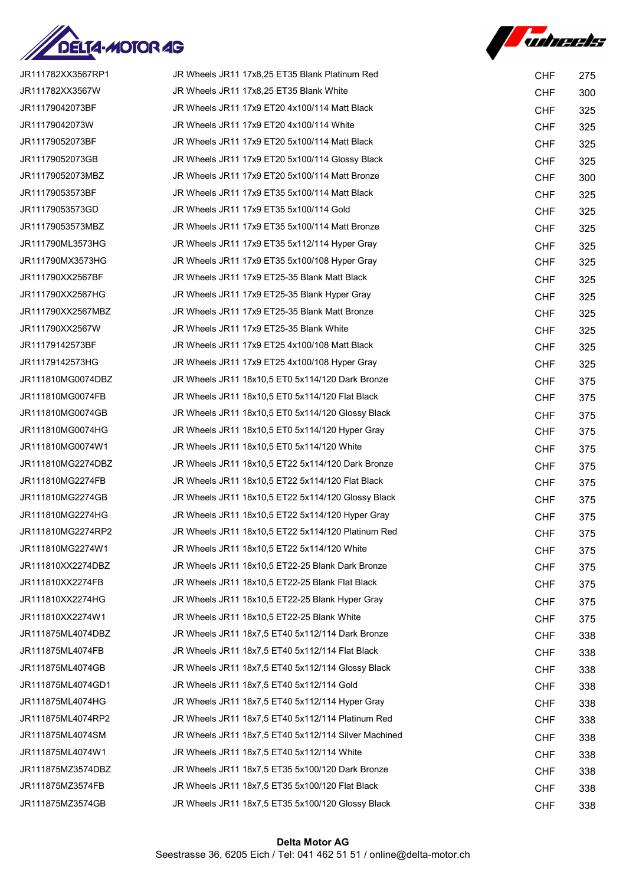



| JR111782XX3567RP1 | JR Wheels JR11 17x8,25 ET35 Blank Platinum Red       | <b>CHF</b> | 275 |
|-------------------|------------------------------------------------------|------------|-----|
| JR111782XX3567W   | JR Wheels JR11 17x8,25 ET35 Blank White              | <b>CHF</b> | 300 |
| JR11179042073BF   | JR Wheels JR11 17x9 ET20 4x100/114 Matt Black        | <b>CHF</b> | 325 |
| JR11179042073W    | JR Wheels JR11 17x9 ET20 4x100/114 White             | <b>CHF</b> | 325 |
| JR11179052073BF   | JR Wheels JR11 17x9 ET20 5x100/114 Matt Black        | <b>CHF</b> | 325 |
| JR11179052073GB   | JR Wheels JR11 17x9 ET20 5x100/114 Glossy Black      | <b>CHF</b> | 325 |
| JR11179052073MBZ  | JR Wheels JR11 17x9 ET20 5x100/114 Matt Bronze       | <b>CHF</b> | 300 |
| JR11179053573BF   | JR Wheels JR11 17x9 ET35 5x100/114 Matt Black        | <b>CHF</b> | 325 |
| JR11179053573GD   | JR Wheels JR11 17x9 ET35 5x100/114 Gold              | <b>CHF</b> | 325 |
| JR11179053573MBZ  | JR Wheels JR11 17x9 ET35 5x100/114 Matt Bronze       | <b>CHF</b> | 325 |
| JR111790ML3573HG  | JR Wheels JR11 17x9 ET35 5x112/114 Hyper Gray        | <b>CHF</b> | 325 |
| JR111790MX3573HG  | JR Wheels JR11 17x9 ET35 5x100/108 Hyper Gray        | <b>CHF</b> | 325 |
| JR111790XX2567BF  | JR Wheels JR11 17x9 ET25-35 Blank Matt Black         | <b>CHF</b> | 325 |
| JR111790XX2567HG  | JR Wheels JR11 17x9 ET25-35 Blank Hyper Gray         | <b>CHF</b> | 325 |
| JR111790XX2567MBZ | JR Wheels JR11 17x9 ET25-35 Blank Matt Bronze        | <b>CHF</b> | 325 |
| JR111790XX2567W   | JR Wheels JR11 17x9 ET25-35 Blank White              | <b>CHF</b> | 325 |
| JR11179142573BF   | JR Wheels JR11 17x9 ET25 4x100/108 Matt Black        | <b>CHF</b> | 325 |
| JR11179142573HG   | JR Wheels JR11 17x9 ET25 4x100/108 Hyper Gray        | <b>CHF</b> | 325 |
| JR111810MG0074DBZ | JR Wheels JR11 18x10,5 ET0 5x114/120 Dark Bronze     | <b>CHF</b> | 375 |
| JR111810MG0074FB  | JR Wheels JR11 18x10,5 ET0 5x114/120 Flat Black      | <b>CHF</b> | 375 |
| JR111810MG0074GB  | JR Wheels JR11 18x10,5 ET0 5x114/120 Glossy Black    | <b>CHF</b> | 375 |
| JR111810MG0074HG  | JR Wheels JR11 18x10,5 ET0 5x114/120 Hyper Gray      | <b>CHF</b> | 375 |
| JR111810MG0074W1  | JR Wheels JR11 18x10,5 ET0 5x114/120 White           | <b>CHF</b> | 375 |
| JR111810MG2274DBZ | JR Wheels JR11 18x10,5 ET22 5x114/120 Dark Bronze    | <b>CHF</b> | 375 |
| JR111810MG2274FB  | JR Wheels JR11 18x10,5 ET22 5x114/120 Flat Black     | <b>CHF</b> | 375 |
| JR111810MG2274GB  | JR Wheels JR11 18x10,5 ET22 5x114/120 Glossy Black   | <b>CHF</b> | 375 |
| JR111810MG2274HG  | JR Wheels JR11 18x10,5 ET22 5x114/120 Hyper Gray     | <b>CHF</b> | 375 |
| JR111810MG2274RP2 | JR Wheels JR11 18x10,5 ET22 5x114/120 Platinum Red   | <b>CHF</b> | 375 |
| JR111810MG2274W1  | JR Wheels JR11 18x10,5 ET22 5x114/120 White          | <b>CHF</b> | 375 |
| JR111810XX2274DBZ | JR Wheels JR11 18x10.5 ET22-25 Blank Dark Bronze     | <b>CHF</b> | 375 |
| JR111810XX2274FB  | JR Wheels JR11 18x10,5 ET22-25 Blank Flat Black      | <b>CHF</b> | 375 |
| JR111810XX2274HG  | JR Wheels JR11 18x10,5 ET22-25 Blank Hyper Gray      | <b>CHF</b> | 375 |
| JR111810XX2274W1  | JR Wheels JR11 18x10,5 ET22-25 Blank White           | <b>CHF</b> | 375 |
| JR111875ML4074DBZ | JR Wheels JR11 18x7.5 ET40 5x112/114 Dark Bronze     | <b>CHF</b> | 338 |
| JR111875ML4074FB  | JR Wheels JR11 18x7,5 ET40 5x112/114 Flat Black      | <b>CHF</b> | 338 |
| JR111875ML4074GB  | JR Wheels JR11 18x7,5 ET40 5x112/114 Glossy Black    | <b>CHF</b> | 338 |
| JR111875ML4074GD1 | JR Wheels JR11 18x7,5 ET40 5x112/114 Gold            | <b>CHF</b> | 338 |
| JR111875ML4074HG  | JR Wheels JR11 18x7,5 ET40 5x112/114 Hyper Gray      | <b>CHF</b> | 338 |
| JR111875ML4074RP2 | JR Wheels JR11 18x7,5 ET40 5x112/114 Platinum Red    | <b>CHF</b> | 338 |
| JR111875ML4074SM  | JR Wheels JR11 18x7,5 ET40 5x112/114 Silver Machined | <b>CHF</b> | 338 |
| JR111875ML4074W1  | JR Wheels JR11 18x7,5 ET40 5x112/114 White           | <b>CHF</b> | 338 |
| JR111875MZ3574DBZ | JR Wheels JR11 18x7,5 ET35 5x100/120 Dark Bronze     | <b>CHF</b> | 338 |
| JR111875MZ3574FB  | JR Wheels JR11 18x7,5 ET35 5x100/120 Flat Black      | <b>CHF</b> | 338 |
| JR111875MZ3574GB  | JR Wheels JR11 18x7,5 ET35 5x100/120 Glossy Black    | <b>CHF</b> | 338 |
|                   |                                                      |            |     |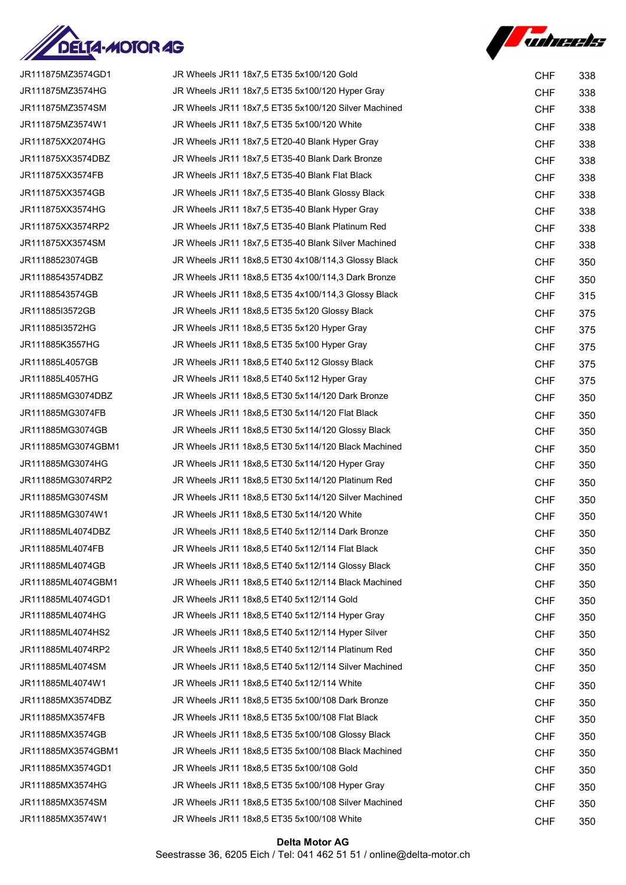



| JR111875MZ3574GD1  | JR Wheels JR11 18x7,5 ET35 5x100/120 Gold            | <b>CHF</b> | 338 |
|--------------------|------------------------------------------------------|------------|-----|
| JR111875MZ3574HG   | JR Wheels JR11 18x7,5 ET35 5x100/120 Hyper Gray      | <b>CHF</b> | 338 |
| JR111875MZ3574SM   | JR Wheels JR11 18x7,5 ET35 5x100/120 Silver Machined | <b>CHF</b> | 338 |
| JR111875MZ3574W1   | JR Wheels JR11 18x7,5 ET35 5x100/120 White           | <b>CHF</b> | 338 |
| JR111875XX2074HG   | JR Wheels JR11 18x7,5 ET20-40 Blank Hyper Gray       | <b>CHF</b> | 338 |
| JR111875XX3574DBZ  | JR Wheels JR11 18x7,5 ET35-40 Blank Dark Bronze      | <b>CHF</b> | 338 |
| JR111875XX3574FB   | JR Wheels JR11 18x7,5 ET35-40 Blank Flat Black       | <b>CHF</b> | 338 |
| JR111875XX3574GB   | JR Wheels JR11 18x7,5 ET35-40 Blank Glossy Black     | <b>CHF</b> | 338 |
| JR111875XX3574HG   | JR Wheels JR11 18x7,5 ET35-40 Blank Hyper Gray       | <b>CHF</b> | 338 |
| JR111875XX3574RP2  | JR Wheels JR11 18x7,5 ET35-40 Blank Platinum Red     | <b>CHF</b> | 338 |
| JR111875XX3574SM   | JR Wheels JR11 18x7,5 ET35-40 Blank Silver Machined  | <b>CHF</b> | 338 |
| JR11188523074GB    | JR Wheels JR11 18x8,5 ET30 4x108/114,3 Glossy Black  | <b>CHF</b> | 350 |
| JR11188543574DBZ   | JR Wheels JR11 18x8,5 ET35 4x100/114,3 Dark Bronze   | <b>CHF</b> | 350 |
| JR11188543574GB    | JR Wheels JR11 18x8,5 ET35 4x100/114,3 Glossy Black  | <b>CHF</b> | 315 |
| JR111885I3572GB    | JR Wheels JR11 18x8,5 ET35 5x120 Glossy Black        | <b>CHF</b> | 375 |
| JR111885I3572HG    | JR Wheels JR11 18x8,5 ET35 5x120 Hyper Gray          | <b>CHF</b> | 375 |
| JR111885K3557HG    | JR Wheels JR11 18x8,5 ET35 5x100 Hyper Gray          | <b>CHF</b> | 375 |
| JR111885L4057GB    | JR Wheels JR11 18x8,5 ET40 5x112 Glossy Black        | <b>CHF</b> | 375 |
| JR111885L4057HG    | JR Wheels JR11 18x8,5 ET40 5x112 Hyper Gray          | <b>CHF</b> | 375 |
| JR111885MG3074DBZ  | JR Wheels JR11 18x8,5 ET30 5x114/120 Dark Bronze     | <b>CHF</b> | 350 |
| JR111885MG3074FB   | JR Wheels JR11 18x8,5 ET30 5x114/120 Flat Black      | <b>CHF</b> | 350 |
| JR111885MG3074GB   | JR Wheels JR11 18x8,5 ET30 5x114/120 Glossy Black    | <b>CHF</b> | 350 |
| JR111885MG3074GBM1 | JR Wheels JR11 18x8,5 ET30 5x114/120 Black Machined  | <b>CHF</b> | 350 |
| JR111885MG3074HG   | JR Wheels JR11 18x8,5 ET30 5x114/120 Hyper Gray      | <b>CHF</b> | 350 |
| JR111885MG3074RP2  | JR Wheels JR11 18x8,5 ET30 5x114/120 Platinum Red    | <b>CHF</b> | 350 |
| JR111885MG3074SM   | JR Wheels JR11 18x8,5 ET30 5x114/120 Silver Machined | <b>CHF</b> | 350 |
| JR111885MG3074W1   | JR Wheels JR11 18x8,5 ET30 5x114/120 White           | <b>CHF</b> | 350 |
| JR111885ML4074DBZ  | JR Wheels JR11 18x8,5 ET40 5x112/114 Dark Bronze     | <b>CHF</b> | 350 |
| JR111885ML4074FB   | JR Wheels JR11 18x8,5 ET40 5x112/114 Flat Black      | <b>CHF</b> | 350 |
| JR111885ML4074GB   | JR Wheels JR11 18x8,5 ET40 5x112/114 Glossy Black    | <b>CHF</b> | 350 |
| JR111885ML4074GBM1 | JR Wheels JR11 18x8,5 ET40 5x112/114 Black Machined  | <b>CHF</b> | 350 |
| JR111885ML4074GD1  | JR Wheels JR11 18x8,5 ET40 5x112/114 Gold            | <b>CHF</b> | 350 |
| JR111885ML4074HG   | JR Wheels JR11 18x8,5 ET40 5x112/114 Hyper Gray      | <b>CHF</b> | 350 |
| JR111885ML4074HS2  | JR Wheels JR11 18x8,5 ET40 5x112/114 Hyper Silver    | <b>CHF</b> | 350 |
| JR111885ML4074RP2  | JR Wheels JR11 18x8,5 ET40 5x112/114 Platinum Red    | <b>CHF</b> | 350 |
| JR111885ML4074SM   | JR Wheels JR11 18x8.5 ET40 5x112/114 Silver Machined | <b>CHF</b> | 350 |
| JR111885ML4074W1   | JR Wheels JR11 18x8,5 ET40 5x112/114 White           | <b>CHF</b> | 350 |
| JR111885MX3574DBZ  | JR Wheels JR11 18x8,5 ET35 5x100/108 Dark Bronze     | <b>CHF</b> | 350 |
| JR111885MX3574FB   | JR Wheels JR11 18x8,5 ET35 5x100/108 Flat Black      | <b>CHF</b> | 350 |
| JR111885MX3574GB   | JR Wheels JR11 18x8,5 ET35 5x100/108 Glossy Black    | <b>CHF</b> | 350 |
| JR111885MX3574GBM1 | JR Wheels JR11 18x8,5 ET35 5x100/108 Black Machined  | <b>CHF</b> | 350 |
| JR111885MX3574GD1  | JR Wheels JR11 18x8,5 ET35 5x100/108 Gold            | <b>CHF</b> | 350 |
| JR111885MX3574HG   | JR Wheels JR11 18x8,5 ET35 5x100/108 Hyper Gray      | <b>CHF</b> | 350 |
| JR111885MX3574SM   | JR Wheels JR11 18x8,5 ET35 5x100/108 Silver Machined | <b>CHF</b> | 350 |
| JR111885MX3574W1   | JR Wheels JR11 18x8,5 ET35 5x100/108 White           | <b>CHF</b> | 350 |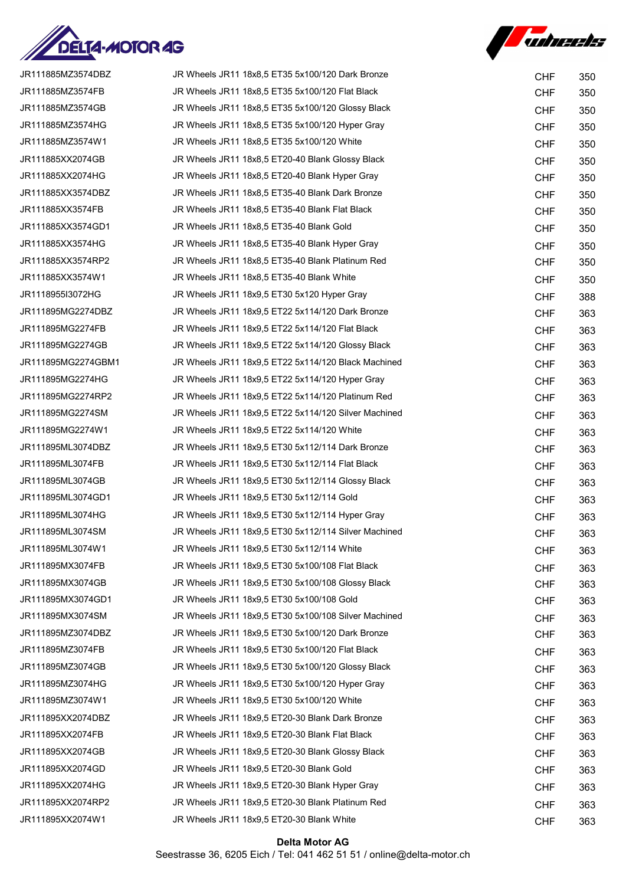



| JR111885MZ3574DBZ  | JR Wheels JR11 18x8,5 ET35 5x100/120 Dark Bronze     | <b>CHF</b> | 350 |
|--------------------|------------------------------------------------------|------------|-----|
| JR111885MZ3574FB   | JR Wheels JR11 18x8,5 ET35 5x100/120 Flat Black      | <b>CHF</b> | 350 |
| JR111885MZ3574GB   | JR Wheels JR11 18x8,5 ET35 5x100/120 Glossy Black    | <b>CHF</b> | 350 |
| JR111885MZ3574HG   | JR Wheels JR11 18x8,5 ET35 5x100/120 Hyper Gray      | <b>CHF</b> | 350 |
| JR111885MZ3574W1   | JR Wheels JR11 18x8,5 ET35 5x100/120 White           | <b>CHF</b> | 350 |
| JR111885XX2074GB   | JR Wheels JR11 18x8,5 ET20-40 Blank Glossy Black     | <b>CHF</b> | 350 |
| JR111885XX2074HG   | JR Wheels JR11 18x8,5 ET20-40 Blank Hyper Gray       | <b>CHF</b> | 350 |
| JR111885XX3574DBZ  | JR Wheels JR11 18x8,5 ET35-40 Blank Dark Bronze      | <b>CHF</b> | 350 |
| JR111885XX3574FB   | JR Wheels JR11 18x8,5 ET35-40 Blank Flat Black       | <b>CHF</b> | 350 |
| JR111885XX3574GD1  | JR Wheels JR11 18x8,5 ET35-40 Blank Gold             | <b>CHF</b> | 350 |
| JR111885XX3574HG   | JR Wheels JR11 18x8,5 ET35-40 Blank Hyper Gray       | <b>CHF</b> | 350 |
| JR111885XX3574RP2  | JR Wheels JR11 18x8,5 ET35-40 Blank Platinum Red     | <b>CHF</b> | 350 |
| JR111885XX3574W1   | JR Wheels JR11 18x8,5 ET35-40 Blank White            | <b>CHF</b> | 350 |
| JR1118955I3072HG   | JR Wheels JR11 18x9.5 ET30 5x120 Hyper Gray          | <b>CHF</b> | 388 |
| JR111895MG2274DBZ  | JR Wheels JR11 18x9,5 ET22 5x114/120 Dark Bronze     | <b>CHF</b> | 363 |
| JR111895MG2274FB   | JR Wheels JR11 18x9.5 ET22 5x114/120 Flat Black      | <b>CHF</b> | 363 |
| JR111895MG2274GB   | JR Wheels JR11 18x9,5 ET22 5x114/120 Glossy Black    | <b>CHF</b> | 363 |
| JR111895MG2274GBM1 | JR Wheels JR11 18x9,5 ET22 5x114/120 Black Machined  | <b>CHF</b> | 363 |
| JR111895MG2274HG   | JR Wheels JR11 18x9,5 ET22 5x114/120 Hyper Gray      | <b>CHF</b> | 363 |
| JR111895MG2274RP2  | JR Wheels JR11 18x9,5 ET22 5x114/120 Platinum Red    | <b>CHF</b> | 363 |
| JR111895MG2274SM   | JR Wheels JR11 18x9,5 ET22 5x114/120 Silver Machined | <b>CHF</b> | 363 |
| JR111895MG2274W1   | JR Wheels JR11 18x9,5 ET22 5x114/120 White           | <b>CHF</b> | 363 |
| JR111895ML3074DBZ  | JR Wheels JR11 18x9,5 ET30 5x112/114 Dark Bronze     | <b>CHF</b> | 363 |
| JR111895ML3074FB   | JR Wheels JR11 18x9,5 ET30 5x112/114 Flat Black      | <b>CHF</b> | 363 |
| JR111895ML3074GB   | JR Wheels JR11 18x9,5 ET30 5x112/114 Glossy Black    | <b>CHF</b> | 363 |
| JR111895ML3074GD1  | JR Wheels JR11 18x9,5 ET30 5x112/114 Gold            | <b>CHF</b> | 363 |
| JR111895ML3074HG   | JR Wheels JR11 18x9,5 ET30 5x112/114 Hyper Gray      | <b>CHF</b> | 363 |
| JR111895ML3074SM   | JR Wheels JR11 18x9,5 ET30 5x112/114 Silver Machined | <b>CHF</b> | 363 |
| JR111895ML3074W1   | JR Wheels JR11 18x9,5 ET30 5x112/114 White           | <b>CHF</b> | 363 |
| JR111895MX3074FB   | JR Wheels JR11 18x9.5 ET30 5x100/108 Flat Black      | <b>CHF</b> | 363 |
| JR111895MX3074GB   | JR Wheels JR11 18x9,5 ET30 5x100/108 Glossy Black    | <b>CHF</b> | 363 |
| JR111895MX3074GD1  | JR Wheels JR11 18x9.5 ET30 5x100/108 Gold            | <b>CHF</b> | 363 |
| JR111895MX3074SM   | JR Wheels JR11 18x9,5 ET30 5x100/108 Silver Machined | <b>CHF</b> | 363 |
| JR111895MZ3074DBZ  | JR Wheels JR11 18x9,5 ET30 5x100/120 Dark Bronze     | <b>CHF</b> | 363 |
| JR111895MZ3074FB   | JR Wheels JR11 18x9,5 ET30 5x100/120 Flat Black      | <b>CHF</b> | 363 |
| JR111895MZ3074GB   | JR Wheels JR11 18x9,5 ET30 5x100/120 Glossy Black    | <b>CHF</b> | 363 |
| JR111895MZ3074HG   | JR Wheels JR11 18x9,5 ET30 5x100/120 Hyper Gray      | <b>CHF</b> | 363 |
| JR111895MZ3074W1   | JR Wheels JR11 18x9,5 ET30 5x100/120 White           | <b>CHF</b> | 363 |
| JR111895XX2074DBZ  | JR Wheels JR11 18x9,5 ET20-30 Blank Dark Bronze      | <b>CHF</b> | 363 |
| JR111895XX2074FB   | JR Wheels JR11 18x9,5 ET20-30 Blank Flat Black       | <b>CHF</b> | 363 |
| JR111895XX2074GB   | JR Wheels JR11 18x9,5 ET20-30 Blank Glossy Black     | <b>CHF</b> | 363 |
| JR111895XX2074GD   | JR Wheels JR11 18x9,5 ET20-30 Blank Gold             | <b>CHF</b> | 363 |
| JR111895XX2074HG   | JR Wheels JR11 18x9,5 ET20-30 Blank Hyper Gray       | <b>CHF</b> | 363 |
| JR111895XX2074RP2  | JR Wheels JR11 18x9,5 ET20-30 Blank Platinum Red     | <b>CHF</b> | 363 |
| JR111895XX2074W1   | JR Wheels JR11 18x9,5 ET20-30 Blank White            | <b>CHF</b> | 363 |

# Delta Motor AG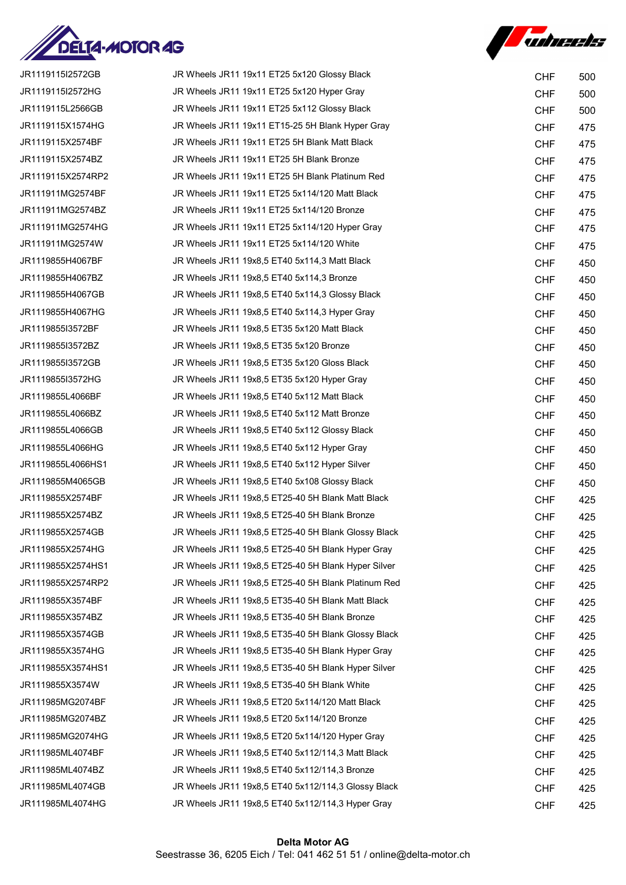



| JR1119115I2572GB  | JR Wheels JR11 19x11 ET25 5x120 Glossy Black        | <b>CHF</b> | 500 |
|-------------------|-----------------------------------------------------|------------|-----|
| JR1119115I2572HG  | JR Wheels JR11 19x11 ET25 5x120 Hyper Gray          | <b>CHF</b> | 500 |
| JR1119115L2566GB  | JR Wheels JR11 19x11 ET25 5x112 Glossy Black        | <b>CHF</b> | 500 |
| JR1119115X1574HG  | JR Wheels JR11 19x11 ET15-25 5H Blank Hyper Gray    | <b>CHF</b> | 475 |
| JR1119115X2574BF  | JR Wheels JR11 19x11 ET25 5H Blank Matt Black       | <b>CHF</b> | 475 |
| JR1119115X2574BZ  | JR Wheels JR11 19x11 ET25 5H Blank Bronze           | <b>CHF</b> | 475 |
| JR1119115X2574RP2 | JR Wheels JR11 19x11 ET25 5H Blank Platinum Red     | <b>CHF</b> | 475 |
| JR111911MG2574BF  | JR Wheels JR11 19x11 ET25 5x114/120 Matt Black      | <b>CHF</b> | 475 |
| JR111911MG2574BZ  | JR Wheels JR11 19x11 ET25 5x114/120 Bronze          | <b>CHF</b> | 475 |
| JR111911MG2574HG  | JR Wheels JR11 19x11 ET25 5x114/120 Hyper Gray      | <b>CHF</b> | 475 |
| JR111911MG2574W   | JR Wheels JR11 19x11 ET25 5x114/120 White           | <b>CHF</b> | 475 |
| JR1119855H4067BF  | JR Wheels JR11 19x8,5 ET40 5x114,3 Matt Black       | <b>CHF</b> | 450 |
| JR1119855H4067BZ  | JR Wheels JR11 19x8,5 ET40 5x114,3 Bronze           | <b>CHF</b> | 450 |
| JR1119855H4067GB  | JR Wheels JR11 19x8,5 ET40 5x114,3 Glossy Black     | <b>CHF</b> | 450 |
| JR1119855H4067HG  | JR Wheels JR11 19x8,5 ET40 5x114,3 Hyper Gray       | <b>CHF</b> | 450 |
| JR1119855I3572BF  | JR Wheels JR11 19x8,5 ET35 5x120 Matt Black         | <b>CHF</b> | 450 |
| JR1119855I3572BZ  | JR Wheels JR11 19x8,5 ET35 5x120 Bronze             | <b>CHF</b> | 450 |
| JR1119855I3572GB  | JR Wheels JR11 19x8,5 ET35 5x120 Gloss Black        | <b>CHF</b> | 450 |
| JR1119855I3572HG  | JR Wheels JR11 19x8,5 ET35 5x120 Hyper Gray         | <b>CHF</b> | 450 |
| JR1119855L4066BF  | JR Wheels JR11 19x8,5 ET40 5x112 Matt Black         | <b>CHF</b> | 450 |
| JR1119855L4066BZ  | JR Wheels JR11 19x8,5 ET40 5x112 Matt Bronze        | <b>CHF</b> | 450 |
| JR1119855L4066GB  | JR Wheels JR11 19x8,5 ET40 5x112 Glossy Black       | <b>CHF</b> | 450 |
| JR1119855L4066HG  | JR Wheels JR11 19x8,5 ET40 5x112 Hyper Gray         | <b>CHF</b> | 450 |
| JR1119855L4066HS1 | JR Wheels JR11 19x8,5 ET40 5x112 Hyper Silver       | <b>CHF</b> | 450 |
| JR1119855M4065GB  | JR Wheels JR11 19x8,5 ET40 5x108 Glossy Black       | <b>CHF</b> | 450 |
| JR1119855X2574BF  | JR Wheels JR11 19x8,5 ET25-40 5H Blank Matt Black   | <b>CHF</b> | 425 |
| JR1119855X2574BZ  | JR Wheels JR11 19x8,5 ET25-40 5H Blank Bronze       | <b>CHF</b> | 425 |
| JR1119855X2574GB  | JR Wheels JR11 19x8,5 ET25-40 5H Blank Glossy Black | <b>CHF</b> | 425 |
| JR1119855X2574HG  | JR Wheels JR11 19x8,5 ET25-40 5H Blank Hyper Gray   | <b>CHF</b> | 425 |
| JR1119855X2574HS1 | JR Wheels JR11 19x8,5 ET25-40 5H Blank Hyper Silver | <b>CHF</b> | 425 |
| JR1119855X2574RP2 | JR Wheels JR11 19x8,5 ET25-40 5H Blank Platinum Red | <b>CHF</b> | 425 |
| JR1119855X3574BF  | JR Wheels JR11 19x8,5 ET35-40 5H Blank Matt Black   | <b>CHF</b> | 425 |
| JR1119855X3574BZ  | JR Wheels JR11 19x8,5 ET35-40 5H Blank Bronze       | <b>CHF</b> | 425 |
| JR1119855X3574GB  | JR Wheels JR11 19x8,5 ET35-40 5H Blank Glossy Black | <b>CHF</b> | 425 |
| JR1119855X3574HG  | JR Wheels JR11 19x8,5 ET35-40 5H Blank Hyper Gray   | <b>CHF</b> | 425 |
| JR1119855X3574HS1 | JR Wheels JR11 19x8,5 ET35-40 5H Blank Hyper Silver | <b>CHF</b> | 425 |
| JR1119855X3574W   | JR Wheels JR11 19x8,5 ET35-40 5H Blank White        | <b>CHF</b> | 425 |
| JR111985MG2074BF  | JR Wheels JR11 19x8,5 ET20 5x114/120 Matt Black     | <b>CHF</b> | 425 |
| JR111985MG2074BZ  | JR Wheels JR11 19x8,5 ET20 5x114/120 Bronze         | <b>CHF</b> | 425 |
| JR111985MG2074HG  | JR Wheels JR11 19x8,5 ET20 5x114/120 Hyper Gray     | <b>CHF</b> | 425 |
| JR111985ML4074BF  | JR Wheels JR11 19x8,5 ET40 5x112/114,3 Matt Black   | <b>CHF</b> | 425 |
| JR111985ML4074BZ  | JR Wheels JR11 19x8,5 ET40 5x112/114,3 Bronze       | <b>CHF</b> | 425 |
| JR111985ML4074GB  | JR Wheels JR11 19x8,5 ET40 5x112/114,3 Glossy Black | <b>CHF</b> | 425 |
| JR111985ML4074HG  | JR Wheels JR11 19x8,5 ET40 5x112/114,3 Hyper Gray   | <b>CHF</b> | 425 |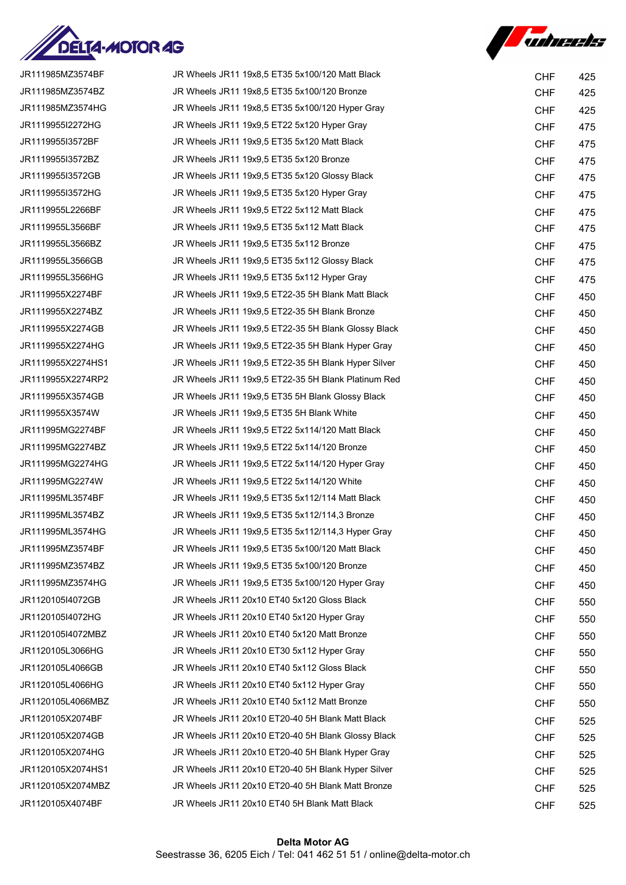



| JR111985MZ3574BF  | JR Wheels JR11 19x8,5 ET35 5x100/120 Matt Black     | <b>CHF</b> | 425 |
|-------------------|-----------------------------------------------------|------------|-----|
| JR111985MZ3574BZ  | JR Wheels JR11 19x8,5 ET35 5x100/120 Bronze         | <b>CHF</b> | 425 |
| JR111985MZ3574HG  | JR Wheels JR11 19x8,5 ET35 5x100/120 Hyper Gray     | <b>CHF</b> | 425 |
| JR1119955I2272HG  | JR Wheels JR11 19x9,5 ET22 5x120 Hyper Gray         | <b>CHF</b> | 475 |
| JR1119955I3572BF  | JR Wheels JR11 19x9,5 ET35 5x120 Matt Black         | <b>CHF</b> | 475 |
| JR1119955I3572BZ  | JR Wheels JR11 19x9,5 ET35 5x120 Bronze             | <b>CHF</b> | 475 |
| JR1119955I3572GB  | JR Wheels JR11 19x9,5 ET35 5x120 Glossy Black       | <b>CHF</b> | 475 |
| JR1119955I3572HG  | JR Wheels JR11 19x9,5 ET35 5x120 Hyper Gray         | <b>CHF</b> | 475 |
| JR1119955L2266BF  | JR Wheels JR11 19x9,5 ET22 5x112 Matt Black         | <b>CHF</b> | 475 |
| JR1119955L3566BF  | JR Wheels JR11 19x9,5 ET35 5x112 Matt Black         | <b>CHF</b> | 475 |
| JR1119955L3566BZ  | JR Wheels JR11 19x9,5 ET35 5x112 Bronze             | <b>CHF</b> | 475 |
| JR1119955L3566GB  | JR Wheels JR11 19x9,5 ET35 5x112 Glossy Black       | <b>CHF</b> | 475 |
| JR1119955L3566HG  | JR Wheels JR11 19x9,5 ET35 5x112 Hyper Gray         | <b>CHF</b> | 475 |
| JR1119955X2274BF  | JR Wheels JR11 19x9.5 ET22-35 5H Blank Matt Black   | <b>CHF</b> | 450 |
| JR1119955X2274BZ  | JR Wheels JR11 19x9.5 ET22-35 5H Blank Bronze       | <b>CHF</b> | 450 |
| JR1119955X2274GB  | JR Wheels JR11 19x9,5 ET22-35 5H Blank Glossy Black | <b>CHF</b> | 450 |
| JR1119955X2274HG  | JR Wheels JR11 19x9,5 ET22-35 5H Blank Hyper Gray   | <b>CHF</b> | 450 |
| JR1119955X2274HS1 | JR Wheels JR11 19x9,5 ET22-35 5H Blank Hyper Silver | <b>CHF</b> | 450 |
| JR1119955X2274RP2 | JR Wheels JR11 19x9,5 ET22-35 5H Blank Platinum Red | <b>CHF</b> | 450 |
| JR1119955X3574GB  | JR Wheels JR11 19x9,5 ET35 5H Blank Glossy Black    | <b>CHF</b> | 450 |
| JR1119955X3574W   | JR Wheels JR11 19x9,5 ET35 5H Blank White           | <b>CHF</b> | 450 |
| JR111995MG2274BF  | JR Wheels JR11 19x9,5 ET22 5x114/120 Matt Black     | <b>CHF</b> | 450 |
| JR111995MG2274BZ  | JR Wheels JR11 19x9,5 ET22 5x114/120 Bronze         | <b>CHF</b> | 450 |
| JR111995MG2274HG  | JR Wheels JR11 19x9,5 ET22 5x114/120 Hyper Gray     | <b>CHF</b> | 450 |
| JR111995MG2274W   | JR Wheels JR11 19x9,5 ET22 5x114/120 White          | <b>CHF</b> | 450 |
| JR111995ML3574BF  | JR Wheels JR11 19x9,5 ET35 5x112/114 Matt Black     | <b>CHF</b> | 450 |
| JR111995ML3574BZ  | JR Wheels JR11 19x9,5 ET35 5x112/114,3 Bronze       | <b>CHF</b> | 450 |
| JR111995ML3574HG  | JR Wheels JR11 19x9,5 ET35 5x112/114,3 Hyper Gray   | <b>CHF</b> | 450 |
| JR111995MZ3574BF  | JR Wheels JR11 19x9.5 ET35 5x100/120 Matt Black     | <b>CHF</b> | 450 |
| JR111995MZ3574BZ  | JR Wheels JR11 19x9,5 ET35 5x100/120 Bronze         | <b>CHF</b> | 450 |
| JR111995MZ3574HG  | JR Wheels JR11 19x9.5 ET35 5x100/120 Hyper Gray     | <b>CHF</b> | 450 |
| JR1120105I4072GB  | JR Wheels JR11 20x10 ET40 5x120 Gloss Black         | <b>CHF</b> | 550 |
| JR1120105I4072HG  | JR Wheels JR11 20x10 ET40 5x120 Hyper Gray          | <b>CHF</b> | 550 |
| JR1120105I4072MBZ | JR Wheels JR11 20x10 ET40 5x120 Matt Bronze         | <b>CHF</b> | 550 |
| JR1120105L3066HG  | JR Wheels JR11 20x10 ET30 5x112 Hyper Gray          | <b>CHF</b> | 550 |
| JR1120105L4066GB  | JR Wheels JR11 20x10 ET40 5x112 Gloss Black         | <b>CHF</b> | 550 |
| JR1120105L4066HG  | JR Wheels JR11 20x10 ET40 5x112 Hyper Gray          | <b>CHF</b> | 550 |
| JR1120105L4066MBZ | JR Wheels JR11 20x10 ET40 5x112 Matt Bronze         | <b>CHF</b> | 550 |
| JR1120105X2074BF  | JR Wheels JR11 20x10 ET20-40 5H Blank Matt Black    | <b>CHF</b> | 525 |
| JR1120105X2074GB  | JR Wheels JR11 20x10 ET20-40 5H Blank Glossy Black  | <b>CHF</b> | 525 |
| JR1120105X2074HG  | JR Wheels JR11 20x10 ET20-40 5H Blank Hyper Gray    | <b>CHF</b> | 525 |
| JR1120105X2074HS1 | JR Wheels JR11 20x10 ET20-40 5H Blank Hyper Silver  | <b>CHF</b> | 525 |
| JR1120105X2074MBZ | JR Wheels JR11 20x10 ET20-40 5H Blank Matt Bronze   | <b>CHF</b> | 525 |
| JR1120105X4074BF  | JR Wheels JR11 20x10 ET40 5H Blank Matt Black       | <b>CHF</b> | 525 |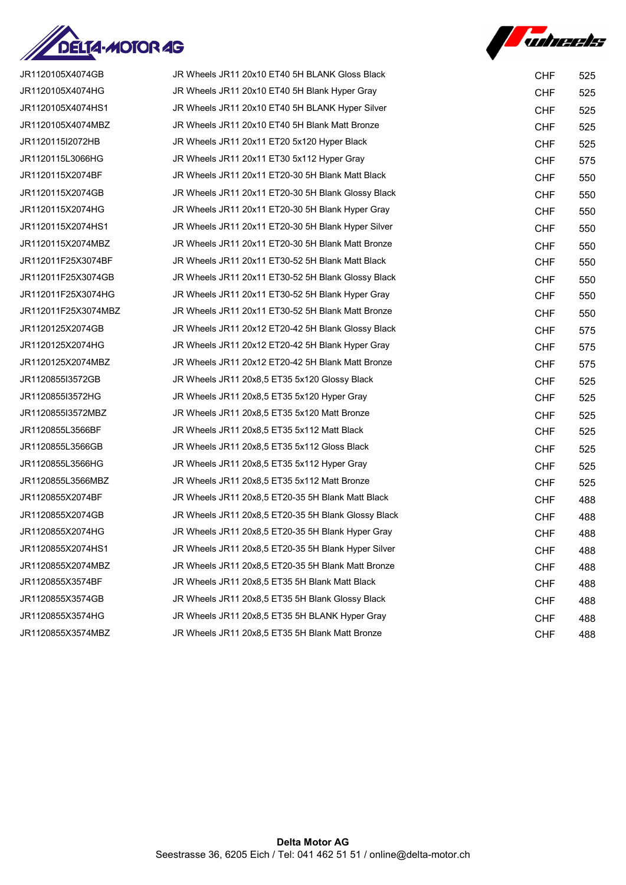



| JR1120105X4074GB    | JR Wheels JR11 20x10 ET40 5H BLANK Gloss Black      | <b>CHF</b> | 525 |
|---------------------|-----------------------------------------------------|------------|-----|
| JR1120105X4074HG    | JR Wheels JR11 20x10 ET40 5H Blank Hyper Gray       | <b>CHF</b> | 525 |
| JR1120105X4074HS1   | JR Wheels JR11 20x10 ET40 5H BLANK Hyper Silver     | <b>CHF</b> | 525 |
| JR1120105X4074MBZ   | JR Wheels JR11 20x10 ET40 5H Blank Matt Bronze      | <b>CHF</b> | 525 |
| JR1120115I2072HB    | JR Wheels JR11 20x11 ET20 5x120 Hyper Black         | <b>CHF</b> | 525 |
| JR1120115L3066HG    | JR Wheels JR11 20x11 ET30 5x112 Hyper Gray          | <b>CHF</b> | 575 |
| JR1120115X2074BF    | JR Wheels JR11 20x11 ET20-30 5H Blank Matt Black    | <b>CHF</b> | 550 |
| JR1120115X2074GB    | JR Wheels JR11 20x11 ET20-30 5H Blank Glossy Black  | <b>CHF</b> | 550 |
| JR1120115X2074HG    | JR Wheels JR11 20x11 ET20-30 5H Blank Hyper Gray    | <b>CHF</b> | 550 |
| JR1120115X2074HS1   | JR Wheels JR11 20x11 ET20-30 5H Blank Hyper Silver  | <b>CHF</b> | 550 |
| JR1120115X2074MBZ   | JR Wheels JR11 20x11 ET20-30 5H Blank Matt Bronze   | <b>CHF</b> | 550 |
| JR112011F25X3074BF  | JR Wheels JR11 20x11 ET30-52 5H Blank Matt Black    | <b>CHF</b> | 550 |
| JR112011F25X3074GB  | JR Wheels JR11 20x11 ET30-52 5H Blank Glossy Black  | <b>CHF</b> | 550 |
| JR112011F25X3074HG  | JR Wheels JR11 20x11 ET30-52 5H Blank Hyper Gray    | <b>CHF</b> | 550 |
| JR112011F25X3074MBZ | JR Wheels JR11 20x11 ET30-52 5H Blank Matt Bronze   | <b>CHF</b> | 550 |
| JR1120125X2074GB    | JR Wheels JR11 20x12 ET20-42 5H Blank Glossy Black  | <b>CHF</b> | 575 |
| JR1120125X2074HG    | JR Wheels JR11 20x12 ET20-42 5H Blank Hyper Gray    | <b>CHF</b> | 575 |
| JR1120125X2074MBZ   | JR Wheels JR11 20x12 ET20-42 5H Blank Matt Bronze   | <b>CHF</b> | 575 |
| JR1120855I3572GB    | JR Wheels JR11 20x8,5 ET35 5x120 Glossy Black       | <b>CHF</b> | 525 |
| JR1120855I3572HG    | JR Wheels JR11 20x8,5 ET35 5x120 Hyper Gray         | <b>CHF</b> | 525 |
| JR1120855I3572MBZ   | JR Wheels JR11 20x8,5 ET35 5x120 Matt Bronze        | <b>CHF</b> | 525 |
| JR1120855L3566BF    | JR Wheels JR11 20x8,5 ET35 5x112 Matt Black         | <b>CHF</b> | 525 |
| JR1120855L3566GB    | JR Wheels JR11 20x8,5 ET35 5x112 Gloss Black        | <b>CHF</b> | 525 |
| JR1120855L3566HG    | JR Wheels JR11 20x8,5 ET35 5x112 Hyper Gray         | <b>CHF</b> | 525 |
| JR1120855L3566MBZ   | JR Wheels JR11 20x8,5 ET35 5x112 Matt Bronze        | <b>CHF</b> | 525 |
| JR1120855X2074BF    | JR Wheels JR11 20x8,5 ET20-35 5H Blank Matt Black   | <b>CHF</b> | 488 |
| JR1120855X2074GB    | JR Wheels JR11 20x8,5 ET20-35 5H Blank Glossy Black | <b>CHF</b> | 488 |
| JR1120855X2074HG    | JR Wheels JR11 20x8,5 ET20-35 5H Blank Hyper Gray   | <b>CHF</b> | 488 |
| JR1120855X2074HS1   | JR Wheels JR11 20x8,5 ET20-35 5H Blank Hyper Silver | <b>CHF</b> | 488 |
| JR1120855X2074MBZ   | JR Wheels JR11 20x8,5 ET20-35 5H Blank Matt Bronze  | <b>CHF</b> | 488 |
| JR1120855X3574BF    | JR Wheels JR11 20x8,5 ET35 5H Blank Matt Black      | <b>CHF</b> | 488 |
| JR1120855X3574GB    | JR Wheels JR11 20x8,5 ET35 5H Blank Glossy Black    | <b>CHF</b> | 488 |
| JR1120855X3574HG    | JR Wheels JR11 20x8,5 ET35 5H BLANK Hyper Gray      | <b>CHF</b> | 488 |
| JR1120855X3574MBZ   | JR Wheels JR11 20x8,5 ET35 5H Blank Matt Bronze     | <b>CHF</b> | 488 |
|                     |                                                     |            |     |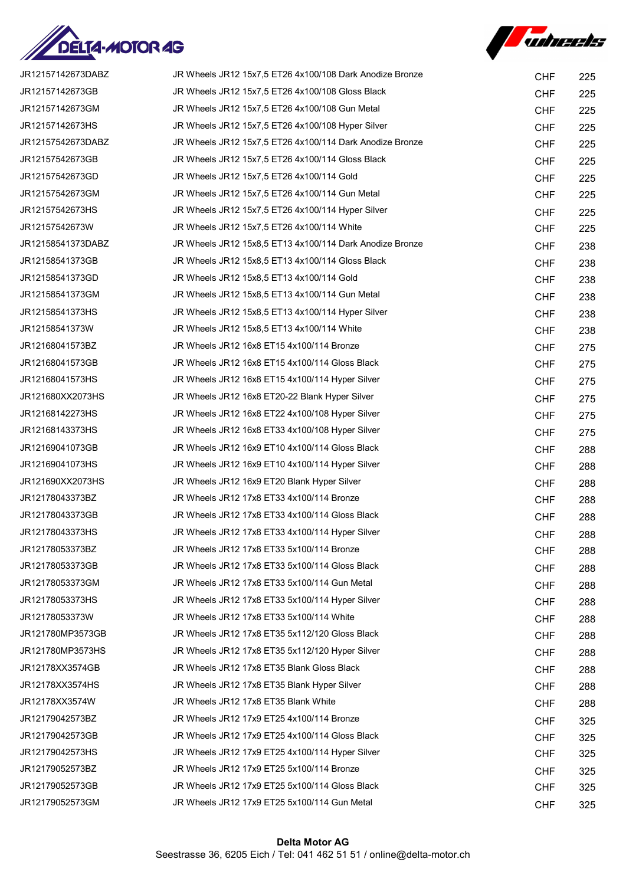



| JR12157142673DABZ | JR Wheels JR12 15x7,5 ET26 4x100/108 Dark Anodize Bronze | <b>CHF</b> | 225 |
|-------------------|----------------------------------------------------------|------------|-----|
| JR12157142673GB   | JR Wheels JR12 15x7,5 ET26 4x100/108 Gloss Black         | <b>CHF</b> | 225 |
| JR12157142673GM   | JR Wheels JR12 15x7,5 ET26 4x100/108 Gun Metal           | <b>CHF</b> | 225 |
| JR12157142673HS   | JR Wheels JR12 15x7,5 ET26 4x100/108 Hyper Silver        | <b>CHF</b> | 225 |
| JR12157542673DABZ | JR Wheels JR12 15x7,5 ET26 4x100/114 Dark Anodize Bronze | <b>CHF</b> | 225 |
| JR12157542673GB   | JR Wheels JR12 15x7,5 ET26 4x100/114 Gloss Black         | <b>CHF</b> | 225 |
| JR12157542673GD   | JR Wheels JR12 15x7,5 ET26 4x100/114 Gold                | <b>CHF</b> | 225 |
| JR12157542673GM   | JR Wheels JR12 15x7,5 ET26 4x100/114 Gun Metal           | <b>CHF</b> | 225 |
| JR12157542673HS   | JR Wheels JR12 15x7,5 ET26 4x100/114 Hyper Silver        | <b>CHF</b> | 225 |
| JR12157542673W    | JR Wheels JR12 15x7,5 ET26 4x100/114 White               | <b>CHF</b> | 225 |
| JR12158541373DABZ | JR Wheels JR12 15x8,5 ET13 4x100/114 Dark Anodize Bronze | <b>CHF</b> | 238 |
| JR12158541373GB   | JR Wheels JR12 15x8,5 ET13 4x100/114 Gloss Black         | <b>CHF</b> | 238 |
| JR12158541373GD   | JR Wheels JR12 15x8,5 ET13 4x100/114 Gold                | <b>CHF</b> | 238 |
| JR12158541373GM   | JR Wheels JR12 15x8,5 ET13 4x100/114 Gun Metal           | <b>CHF</b> | 238 |
| JR12158541373HS   | JR Wheels JR12 15x8,5 ET13 4x100/114 Hyper Silver        | <b>CHF</b> | 238 |
| JR12158541373W    | JR Wheels JR12 15x8,5 ET13 4x100/114 White               | <b>CHF</b> | 238 |
| JR12168041573BZ   | JR Wheels JR12 16x8 ET15 4x100/114 Bronze                | <b>CHF</b> | 275 |
| JR12168041573GB   | JR Wheels JR12 16x8 ET15 4x100/114 Gloss Black           | <b>CHF</b> | 275 |
| JR12168041573HS   | JR Wheels JR12 16x8 ET15 4x100/114 Hyper Silver          | <b>CHF</b> | 275 |
| JR121680XX2073HS  | JR Wheels JR12 16x8 ET20-22 Blank Hyper Silver           | <b>CHF</b> | 275 |
| JR12168142273HS   | JR Wheels JR12 16x8 ET22 4x100/108 Hyper Silver          | <b>CHF</b> | 275 |
| JR12168143373HS   | JR Wheels JR12 16x8 ET33 4x100/108 Hyper Silver          | <b>CHF</b> | 275 |
| JR12169041073GB   | JR Wheels JR12 16x9 ET10 4x100/114 Gloss Black           | <b>CHF</b> | 288 |
| JR12169041073HS   | JR Wheels JR12 16x9 ET10 4x100/114 Hyper Silver          | <b>CHF</b> | 288 |
| JR121690XX2073HS  | JR Wheels JR12 16x9 ET20 Blank Hyper Silver              | <b>CHF</b> | 288 |
| JR12178043373BZ   | JR Wheels JR12 17x8 ET33 4x100/114 Bronze                | <b>CHF</b> | 288 |
| JR12178043373GB   | JR Wheels JR12 17x8 ET33 4x100/114 Gloss Black           | <b>CHF</b> | 288 |
| JR12178043373HS   | JR Wheels JR12 17x8 ET33 4x100/114 Hyper Silver          | <b>CHF</b> | 288 |
| JR12178053373BZ   | JR Wheels JR12 17x8 ET33 5x100/114 Bronze                | <b>CHF</b> | 288 |
| JR12178053373GB   | JR Wheels JR12 17x8 ET33 5x100/114 Gloss Black           | <b>CHF</b> | 288 |
| JR12178053373GM   | JR Wheels JR12 17x8 ET33 5x100/114 Gun Metal             | <b>CHF</b> | 288 |
| JR12178053373HS   | JR Wheels JR12 17x8 ET33 5x100/114 Hyper Silver          | <b>CHF</b> | 288 |
| JR12178053373W    | JR Wheels JR12 17x8 ET33 5x100/114 White                 | <b>CHF</b> | 288 |
| JR121780MP3573GB  | JR Wheels JR12 17x8 ET35 5x112/120 Gloss Black           | <b>CHF</b> | 288 |
| JR121780MP3573HS  | JR Wheels JR12 17x8 ET35 5x112/120 Hyper Silver          | <b>CHF</b> | 288 |
| JR12178XX3574GB   | JR Wheels JR12 17x8 ET35 Blank Gloss Black               | <b>CHF</b> | 288 |
| JR12178XX3574HS   | JR Wheels JR12 17x8 ET35 Blank Hyper Silver              | <b>CHF</b> | 288 |
| JR12178XX3574W    | JR Wheels JR12 17x8 ET35 Blank White                     | <b>CHF</b> | 288 |
| JR12179042573BZ   | JR Wheels JR12 17x9 ET25 4x100/114 Bronze                | <b>CHF</b> | 325 |
| JR12179042573GB   | JR Wheels JR12 17x9 ET25 4x100/114 Gloss Black           | <b>CHF</b> | 325 |
| JR12179042573HS   | JR Wheels JR12 17x9 ET25 4x100/114 Hyper Silver          | <b>CHF</b> | 325 |
| JR12179052573BZ   | JR Wheels JR12 17x9 ET25 5x100/114 Bronze                | <b>CHF</b> | 325 |
| JR12179052573GB   | JR Wheels JR12 17x9 ET25 5x100/114 Gloss Black           | <b>CHF</b> | 325 |
| JR12179052573GM   | JR Wheels JR12 17x9 ET25 5x100/114 Gun Metal             | <b>CHF</b> | 325 |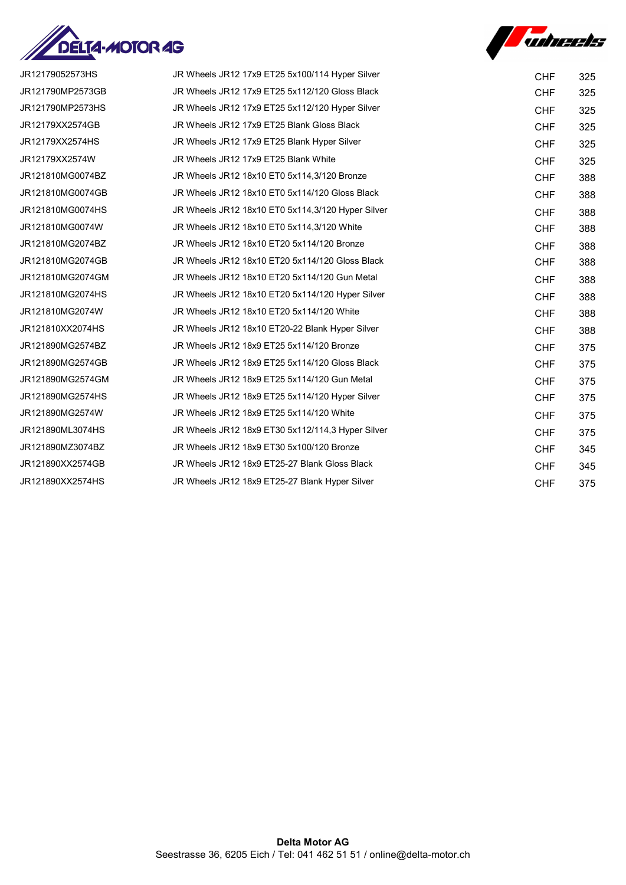



| JR12179052573HS  | JR Wheels JR12 17x9 ET25 5x100/114 Hyper Silver   | <b>CHF</b> | 325 |
|------------------|---------------------------------------------------|------------|-----|
| JR121790MP2573GB | JR Wheels JR12 17x9 ET25 5x112/120 Gloss Black    | <b>CHF</b> | 325 |
| JR121790MP2573HS | JR Wheels JR12 17x9 ET25 5x112/120 Hyper Silver   | <b>CHF</b> | 325 |
| JR12179XX2574GB  | JR Wheels JR12 17x9 ET25 Blank Gloss Black        | <b>CHF</b> | 325 |
| JR12179XX2574HS  | JR Wheels JR12 17x9 ET25 Blank Hyper Silver       | <b>CHF</b> | 325 |
| JR12179XX2574W   | JR Wheels JR12 17x9 ET25 Blank White              | <b>CHF</b> | 325 |
| JR121810MG0074BZ | JR Wheels JR12 18x10 ET0 5x114,3/120 Bronze       | <b>CHF</b> | 388 |
| JR121810MG0074GB | JR Wheels JR12 18x10 ET0 5x114/120 Gloss Black    | <b>CHF</b> | 388 |
| JR121810MG0074HS | JR Wheels JR12 18x10 ET0 5x114,3/120 Hyper Silver | <b>CHF</b> | 388 |
| JR121810MG0074W  | JR Wheels JR12 18x10 ET0 5x114, 3/120 White       | <b>CHF</b> | 388 |
| JR121810MG2074BZ | JR Wheels JR12 18x10 ET20 5x114/120 Bronze        | <b>CHF</b> | 388 |
| JR121810MG2074GB | JR Wheels JR12 18x10 ET20 5x114/120 Gloss Black   | <b>CHF</b> | 388 |
| JR121810MG2074GM | JR Wheels JR12 18x10 ET20 5x114/120 Gun Metal     | <b>CHF</b> | 388 |
| JR121810MG2074HS | JR Wheels JR12 18x10 ET20 5x114/120 Hyper Silver  | <b>CHF</b> | 388 |
| JR121810MG2074W  | JR Wheels JR12 18x10 ET20 5x114/120 White         | <b>CHF</b> | 388 |
| JR121810XX2074HS | JR Wheels JR12 18x10 ET20-22 Blank Hyper Silver   | <b>CHF</b> | 388 |
| JR121890MG2574BZ | JR Wheels JR12 18x9 ET25 5x114/120 Bronze         | <b>CHF</b> | 375 |
| JR121890MG2574GB | JR Wheels JR12 18x9 ET25 5x114/120 Gloss Black    | <b>CHF</b> | 375 |
| JR121890MG2574GM | JR Wheels JR12 18x9 ET25 5x114/120 Gun Metal      | <b>CHF</b> | 375 |
| JR121890MG2574HS | JR Wheels JR12 18x9 ET25 5x114/120 Hyper Silver   | <b>CHF</b> | 375 |
| JR121890MG2574W  | JR Wheels JR12 18x9 ET25 5x114/120 White          | <b>CHF</b> | 375 |
| JR121890ML3074HS | JR Wheels JR12 18x9 ET30 5x112/114,3 Hyper Silver | <b>CHF</b> | 375 |
| JR121890MZ3074BZ | JR Wheels JR12 18x9 ET30 5x100/120 Bronze         | <b>CHF</b> | 345 |
| JR121890XX2574GB | JR Wheels JR12 18x9 ET25-27 Blank Gloss Black     | <b>CHF</b> | 345 |
| JR121890XX2574HS | JR Wheels JR12 18x9 ET25-27 Blank Hyper Silver    | <b>CHF</b> | 375 |
|                  |                                                   |            |     |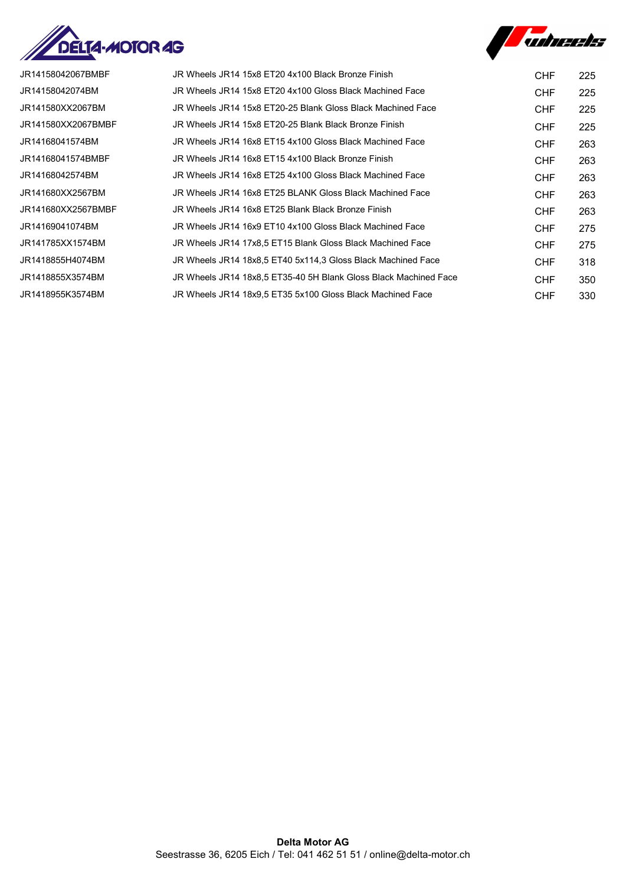



| JR14158042067BMBF  | JR Wheels JR14 15x8 ET20 4x100 Black Bronze Finish               | CHF        | 225 |
|--------------------|------------------------------------------------------------------|------------|-----|
| JR14158042074BM    | JR Wheels JR14 15x8 ET20 4x100 Gloss Black Machined Face         | CHF        | 225 |
| JR141580XX2067BM   | JR Wheels JR14 15x8 ET20-25 Blank Gloss Black Machined Face      | CHF        | 225 |
| JR141580XX2067BMBF | JR Wheels JR14 15x8 ET20-25 Blank Black Bronze Finish            | CHF        | 225 |
| JR14168041574BM    | JR Wheels JR14 16x8 ET15 4x100 Gloss Black Machined Face         | CHF        | 263 |
| JR14168041574BMBF  | JR Wheels JR14 16x8 ET15 4x100 Black Bronze Finish               | <b>CHF</b> | 263 |
| JR14168042574BM    | JR Wheels JR14 16x8 ET25 4x100 Gloss Black Machined Face         | CHF        | 263 |
| JR141680XX2567BM   | JR Wheels JR14 16x8 ET25 BLANK Gloss Black Machined Face         | <b>CHF</b> | 263 |
| JR141680XX2567BMBF | JR Wheels JR14 16x8 ET25 Blank Black Bronze Finish               | <b>CHF</b> | 263 |
| JR14169041074BM    | JR Wheels JR14 16x9 ET10 4x100 Gloss Black Machined Face         | CHF        | 275 |
| JR141785XX1574BM   | JR Wheels JR14 17x8.5 ET15 Blank Gloss Black Machined Face       | <b>CHF</b> | 275 |
| JR1418855H4074BM   | JR Wheels JR14 18x8,5 ET40 5x114,3 Gloss Black Machined Face     | CHF.       | 318 |
| JR1418855X3574BM   | JR Wheels JR14 18x8.5 ET35-40 5H Blank Gloss Black Machined Face | CHF        | 350 |
| JR1418955K3574BM   | JR Wheels JR14 18x9.5 ET35 5x100 Gloss Black Machined Face       | CHF        | 330 |
|                    |                                                                  |            |     |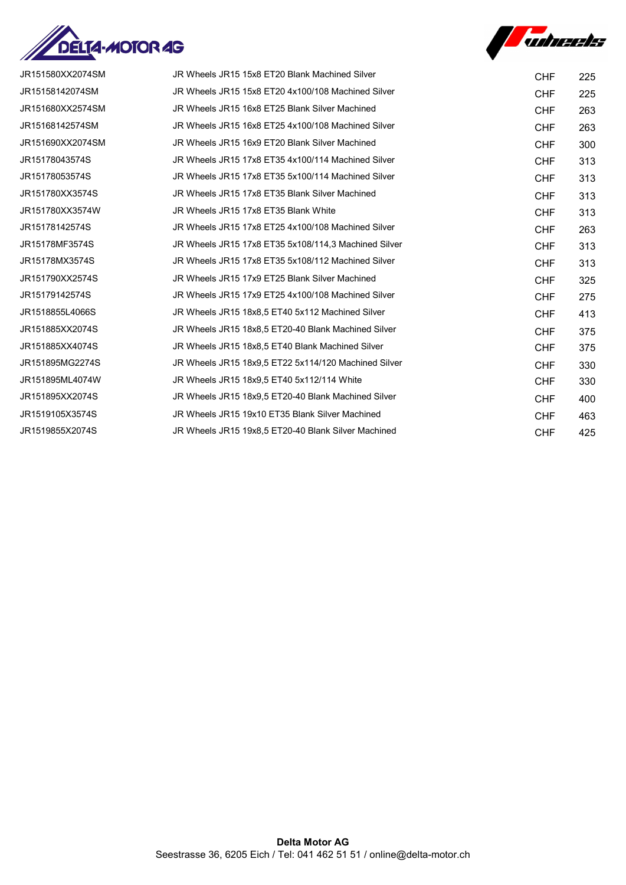



| JR151580XX2074SM | JR Wheels JR15 15x8 ET20 Blank Machined Silver       | <b>CHF</b> | 225 |
|------------------|------------------------------------------------------|------------|-----|
| JR15158142074SM  | JR Wheels JR15 15x8 ET20 4x100/108 Machined Silver   | <b>CHF</b> | 225 |
| JR151680XX2574SM | JR Wheels JR15 16x8 ET25 Blank Silver Machined       | <b>CHF</b> | 263 |
| JR15168142574SM  | JR Wheels JR15 16x8 ET25 4x100/108 Machined Silver   | <b>CHF</b> | 263 |
| JR151690XX2074SM | JR Wheels JR15 16x9 ET20 Blank Silver Machined       | <b>CHF</b> | 300 |
| JR15178043574S   | JR Wheels JR15 17x8 ET35 4x100/114 Machined Silver   | <b>CHF</b> | 313 |
| JR15178053574S   | JR Wheels JR15 17x8 ET35 5x100/114 Machined Silver   | <b>CHF</b> | 313 |
| JR151780XX3574S  | JR Wheels JR15 17x8 ET35 Blank Silver Machined       | <b>CHF</b> | 313 |
| JR151780XX3574W  | JR Wheels JR15 17x8 ET35 Blank White                 | <b>CHF</b> | 313 |
| JR15178142574S   | JR Wheels JR15 17x8 ET25 4x100/108 Machined Silver   | <b>CHF</b> | 263 |
| JR15178MF3574S   | JR Wheels JR15 17x8 ET35 5x108/114,3 Machined Silver | <b>CHF</b> | 313 |
| JR15178MX3574S   | JR Wheels JR15 17x8 ET35 5x108/112 Machined Silver   | <b>CHF</b> | 313 |
| JR151790XX2574S  | JR Wheels JR15 17x9 ET25 Blank Silver Machined       | <b>CHF</b> | 325 |
| JR15179142574S   | JR Wheels JR15 17x9 ET25 4x100/108 Machined Silver   | <b>CHF</b> | 275 |
| JR1518855L4066S  | JR Wheels JR15 18x8.5 ET40 5x112 Machined Silver     | <b>CHF</b> | 413 |
| JR151885XX2074S  | JR Wheels JR15 18x8,5 ET20-40 Blank Machined Silver  | <b>CHF</b> | 375 |
| JR151885XX4074S  | JR Wheels JR15 18x8,5 ET40 Blank Machined Silver     | <b>CHF</b> | 375 |
| JR151895MG2274S  | JR Wheels JR15 18x9,5 ET22 5x114/120 Machined Silver | <b>CHF</b> | 330 |
| JR151895ML4074W  | JR Wheels JR15 18x9,5 ET40 5x112/114 White           | <b>CHF</b> | 330 |
| JR151895XX2074S  | JR Wheels JR15 18x9.5 ET20-40 Blank Machined Silver  | <b>CHF</b> | 400 |
| JR1519105X3574S  | JR Wheels JR15 19x10 ET35 Blank Silver Machined      | <b>CHF</b> | 463 |
| JR1519855X2074S  | JR Wheels JR15 19x8,5 ET20-40 Blank Silver Machined  | <b>CHF</b> | 425 |
|                  |                                                      |            |     |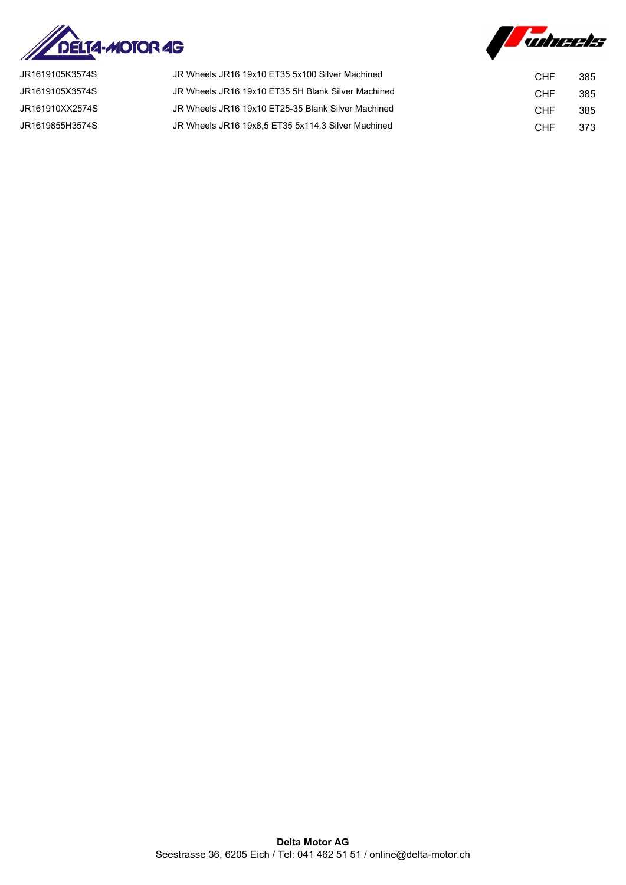



| JR1619105K3574S | JR Wheels JR16 19x10 ET35 5x100 Silver Machined    | CHF | 385 |
|-----------------|----------------------------------------------------|-----|-----|
| JR1619105X3574S | JR Wheels JR16 19x10 ET35 5H Blank Silver Machined | CHF | 385 |
| JR161910XX2574S | JR Wheels JR16 19x10 ET25-35 Blank Silver Machined | CHF | 385 |
| JR1619855H3574S | JR Wheels JR16 19x8.5 ET35 5x114.3 Silver Machined | CHF | 373 |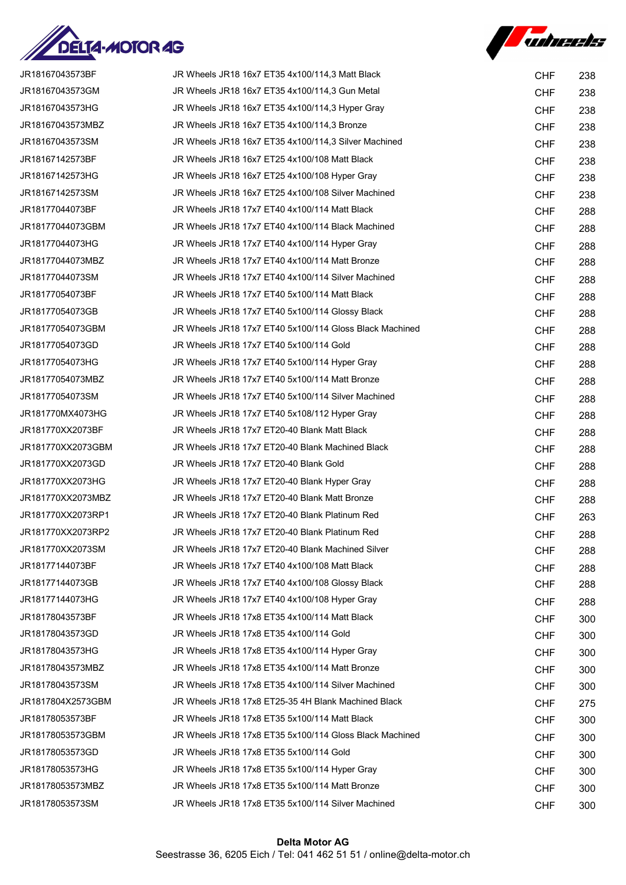



| JR18167043573BF   | JR Wheels JR18 16x7 ET35 4x100/114,3 Matt Black         | <b>CHF</b> | 238 |
|-------------------|---------------------------------------------------------|------------|-----|
| JR18167043573GM   | JR Wheels JR18 16x7 ET35 4x100/114,3 Gun Metal          | <b>CHF</b> | 238 |
| JR18167043573HG   | JR Wheels JR18 16x7 ET35 4x100/114,3 Hyper Gray         | <b>CHF</b> | 238 |
| JR18167043573MBZ  | JR Wheels JR18 16x7 ET35 4x100/114,3 Bronze             | <b>CHF</b> | 238 |
| JR18167043573SM   | JR Wheels JR18 16x7 ET35 4x100/114,3 Silver Machined    | <b>CHF</b> | 238 |
| JR18167142573BF   | JR Wheels JR18 16x7 ET25 4x100/108 Matt Black           | <b>CHF</b> | 238 |
| JR18167142573HG   | JR Wheels JR18 16x7 ET25 4x100/108 Hyper Gray           | <b>CHF</b> | 238 |
| JR18167142573SM   | JR Wheels JR18 16x7 ET25 4x100/108 Silver Machined      | <b>CHF</b> | 238 |
| JR18177044073BF   | JR Wheels JR18 17x7 ET40 4x100/114 Matt Black           | <b>CHF</b> | 288 |
| JR18177044073GBM  | JR Wheels JR18 17x7 ET40 4x100/114 Black Machined       | <b>CHF</b> | 288 |
| JR18177044073HG   | JR Wheels JR18 17x7 ET40 4x100/114 Hyper Gray           | <b>CHF</b> | 288 |
| JR18177044073MBZ  | JR Wheels JR18 17x7 ET40 4x100/114 Matt Bronze          | <b>CHF</b> | 288 |
| JR18177044073SM   | JR Wheels JR18 17x7 ET40 4x100/114 Silver Machined      | <b>CHF</b> | 288 |
| JR18177054073BF   | JR Wheels JR18 17x7 ET40 5x100/114 Matt Black           | <b>CHF</b> | 288 |
| JR18177054073GB   | JR Wheels JR18 17x7 ET40 5x100/114 Glossy Black         | <b>CHF</b> | 288 |
| JR18177054073GBM  | JR Wheels JR18 17x7 ET40 5x100/114 Gloss Black Machined | <b>CHF</b> | 288 |
| JR18177054073GD   | JR Wheels JR18 17x7 ET40 5x100/114 Gold                 | <b>CHF</b> | 288 |
| JR18177054073HG   | JR Wheels JR18 17x7 ET40 5x100/114 Hyper Gray           | <b>CHF</b> | 288 |
| JR18177054073MBZ  | JR Wheels JR18 17x7 ET40 5x100/114 Matt Bronze          | <b>CHF</b> | 288 |
| JR18177054073SM   | JR Wheels JR18 17x7 ET40 5x100/114 Silver Machined      | <b>CHF</b> | 288 |
| JR181770MX4073HG  | JR Wheels JR18 17x7 ET40 5x108/112 Hyper Gray           | <b>CHF</b> | 288 |
| JR181770XX2073BF  | JR Wheels JR18 17x7 ET20-40 Blank Matt Black            | <b>CHF</b> | 288 |
| JR181770XX2073GBM | JR Wheels JR18 17x7 ET20-40 Blank Machined Black        | <b>CHF</b> | 288 |
| JR181770XX2073GD  | JR Wheels JR18 17x7 ET20-40 Blank Gold                  | <b>CHF</b> | 288 |
| JR181770XX2073HG  | JR Wheels JR18 17x7 ET20-40 Blank Hyper Gray            | <b>CHF</b> | 288 |
| JR181770XX2073MBZ | JR Wheels JR18 17x7 ET20-40 Blank Matt Bronze           | <b>CHF</b> | 288 |
| JR181770XX2073RP1 | JR Wheels JR18 17x7 ET20-40 Blank Platinum Red          | <b>CHF</b> | 263 |
| JR181770XX2073RP2 | JR Wheels JR18 17x7 ET20-40 Blank Platinum Red          | <b>CHF</b> | 288 |
| JR181770XX2073SM  | JR Wheels JR18 17x7 ET20-40 Blank Machined Silver       | <b>CHF</b> | 288 |
| JR18177144073BF   | JR Wheels JR18 17x7 ET40 4x100/108 Matt Black           | <b>CHF</b> | 288 |
| JR18177144073GB   | JR Wheels JR18 17x7 ET40 4x100/108 Glossy Black         | <b>CHF</b> | 288 |
| JR18177144073HG   | JR Wheels JR18 17x7 ET40 4x100/108 Hyper Gray           | <b>CHF</b> | 288 |
| JR18178043573BF   | JR Wheels JR18 17x8 ET35 4x100/114 Matt Black           | <b>CHF</b> | 300 |
| JR18178043573GD   | JR Wheels JR18 17x8 ET35 4x100/114 Gold                 | <b>CHF</b> | 300 |
| JR18178043573HG   | JR Wheels JR18 17x8 ET35 4x100/114 Hyper Gray           | <b>CHF</b> | 300 |
| JR18178043573MBZ  | JR Wheels JR18 17x8 ET35 4x100/114 Matt Bronze          | <b>CHF</b> | 300 |
| JR18178043573SM   | JR Wheels JR18 17x8 ET35 4x100/114 Silver Machined      | <b>CHF</b> | 300 |
| JR1817804X2573GBM | JR Wheels JR18 17x8 ET25-35 4H Blank Machined Black     | <b>CHF</b> | 275 |
| JR18178053573BF   | JR Wheels JR18 17x8 ET35 5x100/114 Matt Black           | <b>CHF</b> | 300 |
| JR18178053573GBM  | JR Wheels JR18 17x8 ET35 5x100/114 Gloss Black Machined | <b>CHF</b> | 300 |
| JR18178053573GD   | JR Wheels JR18 17x8 ET35 5x100/114 Gold                 | <b>CHF</b> | 300 |
| JR18178053573HG   | JR Wheels JR18 17x8 ET35 5x100/114 Hyper Gray           | <b>CHF</b> | 300 |
| JR18178053573MBZ  | JR Wheels JR18 17x8 ET35 5x100/114 Matt Bronze          | <b>CHF</b> | 300 |
| JR18178053573SM   | JR Wheels JR18 17x8 ET35 5x100/114 Silver Machined      | <b>CHF</b> | 300 |
|                   |                                                         |            |     |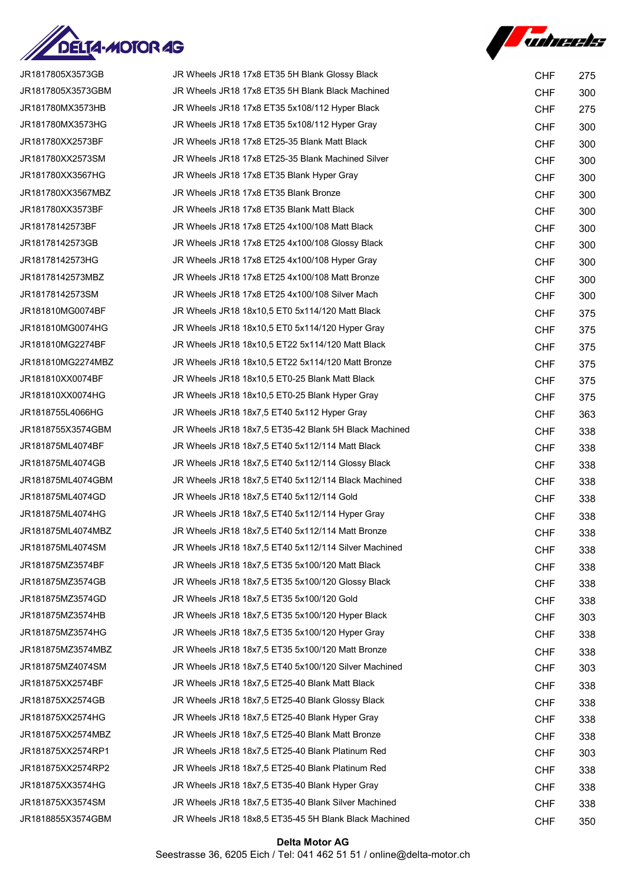



| JR1817805X3573GB  | JR Wheels JR18 17x8 ET35 5H Blank Glossy Black        | <b>CHF</b> | 275 |
|-------------------|-------------------------------------------------------|------------|-----|
| JR1817805X3573GBM | JR Wheels JR18 17x8 ET35 5H Blank Black Machined      | <b>CHF</b> | 300 |
| JR181780MX3573HB  | JR Wheels JR18 17x8 ET35 5x108/112 Hyper Black        | <b>CHF</b> | 275 |
| JR181780MX3573HG  | JR Wheels JR18 17x8 ET35 5x108/112 Hyper Gray         | <b>CHF</b> | 300 |
| JR181780XX2573BF  | JR Wheels JR18 17x8 ET25-35 Blank Matt Black          | <b>CHF</b> | 300 |
| JR181780XX2573SM  | JR Wheels JR18 17x8 ET25-35 Blank Machined Silver     | <b>CHF</b> | 300 |
| JR181780XX3567HG  | JR Wheels JR18 17x8 ET35 Blank Hyper Gray             | <b>CHF</b> | 300 |
| JR181780XX3567MBZ | JR Wheels JR18 17x8 ET35 Blank Bronze                 | <b>CHF</b> | 300 |
| JR181780XX3573BF  | JR Wheels JR18 17x8 ET35 Blank Matt Black             | <b>CHF</b> | 300 |
| JR18178142573BF   | JR Wheels JR18 17x8 ET25 4x100/108 Matt Black         | <b>CHF</b> | 300 |
| JR18178142573GB   | JR Wheels JR18 17x8 ET25 4x100/108 Glossy Black       | <b>CHF</b> | 300 |
| JR18178142573HG   | JR Wheels JR18 17x8 ET25 4x100/108 Hyper Gray         | <b>CHF</b> | 300 |
| JR18178142573MBZ  | JR Wheels JR18 17x8 ET25 4x100/108 Matt Bronze        | <b>CHF</b> | 300 |
| JR18178142573SM   | JR Wheels JR18 17x8 ET25 4x100/108 Silver Mach        | <b>CHF</b> | 300 |
| JR181810MG0074BF  | JR Wheels JR18 18x10,5 ET0 5x114/120 Matt Black       | <b>CHF</b> | 375 |
| JR181810MG0074HG  | JR Wheels JR18 18x10,5 ET0 5x114/120 Hyper Gray       | <b>CHF</b> | 375 |
| JR181810MG2274BF  | JR Wheels JR18 18x10,5 ET22 5x114/120 Matt Black      | <b>CHF</b> | 375 |
| JR181810MG2274MBZ | JR Wheels JR18 18x10,5 ET22 5x114/120 Matt Bronze     | <b>CHF</b> | 375 |
| JR181810XX0074BF  | JR Wheels JR18 18x10,5 ET0-25 Blank Matt Black        | <b>CHF</b> | 375 |
| JR181810XX0074HG  | JR Wheels JR18 18x10,5 ET0-25 Blank Hyper Gray        | <b>CHF</b> | 375 |
| JR1818755L4066HG  | JR Wheels JR18 18x7,5 ET40 5x112 Hyper Gray           | <b>CHF</b> | 363 |
| JR1818755X3574GBM | JR Wheels JR18 18x7,5 ET35-42 Blank 5H Black Machined | <b>CHF</b> | 338 |
| JR181875ML4074BF  | JR Wheels JR18 18x7,5 ET40 5x112/114 Matt Black       | <b>CHF</b> | 338 |
| JR181875ML4074GB  | JR Wheels JR18 18x7,5 ET40 5x112/114 Glossy Black     | <b>CHF</b> | 338 |
| JR181875ML4074GBM | JR Wheels JR18 18x7,5 ET40 5x112/114 Black Machined   | <b>CHF</b> | 338 |
| JR181875ML4074GD  | JR Wheels JR18 18x7,5 ET40 5x112/114 Gold             | <b>CHF</b> | 338 |
| JR181875ML4074HG  | JR Wheels JR18 18x7,5 ET40 5x112/114 Hyper Gray       | <b>CHF</b> | 338 |
| JR181875ML4074MBZ | JR Wheels JR18 18x7,5 ET40 5x112/114 Matt Bronze      | <b>CHF</b> | 338 |
| JR181875ML4074SM  | JR Wheels JR18 18x7,5 ET40 5x112/114 Silver Machined  | <b>CHF</b> | 338 |
| JR181875MZ3574BF  | JR Wheels JR18 18x7,5 ET35 5x100/120 Matt Black       | <b>CHF</b> | 338 |
| JR181875MZ3574GB  | JR Wheels JR18 18x7,5 ET35 5x100/120 Glossy Black     | <b>CHF</b> | 338 |
| JR181875MZ3574GD  | JR Wheels JR18 18x7,5 ET35 5x100/120 Gold             | <b>CHF</b> | 338 |
| JR181875MZ3574HB  | JR Wheels JR18 18x7,5 ET35 5x100/120 Hyper Black      | <b>CHF</b> | 303 |
| JR181875MZ3574HG  | JR Wheels JR18 18x7,5 ET35 5x100/120 Hyper Gray       | <b>CHF</b> | 338 |
| JR181875MZ3574MBZ | JR Wheels JR18 18x7,5 ET35 5x100/120 Matt Bronze      | <b>CHF</b> | 338 |
| JR181875MZ4074SM  | JR Wheels JR18 18x7,5 ET40 5x100/120 Silver Machined  | <b>CHF</b> | 303 |
| JR181875XX2574BF  | JR Wheels JR18 18x7,5 ET25-40 Blank Matt Black        | <b>CHF</b> | 338 |
| JR181875XX2574GB  | JR Wheels JR18 18x7,5 ET25-40 Blank Glossy Black      | <b>CHF</b> | 338 |
| JR181875XX2574HG  | JR Wheels JR18 18x7,5 ET25-40 Blank Hyper Gray        | <b>CHF</b> | 338 |
| JR181875XX2574MBZ | JR Wheels JR18 18x7,5 ET25-40 Blank Matt Bronze       | <b>CHF</b> | 338 |
| JR181875XX2574RP1 | JR Wheels JR18 18x7,5 ET25-40 Blank Platinum Red      | <b>CHF</b> | 303 |
| JR181875XX2574RP2 | JR Wheels JR18 18x7,5 ET25-40 Blank Platinum Red      | <b>CHF</b> | 338 |
| JR181875XX3574HG  | JR Wheels JR18 18x7,5 ET35-40 Blank Hyper Gray        | <b>CHF</b> | 338 |
| JR181875XX3574SM  | JR Wheels JR18 18x7,5 ET35-40 Blank Silver Machined   | <b>CHF</b> | 338 |
| JR1818855X3574GBM | JR Wheels JR18 18x8,5 ET35-45 5H Blank Black Machined | <b>CHF</b> | 350 |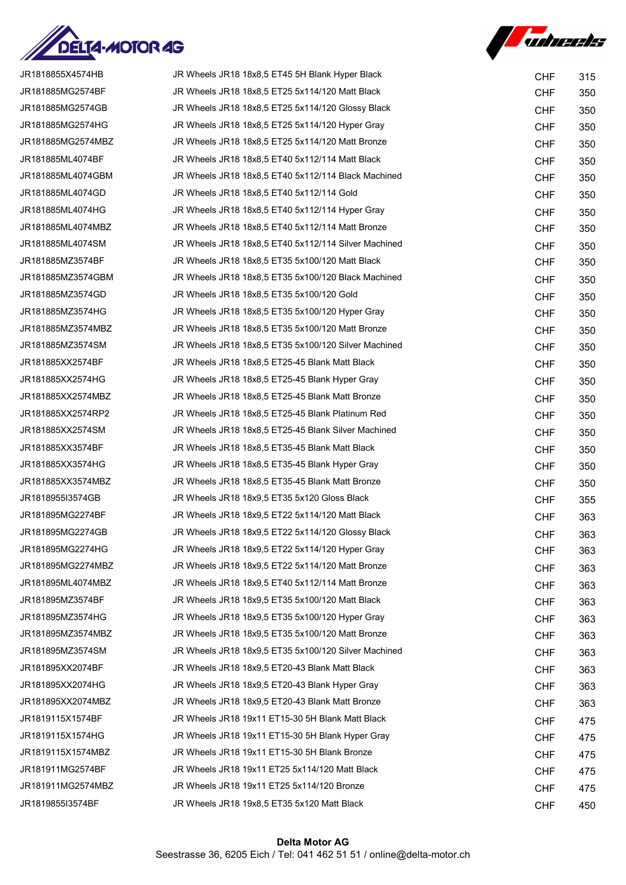

**Subcets** 

| JR1818855X4574HB  | JR Wheels JR18 18x8,5 ET45 5H Blank Hyper Black      | <b>CHF</b> | 315 |
|-------------------|------------------------------------------------------|------------|-----|
| JR181885MG2574BF  | JR Wheels JR18 18x8,5 ET25 5x114/120 Matt Black      | <b>CHF</b> | 350 |
| JR181885MG2574GB  | JR Wheels JR18 18x8,5 ET25 5x114/120 Glossy Black    | <b>CHF</b> | 350 |
| JR181885MG2574HG  | JR Wheels JR18 18x8.5 ET25 5x114/120 Hyper Gray      | <b>CHF</b> | 350 |
| JR181885MG2574MBZ | JR Wheels JR18 18x8,5 ET25 5x114/120 Matt Bronze     | <b>CHF</b> | 350 |
| JR181885ML4074BF  | JR Wheels JR18 18x8,5 ET40 5x112/114 Matt Black      | <b>CHF</b> | 350 |
| JR181885ML4074GBM | JR Wheels JR18 18x8.5 ET40 5x112/114 Black Machined  | <b>CHF</b> | 350 |
| JR181885ML4074GD  | JR Wheels JR18 18x8,5 ET40 5x112/114 Gold            | <b>CHF</b> | 350 |
| JR181885ML4074HG  | JR Wheels JR18 18x8.5 ET40 5x112/114 Hyper Gray      | <b>CHF</b> | 350 |
| JR181885ML4074MBZ | JR Wheels JR18 18x8,5 ET40 5x112/114 Matt Bronze     | <b>CHF</b> | 350 |
| JR181885ML4074SM  | JR Wheels JR18 18x8,5 ET40 5x112/114 Silver Machined | <b>CHF</b> | 350 |
| JR181885MZ3574BF  | JR Wheels JR18 18x8,5 ET35 5x100/120 Matt Black      | <b>CHF</b> | 350 |
| JR181885MZ3574GBM | JR Wheels JR18 18x8,5 ET35 5x100/120 Black Machined  | <b>CHF</b> | 350 |
| JR181885MZ3574GD  | JR Wheels JR18 18x8,5 ET35 5x100/120 Gold            | <b>CHF</b> | 350 |
| JR181885MZ3574HG  | JR Wheels JR18 18x8,5 ET35 5x100/120 Hyper Gray      | <b>CHF</b> | 350 |
| JR181885MZ3574MBZ | JR Wheels JR18 18x8,5 ET35 5x100/120 Matt Bronze     | <b>CHF</b> | 350 |
| JR181885MZ3574SM  | JR Wheels JR18 18x8,5 ET35 5x100/120 Silver Machined | <b>CHF</b> | 350 |
| JR181885XX2574BF  | JR Wheels JR18 18x8,5 ET25-45 Blank Matt Black       | <b>CHF</b> | 350 |
| JR181885XX2574HG  | JR Wheels JR18 18x8,5 ET25-45 Blank Hyper Gray       | <b>CHF</b> | 350 |
| JR181885XX2574MBZ | JR Wheels JR18 18x8,5 ET25-45 Blank Matt Bronze      | <b>CHF</b> | 350 |
| JR181885XX2574RP2 | JR Wheels JR18 18x8,5 ET25-45 Blank Platinum Red     | <b>CHF</b> | 350 |
| JR181885XX2574SM  | JR Wheels JR18 18x8,5 ET25-45 Blank Silver Machined  | <b>CHF</b> | 350 |
| JR181885XX3574BF  | JR Wheels JR18 18x8,5 ET35-45 Blank Matt Black       | <b>CHF</b> | 350 |
| JR181885XX3574HG  | JR Wheels JR18 18x8,5 ET35-45 Blank Hyper Gray       | <b>CHF</b> | 350 |
| JR181885XX3574MBZ | JR Wheels JR18 18x8,5 ET35-45 Blank Matt Bronze      | <b>CHF</b> | 350 |
| JR1818955I3574GB  | JR Wheels JR18 18x9,5 ET35 5x120 Gloss Black         | <b>CHF</b> | 355 |
| JR181895MG2274BF  | JR Wheels JR18 18x9,5 ET22 5x114/120 Matt Black      | <b>CHF</b> | 363 |
| JR181895MG2274GB  | JR Wheels JR18 18x9,5 ET22 5x114/120 Glossy Black    | <b>CHF</b> | 363 |
| JR181895MG2274HG  | JR Wheels JR18 18x9,5 ET22 5x114/120 Hyper Gray      | <b>CHF</b> | 363 |
| JR181895MG2274MBZ | JR Wheels JR18 18x9,5 ET22 5x114/120 Matt Bronze     | <b>CHF</b> | 363 |
| JR181895ML4074MBZ | JR Wheels JR18 18x9,5 ET40 5x112/114 Matt Bronze     | <b>CHF</b> | 363 |
| JR181895MZ3574BF  | JR Wheels JR18 18x9,5 ET35 5x100/120 Matt Black      | <b>CHF</b> | 363 |
| JR181895MZ3574HG  | JR Wheels JR18 18x9.5 ET35 5x100/120 Hyper Gray      | <b>CHF</b> | 363 |
| JR181895MZ3574MBZ | JR Wheels JR18 18x9,5 ET35 5x100/120 Matt Bronze     | <b>CHF</b> | 363 |
| JR181895MZ3574SM  | JR Wheels JR18 18x9,5 ET35 5x100/120 Silver Machined | <b>CHF</b> | 363 |
| JR181895XX2074BF  | JR Wheels JR18 18x9,5 ET20-43 Blank Matt Black       | <b>CHF</b> | 363 |
| JR181895XX2074HG  | JR Wheels JR18 18x9,5 ET20-43 Blank Hyper Gray       | <b>CHF</b> | 363 |
| JR181895XX2074MBZ | JR Wheels JR18 18x9,5 ET20-43 Blank Matt Bronze      | <b>CHF</b> | 363 |
| JR1819115X1574BF  | JR Wheels JR18 19x11 ET15-30 5H Blank Matt Black     | <b>CHF</b> | 475 |
| JR1819115X1574HG  | JR Wheels JR18 19x11 ET15-30 5H Blank Hyper Gray     | <b>CHF</b> | 475 |
| JR1819115X1574MBZ | JR Wheels JR18 19x11 ET15-30 5H Blank Bronze         | <b>CHF</b> | 475 |
| JR181911MG2574BF  | JR Wheels JR18 19x11 ET25 5x114/120 Matt Black       | <b>CHF</b> | 475 |
| JR181911MG2574MBZ | JR Wheels JR18 19x11 ET25 5x114/120 Bronze           | <b>CHF</b> | 475 |
| JR1819855I3574BF  | JR Wheels JR18 19x8,5 ET35 5x120 Matt Black          | <b>CHF</b> | 450 |
|                   |                                                      |            |     |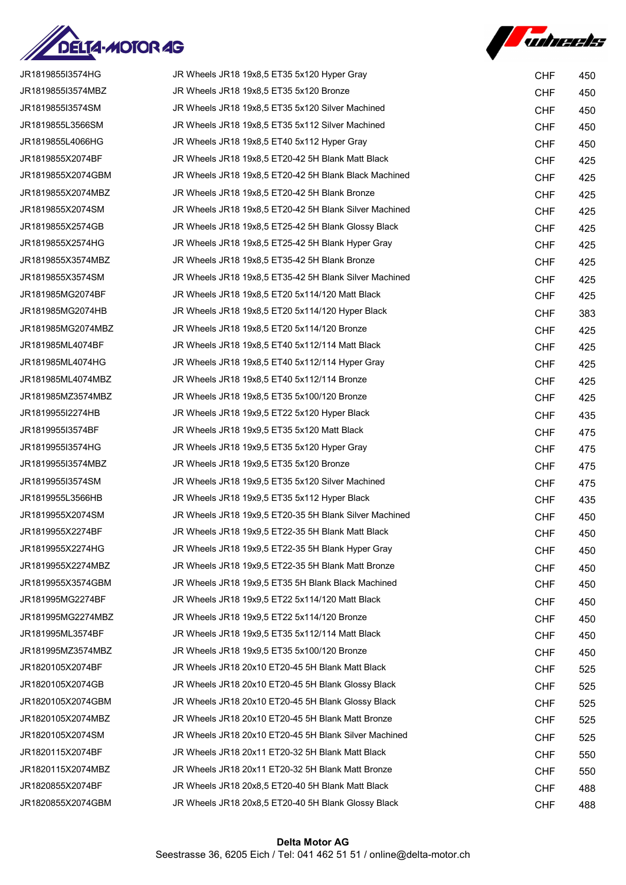



| JR1819855I3574HG  | JR Wheels JR18 19x8,5 ET35 5x120 Hyper Gray            | <b>CHF</b> | 450 |
|-------------------|--------------------------------------------------------|------------|-----|
| JR1819855I3574MBZ | JR Wheels JR18 19x8,5 ET35 5x120 Bronze                | <b>CHF</b> | 450 |
| JR1819855I3574SM  | JR Wheels JR18 19x8,5 ET35 5x120 Silver Machined       | <b>CHF</b> | 450 |
| JR1819855L3566SM  | JR Wheels JR18 19x8,5 ET35 5x112 Silver Machined       | <b>CHF</b> | 450 |
| JR1819855L4066HG  | JR Wheels JR18 19x8,5 ET40 5x112 Hyper Gray            | <b>CHF</b> | 450 |
| JR1819855X2074BF  | JR Wheels JR18 19x8,5 ET20-42 5H Blank Matt Black      | <b>CHF</b> | 425 |
| JR1819855X2074GBM | JR Wheels JR18 19x8,5 ET20-42 5H Blank Black Machined  | <b>CHF</b> | 425 |
| JR1819855X2074MBZ | JR Wheels JR18 19x8,5 ET20-42 5H Blank Bronze          | <b>CHF</b> | 425 |
| JR1819855X2074SM  | JR Wheels JR18 19x8,5 ET20-42 5H Blank Silver Machined | <b>CHF</b> | 425 |
| JR1819855X2574GB  | JR Wheels JR18 19x8,5 ET25-42 5H Blank Glossy Black    | <b>CHF</b> | 425 |
| JR1819855X2574HG  | JR Wheels JR18 19x8,5 ET25-42 5H Blank Hyper Gray      | <b>CHF</b> | 425 |
| JR1819855X3574MBZ | JR Wheels JR18 19x8,5 ET35-42 5H Blank Bronze          | <b>CHF</b> | 425 |
| JR1819855X3574SM  | JR Wheels JR18 19x8,5 ET35-42 5H Blank Silver Machined | <b>CHF</b> | 425 |
| JR181985MG2074BF  | JR Wheels JR18 19x8,5 ET20 5x114/120 Matt Black        | <b>CHF</b> | 425 |
| JR181985MG2074HB  | JR Wheels JR18 19x8,5 ET20 5x114/120 Hyper Black       | <b>CHF</b> | 383 |
| JR181985MG2074MBZ | JR Wheels JR18 19x8,5 ET20 5x114/120 Bronze            | <b>CHF</b> | 425 |
| JR181985ML4074BF  | JR Wheels JR18 19x8,5 ET40 5x112/114 Matt Black        | <b>CHF</b> | 425 |
| JR181985ML4074HG  | JR Wheels JR18 19x8,5 ET40 5x112/114 Hyper Gray        | <b>CHF</b> | 425 |
| JR181985ML4074MBZ | JR Wheels JR18 19x8,5 ET40 5x112/114 Bronze            | <b>CHF</b> | 425 |
| JR181985MZ3574MBZ | JR Wheels JR18 19x8,5 ET35 5x100/120 Bronze            | <b>CHF</b> | 425 |
| JR1819955I2274HB  | JR Wheels JR18 19x9,5 ET22 5x120 Hyper Black           | <b>CHF</b> | 435 |
| JR1819955I3574BF  | JR Wheels JR18 19x9,5 ET35 5x120 Matt Black            | <b>CHF</b> | 475 |
| JR1819955I3574HG  | JR Wheels JR18 19x9,5 ET35 5x120 Hyper Gray            | <b>CHF</b> | 475 |
| JR1819955I3574MBZ | JR Wheels JR18 19x9,5 ET35 5x120 Bronze                | <b>CHF</b> | 475 |
| JR1819955I3574SM  | JR Wheels JR18 19x9,5 ET35 5x120 Silver Machined       | <b>CHF</b> | 475 |
| JR1819955L3566HB  | JR Wheels JR18 19x9,5 ET35 5x112 Hyper Black           | <b>CHF</b> | 435 |
| JR1819955X2074SM  | JR Wheels JR18 19x9,5 ET20-35 5H Blank Silver Machined | <b>CHF</b> | 450 |
| JR1819955X2274BF  | JR Wheels JR18 19x9,5 ET22-35 5H Blank Matt Black      | <b>CHF</b> | 450 |
| JR1819955X2274HG  | JR Wheels JR18 19x9,5 ET22-35 5H Blank Hyper Gray      | <b>CHF</b> | 450 |
| JR1819955X2274MBZ | JR Wheels JR18 19x9,5 ET22-35 5H Blank Matt Bronze     | <b>CHF</b> | 450 |
| JR1819955X3574GBM | JR Wheels JR18 19x9,5 ET35 5H Blank Black Machined     | <b>CHF</b> | 450 |
| JR181995MG2274BF  | JR Wheels JR18 19x9,5 ET22 5x114/120 Matt Black        | <b>CHF</b> | 450 |
| JR181995MG2274MBZ | JR Wheels JR18 19x9,5 ET22 5x114/120 Bronze            | <b>CHF</b> | 450 |
| JR181995ML3574BF  | JR Wheels JR18 19x9,5 ET35 5x112/114 Matt Black        | <b>CHF</b> | 450 |
| JR181995MZ3574MBZ | JR Wheels JR18 19x9,5 ET35 5x100/120 Bronze            | <b>CHF</b> | 450 |
| JR1820105X2074BF  | JR Wheels JR18 20x10 ET20-45 5H Blank Matt Black       | <b>CHF</b> | 525 |
| JR1820105X2074GB  | JR Wheels JR18 20x10 ET20-45 5H Blank Glossy Black     | <b>CHF</b> | 525 |
| JR1820105X2074GBM | JR Wheels JR18 20x10 ET20-45 5H Blank Glossy Black     | <b>CHF</b> | 525 |
| JR1820105X2074MBZ | JR Wheels JR18 20x10 ET20-45 5H Blank Matt Bronze      | <b>CHF</b> | 525 |
| JR1820105X2074SM  | JR Wheels JR18 20x10 ET20-45 5H Blank Silver Machined  | <b>CHF</b> | 525 |
| JR1820115X2074BF  | JR Wheels JR18 20x11 ET20-32 5H Blank Matt Black       | <b>CHF</b> | 550 |
| JR1820115X2074MBZ | JR Wheels JR18 20x11 ET20-32 5H Blank Matt Bronze      | <b>CHF</b> | 550 |
| JR1820855X2074BF  | JR Wheels JR18 20x8,5 ET20-40 5H Blank Matt Black      | <b>CHF</b> | 488 |
| JR1820855X2074GBM | JR Wheels JR18 20x8,5 ET20-40 5H Blank Glossy Black    | <b>CHF</b> | 488 |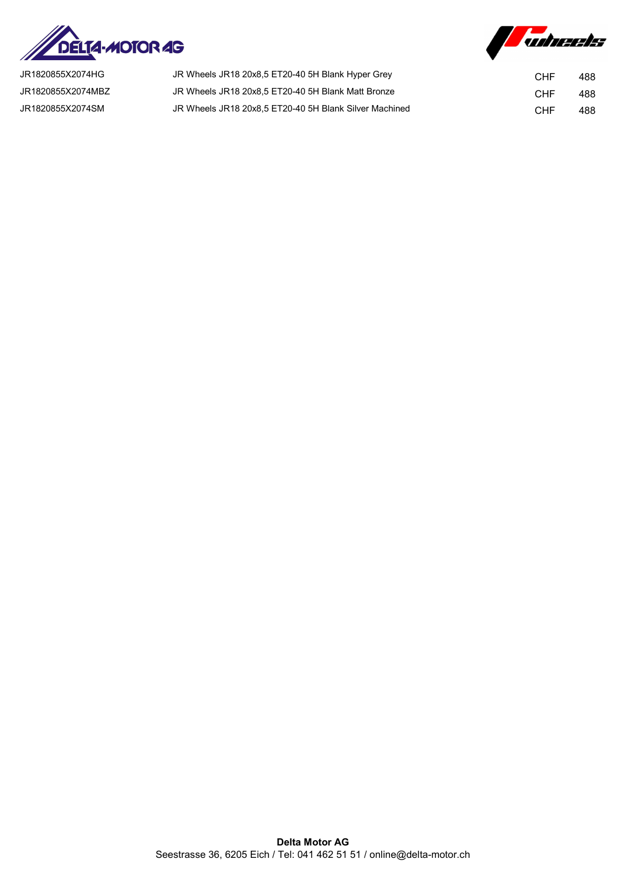



| JR1820855X2074HG  | JR Wheels JR18 20x8,5 ET20-40 5H Blank Hyper Grey      | CHF | 488 |
|-------------------|--------------------------------------------------------|-----|-----|
| JR1820855X2074MBZ | JR Wheels JR18 20x8,5 ET20-40 5H Blank Matt Bronze     | CHF | 488 |
| JR1820855X2074SM  | JR Wheels JR18 20x8.5 ET20-40 5H Blank Silver Machined | CHF | 488 |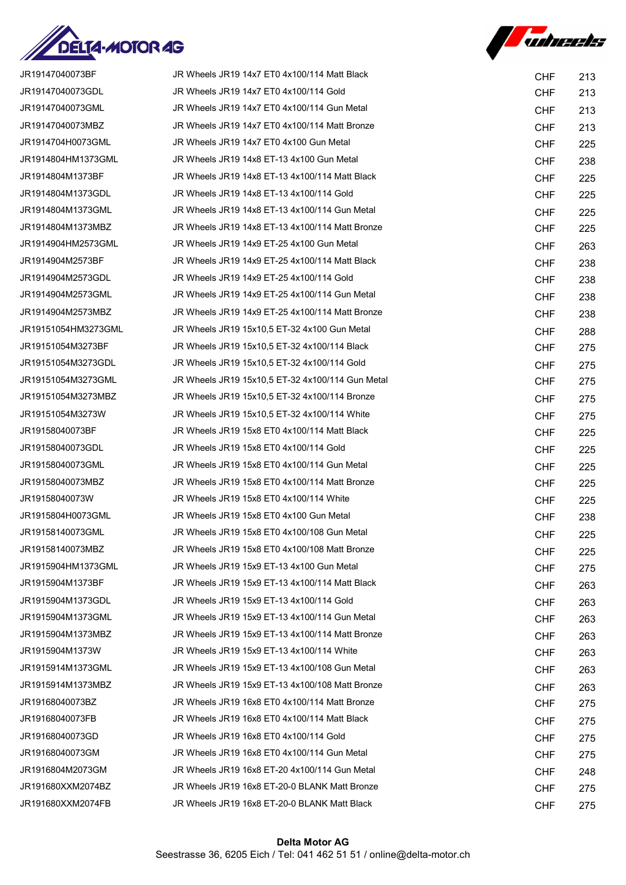

|  | <b>Subreeks</b> |
|--|-----------------|
|--|-----------------|

| JR19147040073BF     | JR Wheels JR19 14x7 ET0 4x100/114 Matt Black     | <b>CHF</b> | 213 |
|---------------------|--------------------------------------------------|------------|-----|
| JR19147040073GDL    | JR Wheels JR19 14x7 ET0 4x100/114 Gold           | <b>CHF</b> | 213 |
| JR19147040073GML    | JR Wheels JR19 14x7 ET0 4x100/114 Gun Metal      | <b>CHF</b> | 213 |
| JR19147040073MBZ    | JR Wheels JR19 14x7 ET0 4x100/114 Matt Bronze    | <b>CHF</b> | 213 |
| JR1914704H0073GML   | JR Wheels JR19 14x7 ET0 4x100 Gun Metal          | <b>CHF</b> | 225 |
| JR1914804HM1373GML  | JR Wheels JR19 14x8 ET-13 4x100 Gun Metal        | <b>CHF</b> | 238 |
| JR1914804M1373BF    | JR Wheels JR19 14x8 ET-13 4x100/114 Matt Black   | <b>CHF</b> | 225 |
| JR1914804M1373GDL   | JR Wheels JR19 14x8 ET-13 4x100/114 Gold         | <b>CHF</b> | 225 |
| JR1914804M1373GML   | JR Wheels JR19 14x8 ET-13 4x100/114 Gun Metal    | <b>CHF</b> | 225 |
| JR1914804M1373MBZ   | JR Wheels JR19 14x8 ET-13 4x100/114 Matt Bronze  | <b>CHF</b> | 225 |
| JR1914904HM2573GML  | JR Wheels JR19 14x9 ET-25 4x100 Gun Metal        | <b>CHF</b> | 263 |
| JR1914904M2573BF    | JR Wheels JR19 14x9 ET-25 4x100/114 Matt Black   | <b>CHF</b> | 238 |
| JR1914904M2573GDL   | JR Wheels JR19 14x9 ET-25 4x100/114 Gold         | <b>CHF</b> | 238 |
| JR1914904M2573GML   | JR Wheels JR19 14x9 ET-25 4x100/114 Gun Metal    | <b>CHF</b> | 238 |
| JR1914904M2573MBZ   | JR Wheels JR19 14x9 ET-25 4x100/114 Matt Bronze  | <b>CHF</b> | 238 |
| JR19151054HM3273GML | JR Wheels JR19 15x10,5 ET-32 4x100 Gun Metal     | <b>CHF</b> | 288 |
| JR19151054M3273BF   | JR Wheels JR19 15x10,5 ET-32 4x100/114 Black     | <b>CHF</b> | 275 |
| JR19151054M3273GDL  | JR Wheels JR19 15x10,5 ET-32 4x100/114 Gold      | <b>CHF</b> | 275 |
| JR19151054M3273GML  | JR Wheels JR19 15x10,5 ET-32 4x100/114 Gun Metal | <b>CHF</b> | 275 |
| JR19151054M3273MBZ  | JR Wheels JR19 15x10,5 ET-32 4x100/114 Bronze    | <b>CHF</b> | 275 |
| JR19151054M3273W    | JR Wheels JR19 15x10,5 ET-32 4x100/114 White     | <b>CHF</b> | 275 |
| JR19158040073BF     | JR Wheels JR19 15x8 ET0 4x100/114 Matt Black     | <b>CHF</b> | 225 |
| JR19158040073GDL    | JR Wheels JR19 15x8 ET0 4x100/114 Gold           | <b>CHF</b> | 225 |
| JR19158040073GML    | JR Wheels JR19 15x8 ET0 4x100/114 Gun Metal      | <b>CHF</b> | 225 |
| JR19158040073MBZ    | JR Wheels JR19 15x8 ET0 4x100/114 Matt Bronze    | <b>CHF</b> | 225 |
| JR19158040073W      | JR Wheels JR19 15x8 ET0 4x100/114 White          | <b>CHF</b> | 225 |
| JR1915804H0073GML   | JR Wheels JR19 15x8 ET0 4x100 Gun Metal          | <b>CHF</b> | 238 |
| JR19158140073GML    | JR Wheels JR19 15x8 ET0 4x100/108 Gun Metal      | <b>CHF</b> | 225 |
| JR19158140073MBZ    | JR Wheels JR19 15x8 ET0 4x100/108 Matt Bronze    | <b>CHF</b> | 225 |
| JR1915904HM1373GML  | JR Wheels JR19 15x9 ET-13 4x100 Gun Metal        | <b>CHF</b> | 275 |
| JR1915904M1373BF    | JR Wheels JR19 15x9 ET-13 4x100/114 Matt Black   | <b>CHF</b> | 263 |
| JR1915904M1373GDL   | JR Wheels JR19 15x9 ET-13 4x100/114 Gold         | <b>CHF</b> | 263 |
| JR1915904M1373GML   | JR Wheels JR19 15x9 ET-13 4x100/114 Gun Metal    | <b>CHF</b> | 263 |
| JR1915904M1373MBZ   | JR Wheels JR19 15x9 ET-13 4x100/114 Matt Bronze  | <b>CHF</b> | 263 |
| JR1915904M1373W     | JR Wheels JR19 15x9 ET-13 4x100/114 White        | <b>CHF</b> | 263 |
| JR1915914M1373GML   | JR Wheels JR19 15x9 ET-13 4x100/108 Gun Metal    | <b>CHF</b> | 263 |
| JR1915914M1373MBZ   | JR Wheels JR19 15x9 ET-13 4x100/108 Matt Bronze  | <b>CHF</b> | 263 |
| JR19168040073BZ     | JR Wheels JR19 16x8 ET0 4x100/114 Matt Bronze    | <b>CHF</b> | 275 |
| JR19168040073FB     | JR Wheels JR19 16x8 ET0 4x100/114 Matt Black     | <b>CHF</b> | 275 |
| JR19168040073GD     | JR Wheels JR19 16x8 ET0 4x100/114 Gold           | <b>CHF</b> | 275 |
| JR19168040073GM     | JR Wheels JR19 16x8 ET0 4x100/114 Gun Metal      | <b>CHF</b> | 275 |
| JR1916804M2073GM    | JR Wheels JR19 16x8 ET-20 4x100/114 Gun Metal    | <b>CHF</b> | 248 |
| JR191680XXM2074BZ   | JR Wheels JR19 16x8 ET-20-0 BLANK Matt Bronze    | <b>CHF</b> | 275 |
| JR191680XXM2074FB   | JR Wheels JR19 16x8 ET-20-0 BLANK Matt Black     | <b>CHF</b> | 275 |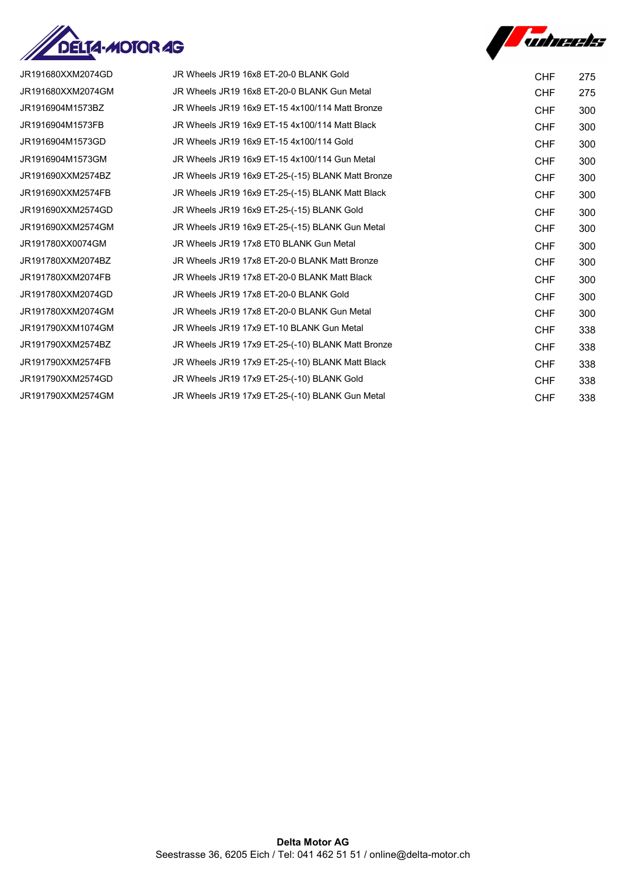



| JR191680XXM2074GD | JR Wheels JR19 16x8 ET-20-0 BLANK Gold            | <b>CHF</b> | 275 |
|-------------------|---------------------------------------------------|------------|-----|
| JR191680XXM2074GM | JR Wheels JR19 16x8 ET-20-0 BLANK Gun Metal       | <b>CHF</b> | 275 |
| JR1916904M1573BZ  | JR Wheels JR19 16x9 ET-15 4x100/114 Matt Bronze   | <b>CHF</b> | 300 |
| JR1916904M1573FB  | JR Wheels JR19 16x9 ET-15 4x100/114 Matt Black    | <b>CHF</b> | 300 |
| JR1916904M1573GD  | JR Wheels JR19 16x9 ET-15 4x100/114 Gold          | <b>CHF</b> | 300 |
| JR1916904M1573GM  | JR Wheels JR19 16x9 ET-15 4x100/114 Gun Metal     | <b>CHF</b> | 300 |
| JR191690XXM2574BZ | JR Wheels JR19 16x9 ET-25-(-15) BLANK Matt Bronze | <b>CHF</b> | 300 |
| JR191690XXM2574FB | JR Wheels JR19 16x9 ET-25-(-15) BLANK Matt Black  | <b>CHF</b> | 300 |
| JR191690XXM2574GD | JR Wheels JR19 16x9 ET-25-(-15) BLANK Gold        | <b>CHF</b> | 300 |
| JR191690XXM2574GM | JR Wheels JR19 16x9 ET-25-(-15) BLANK Gun Metal   | <b>CHF</b> | 300 |
| JR191780XX0074GM  | JR Wheels JR19 17x8 ET0 BLANK Gun Metal           | <b>CHF</b> | 300 |
| JR191780XXM2074BZ | JR Wheels JR19 17x8 ET-20-0 BLANK Matt Bronze     | <b>CHF</b> | 300 |
| JR191780XXM2074FB | JR Wheels JR19 17x8 ET-20-0 BLANK Matt Black      | <b>CHF</b> | 300 |
| JR191780XXM2074GD | JR Wheels JR19 17x8 ET-20-0 BLANK Gold            | <b>CHF</b> | 300 |
| JR191780XXM2074GM | JR Wheels JR19 17x8 ET-20-0 BLANK Gun Metal       | <b>CHF</b> | 300 |
| JR191790XXM1074GM | JR Wheels JR19 17x9 ET-10 BLANK Gun Metal         | <b>CHF</b> | 338 |
| JR191790XXM2574BZ | JR Wheels JR19 17x9 ET-25-(-10) BLANK Matt Bronze | <b>CHF</b> | 338 |
| JR191790XXM2574FB | JR Wheels JR19 17x9 ET-25-(-10) BLANK Matt Black  | <b>CHF</b> | 338 |
| JR191790XXM2574GD | JR Wheels JR19 17x9 ET-25-(-10) BLANK Gold        | <b>CHF</b> | 338 |
| JR191790XXM2574GM | JR Wheels JR19 17x9 ET-25-(-10) BLANK Gun Metal   | <b>CHF</b> | 338 |
|                   |                                                   |            |     |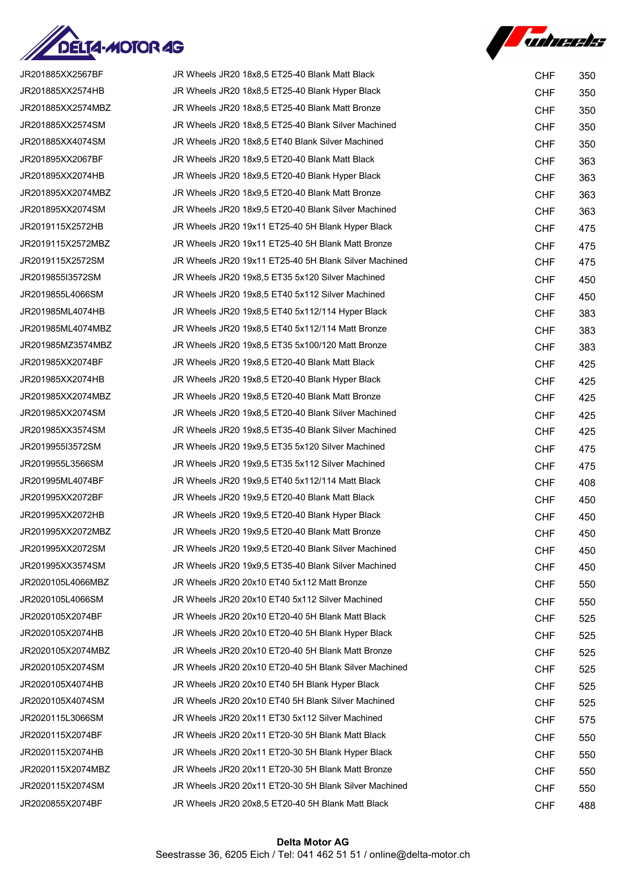

**Auturets** 

| JR201885XX2567BF  | JR Wheels JR20 18x8,5 ET25-40 Blank Matt Black        | <b>CHF</b> | 350 |
|-------------------|-------------------------------------------------------|------------|-----|
| JR201885XX2574HB  | JR Wheels JR20 18x8,5 ET25-40 Blank Hyper Black       | <b>CHF</b> | 350 |
| JR201885XX2574MBZ | JR Wheels JR20 18x8,5 ET25-40 Blank Matt Bronze       | <b>CHF</b> | 350 |
| JR201885XX2574SM  | JR Wheels JR20 18x8,5 ET25-40 Blank Silver Machined   | <b>CHF</b> | 350 |
| JR201885XX4074SM  | JR Wheels JR20 18x8,5 ET40 Blank Silver Machined      | <b>CHF</b> | 350 |
| JR201895XX2067BF  | JR Wheels JR20 18x9,5 ET20-40 Blank Matt Black        | <b>CHF</b> | 363 |
| JR201895XX2074HB  | JR Wheels JR20 18x9,5 ET20-40 Blank Hyper Black       | <b>CHF</b> | 363 |
| JR201895XX2074MBZ | JR Wheels JR20 18x9,5 ET20-40 Blank Matt Bronze       | <b>CHF</b> | 363 |
| JR201895XX2074SM  | JR Wheels JR20 18x9,5 ET20-40 Blank Silver Machined   | <b>CHF</b> | 363 |
| JR2019115X2572HB  | JR Wheels JR20 19x11 ET25-40 5H Blank Hyper Black     | <b>CHF</b> | 475 |
| JR2019115X2572MBZ | JR Wheels JR20 19x11 ET25-40 5H Blank Matt Bronze     | <b>CHF</b> | 475 |
| JR2019115X2572SM  | JR Wheels JR20 19x11 ET25-40 5H Blank Silver Machined | <b>CHF</b> | 475 |
| JR2019855I3572SM  | JR Wheels JR20 19x8,5 ET35 5x120 Silver Machined      | <b>CHF</b> | 450 |
| JR2019855L4066SM  | JR Wheels JR20 19x8,5 ET40 5x112 Silver Machined      | <b>CHF</b> | 450 |
| JR201985ML4074HB  | JR Wheels JR20 19x8,5 ET40 5x112/114 Hyper Black      | <b>CHF</b> | 383 |
| JR201985ML4074MBZ | JR Wheels JR20 19x8,5 ET40 5x112/114 Matt Bronze      | <b>CHF</b> | 383 |
| JR201985MZ3574MBZ | JR Wheels JR20 19x8,5 ET35 5x100/120 Matt Bronze      | <b>CHF</b> | 383 |
| JR201985XX2074BF  | JR Wheels JR20 19x8,5 ET20-40 Blank Matt Black        | <b>CHF</b> | 425 |
| JR201985XX2074HB  | JR Wheels JR20 19x8,5 ET20-40 Blank Hyper Black       | <b>CHF</b> | 425 |
| JR201985XX2074MBZ | JR Wheels JR20 19x8,5 ET20-40 Blank Matt Bronze       | <b>CHF</b> | 425 |
| JR201985XX2074SM  | JR Wheels JR20 19x8,5 ET20-40 Blank Silver Machined   | <b>CHF</b> | 425 |
| JR201985XX3574SM  | JR Wheels JR20 19x8,5 ET35-40 Blank Silver Machined   | <b>CHF</b> | 425 |
| JR2019955I3572SM  | JR Wheels JR20 19x9,5 ET35 5x120 Silver Machined      | <b>CHF</b> | 475 |
| JR2019955L3566SM  | JR Wheels JR20 19x9,5 ET35 5x112 Silver Machined      | <b>CHF</b> | 475 |
| JR201995ML4074BF  | JR Wheels JR20 19x9,5 ET40 5x112/114 Matt Black       | <b>CHF</b> | 408 |
| JR201995XX2072BF  | JR Wheels JR20 19x9,5 ET20-40 Blank Matt Black        | <b>CHF</b> | 450 |
| JR201995XX2072HB  | JR Wheels JR20 19x9.5 ET20-40 Blank Hyper Black       | <b>CHF</b> | 450 |
| JR201995XX2072MBZ | JR Wheels JR20 19x9,5 ET20-40 Blank Matt Bronze       | <b>CHF</b> | 450 |
| JR201995XX2072SM  | JR Wheels JR20 19x9,5 ET20-40 Blank Silver Machined   | <b>CHF</b> | 450 |
| JR201995XX3574SM  | JR Wheels JR20 19x9,5 ET35-40 Blank Silver Machined   | <b>CHF</b> | 450 |
| JR2020105L4066MBZ | JR Wheels JR20 20x10 ET40 5x112 Matt Bronze           | <b>CHF</b> | 550 |
| JR2020105L4066SM  | JR Wheels JR20 20x10 ET40 5x112 Silver Machined       | <b>CHF</b> | 550 |
| JR2020105X2074BF  | JR Wheels JR20 20x10 ET20-40 5H Blank Matt Black      | <b>CHF</b> | 525 |
| JR2020105X2074HB  | JR Wheels JR20 20x10 ET20-40 5H Blank Hyper Black     | <b>CHF</b> | 525 |
| JR2020105X2074MBZ | JR Wheels JR20 20x10 ET20-40 5H Blank Matt Bronze     | <b>CHF</b> | 525 |
| JR2020105X2074SM  | JR Wheels JR20 20x10 ET20-40 5H Blank Silver Machined | <b>CHF</b> | 525 |
| JR2020105X4074HB  | JR Wheels JR20 20x10 ET40 5H Blank Hyper Black        | <b>CHF</b> | 525 |
| JR2020105X4074SM  | JR Wheels JR20 20x10 ET40 5H Blank Silver Machined    | <b>CHF</b> | 525 |
| JR2020115L3066SM  | JR Wheels JR20 20x11 ET30 5x112 Silver Machined       | <b>CHF</b> | 575 |
| JR2020115X2074BF  | JR Wheels JR20 20x11 ET20-30 5H Blank Matt Black      | <b>CHF</b> | 550 |
| JR2020115X2074HB  | JR Wheels JR20 20x11 ET20-30 5H Blank Hyper Black     | <b>CHF</b> | 550 |
| JR2020115X2074MBZ | JR Wheels JR20 20x11 ET20-30 5H Blank Matt Bronze     | <b>CHF</b> | 550 |
| JR2020115X2074SM  | JR Wheels JR20 20x11 ET20-30 5H Blank Silver Machined | <b>CHF</b> | 550 |
| JR2020855X2074BF  | JR Wheels JR20 20x8,5 ET20-40 5H Blank Matt Black     | <b>CHF</b> | 488 |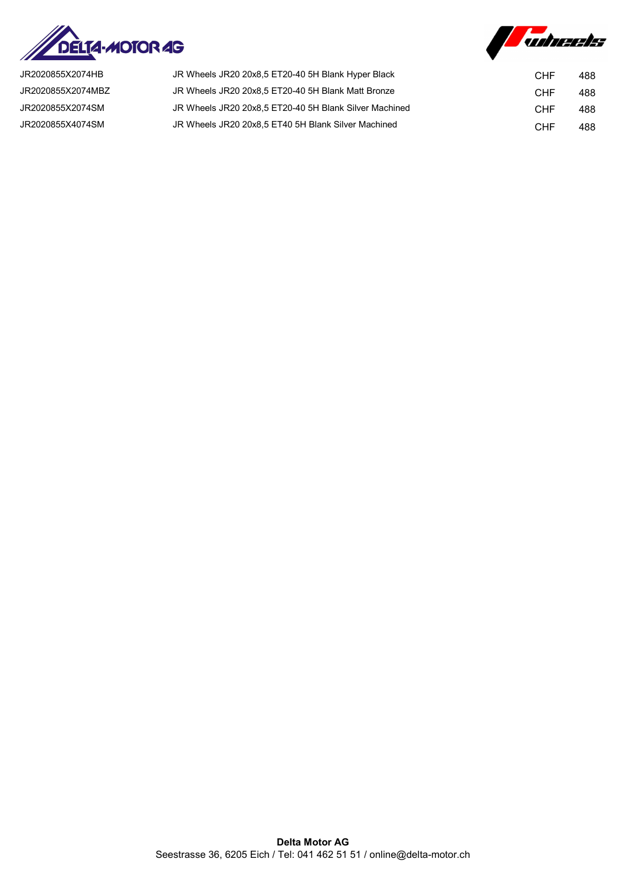



| JR2020855X2074HB  | JR Wheels JR20 20x8,5 ET20-40 5H Blank Hyper Black     | CHF | 488 |
|-------------------|--------------------------------------------------------|-----|-----|
| JR2020855X2074MBZ | JR Wheels JR20 20x8.5 ET20-40 5H Blank Matt Bronze     | CHF | 488 |
| JR2020855X2074SM  | JR Wheels JR20 20x8.5 ET20-40 5H Blank Silver Machined | CHF | 488 |
| JR2020855X4074SM  | JR Wheels JR20 20x8,5 ET40 5H Blank Silver Machined    | CHF | 488 |
|                   |                                                        |     |     |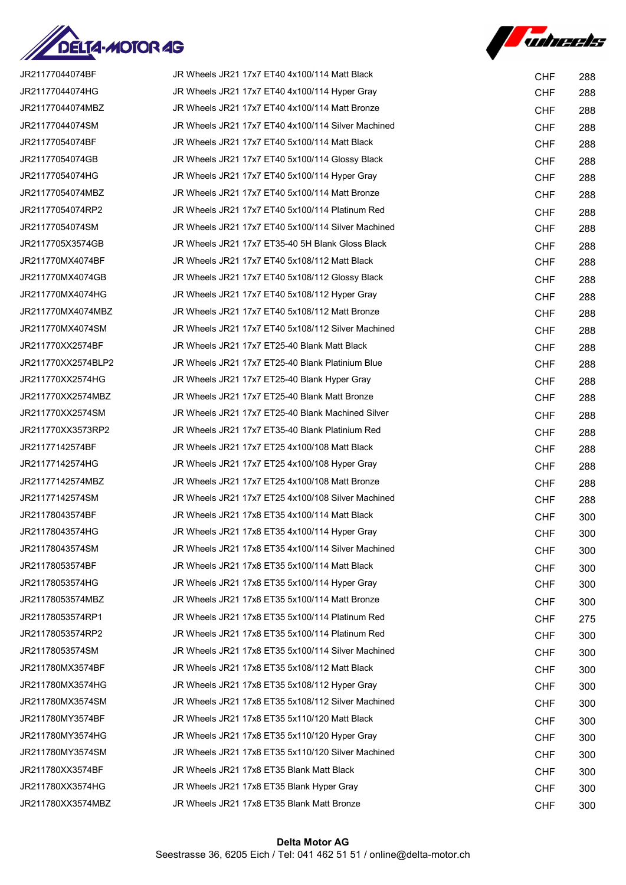

**Suhreets** 

| JR21177044074BF    | JR Wheels JR21 17x7 ET40 4x100/114 Matt Black      | <b>CHF</b> | 288 |
|--------------------|----------------------------------------------------|------------|-----|
| JR21177044074HG    | JR Wheels JR21 17x7 ET40 4x100/114 Hyper Gray      | <b>CHF</b> | 288 |
| JR21177044074MBZ   | JR Wheels JR21 17x7 ET40 4x100/114 Matt Bronze     | <b>CHF</b> | 288 |
| JR21177044074SM    | JR Wheels JR21 17x7 ET40 4x100/114 Silver Machined | <b>CHF</b> | 288 |
| JR21177054074BF    | JR Wheels JR21 17x7 ET40 5x100/114 Matt Black      | <b>CHF</b> | 288 |
| JR21177054074GB    | JR Wheels JR21 17x7 ET40 5x100/114 Glossy Black    | <b>CHF</b> | 288 |
| JR21177054074HG    | JR Wheels JR21 17x7 ET40 5x100/114 Hyper Gray      | <b>CHF</b> | 288 |
| JR21177054074MBZ   | JR Wheels JR21 17x7 ET40 5x100/114 Matt Bronze     | <b>CHF</b> | 288 |
| JR21177054074RP2   | JR Wheels JR21 17x7 ET40 5x100/114 Platinum Red    | <b>CHF</b> | 288 |
| JR21177054074SM    | JR Wheels JR21 17x7 ET40 5x100/114 Silver Machined | <b>CHF</b> | 288 |
| JR2117705X3574GB   | JR Wheels JR21 17x7 ET35-40 5H Blank Gloss Black   | <b>CHF</b> | 288 |
| JR211770MX4074BF   | JR Wheels JR21 17x7 ET40 5x108/112 Matt Black      | <b>CHF</b> | 288 |
| JR211770MX4074GB   | JR Wheels JR21 17x7 ET40 5x108/112 Glossy Black    | <b>CHF</b> | 288 |
| JR211770MX4074HG   | JR Wheels JR21 17x7 ET40 5x108/112 Hyper Gray      | <b>CHF</b> | 288 |
| JR211770MX4074MBZ  | JR Wheels JR21 17x7 ET40 5x108/112 Matt Bronze     | <b>CHF</b> | 288 |
| JR211770MX4074SM   | JR Wheels JR21 17x7 ET40 5x108/112 Silver Machined | <b>CHF</b> | 288 |
| JR211770XX2574BF   | JR Wheels JR21 17x7 ET25-40 Blank Matt Black       | <b>CHF</b> | 288 |
| JR211770XX2574BLP2 | JR Wheels JR21 17x7 ET25-40 Blank Platinium Blue   | <b>CHF</b> | 288 |
| JR211770XX2574HG   | JR Wheels JR21 17x7 ET25-40 Blank Hyper Gray       | <b>CHF</b> | 288 |
| JR211770XX2574MBZ  | JR Wheels JR21 17x7 ET25-40 Blank Matt Bronze      | <b>CHF</b> | 288 |
| JR211770XX2574SM   | JR Wheels JR21 17x7 ET25-40 Blank Machined Silver  | <b>CHF</b> | 288 |
| JR211770XX3573RP2  | JR Wheels JR21 17x7 ET35-40 Blank Platinium Red    | <b>CHF</b> | 288 |
| JR21177142574BF    | JR Wheels JR21 17x7 ET25 4x100/108 Matt Black      | <b>CHF</b> | 288 |
| JR21177142574HG    | JR Wheels JR21 17x7 ET25 4x100/108 Hyper Gray      | <b>CHF</b> | 288 |
| JR21177142574MBZ   | JR Wheels JR21 17x7 ET25 4x100/108 Matt Bronze     | <b>CHF</b> | 288 |
| JR21177142574SM    | JR Wheels JR21 17x7 ET25 4x100/108 Silver Machined | <b>CHF</b> | 288 |
| JR21178043574BF    | JR Wheels JR21 17x8 ET35 4x100/114 Matt Black      | <b>CHF</b> | 300 |
| JR21178043574HG    | JR Wheels JR21 17x8 ET35 4x100/114 Hyper Gray      | <b>CHF</b> | 300 |
| JR21178043574SM    | JR Wheels JR21 17x8 ET35 4x100/114 Silver Machined | <b>CHF</b> | 300 |
| JR21178053574BF    | JR Wheels JR21 17x8 ET35 5x100/114 Matt Black      | <b>CHF</b> | 300 |
| JR21178053574HG    | JR Wheels JR21 17x8 ET35 5x100/114 Hyper Gray      | <b>CHF</b> | 300 |
| JR21178053574MBZ   | JR Wheels JR21 17x8 ET35 5x100/114 Matt Bronze     | <b>CHF</b> | 300 |
| JR21178053574RP1   | JR Wheels JR21 17x8 ET35 5x100/114 Platinum Red    | <b>CHF</b> | 275 |
| JR21178053574RP2   | JR Wheels JR21 17x8 ET35 5x100/114 Platinum Red    | <b>CHF</b> | 300 |
| JR21178053574SM    | JR Wheels JR21 17x8 ET35 5x100/114 Silver Machined | <b>CHF</b> | 300 |
| JR211780MX3574BF   | JR Wheels JR21 17x8 ET35 5x108/112 Matt Black      | <b>CHF</b> | 300 |
| JR211780MX3574HG   | JR Wheels JR21 17x8 ET35 5x108/112 Hyper Gray      | <b>CHF</b> | 300 |
| JR211780MX3574SM   | JR Wheels JR21 17x8 ET35 5x108/112 Silver Machined | <b>CHF</b> | 300 |
| JR211780MY3574BF   | JR Wheels JR21 17x8 ET35 5x110/120 Matt Black      | <b>CHF</b> | 300 |
| JR211780MY3574HG   | JR Wheels JR21 17x8 ET35 5x110/120 Hyper Gray      | <b>CHF</b> | 300 |
| JR211780MY3574SM   | JR Wheels JR21 17x8 ET35 5x110/120 Silver Machined | <b>CHF</b> | 300 |
| JR211780XX3574BF   | JR Wheels JR21 17x8 ET35 Blank Matt Black          | <b>CHF</b> | 300 |
| JR211780XX3574HG   | JR Wheels JR21 17x8 ET35 Blank Hyper Gray          | <b>CHF</b> | 300 |
| JR211780XX3574MBZ  | JR Wheels JR21 17x8 ET35 Blank Matt Bronze         | <b>CHF</b> | 300 |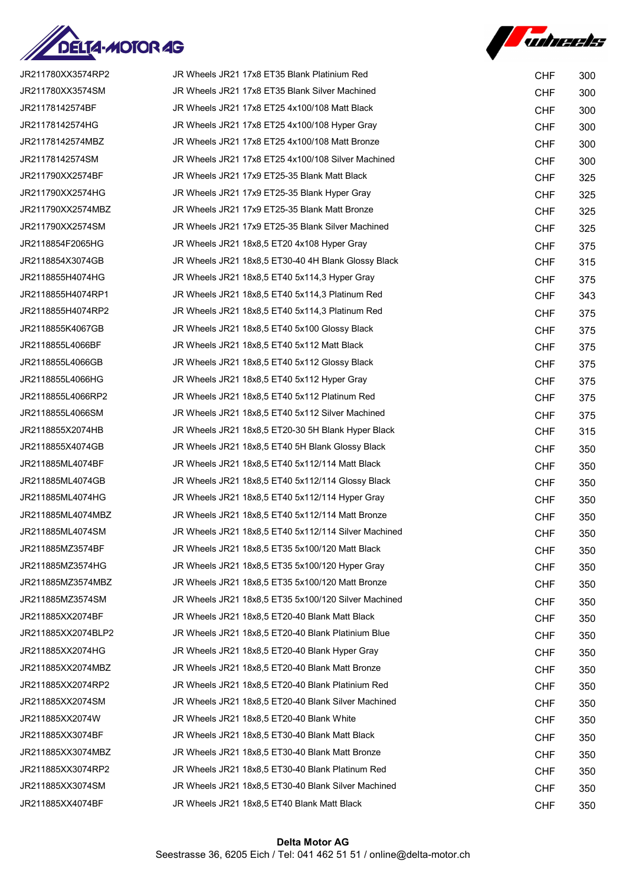



| JR211780XX3574RP2  | JR Wheels JR21 17x8 ET35 Blank Platinium Red         | <b>CHF</b> | 300 |
|--------------------|------------------------------------------------------|------------|-----|
| JR211780XX3574SM   | JR Wheels JR21 17x8 ET35 Blank Silver Machined       | <b>CHF</b> | 300 |
| JR21178142574BF    | JR Wheels JR21 17x8 ET25 4x100/108 Matt Black        | <b>CHF</b> | 300 |
| JR21178142574HG    | JR Wheels JR21 17x8 ET25 4x100/108 Hyper Gray        | <b>CHF</b> | 300 |
| JR21178142574MBZ   | JR Wheels JR21 17x8 ET25 4x100/108 Matt Bronze       | <b>CHF</b> | 300 |
| JR21178142574SM    | JR Wheels JR21 17x8 ET25 4x100/108 Silver Machined   | <b>CHF</b> | 300 |
| JR211790XX2574BF   | JR Wheels JR21 17x9 ET25-35 Blank Matt Black         | <b>CHF</b> | 325 |
| JR211790XX2574HG   | JR Wheels JR21 17x9 ET25-35 Blank Hyper Gray         | <b>CHF</b> | 325 |
| JR211790XX2574MBZ  | JR Wheels JR21 17x9 ET25-35 Blank Matt Bronze        | <b>CHF</b> | 325 |
| JR211790XX2574SM   | JR Wheels JR21 17x9 ET25-35 Blank Silver Machined    | <b>CHF</b> | 325 |
| JR2118854F2065HG   | JR Wheels JR21 18x8,5 ET20 4x108 Hyper Gray          | <b>CHF</b> | 375 |
| JR2118854X3074GB   | JR Wheels JR21 18x8,5 ET30-40 4H Blank Glossy Black  | <b>CHF</b> | 315 |
| JR2118855H4074HG   | JR Wheels JR21 18x8,5 ET40 5x114,3 Hyper Gray        | <b>CHF</b> | 375 |
| JR2118855H4074RP1  | JR Wheels JR21 18x8,5 ET40 5x114,3 Platinum Red      | <b>CHF</b> | 343 |
| JR2118855H4074RP2  | JR Wheels JR21 18x8,5 ET40 5x114,3 Platinum Red      | <b>CHF</b> | 375 |
| JR2118855K4067GB   | JR Wheels JR21 18x8,5 ET40 5x100 Glossy Black        | <b>CHF</b> | 375 |
| JR2118855L4066BF   | JR Wheels JR21 18x8,5 ET40 5x112 Matt Black          | <b>CHF</b> | 375 |
| JR2118855L4066GB   | JR Wheels JR21 18x8,5 ET40 5x112 Glossy Black        | <b>CHF</b> | 375 |
| JR2118855L4066HG   | JR Wheels JR21 18x8,5 ET40 5x112 Hyper Gray          | <b>CHF</b> | 375 |
| JR2118855L4066RP2  | JR Wheels JR21 18x8,5 ET40 5x112 Platinum Red        | <b>CHF</b> | 375 |
| JR2118855L4066SM   | JR Wheels JR21 18x8,5 ET40 5x112 Silver Machined     | <b>CHF</b> | 375 |
| JR2118855X2074HB   | JR Wheels JR21 18x8,5 ET20-30 5H Blank Hyper Black   | <b>CHF</b> | 315 |
| JR2118855X4074GB   | JR Wheels JR21 18x8,5 ET40 5H Blank Glossy Black     | <b>CHF</b> | 350 |
| JR211885ML4074BF   | JR Wheels JR21 18x8,5 ET40 5x112/114 Matt Black      | <b>CHF</b> | 350 |
| JR211885ML4074GB   | JR Wheels JR21 18x8,5 ET40 5x112/114 Glossy Black    | <b>CHF</b> | 350 |
| JR211885ML4074HG   | JR Wheels JR21 18x8,5 ET40 5x112/114 Hyper Gray      | <b>CHF</b> | 350 |
| JR211885ML4074MBZ  | JR Wheels JR21 18x8,5 ET40 5x112/114 Matt Bronze     | <b>CHF</b> | 350 |
| JR211885ML4074SM   | JR Wheels JR21 18x8,5 ET40 5x112/114 Silver Machined | <b>CHF</b> | 350 |
| JR211885MZ3574BF   | JR Wheels JR21 18x8,5 ET35 5x100/120 Matt Black      | <b>CHF</b> | 350 |
| JR211885MZ3574HG   | JR Wheels JR21 18x8,5 ET35 5x100/120 Hyper Gray      | <b>CHF</b> | 350 |
| JR211885MZ3574MBZ  | JR Wheels JR21 18x8,5 ET35 5x100/120 Matt Bronze     | <b>CHF</b> | 350 |
| JR211885MZ3574SM   | JR Wheels JR21 18x8,5 ET35 5x100/120 Silver Machined | <b>CHF</b> | 350 |
| JR211885XX2074BF   | JR Wheels JR21 18x8,5 ET20-40 Blank Matt Black       | <b>CHF</b> | 350 |
| JR211885XX2074BLP2 | JR Wheels JR21 18x8,5 ET20-40 Blank Platinium Blue   | <b>CHF</b> | 350 |
| JR211885XX2074HG   | JR Wheels JR21 18x8,5 ET20-40 Blank Hyper Gray       | <b>CHF</b> | 350 |
| JR211885XX2074MBZ  | JR Wheels JR21 18x8,5 ET20-40 Blank Matt Bronze      | <b>CHF</b> | 350 |
| JR211885XX2074RP2  | JR Wheels JR21 18x8,5 ET20-40 Blank Platinium Red    | <b>CHF</b> | 350 |
| JR211885XX2074SM   | JR Wheels JR21 18x8,5 ET20-40 Blank Silver Machined  | <b>CHF</b> | 350 |
| JR211885XX2074W    | JR Wheels JR21 18x8,5 ET20-40 Blank White            | <b>CHF</b> | 350 |
| JR211885XX3074BF   | JR Wheels JR21 18x8,5 ET30-40 Blank Matt Black       | <b>CHF</b> | 350 |
| JR211885XX3074MBZ  | JR Wheels JR21 18x8,5 ET30-40 Blank Matt Bronze      | <b>CHF</b> | 350 |
| JR211885XX3074RP2  | JR Wheels JR21 18x8,5 ET30-40 Blank Platinum Red     | <b>CHF</b> | 350 |
| JR211885XX3074SM   | JR Wheels JR21 18x8,5 ET30-40 Blank Silver Machined  | <b>CHF</b> | 350 |
| JR211885XX4074BF   | JR Wheels JR21 18x8,5 ET40 Blank Matt Black          | <b>CHF</b> | 350 |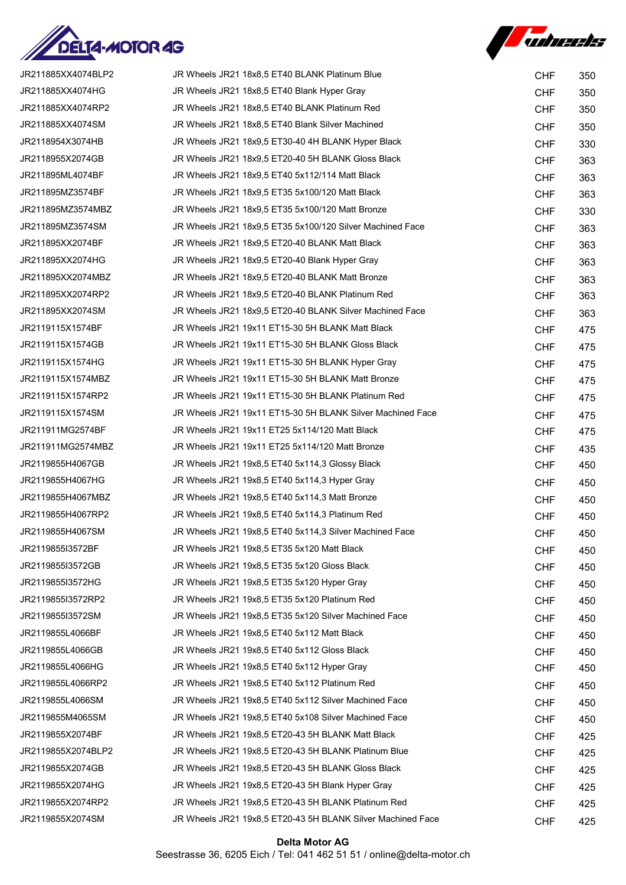



| JR211885XX4074BLP2 | JR Wheels JR21 18x8,5 ET40 BLANK Platinum Blue              | <b>CHF</b> | 350 |
|--------------------|-------------------------------------------------------------|------------|-----|
| JR211885XX4074HG   | JR Wheels JR21 18x8,5 ET40 Blank Hyper Gray                 | <b>CHF</b> | 350 |
| JR211885XX4074RP2  | JR Wheels JR21 18x8,5 ET40 BLANK Platinum Red               | <b>CHF</b> | 350 |
| JR211885XX4074SM   | JR Wheels JR21 18x8,5 ET40 Blank Silver Machined            | <b>CHF</b> | 350 |
| JR2118954X3074HB   | JR Wheels JR21 18x9,5 ET30-40 4H BLANK Hyper Black          | <b>CHF</b> | 330 |
| JR2118955X2074GB   | JR Wheels JR21 18x9,5 ET20-40 5H BLANK Gloss Black          | <b>CHF</b> | 363 |
| JR211895ML4074BF   | JR Wheels JR21 18x9,5 ET40 5x112/114 Matt Black             | <b>CHF</b> | 363 |
| JR211895MZ3574BF   | JR Wheels JR21 18x9,5 ET35 5x100/120 Matt Black             | <b>CHF</b> | 363 |
| JR211895MZ3574MBZ  | JR Wheels JR21 18x9,5 ET35 5x100/120 Matt Bronze            | <b>CHF</b> | 330 |
| JR211895MZ3574SM   | JR Wheels JR21 18x9,5 ET35 5x100/120 Silver Machined Face   | <b>CHF</b> | 363 |
| JR211895XX2074BF   | JR Wheels JR21 18x9,5 ET20-40 BLANK Matt Black              | <b>CHF</b> | 363 |
| JR211895XX2074HG   | JR Wheels JR21 18x9,5 ET20-40 Blank Hyper Gray              | <b>CHF</b> | 363 |
| JR211895XX2074MBZ  | JR Wheels JR21 18x9,5 ET20-40 BLANK Matt Bronze             | <b>CHF</b> | 363 |
| JR211895XX2074RP2  | JR Wheels JR21 18x9,5 ET20-40 BLANK Platinum Red            | <b>CHF</b> | 363 |
| JR211895XX2074SM   | JR Wheels JR21 18x9,5 ET20-40 BLANK Silver Machined Face    | <b>CHF</b> | 363 |
| JR2119115X1574BF   | JR Wheels JR21 19x11 ET15-30 5H BLANK Matt Black            | <b>CHF</b> | 475 |
| JR2119115X1574GB   | JR Wheels JR21 19x11 ET15-30 5H BLANK Gloss Black           | <b>CHF</b> | 475 |
| JR2119115X1574HG   | JR Wheels JR21 19x11 ET15-30 5H BLANK Hyper Gray            | <b>CHF</b> | 475 |
| JR2119115X1574MBZ  | JR Wheels JR21 19x11 ET15-30 5H BLANK Matt Bronze           | <b>CHF</b> | 475 |
| JR2119115X1574RP2  | JR Wheels JR21 19x11 ET15-30 5H BLANK Platinum Red          | <b>CHF</b> | 475 |
| JR2119115X1574SM   | JR Wheels JR21 19x11 ET15-30 5H BLANK Silver Machined Face  | <b>CHF</b> | 475 |
| JR211911MG2574BF   | JR Wheels JR21 19x11 ET25 5x114/120 Matt Black              | <b>CHF</b> | 475 |
| JR211911MG2574MBZ  | JR Wheels JR21 19x11 ET25 5x114/120 Matt Bronze             | <b>CHF</b> | 435 |
| JR2119855H4067GB   | JR Wheels JR21 19x8,5 ET40 5x114,3 Glossy Black             | <b>CHF</b> | 450 |
| JR2119855H4067HG   | JR Wheels JR21 19x8,5 ET40 5x114,3 Hyper Gray               | <b>CHF</b> | 450 |
| JR2119855H4067MBZ  | JR Wheels JR21 19x8,5 ET40 5x114,3 Matt Bronze              | <b>CHF</b> | 450 |
| JR2119855H4067RP2  | JR Wheels JR21 19x8,5 ET40 5x114,3 Platinum Red             | <b>CHF</b> | 450 |
| JR2119855H4067SM   | JR Wheels JR21 19x8,5 ET40 5x114,3 Silver Machined Face     | <b>CHF</b> | 450 |
| JR2119855I3572BF   | JR Wheels JR21 19x8,5 ET35 5x120 Matt Black                 | <b>CHF</b> | 450 |
| JR2119855I3572GB   | JR Wheels JR21 19x8,5 ET35 5x120 Gloss Black                | <b>CHF</b> | 450 |
| JR2119855I3572HG   | JR Wheels JR21 19x8,5 ET35 5x120 Hyper Gray                 | <b>CHF</b> | 450 |
| JR2119855I3572RP2  | JR Wheels JR21 19x8,5 ET35 5x120 Platinum Red               | <b>CHF</b> | 450 |
| JR2119855I3572SM   | JR Wheels JR21 19x8,5 ET35 5x120 Silver Machined Face       | <b>CHF</b> | 450 |
| JR2119855L4066BF   | JR Wheels JR21 19x8.5 ET40 5x112 Matt Black                 | <b>CHF</b> | 450 |
| JR2119855L4066GB   | JR Wheels JR21 19x8,5 ET40 5x112 Gloss Black                | <b>CHF</b> | 450 |
| JR2119855L4066HG   | JR Wheels JR21 19x8,5 ET40 5x112 Hyper Gray                 | <b>CHF</b> | 450 |
| JR2119855L4066RP2  | JR Wheels JR21 19x8,5 ET40 5x112 Platinum Red               | <b>CHF</b> | 450 |
| JR2119855L4066SM   | JR Wheels JR21 19x8,5 ET40 5x112 Silver Machined Face       | <b>CHF</b> | 450 |
| JR2119855M4065SM   | JR Wheels JR21 19x8,5 ET40 5x108 Silver Machined Face       | <b>CHF</b> | 450 |
| JR2119855X2074BF   | JR Wheels JR21 19x8,5 ET20-43 5H BLANK Matt Black           | <b>CHF</b> | 425 |
| JR2119855X2074BLP2 | JR Wheels JR21 19x8,5 ET20-43 5H BLANK Platinum Blue        | <b>CHF</b> | 425 |
| JR2119855X2074GB   | JR Wheels JR21 19x8,5 ET20-43 5H BLANK Gloss Black          | <b>CHF</b> | 425 |
| JR2119855X2074HG   | JR Wheels JR21 19x8,5 ET20-43 5H Blank Hyper Gray           | <b>CHF</b> | 425 |
| JR2119855X2074RP2  | JR Wheels JR21 19x8,5 ET20-43 5H BLANK Platinum Red         | <b>CHF</b> | 425 |
| JR2119855X2074SM   | JR Wheels JR21 19x8,5 ET20-43 5H BLANK Silver Machined Face | <b>CHF</b> | 425 |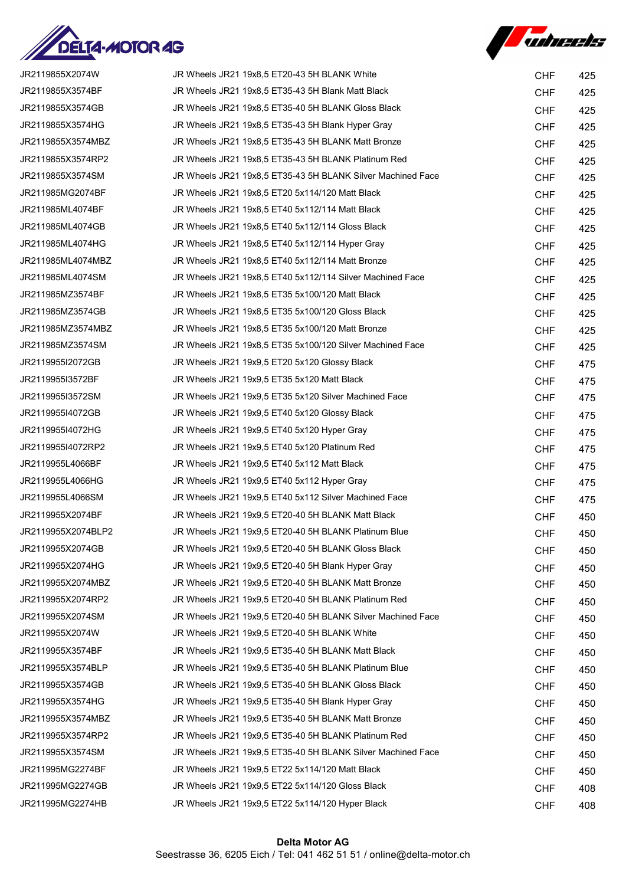



| JR2119855X2074W    | JR Wheels JR21 19x8,5 ET20-43 5H BLANK White                | <b>CHF</b>               | 425        |
|--------------------|-------------------------------------------------------------|--------------------------|------------|
| JR2119855X3574BF   | JR Wheels JR21 19x8,5 ET35-43 5H Blank Matt Black           | <b>CHF</b>               | 425        |
| JR2119855X3574GB   | JR Wheels JR21 19x8,5 ET35-40 5H BLANK Gloss Black          | <b>CHF</b>               | 425        |
| JR2119855X3574HG   | JR Wheels JR21 19x8,5 ET35-43 5H Blank Hyper Gray           | <b>CHF</b>               | 425        |
| JR2119855X3574MBZ  | JR Wheels JR21 19x8,5 ET35-43 5H BLANK Matt Bronze          | <b>CHF</b>               | 425        |
| JR2119855X3574RP2  | JR Wheels JR21 19x8,5 ET35-43 5H BLANK Platinum Red         | <b>CHF</b>               | 425        |
| JR2119855X3574SM   | JR Wheels JR21 19x8,5 ET35-43 5H BLANK Silver Machined Face | <b>CHF</b>               | 425        |
| JR211985MG2074BF   | JR Wheels JR21 19x8,5 ET20 5x114/120 Matt Black             | <b>CHF</b>               | 425        |
| JR211985ML4074BF   | JR Wheels JR21 19x8,5 ET40 5x112/114 Matt Black             | <b>CHF</b>               | 425        |
| JR211985ML4074GB   | JR Wheels JR21 19x8,5 ET40 5x112/114 Gloss Black            | <b>CHF</b>               | 425        |
| JR211985ML4074HG   | JR Wheels JR21 19x8,5 ET40 5x112/114 Hyper Gray             | <b>CHF</b>               | 425        |
| JR211985ML4074MBZ  | JR Wheels JR21 19x8,5 ET40 5x112/114 Matt Bronze            | <b>CHF</b>               | 425        |
| JR211985ML4074SM   | JR Wheels JR21 19x8,5 ET40 5x112/114 Silver Machined Face   | <b>CHF</b>               | 425        |
| JR211985MZ3574BF   | JR Wheels JR21 19x8,5 ET35 5x100/120 Matt Black             | <b>CHF</b>               | 425        |
| JR211985MZ3574GB   | JR Wheels JR21 19x8.5 ET35 5x100/120 Gloss Black            | <b>CHF</b>               | 425        |
| JR211985MZ3574MBZ  | JR Wheels JR21 19x8,5 ET35 5x100/120 Matt Bronze            | <b>CHF</b>               | 425        |
| JR211985MZ3574SM   | JR Wheels JR21 19x8,5 ET35 5x100/120 Silver Machined Face   | <b>CHF</b>               | 425        |
| JR2119955I2072GB   | JR Wheels JR21 19x9,5 ET20 5x120 Glossy Black               | <b>CHF</b>               | 475        |
| JR2119955I3572BF   | JR Wheels JR21 19x9,5 ET35 5x120 Matt Black                 | <b>CHF</b>               | 475        |
| JR2119955I3572SM   | JR Wheels JR21 19x9,5 ET35 5x120 Silver Machined Face       | <b>CHF</b>               | 475        |
| JR2119955I4072GB   | JR Wheels JR21 19x9,5 ET40 5x120 Glossy Black               | <b>CHF</b>               | 475        |
| JR2119955I4072HG   | JR Wheels JR21 19x9,5 ET40 5x120 Hyper Gray                 | <b>CHF</b>               | 475        |
| JR2119955I4072RP2  | JR Wheels JR21 19x9,5 ET40 5x120 Platinum Red               | <b>CHF</b>               | 475        |
| JR2119955L4066BF   | JR Wheels JR21 19x9,5 ET40 5x112 Matt Black                 | <b>CHF</b>               | 475        |
| JR2119955L4066HG   | JR Wheels JR21 19x9,5 ET40 5x112 Hyper Gray                 | <b>CHF</b>               | 475        |
| JR2119955L4066SM   | JR Wheels JR21 19x9,5 ET40 5x112 Silver Machined Face       | <b>CHF</b>               | 475        |
| JR2119955X2074BF   | JR Wheels JR21 19x9,5 ET20-40 5H BLANK Matt Black           | <b>CHF</b>               | 450        |
| JR2119955X2074BLP2 | JR Wheels JR21 19x9,5 ET20-40 5H BLANK Platinum Blue        | <b>CHF</b>               | 450        |
| JR2119955X2074GB   | JR Wheels JR21 19x9,5 ET20-40 5H BLANK Gloss Black          | <b>CHF</b>               | 450        |
| JR2119955X2074HG   | JR Wheels JR21 19x9,5 ET20-40 5H Blank Hyper Gray           | <b>CHF</b>               | 450        |
| JR2119955X2074MBZ  | JR Wheels JR21 19x9.5 ET20-40 5H BLANK Matt Bronze          | <b>CHF</b>               | 450        |
| JR2119955X2074RP2  | JR Wheels JR21 19x9.5 ET20-40 5H BLANK Platinum Red         | <b>CHF</b>               | 450        |
| JR2119955X2074SM   | JR Wheels JR21 19x9,5 ET20-40 5H BLANK Silver Machined Face | <b>CHF</b>               | 450        |
| JR2119955X2074W    | JR Wheels JR21 19x9,5 ET20-40 5H BLANK White                | <b>CHF</b>               | 450        |
| JR2119955X3574BF   | JR Wheels JR21 19x9,5 ET35-40 5H BLANK Matt Black           | <b>CHF</b>               | 450        |
| JR2119955X3574BLP  | JR Wheels JR21 19x9,5 ET35-40 5H BLANK Platinum Blue        | <b>CHF</b>               | 450        |
| JR2119955X3574GB   | JR Wheels JR21 19x9,5 ET35-40 5H BLANK Gloss Black          | <b>CHF</b>               | 450        |
| JR2119955X3574HG   | JR Wheels JR21 19x9,5 ET35-40 5H Blank Hyper Gray           | <b>CHF</b>               | 450        |
| JR2119955X3574MBZ  | JR Wheels JR21 19x9,5 ET35-40 5H BLANK Matt Bronze          | <b>CHF</b>               | 450        |
| JR2119955X3574RP2  | JR Wheels JR21 19x9,5 ET35-40 5H BLANK Platinum Red         |                          |            |
| JR2119955X3574SM   | JR Wheels JR21 19x9,5 ET35-40 5H BLANK Silver Machined Face | <b>CHF</b><br><b>CHF</b> | 450        |
| JR211995MG2274BF   | JR Wheels JR21 19x9,5 ET22 5x114/120 Matt Black             | <b>CHF</b>               | 450<br>450 |
| JR211995MG2274GB   | JR Wheels JR21 19x9,5 ET22 5x114/120 Gloss Black            |                          |            |
| JR211995MG2274HB   | JR Wheels JR21 19x9,5 ET22 5x114/120 Hyper Black            | <b>CHF</b>               | 408        |
|                    |                                                             | <b>CHF</b>               | 408        |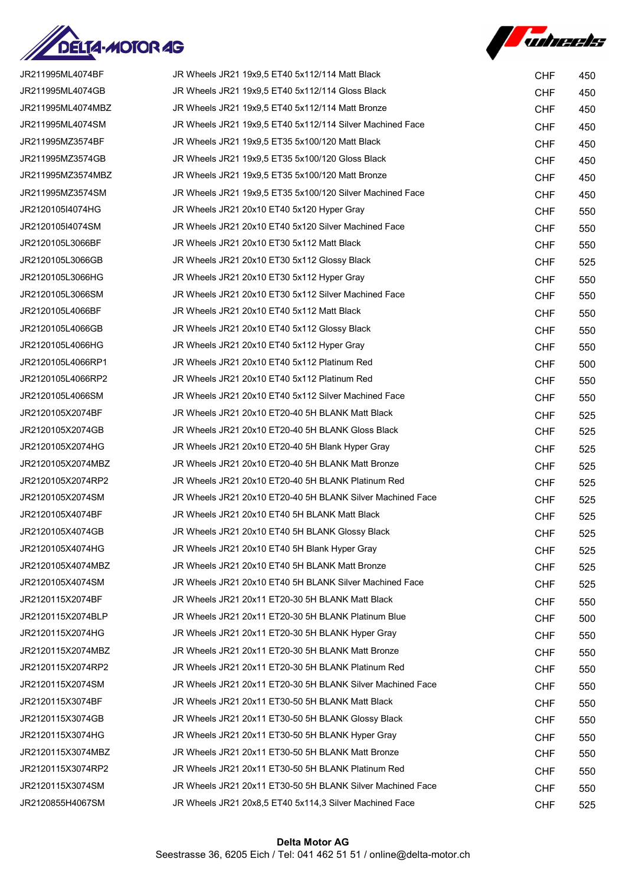



| JR211995ML4074BF  | JR Wheels JR21 19x9,5 ET40 5x112/114 Matt Black            | <b>CHF</b> | 450 |
|-------------------|------------------------------------------------------------|------------|-----|
| JR211995ML4074GB  | JR Wheels JR21 19x9,5 ET40 5x112/114 Gloss Black           | <b>CHF</b> | 450 |
| JR211995ML4074MBZ | JR Wheels JR21 19x9,5 ET40 5x112/114 Matt Bronze           | <b>CHF</b> | 450 |
| JR211995ML4074SM  | JR Wheels JR21 19x9,5 ET40 5x112/114 Silver Machined Face  | <b>CHF</b> | 450 |
| JR211995MZ3574BF  | JR Wheels JR21 19x9,5 ET35 5x100/120 Matt Black            | <b>CHF</b> | 450 |
| JR211995MZ3574GB  | JR Wheels JR21 19x9,5 ET35 5x100/120 Gloss Black           | <b>CHF</b> | 450 |
| JR211995MZ3574MBZ | JR Wheels JR21 19x9,5 ET35 5x100/120 Matt Bronze           | <b>CHF</b> | 450 |
| JR211995MZ3574SM  | JR Wheels JR21 19x9,5 ET35 5x100/120 Silver Machined Face  | <b>CHF</b> | 450 |
| JR2120105I4074HG  | JR Wheels JR21 20x10 ET40 5x120 Hyper Gray                 | <b>CHF</b> | 550 |
| JR2120105I4074SM  | JR Wheels JR21 20x10 ET40 5x120 Silver Machined Face       | <b>CHF</b> | 550 |
| JR2120105L3066BF  | JR Wheels JR21 20x10 ET30 5x112 Matt Black                 | <b>CHF</b> | 550 |
| JR2120105L3066GB  | JR Wheels JR21 20x10 ET30 5x112 Glossy Black               | <b>CHF</b> | 525 |
| JR2120105L3066HG  | JR Wheels JR21 20x10 ET30 5x112 Hyper Gray                 | <b>CHF</b> | 550 |
| JR2120105L3066SM  | JR Wheels JR21 20x10 ET30 5x112 Silver Machined Face       | <b>CHF</b> | 550 |
| JR2120105L4066BF  | JR Wheels JR21 20x10 ET40 5x112 Matt Black                 | <b>CHF</b> | 550 |
| JR2120105L4066GB  | JR Wheels JR21 20x10 ET40 5x112 Glossy Black               | <b>CHF</b> | 550 |
| JR2120105L4066HG  | JR Wheels JR21 20x10 ET40 5x112 Hyper Gray                 | <b>CHF</b> | 550 |
| JR2120105L4066RP1 | JR Wheels JR21 20x10 ET40 5x112 Platinum Red               | <b>CHF</b> | 500 |
| JR2120105L4066RP2 | JR Wheels JR21 20x10 ET40 5x112 Platinum Red               | <b>CHF</b> | 550 |
| JR2120105L4066SM  | JR Wheels JR21 20x10 ET40 5x112 Silver Machined Face       | <b>CHF</b> | 550 |
| JR2120105X2074BF  | JR Wheels JR21 20x10 ET20-40 5H BLANK Matt Black           | <b>CHF</b> | 525 |
| JR2120105X2074GB  | JR Wheels JR21 20x10 ET20-40 5H BLANK Gloss Black          | <b>CHF</b> | 525 |
| JR2120105X2074HG  | JR Wheels JR21 20x10 ET20-40 5H Blank Hyper Gray           | <b>CHF</b> | 525 |
| JR2120105X2074MBZ | JR Wheels JR21 20x10 ET20-40 5H BLANK Matt Bronze          | <b>CHF</b> | 525 |
| JR2120105X2074RP2 | JR Wheels JR21 20x10 ET20-40 5H BLANK Platinum Red         | <b>CHF</b> | 525 |
| JR2120105X2074SM  | JR Wheels JR21 20x10 ET20-40 5H BLANK Silver Machined Face | <b>CHF</b> | 525 |
| JR2120105X4074BF  | JR Wheels JR21 20x10 ET40 5H BLANK Matt Black              | <b>CHF</b> | 525 |
| JR2120105X4074GB  | JR Wheels JR21 20x10 ET40 5H BLANK Glossy Black            | <b>CHF</b> | 525 |
| JR2120105X4074HG  | JR Wheels JR21 20x10 ET40 5H Blank Hyper Gray              | <b>CHF</b> | 525 |
| JR2120105X4074MBZ | JR Wheels JR21 20x10 ET40 5H BLANK Matt Bronze             | <b>CHF</b> | 525 |
| JR2120105X4074SM  | JR Wheels JR21 20x10 ET40 5H BLANK Silver Machined Face    | <b>CHF</b> | 525 |
| JR2120115X2074BF  | JR Wheels JR21 20x11 ET20-30 5H BLANK Matt Black           | <b>CHF</b> | 550 |
| JR2120115X2074BLP | JR Wheels JR21 20x11 ET20-30 5H BLANK Platinum Blue        | <b>CHF</b> | 500 |
| JR2120115X2074HG  | JR Wheels JR21 20x11 ET20-30 5H BLANK Hyper Gray           | <b>CHF</b> | 550 |
| JR2120115X2074MBZ | JR Wheels JR21 20x11 ET20-30 5H BLANK Matt Bronze          | <b>CHF</b> | 550 |
| JR2120115X2074RP2 | JR Wheels JR21 20x11 ET20-30 5H BLANK Platinum Red         | <b>CHF</b> | 550 |
| JR2120115X2074SM  | JR Wheels JR21 20x11 ET20-30 5H BLANK Silver Machined Face | <b>CHF</b> | 550 |
| JR2120115X3074BF  | JR Wheels JR21 20x11 ET30-50 5H BLANK Matt Black           | <b>CHF</b> | 550 |
| JR2120115X3074GB  | JR Wheels JR21 20x11 ET30-50 5H BLANK Glossy Black         | <b>CHF</b> | 550 |
| JR2120115X3074HG  | JR Wheels JR21 20x11 ET30-50 5H BLANK Hyper Gray           | <b>CHF</b> | 550 |
| JR2120115X3074MBZ | JR Wheels JR21 20x11 ET30-50 5H BLANK Matt Bronze          | <b>CHF</b> | 550 |
| JR2120115X3074RP2 | JR Wheels JR21 20x11 ET30-50 5H BLANK Platinum Red         | <b>CHF</b> | 550 |
| JR2120115X3074SM  | JR Wheels JR21 20x11 ET30-50 5H BLANK Silver Machined Face | <b>CHF</b> | 550 |
| JR2120855H4067SM  | JR Wheels JR21 20x8,5 ET40 5x114,3 Silver Machined Face    | <b>CHF</b> | 525 |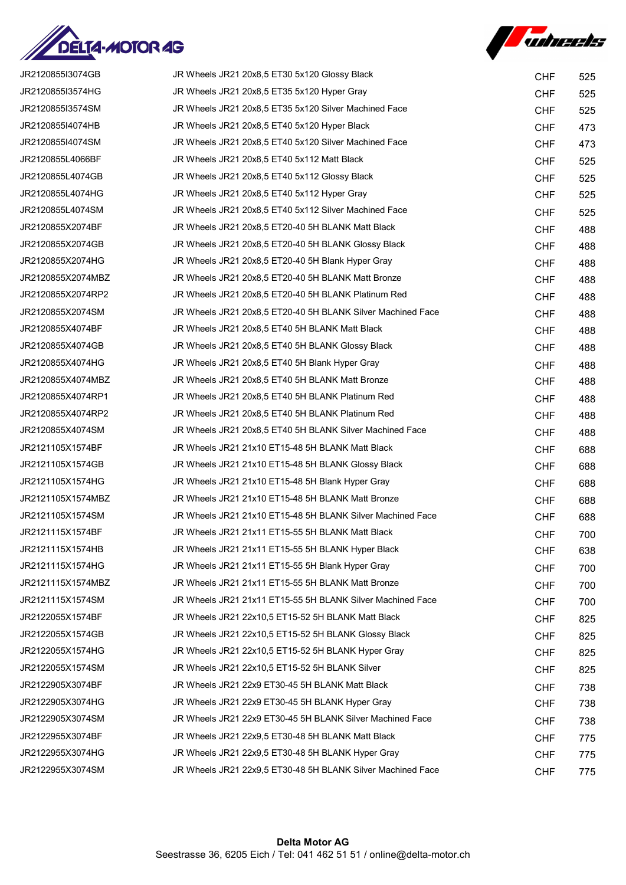



| JR2120855I3074GB  | JR Wheels JR21 20x8,5 ET30 5x120 Glossy Black               | <b>CHF</b> | 525 |
|-------------------|-------------------------------------------------------------|------------|-----|
| JR2120855I3574HG  | JR Wheels JR21 20x8,5 ET35 5x120 Hyper Gray                 | <b>CHF</b> | 525 |
| JR2120855I3574SM  | JR Wheels JR21 20x8,5 ET35 5x120 Silver Machined Face       | <b>CHF</b> | 525 |
| JR2120855I4074HB  | JR Wheels JR21 20x8,5 ET40 5x120 Hyper Black                | <b>CHF</b> | 473 |
| JR2120855I4074SM  | JR Wheels JR21 20x8,5 ET40 5x120 Silver Machined Face       | <b>CHF</b> | 473 |
| JR2120855L4066BF  | JR Wheels JR21 20x8,5 ET40 5x112 Matt Black                 | <b>CHF</b> | 525 |
| JR2120855L4074GB  | JR Wheels JR21 20x8,5 ET40 5x112 Glossy Black               | <b>CHF</b> | 525 |
| JR2120855L4074HG  | JR Wheels JR21 20x8,5 ET40 5x112 Hyper Gray                 | <b>CHF</b> | 525 |
| JR2120855L4074SM  | JR Wheels JR21 20x8,5 ET40 5x112 Silver Machined Face       | <b>CHF</b> | 525 |
| JR2120855X2074BF  | JR Wheels JR21 20x8,5 ET20-40 5H BLANK Matt Black           | <b>CHF</b> | 488 |
| JR2120855X2074GB  | JR Wheels JR21 20x8,5 ET20-40 5H BLANK Glossy Black         | <b>CHF</b> | 488 |
| JR2120855X2074HG  | JR Wheels JR21 20x8,5 ET20-40 5H Blank Hyper Gray           | <b>CHF</b> | 488 |
| JR2120855X2074MBZ | JR Wheels JR21 20x8.5 ET20-40 5H BLANK Matt Bronze          | <b>CHF</b> | 488 |
| JR2120855X2074RP2 | JR Wheels JR21 20x8,5 ET20-40 5H BLANK Platinum Red         | <b>CHF</b> | 488 |
| JR2120855X2074SM  | JR Wheels JR21 20x8,5 ET20-40 5H BLANK Silver Machined Face | <b>CHF</b> | 488 |
| JR2120855X4074BF  | JR Wheels JR21 20x8,5 ET40 5H BLANK Matt Black              | <b>CHF</b> | 488 |
| JR2120855X4074GB  | JR Wheels JR21 20x8,5 ET40 5H BLANK Glossy Black            | <b>CHF</b> | 488 |
| JR2120855X4074HG  | JR Wheels JR21 20x8,5 ET40 5H Blank Hyper Gray              | <b>CHF</b> | 488 |
| JR2120855X4074MBZ | JR Wheels JR21 20x8,5 ET40 5H BLANK Matt Bronze             | <b>CHF</b> | 488 |
| JR2120855X4074RP1 | JR Wheels JR21 20x8,5 ET40 5H BLANK Platinum Red            | <b>CHF</b> | 488 |
| JR2120855X4074RP2 | JR Wheels JR21 20x8,5 ET40 5H BLANK Platinum Red            | <b>CHF</b> | 488 |
| JR2120855X4074SM  | JR Wheels JR21 20x8,5 ET40 5H BLANK Silver Machined Face    | <b>CHF</b> | 488 |
| JR2121105X1574BF  | JR Wheels JR21 21x10 ET15-48 5H BLANK Matt Black            | <b>CHF</b> | 688 |
| JR2121105X1574GB  | JR Wheels JR21 21x10 ET15-48 5H BLANK Glossy Black          | <b>CHF</b> | 688 |
| JR2121105X1574HG  | JR Wheels JR21 21x10 ET15-48 5H Blank Hyper Gray            | <b>CHF</b> | 688 |
| JR2121105X1574MBZ | JR Wheels JR21 21x10 ET15-48 5H BLANK Matt Bronze           | <b>CHF</b> | 688 |
| JR2121105X1574SM  | JR Wheels JR21 21x10 ET15-48 5H BLANK Silver Machined Face  | <b>CHF</b> | 688 |
| JR2121115X1574BF  | JR Wheels JR21 21x11 ET15-55 5H BLANK Matt Black            | <b>CHF</b> | 700 |
| JR2121115X1574HB  | JR Wheels JR21 21x11 ET15-55 5H BLANK Hyper Black           | <b>CHF</b> | 638 |
| JR2121115X1574HG  | JR Wheels JR21 21x11 ET15-55 5H Blank Hyper Gray            | <b>CHF</b> | 700 |
| JR2121115X1574MBZ | JR Wheels JR21 21x11 ET15-55 5H BLANK Matt Bronze           | <b>CHF</b> | 700 |
| JR2121115X1574SM  | JR Wheels JR21 21x11 ET15-55 5H BLANK Silver Machined Face  | <b>CHF</b> | 700 |
| JR2122055X1574BF  | JR Wheels JR21 22x10,5 ET15-52 5H BLANK Matt Black          | <b>CHF</b> | 825 |
| JR2122055X1574GB  | JR Wheels JR21 22x10,5 ET15-52 5H BLANK Glossy Black        | <b>CHF</b> | 825 |
| JR2122055X1574HG  | JR Wheels JR21 22x10,5 ET15-52 5H BLANK Hyper Gray          | <b>CHF</b> | 825 |
| JR2122055X1574SM  | JR Wheels JR21 22x10,5 ET15-52 5H BLANK Silver              | <b>CHF</b> | 825 |
| JR2122905X3074BF  | JR Wheels JR21 22x9 ET30-45 5H BLANK Matt Black             | <b>CHF</b> | 738 |
| JR2122905X3074HG  | JR Wheels JR21 22x9 ET30-45 5H BLANK Hyper Gray             | <b>CHF</b> | 738 |
| JR2122905X3074SM  | JR Wheels JR21 22x9 ET30-45 5H BLANK Silver Machined Face   | <b>CHF</b> | 738 |
| JR2122955X3074BF  | JR Wheels JR21 22x9,5 ET30-48 5H BLANK Matt Black           | <b>CHF</b> | 775 |
| JR2122955X3074HG  | JR Wheels JR21 22x9,5 ET30-48 5H BLANK Hyper Gray           | <b>CHF</b> | 775 |
| JR2122955X3074SM  | JR Wheels JR21 22x9,5 ET30-48 5H BLANK Silver Machined Face | <b>CHF</b> | 775 |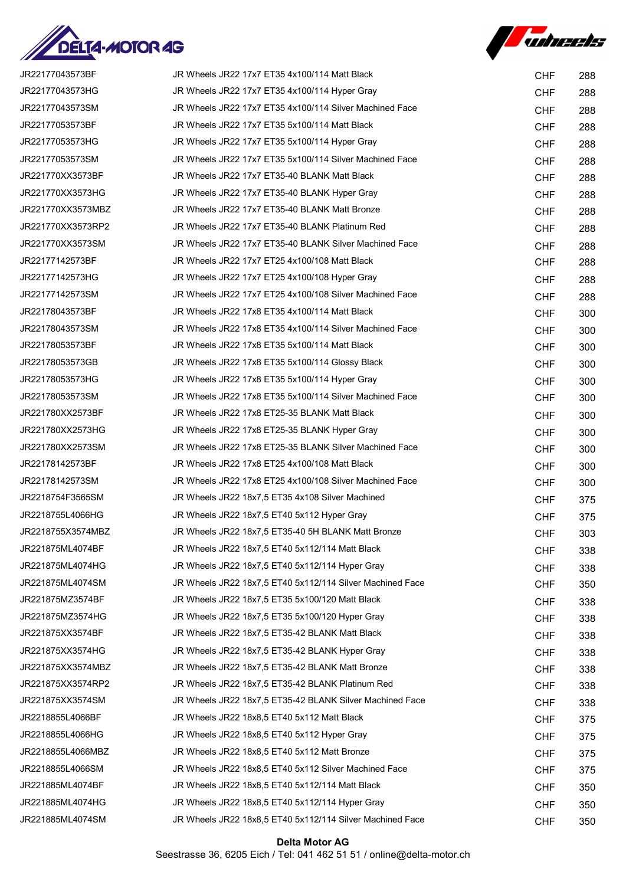



| JR22177043573BF   | JR Wheels JR22 17x7 ET35 4x100/114 Matt Black             | <b>CHF</b> | 288 |
|-------------------|-----------------------------------------------------------|------------|-----|
| JR22177043573HG   | JR Wheels JR22 17x7 ET35 4x100/114 Hyper Gray             | <b>CHF</b> | 288 |
| JR22177043573SM   | JR Wheels JR22 17x7 ET35 4x100/114 Silver Machined Face   | <b>CHF</b> | 288 |
| JR22177053573BF   | JR Wheels JR22 17x7 ET35 5x100/114 Matt Black             | <b>CHF</b> | 288 |
| JR22177053573HG   | JR Wheels JR22 17x7 ET35 5x100/114 Hyper Gray             | <b>CHF</b> | 288 |
| JR22177053573SM   | JR Wheels JR22 17x7 ET35 5x100/114 Silver Machined Face   | <b>CHF</b> | 288 |
| JR221770XX3573BF  | JR Wheels JR22 17x7 ET35-40 BLANK Matt Black              | <b>CHF</b> | 288 |
| JR221770XX3573HG  | JR Wheels JR22 17x7 ET35-40 BLANK Hyper Gray              | <b>CHF</b> | 288 |
| JR221770XX3573MBZ | JR Wheels JR22 17x7 ET35-40 BLANK Matt Bronze             | <b>CHF</b> | 288 |
| JR221770XX3573RP2 | JR Wheels JR22 17x7 ET35-40 BLANK Platinum Red            | <b>CHF</b> | 288 |
| JR221770XX3573SM  | JR Wheels JR22 17x7 ET35-40 BLANK Silver Machined Face    | <b>CHF</b> | 288 |
| JR22177142573BF   | JR Wheels JR22 17x7 ET25 4x100/108 Matt Black             | <b>CHF</b> | 288 |
| JR22177142573HG   | JR Wheels JR22 17x7 ET25 4x100/108 Hyper Gray             | <b>CHF</b> | 288 |
| JR22177142573SM   | JR Wheels JR22 17x7 ET25 4x100/108 Silver Machined Face   | <b>CHF</b> | 288 |
| JR22178043573BF   | JR Wheels JR22 17x8 ET35 4x100/114 Matt Black             | <b>CHF</b> | 300 |
| JR22178043573SM   | JR Wheels JR22 17x8 ET35 4x100/114 Silver Machined Face   | <b>CHF</b> | 300 |
| JR22178053573BF   | JR Wheels JR22 17x8 ET35 5x100/114 Matt Black             | <b>CHF</b> | 300 |
| JR22178053573GB   | JR Wheels JR22 17x8 ET35 5x100/114 Glossy Black           | <b>CHF</b> | 300 |
| JR22178053573HG   | JR Wheels JR22 17x8 ET35 5x100/114 Hyper Gray             | <b>CHF</b> | 300 |
| JR22178053573SM   | JR Wheels JR22 17x8 ET35 5x100/114 Silver Machined Face   | <b>CHF</b> | 300 |
| JR221780XX2573BF  | JR Wheels JR22 17x8 ET25-35 BLANK Matt Black              | <b>CHF</b> | 300 |
| JR221780XX2573HG  | JR Wheels JR22 17x8 ET25-35 BLANK Hyper Gray              | <b>CHF</b> | 300 |
| JR221780XX2573SM  | JR Wheels JR22 17x8 ET25-35 BLANK Silver Machined Face    | <b>CHF</b> | 300 |
| JR22178142573BF   | JR Wheels JR22 17x8 ET25 4x100/108 Matt Black             | <b>CHF</b> | 300 |
| JR22178142573SM   | JR Wheels JR22 17x8 ET25 4x100/108 Silver Machined Face   | <b>CHF</b> | 300 |
| JR2218754F3565SM  | JR Wheels JR22 18x7,5 ET35 4x108 Silver Machined          | <b>CHF</b> | 375 |
| JR2218755L4066HG  | JR Wheels JR22 18x7,5 ET40 5x112 Hyper Gray               | <b>CHF</b> | 375 |
| JR2218755X3574MBZ | JR Wheels JR22 18x7,5 ET35-40 5H BLANK Matt Bronze        | <b>CHF</b> | 303 |
| JR221875ML4074BF  | JR Wheels JR22 18x7,5 ET40 5x112/114 Matt Black           | <b>CHF</b> | 338 |
| JR221875ML4074HG  | JR Wheels JR22 18x7.5 ET40 5x112/114 Hyper Gray           | <b>CHF</b> | 338 |
| JR221875ML4074SM  | JR Wheels JR22 18x7.5 ET40 5x112/114 Silver Machined Face | <b>CHF</b> | 350 |
| JR221875MZ3574BF  | JR Wheels JR22 18x7,5 ET35 5x100/120 Matt Black           | <b>CHF</b> | 338 |
| JR221875MZ3574HG  | JR Wheels JR22 18x7,5 ET35 5x100/120 Hyper Gray           | <b>CHF</b> | 338 |
| JR221875XX3574BF  | JR Wheels JR22 18x7,5 ET35-42 BLANK Matt Black            | <b>CHF</b> | 338 |
| JR221875XX3574HG  | JR Wheels JR22 18x7,5 ET35-42 BLANK Hyper Gray            | <b>CHF</b> | 338 |
| JR221875XX3574MBZ | JR Wheels JR22 18x7,5 ET35-42 BLANK Matt Bronze           | <b>CHF</b> | 338 |
| JR221875XX3574RP2 | JR Wheels JR22 18x7,5 ET35-42 BLANK Platinum Red          | <b>CHF</b> | 338 |
| JR221875XX3574SM  | JR Wheels JR22 18x7,5 ET35-42 BLANK Silver Machined Face  | <b>CHF</b> | 338 |
| JR2218855L4066BF  | JR Wheels JR22 18x8,5 ET40 5x112 Matt Black               | <b>CHF</b> | 375 |
| JR2218855L4066HG  | JR Wheels JR22 18x8,5 ET40 5x112 Hyper Gray               | <b>CHF</b> | 375 |
| JR2218855L4066MBZ | JR Wheels JR22 18x8,5 ET40 5x112 Matt Bronze              | <b>CHF</b> | 375 |
| JR2218855L4066SM  | JR Wheels JR22 18x8,5 ET40 5x112 Silver Machined Face     | <b>CHF</b> | 375 |
| JR221885ML4074BF  | JR Wheels JR22 18x8,5 ET40 5x112/114 Matt Black           | <b>CHF</b> | 350 |
| JR221885ML4074HG  | JR Wheels JR22 18x8,5 ET40 5x112/114 Hyper Gray           | <b>CHF</b> | 350 |
| JR221885ML4074SM  | JR Wheels JR22 18x8,5 ET40 5x112/114 Silver Machined Face | <b>CHF</b> | 350 |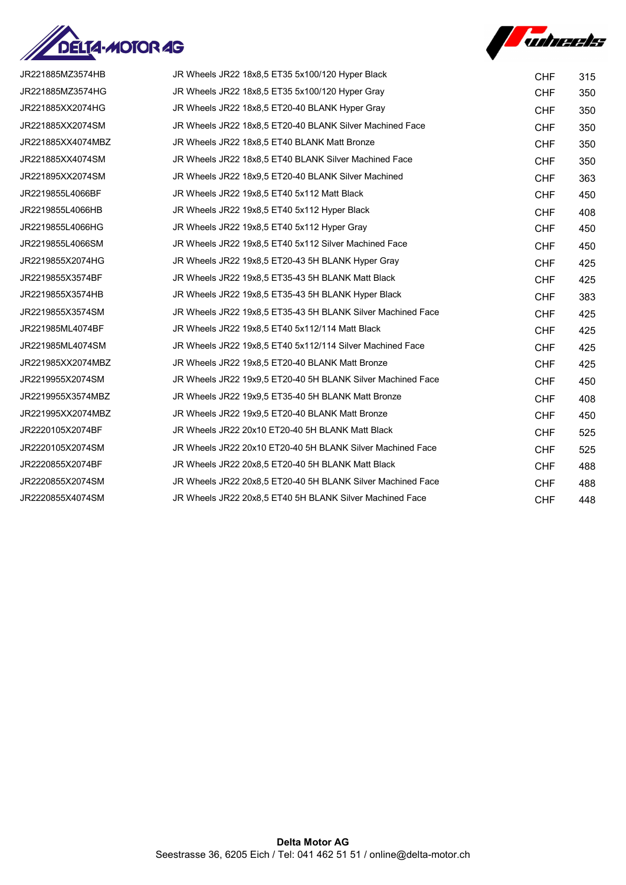



| JR221885MZ3574HB  | JR Wheels JR22 18x8,5 ET35 5x100/120 Hyper Black            | <b>CHF</b> | 315 |
|-------------------|-------------------------------------------------------------|------------|-----|
| JR221885MZ3574HG  | JR Wheels JR22 18x8,5 ET35 5x100/120 Hyper Gray             | <b>CHF</b> | 350 |
| JR221885XX2074HG  | JR Wheels JR22 18x8,5 ET20-40 BLANK Hyper Gray              | <b>CHF</b> | 350 |
| JR221885XX2074SM  | JR Wheels JR22 18x8.5 ET20-40 BLANK Silver Machined Face    | <b>CHF</b> | 350 |
| JR221885XX4074MBZ | JR Wheels JR22 18x8,5 ET40 BLANK Matt Bronze                | <b>CHF</b> | 350 |
| JR221885XX4074SM  | JR Wheels JR22 18x8,5 ET40 BLANK Silver Machined Face       | <b>CHF</b> | 350 |
| JR221895XX2074SM  | JR Wheels JR22 18x9.5 ET20-40 BLANK Silver Machined         | <b>CHF</b> | 363 |
| JR2219855L4066BF  | JR Wheels JR22 19x8,5 ET40 5x112 Matt Black                 | <b>CHF</b> | 450 |
| JR2219855L4066HB  | JR Wheels JR22 19x8,5 ET40 5x112 Hyper Black                | <b>CHF</b> | 408 |
| JR2219855L4066HG  | JR Wheels JR22 19x8,5 ET40 5x112 Hyper Gray                 | <b>CHF</b> | 450 |
| JR2219855L4066SM  | JR Wheels JR22 19x8.5 ET40 5x112 Silver Machined Face       | <b>CHF</b> | 450 |
| JR2219855X2074HG  | JR Wheels JR22 19x8.5 ET20-43 5H BLANK Hyper Gray           | <b>CHF</b> | 425 |
| JR2219855X3574BF  | JR Wheels JR22 19x8,5 ET35-43 5H BLANK Matt Black           | <b>CHF</b> | 425 |
| JR2219855X3574HB  | JR Wheels JR22 19x8,5 ET35-43 5H BLANK Hyper Black          | <b>CHF</b> | 383 |
| JR2219855X3574SM  | JR Wheels JR22 19x8,5 ET35-43 5H BLANK Silver Machined Face | <b>CHF</b> | 425 |
| JR221985ML4074BF  | JR Wheels JR22 19x8.5 ET40 5x112/114 Matt Black             | <b>CHF</b> | 425 |
| JR221985ML4074SM  | JR Wheels JR22 19x8,5 ET40 5x112/114 Silver Machined Face   | <b>CHF</b> | 425 |
| JR221985XX2074MBZ | JR Wheels JR22 19x8,5 ET20-40 BLANK Matt Bronze             | <b>CHF</b> | 425 |
| JR2219955X2074SM  | JR Wheels JR22 19x9,5 ET20-40 5H BLANK Silver Machined Face | <b>CHF</b> | 450 |
| JR2219955X3574MBZ | JR Wheels JR22 19x9.5 ET35-40 5H BLANK Matt Bronze          | <b>CHF</b> | 408 |
| JR221995XX2074MBZ | JR Wheels JR22 19x9.5 ET20-40 BLANK Matt Bronze             | <b>CHF</b> | 450 |
| JR2220105X2074BF  | JR Wheels JR22 20x10 ET20-40 5H BLANK Matt Black            | <b>CHF</b> | 525 |
| JR2220105X2074SM  | JR Wheels JR22 20x10 ET20-40 5H BLANK Silver Machined Face  | <b>CHF</b> | 525 |
| JR2220855X2074BF  | JR Wheels JR22 20x8,5 ET20-40 5H BLANK Matt Black           | <b>CHF</b> | 488 |
| JR2220855X2074SM  | JR Wheels JR22 20x8.5 ET20-40 5H BLANK Silver Machined Face | <b>CHF</b> | 488 |
| JR2220855X4074SM  | JR Wheels JR22 20x8,5 ET40 5H BLANK Silver Machined Face    | <b>CHF</b> | 448 |
|                   |                                                             |            |     |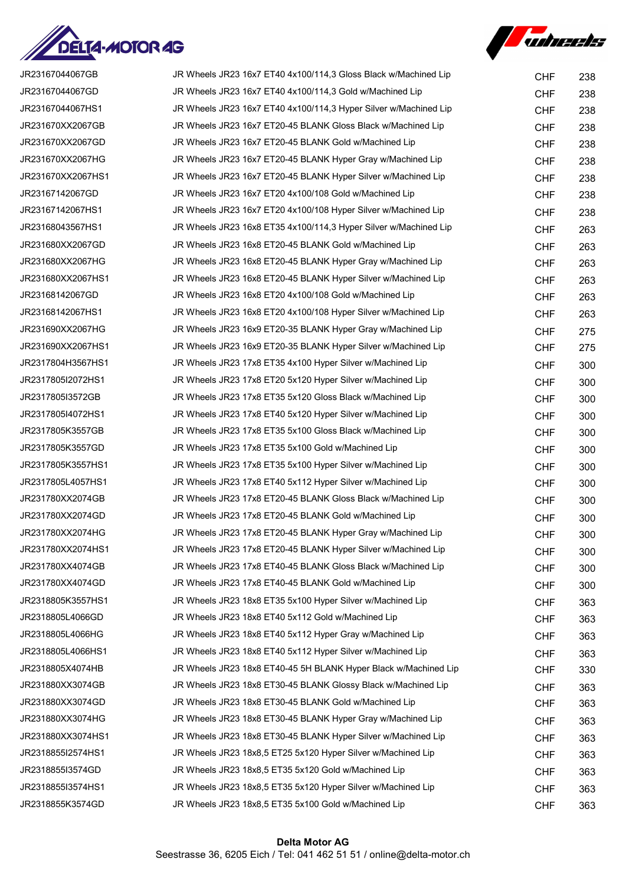



| JR23167044067GB   | JR Wheels JR23 16x7 ET40 4x100/114,3 Gloss Black w/Machined Lip  | <b>CHF</b> | 238 |
|-------------------|------------------------------------------------------------------|------------|-----|
| JR23167044067GD   | JR Wheels JR23 16x7 ET40 4x100/114,3 Gold w/Machined Lip         | <b>CHF</b> | 238 |
| JR23167044067HS1  | JR Wheels JR23 16x7 ET40 4x100/114,3 Hyper Silver w/Machined Lip | <b>CHF</b> | 238 |
| JR231670XX2067GB  | JR Wheels JR23 16x7 ET20-45 BLANK Gloss Black w/Machined Lip     | <b>CHF</b> | 238 |
| JR231670XX2067GD  | JR Wheels JR23 16x7 ET20-45 BLANK Gold w/Machined Lip            | <b>CHF</b> | 238 |
| JR231670XX2067HG  | JR Wheels JR23 16x7 ET20-45 BLANK Hyper Gray w/Machined Lip      | <b>CHF</b> | 238 |
| JR231670XX2067HS1 | JR Wheels JR23 16x7 ET20-45 BLANK Hyper Silver w/Machined Lip    | <b>CHF</b> | 238 |
| JR23167142067GD   | JR Wheels JR23 16x7 ET20 4x100/108 Gold w/Machined Lip           | <b>CHF</b> | 238 |
| JR23167142067HS1  | JR Wheels JR23 16x7 ET20 4x100/108 Hyper Silver w/Machined Lip   | <b>CHF</b> | 238 |
| JR23168043567HS1  | JR Wheels JR23 16x8 ET35 4x100/114,3 Hyper Silver w/Machined Lip | <b>CHF</b> | 263 |
| JR231680XX2067GD  | JR Wheels JR23 16x8 ET20-45 BLANK Gold w/Machined Lip            | <b>CHF</b> | 263 |
| JR231680XX2067HG  | JR Wheels JR23 16x8 ET20-45 BLANK Hyper Gray w/Machined Lip      | <b>CHF</b> | 263 |
| JR231680XX2067HS1 | JR Wheels JR23 16x8 ET20-45 BLANK Hyper Silver w/Machined Lip    | <b>CHF</b> | 263 |
| JR23168142067GD   | JR Wheels JR23 16x8 ET20 4x100/108 Gold w/Machined Lip           | <b>CHF</b> | 263 |
| JR23168142067HS1  | JR Wheels JR23 16x8 ET20 4x100/108 Hyper Silver w/Machined Lip   | <b>CHF</b> | 263 |
| JR231690XX2067HG  | JR Wheels JR23 16x9 ET20-35 BLANK Hyper Gray w/Machined Lip      | <b>CHF</b> | 275 |
| JR231690XX2067HS1 | JR Wheels JR23 16x9 ET20-35 BLANK Hyper Silver w/Machined Lip    | <b>CHF</b> | 275 |
| JR2317804H3567HS1 | JR Wheels JR23 17x8 ET35 4x100 Hyper Silver w/Machined Lip       | <b>CHF</b> | 300 |
| JR2317805I2072HS1 | JR Wheels JR23 17x8 ET20 5x120 Hyper Silver w/Machined Lip       | <b>CHF</b> | 300 |
| JR2317805I3572GB  | JR Wheels JR23 17x8 ET35 5x120 Gloss Black w/Machined Lip        | <b>CHF</b> | 300 |
| JR2317805I4072HS1 | JR Wheels JR23 17x8 ET40 5x120 Hyper Silver w/Machined Lip       | <b>CHF</b> | 300 |
| JR2317805K3557GB  | JR Wheels JR23 17x8 ET35 5x100 Gloss Black w/Machined Lip        | <b>CHF</b> | 300 |
| JR2317805K3557GD  | JR Wheels JR23 17x8 ET35 5x100 Gold w/Machined Lip               | <b>CHF</b> | 300 |
| JR2317805K3557HS1 | JR Wheels JR23 17x8 ET35 5x100 Hyper Silver w/Machined Lip       | <b>CHF</b> | 300 |
| JR2317805L4057HS1 | JR Wheels JR23 17x8 ET40 5x112 Hyper Silver w/Machined Lip       | <b>CHF</b> | 300 |
| JR231780XX2074GB  | JR Wheels JR23 17x8 ET20-45 BLANK Gloss Black w/Machined Lip     | <b>CHF</b> | 300 |
| JR231780XX2074GD  | JR Wheels JR23 17x8 ET20-45 BLANK Gold w/Machined Lip            | <b>CHF</b> | 300 |
| JR231780XX2074HG  | JR Wheels JR23 17x8 ET20-45 BLANK Hyper Gray w/Machined Lip      | <b>CHF</b> | 300 |
| JR231780XX2074HS1 | JR Wheels JR23 17x8 ET20-45 BLANK Hyper Silver w/Machined Lip    | <b>CHF</b> | 300 |
| JR231780XX4074GB  | JR Wheels JR23 17x8 ET40-45 BLANK Gloss Black w/Machined Lip     | <b>CHF</b> | 300 |
| JR231780XX4074GD  | JR Wheels JR23 17x8 ET40-45 BLANK Gold w/Machined Lip            | <b>CHF</b> | 300 |
| JR2318805K3557HS1 | JR Wheels JR23 18x8 ET35 5x100 Hyper Silver w/Machined Lip       | <b>CHF</b> | 363 |
| JR2318805L4066GD  | JR Wheels JR23 18x8 ET40 5x112 Gold w/Machined Lip               | <b>CHF</b> | 363 |
| JR2318805L4066HG  | JR Wheels JR23 18x8 ET40 5x112 Hyper Gray w/Machined Lip         | <b>CHF</b> | 363 |
| JR2318805L4066HS1 | JR Wheels JR23 18x8 ET40 5x112 Hyper Silver w/Machined Lip       | <b>CHF</b> | 363 |
| JR2318805X4074HB  | JR Wheels JR23 18x8 ET40-45 5H BLANK Hyper Black w/Machined Lip  | <b>CHF</b> | 330 |
| JR231880XX3074GB  | JR Wheels JR23 18x8 ET30-45 BLANK Glossy Black w/Machined Lip    | <b>CHF</b> | 363 |
| JR231880XX3074GD  | JR Wheels JR23 18x8 ET30-45 BLANK Gold w/Machined Lip            | <b>CHF</b> | 363 |
| JR231880XX3074HG  | JR Wheels JR23 18x8 ET30-45 BLANK Hyper Gray w/Machined Lip      | <b>CHF</b> | 363 |
| JR231880XX3074HS1 | JR Wheels JR23 18x8 ET30-45 BLANK Hyper Silver w/Machined Lip    | <b>CHF</b> | 363 |
| JR2318855I2574HS1 | JR Wheels JR23 18x8,5 ET25 5x120 Hyper Silver w/Machined Lip     | <b>CHF</b> | 363 |
| JR2318855I3574GD  | JR Wheels JR23 18x8,5 ET35 5x120 Gold w/Machined Lip             | <b>CHF</b> | 363 |
| JR2318855I3574HS1 | JR Wheels JR23 18x8,5 ET35 5x120 Hyper Silver w/Machined Lip     | <b>CHF</b> | 363 |
| JR2318855K3574GD  | JR Wheels JR23 18x8,5 ET35 5x100 Gold w/Machined Lip             | <b>CHF</b> | 363 |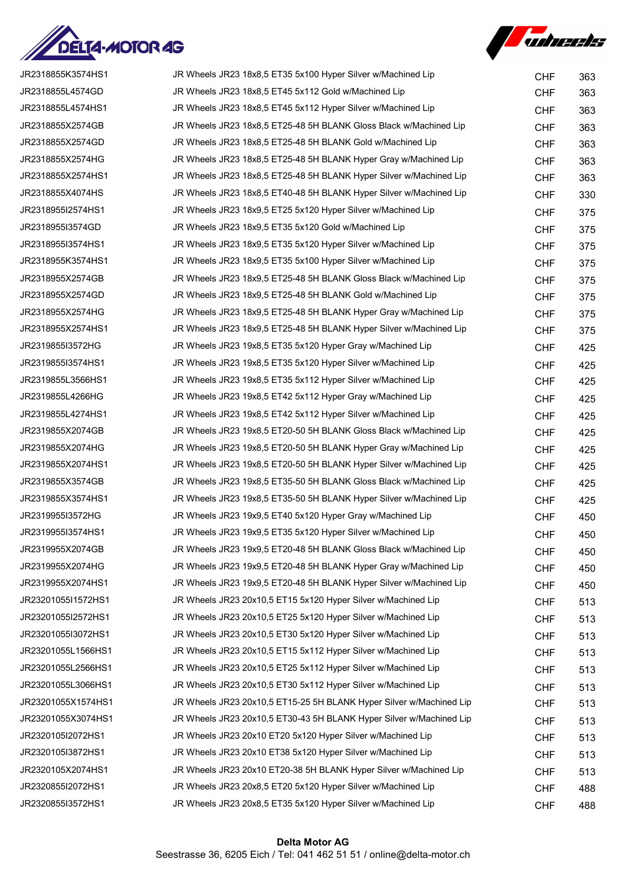



| JR2318855K3574HS1  | JR Wheels JR23 18x8,5 ET35 5x100 Hyper Silver w/Machined Lip        | <b>CHF</b> | 363 |
|--------------------|---------------------------------------------------------------------|------------|-----|
| JR2318855L4574GD   | JR Wheels JR23 18x8,5 ET45 5x112 Gold w/Machined Lip                | <b>CHF</b> | 363 |
| JR2318855L4574HS1  | JR Wheels JR23 18x8,5 ET45 5x112 Hyper Silver w/Machined Lip        | <b>CHF</b> | 363 |
| JR2318855X2574GB   | JR Wheels JR23 18x8,5 ET25-48 5H BLANK Gloss Black w/Machined Lip   | <b>CHF</b> | 363 |
| JR2318855X2574GD   | JR Wheels JR23 18x8,5 ET25-48 5H BLANK Gold w/Machined Lip          | <b>CHF</b> | 363 |
| JR2318855X2574HG   | JR Wheels JR23 18x8,5 ET25-48 5H BLANK Hyper Gray w/Machined Lip    | <b>CHF</b> | 363 |
| JR2318855X2574HS1  | JR Wheels JR23 18x8,5 ET25-48 5H BLANK Hyper Silver w/Machined Lip  | <b>CHF</b> | 363 |
| JR2318855X4074HS   | JR Wheels JR23 18x8,5 ET40-48 5H BLANK Hyper Silver w/Machined Lip  | <b>CHF</b> | 330 |
| JR2318955I2574HS1  | JR Wheels JR23 18x9,5 ET25 5x120 Hyper Silver w/Machined Lip        | <b>CHF</b> | 375 |
| JR2318955I3574GD   | JR Wheels JR23 18x9,5 ET35 5x120 Gold w/Machined Lip                | <b>CHF</b> | 375 |
| JR2318955I3574HS1  | JR Wheels JR23 18x9,5 ET35 5x120 Hyper Silver w/Machined Lip        | <b>CHF</b> | 375 |
| JR2318955K3574HS1  | JR Wheels JR23 18x9,5 ET35 5x100 Hyper Silver w/Machined Lip        | <b>CHF</b> | 375 |
| JR2318955X2574GB   | JR Wheels JR23 18x9,5 ET25-48 5H BLANK Gloss Black w/Machined Lip   | <b>CHF</b> | 375 |
| JR2318955X2574GD   | JR Wheels JR23 18x9,5 ET25-48 5H BLANK Gold w/Machined Lip          | <b>CHF</b> | 375 |
| JR2318955X2574HG   | JR Wheels JR23 18x9,5 ET25-48 5H BLANK Hyper Gray w/Machined Lip    | <b>CHF</b> | 375 |
| JR2318955X2574HS1  | JR Wheels JR23 18x9,5 ET25-48 5H BLANK Hyper Silver w/Machined Lip  | <b>CHF</b> | 375 |
| JR2319855I3572HG   | JR Wheels JR23 19x8,5 ET35 5x120 Hyper Gray w/Machined Lip          | <b>CHF</b> | 425 |
| JR2319855I3574HS1  | JR Wheels JR23 19x8,5 ET35 5x120 Hyper Silver w/Machined Lip        | <b>CHF</b> | 425 |
| JR2319855L3566HS1  | JR Wheels JR23 19x8,5 ET35 5x112 Hyper Silver w/Machined Lip        | <b>CHF</b> | 425 |
| JR2319855L4266HG   | JR Wheels JR23 19x8,5 ET42 5x112 Hyper Gray w/Machined Lip          | <b>CHF</b> | 425 |
| JR2319855L4274HS1  | JR Wheels JR23 19x8,5 ET42 5x112 Hyper Silver w/Machined Lip        | <b>CHF</b> | 425 |
| JR2319855X2074GB   | JR Wheels JR23 19x8,5 ET20-50 5H BLANK Gloss Black w/Machined Lip   | <b>CHF</b> | 425 |
| JR2319855X2074HG   | JR Wheels JR23 19x8,5 ET20-50 5H BLANK Hyper Gray w/Machined Lip    | <b>CHF</b> | 425 |
| JR2319855X2074HS1  | JR Wheels JR23 19x8,5 ET20-50 5H BLANK Hyper Silver w/Machined Lip  | <b>CHF</b> | 425 |
| JR2319855X3574GB   | JR Wheels JR23 19x8,5 ET35-50 5H BLANK Gloss Black w/Machined Lip   | <b>CHF</b> | 425 |
| JR2319855X3574HS1  | JR Wheels JR23 19x8,5 ET35-50 5H BLANK Hyper Silver w/Machined Lip  | <b>CHF</b> | 425 |
| JR2319955I3572HG   | JR Wheels JR23 19x9,5 ET40 5x120 Hyper Gray w/Machined Lip          | <b>CHF</b> | 450 |
| JR2319955I3574HS1  | JR Wheels JR23 19x9,5 ET35 5x120 Hyper Silver w/Machined Lip        | <b>CHF</b> | 450 |
| JR2319955X2074GB   | JR Wheels JR23 19x9.5 ET20-48 5H BLANK Gloss Black w/Machined Lip   | <b>CHF</b> | 450 |
| JR2319955X2074HG   | JR Wheels JR23 19x9,5 ET20-48 5H BLANK Hyper Gray w/Machined Lip    | <b>CHF</b> | 450 |
| JR2319955X2074HS1  | JR Wheels JR23 19x9,5 ET20-48 5H BLANK Hyper Silver w/Machined Lip  | <b>CHF</b> | 450 |
| JR23201055I1572HS1 | JR Wheels JR23 20x10,5 ET15 5x120 Hyper Silver w/Machined Lip       | <b>CHF</b> | 513 |
| JR23201055I2572HS1 | JR Wheels JR23 20x10,5 ET25 5x120 Hyper Silver w/Machined Lip       | <b>CHF</b> | 513 |
| JR23201055I3072HS1 | JR Wheels JR23 20x10,5 ET30 5x120 Hyper Silver w/Machined Lip       | <b>CHF</b> | 513 |
| JR23201055L1566HS1 | JR Wheels JR23 20x10,5 ET15 5x112 Hyper Silver w/Machined Lip       | <b>CHF</b> | 513 |
| JR23201055L2566HS1 | JR Wheels JR23 20x10,5 ET25 5x112 Hyper Silver w/Machined Lip       | <b>CHF</b> | 513 |
| JR23201055L3066HS1 | JR Wheels JR23 20x10,5 ET30 5x112 Hyper Silver w/Machined Lip       | <b>CHF</b> | 513 |
| JR23201055X1574HS1 | JR Wheels JR23 20x10,5 ET15-25 5H BLANK Hyper Silver w/Machined Lip | <b>CHF</b> | 513 |
| JR23201055X3074HS1 | JR Wheels JR23 20x10,5 ET30-43 5H BLANK Hyper Silver w/Machined Lip | <b>CHF</b> | 513 |
| JR2320105I2072HS1  | JR Wheels JR23 20x10 ET20 5x120 Hyper Silver w/Machined Lip         | <b>CHF</b> | 513 |
| JR2320105I3872HS1  | JR Wheels JR23 20x10 ET38 5x120 Hyper Silver w/Machined Lip         | <b>CHF</b> | 513 |
| JR2320105X2074HS1  | JR Wheels JR23 20x10 ET20-38 5H BLANK Hyper Silver w/Machined Lip   | <b>CHF</b> | 513 |
| JR2320855I2072HS1  | JR Wheels JR23 20x8,5 ET20 5x120 Hyper Silver w/Machined Lip        | <b>CHF</b> | 488 |
| JR2320855I3572HS1  | JR Wheels JR23 20x8,5 ET35 5x120 Hyper Silver w/Machined Lip        | <b>CHF</b> | 488 |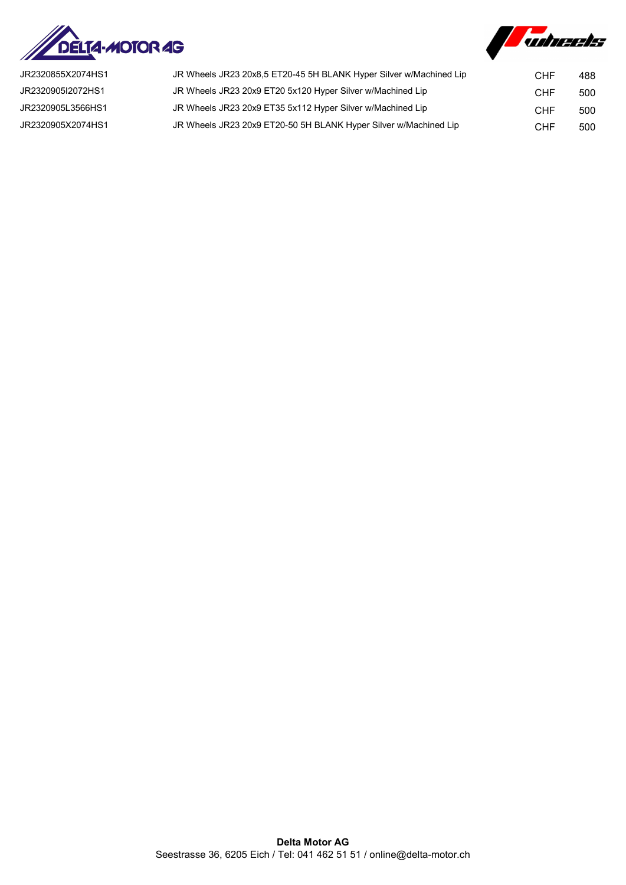



| JR2320855X2074HS1 | JR Wheels JR23 20x8,5 ET20-45 5H BLANK Hyper Silver w/Machined Lip | <b>CHF</b> | 488 |
|-------------------|--------------------------------------------------------------------|------------|-----|
| JR2320905I2072HS1 | JR Wheels JR23 20x9 ET20 5x120 Hyper Silver w/Machined Lip         | CHF        | 500 |
| JR2320905L3566HS1 | JR Wheels JR23 20x9 ET35 5x112 Hyper Silver w/Machined Lip         | CHF        | 500 |
| JR2320905X2074HS1 | JR Wheels JR23 20x9 ET20-50 5H BLANK Hyper Silver w/Machined Lip   | CHF        | 500 |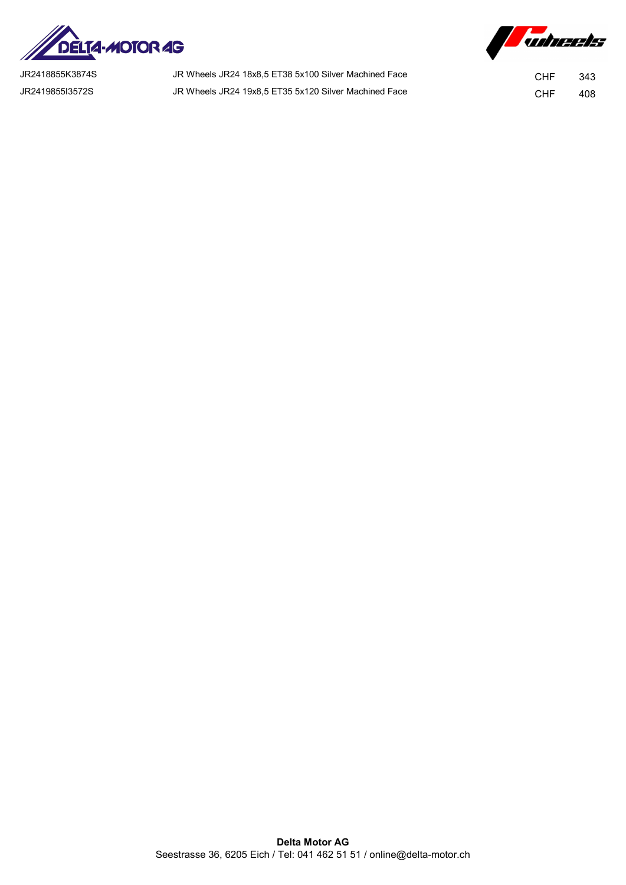



JR2418855K3874S JR Wheels JR24 18x8,5 ET38 5x100 Silver Machined Face CHF 343 JR2419855I3572S JR Wheels JR24 19x8,5 ET35 5x120 Silver Machined Face CHF 408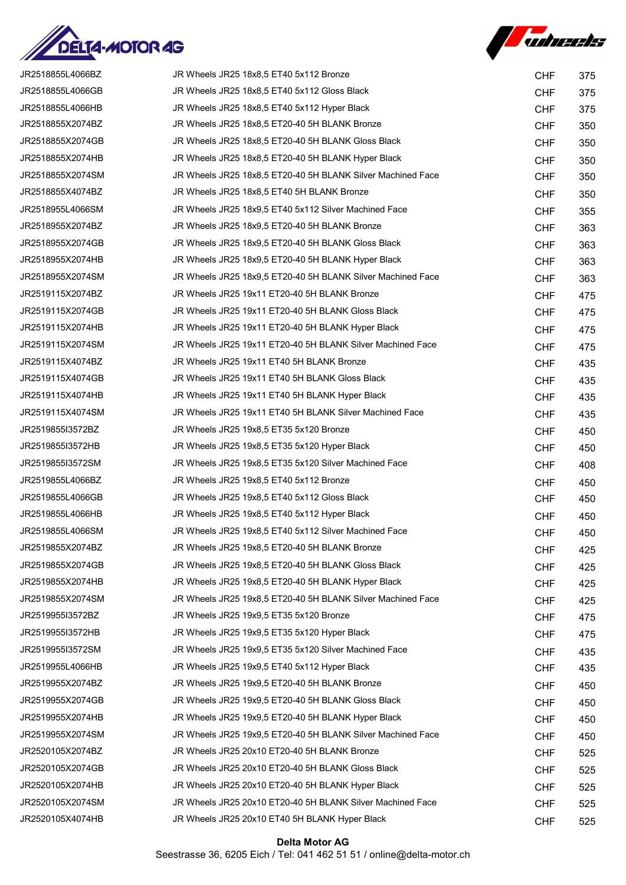



| JR2518855L4066BZ | JR Wheels JR25 18x8,5 ET40 5x112 Bronze                     | <b>CHF</b> | 375 |
|------------------|-------------------------------------------------------------|------------|-----|
| JR2518855L4066GB | JR Wheels JR25 18x8,5 ET40 5x112 Gloss Black                | <b>CHF</b> | 375 |
| JR2518855L4066HB | JR Wheels JR25 18x8,5 ET40 5x112 Hyper Black                | <b>CHF</b> | 375 |
| JR2518855X2074BZ | JR Wheels JR25 18x8,5 ET20-40 5H BLANK Bronze               | <b>CHF</b> | 350 |
| JR2518855X2074GB | JR Wheels JR25 18x8,5 ET20-40 5H BLANK Gloss Black          | <b>CHF</b> | 350 |
| JR2518855X2074HB | JR Wheels JR25 18x8,5 ET20-40 5H BLANK Hyper Black          | <b>CHF</b> | 350 |
| JR2518855X2074SM | JR Wheels JR25 18x8,5 ET20-40 5H BLANK Silver Machined Face | <b>CHF</b> | 350 |
| JR2518855X4074BZ | JR Wheels JR25 18x8,5 ET40 5H BLANK Bronze                  | <b>CHF</b> | 350 |
| JR2518955L4066SM | JR Wheels JR25 18x9.5 ET40 5x112 Silver Machined Face       | <b>CHF</b> | 355 |
| JR2518955X2074BZ | JR Wheels JR25 18x9,5 ET20-40 5H BLANK Bronze               | <b>CHF</b> | 363 |
| JR2518955X2074GB | JR Wheels JR25 18x9,5 ET20-40 5H BLANK Gloss Black          | <b>CHF</b> | 363 |
| JR2518955X2074HB | JR Wheels JR25 18x9,5 ET20-40 5H BLANK Hyper Black          | <b>CHF</b> | 363 |
| JR2518955X2074SM | JR Wheels JR25 18x9,5 ET20-40 5H BLANK Silver Machined Face | <b>CHF</b> | 363 |
| JR2519115X2074BZ | JR Wheels JR25 19x11 ET20-40 5H BLANK Bronze                | <b>CHF</b> | 475 |
| JR2519115X2074GB | JR Wheels JR25 19x11 ET20-40 5H BLANK Gloss Black           | <b>CHF</b> | 475 |
| JR2519115X2074HB | JR Wheels JR25 19x11 ET20-40 5H BLANK Hyper Black           | <b>CHF</b> | 475 |
| JR2519115X2074SM | JR Wheels JR25 19x11 ET20-40 5H BLANK Silver Machined Face  | <b>CHF</b> | 475 |
| JR2519115X4074BZ | JR Wheels JR25 19x11 ET40 5H BLANK Bronze                   | <b>CHF</b> | 435 |
| JR2519115X4074GB | JR Wheels JR25 19x11 ET40 5H BLANK Gloss Black              | <b>CHF</b> | 435 |
| JR2519115X4074HB | JR Wheels JR25 19x11 ET40 5H BLANK Hyper Black              | <b>CHF</b> | 435 |
| JR2519115X4074SM | JR Wheels JR25 19x11 ET40 5H BLANK Silver Machined Face     | <b>CHF</b> | 435 |
| JR2519855I3572BZ | JR Wheels JR25 19x8,5 ET35 5x120 Bronze                     | <b>CHF</b> | 450 |
| JR2519855I3572HB | JR Wheels JR25 19x8,5 ET35 5x120 Hyper Black                | <b>CHF</b> | 450 |
| JR2519855I3572SM | JR Wheels JR25 19x8,5 ET35 5x120 Silver Machined Face       | <b>CHF</b> | 408 |
| JR2519855L4066BZ | JR Wheels JR25 19x8,5 ET40 5x112 Bronze                     | <b>CHF</b> | 450 |
| JR2519855L4066GB | JR Wheels JR25 19x8,5 ET40 5x112 Gloss Black                | <b>CHF</b> | 450 |
| JR2519855L4066HB | JR Wheels JR25 19x8,5 ET40 5x112 Hyper Black                | <b>CHF</b> | 450 |
| JR2519855L4066SM | JR Wheels JR25 19x8,5 ET40 5x112 Silver Machined Face       | <b>CHF</b> | 450 |
| JR2519855X2074BZ | JR Wheels JR25 19x8,5 ET20-40 5H BLANK Bronze               | <b>CHF</b> | 425 |
| JR2519855X2074GB | JR Wheels JR25 19x8,5 ET20-40 5H BLANK Gloss Black          | <b>CHF</b> | 425 |
| JR2519855X2074HB | JR Wheels JR25 19x8,5 ET20-40 5H BLANK Hyper Black          | <b>CHF</b> | 425 |
| JR2519855X2074SM | JR Wheels JR25 19x8,5 ET20-40 5H BLANK Silver Machined Face | <b>CHF</b> | 425 |
| JR2519955I3572BZ | JR Wheels JR25 19x9,5 ET35 5x120 Bronze                     | <b>CHF</b> | 475 |
| JR2519955I3572HB | JR Wheels JR25 19x9,5 ET35 5x120 Hyper Black                | <b>CHF</b> | 475 |
| JR2519955I3572SM | JR Wheels JR25 19x9,5 ET35 5x120 Silver Machined Face       | <b>CHF</b> | 435 |
| JR2519955L4066HB | JR Wheels JR25 19x9,5 ET40 5x112 Hyper Black                | <b>CHF</b> | 435 |
| JR2519955X2074BZ | JR Wheels JR25 19x9,5 ET20-40 5H BLANK Bronze               | <b>CHF</b> | 450 |
| JR2519955X2074GB | JR Wheels JR25 19x9,5 ET20-40 5H BLANK Gloss Black          | <b>CHF</b> | 450 |
| JR2519955X2074HB | JR Wheels JR25 19x9,5 ET20-40 5H BLANK Hyper Black          | <b>CHF</b> | 450 |
| JR2519955X2074SM | JR Wheels JR25 19x9,5 ET20-40 5H BLANK Silver Machined Face | <b>CHF</b> | 450 |
| JR2520105X2074BZ | JR Wheels JR25 20x10 ET20-40 5H BLANK Bronze                | <b>CHF</b> | 525 |
| JR2520105X2074GB | JR Wheels JR25 20x10 ET20-40 5H BLANK Gloss Black           | <b>CHF</b> | 525 |
| JR2520105X2074HB | JR Wheels JR25 20x10 ET20-40 5H BLANK Hyper Black           | <b>CHF</b> | 525 |
| JR2520105X2074SM | JR Wheels JR25 20x10 ET20-40 5H BLANK Silver Machined Face  | <b>CHF</b> | 525 |
| JR2520105X4074HB | JR Wheels JR25 20x10 ET40 5H BLANK Hyper Black              | <b>CHF</b> | 525 |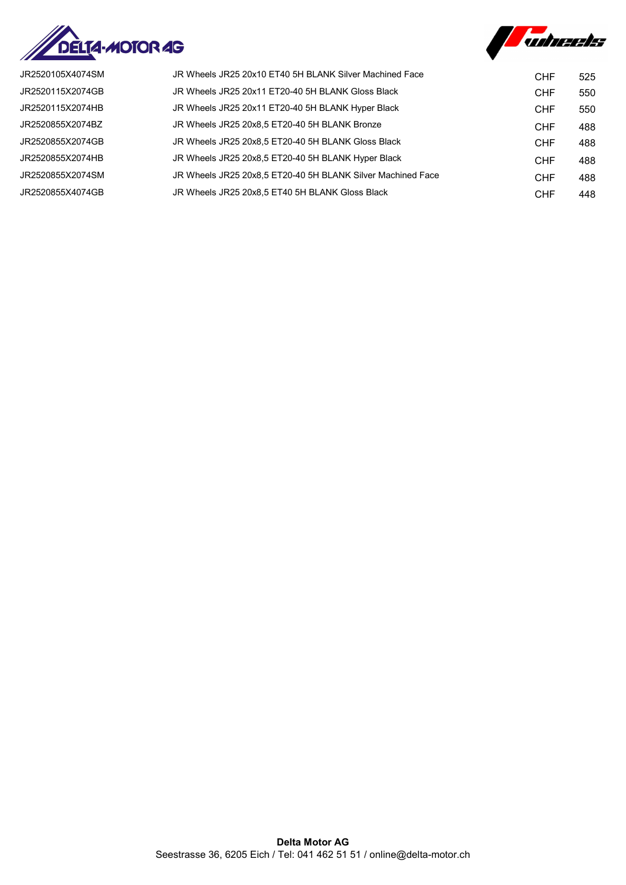



| JR2520105X4074SM | JR Wheels JR25 20x10 ET40 5H BLANK Silver Machined Face     | <b>CHF</b> | 525 |
|------------------|-------------------------------------------------------------|------------|-----|
| JR2520115X2074GB | JR Wheels JR25 20x11 ET20-40 5H BLANK Gloss Black           | <b>CHF</b> | 550 |
| JR2520115X2074HB | JR Wheels JR25 20x11 ET20-40 5H BLANK Hyper Black           | <b>CHF</b> | 550 |
| JR2520855X2074BZ | JR Wheels JR25 20x8,5 ET20-40 5H BLANK Bronze               | <b>CHF</b> | 488 |
| JR2520855X2074GB | JR Wheels JR25 20x8.5 ET20-40 5H BLANK Gloss Black          | <b>CHF</b> | 488 |
| JR2520855X2074HB | JR Wheels JR25 20x8,5 ET20-40 5H BLANK Hyper Black          | <b>CHF</b> | 488 |
| JR2520855X2074SM | JR Wheels JR25 20x8,5 ET20-40 5H BLANK Silver Machined Face | <b>CHF</b> | 488 |
| JR2520855X4074GB | JR Wheels JR25 20x8,5 ET40 5H BLANK Gloss Black             | <b>CHF</b> | 448 |
|                  |                                                             |            |     |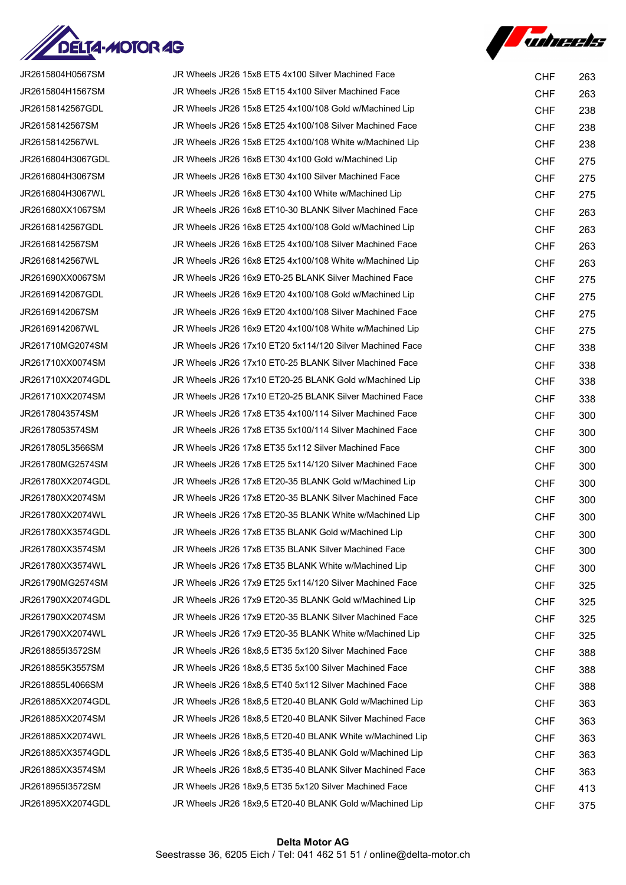

**Autumnets** 

| JR2615804H0567SM  | JR Wheels JR26 15x8 ET5 4x100 Silver Machined Face       | <b>CHF</b> | 263 |
|-------------------|----------------------------------------------------------|------------|-----|
| JR2615804H1567SM  | JR Wheels JR26 15x8 ET15 4x100 Silver Machined Face      | <b>CHF</b> | 263 |
| JR26158142567GDL  | JR Wheels JR26 15x8 ET25 4x100/108 Gold w/Machined Lip   | <b>CHF</b> | 238 |
| JR26158142567SM   | JR Wheels JR26 15x8 ET25 4x100/108 Silver Machined Face  | <b>CHF</b> | 238 |
| JR26158142567WL   | JR Wheels JR26 15x8 ET25 4x100/108 White w/Machined Lip  | <b>CHF</b> | 238 |
| JR2616804H3067GDL | JR Wheels JR26 16x8 ET30 4x100 Gold w/Machined Lip       | <b>CHF</b> | 275 |
| JR2616804H3067SM  | JR Wheels JR26 16x8 ET30 4x100 Silver Machined Face      | <b>CHF</b> | 275 |
| JR2616804H3067WL  | JR Wheels JR26 16x8 ET30 4x100 White w/Machined Lip      | <b>CHF</b> | 275 |
| JR261680XX1067SM  | JR Wheels JR26 16x8 ET10-30 BLANK Silver Machined Face   | <b>CHF</b> | 263 |
| JR26168142567GDL  | JR Wheels JR26 16x8 ET25 4x100/108 Gold w/Machined Lip   | <b>CHF</b> | 263 |
| JR26168142567SM   | JR Wheels JR26 16x8 ET25 4x100/108 Silver Machined Face  | <b>CHF</b> | 263 |
| JR26168142567WL   | JR Wheels JR26 16x8 ET25 4x100/108 White w/Machined Lip  | <b>CHF</b> | 263 |
| JR261690XX0067SM  | JR Wheels JR26 16x9 ET0-25 BLANK Silver Machined Face    | <b>CHF</b> | 275 |
| JR26169142067GDL  | JR Wheels JR26 16x9 ET20 4x100/108 Gold w/Machined Lip   | <b>CHF</b> | 275 |
| JR26169142067SM   | JR Wheels JR26 16x9 ET20 4x100/108 Silver Machined Face  | <b>CHF</b> | 275 |
| JR26169142067WL   | JR Wheels JR26 16x9 ET20 4x100/108 White w/Machined Lip  | <b>CHF</b> | 275 |
| JR261710MG2074SM  | JR Wheels JR26 17x10 ET20 5x114/120 Silver Machined Face | <b>CHF</b> | 338 |
| JR261710XX0074SM  | JR Wheels JR26 17x10 ET0-25 BLANK Silver Machined Face   | <b>CHF</b> | 338 |
| JR261710XX2074GDL | JR Wheels JR26 17x10 ET20-25 BLANK Gold w/Machined Lip   | <b>CHF</b> | 338 |
| JR261710XX2074SM  | JR Wheels JR26 17x10 ET20-25 BLANK Silver Machined Face  | <b>CHF</b> | 338 |
| JR26178043574SM   | JR Wheels JR26 17x8 ET35 4x100/114 Silver Machined Face  | <b>CHF</b> | 300 |
| JR26178053574SM   | JR Wheels JR26 17x8 ET35 5x100/114 Silver Machined Face  | <b>CHF</b> | 300 |
| JR2617805L3566SM  | JR Wheels JR26 17x8 ET35 5x112 Silver Machined Face      | <b>CHF</b> | 300 |
| JR261780MG2574SM  | JR Wheels JR26 17x8 ET25 5x114/120 Silver Machined Face  | <b>CHF</b> | 300 |
| JR261780XX2074GDL | JR Wheels JR26 17x8 ET20-35 BLANK Gold w/Machined Lip    | <b>CHF</b> | 300 |
| JR261780XX2074SM  | JR Wheels JR26 17x8 ET20-35 BLANK Silver Machined Face   | <b>CHF</b> | 300 |
| JR261780XX2074WL  | JR Wheels JR26 17x8 ET20-35 BLANK White w/Machined Lip   | <b>CHF</b> | 300 |
| JR261780XX3574GDL | JR Wheels JR26 17x8 ET35 BLANK Gold w/Machined Lip       | <b>CHF</b> | 300 |
| JR261780XX3574SM  | JR Wheels JR26 17x8 ET35 BLANK Silver Machined Face      | <b>CHF</b> | 300 |
| JR261780XX3574WL  | JR Wheels JR26 17x8 ET35 BLANK White w/Machined Lip      | <b>CHF</b> | 300 |
| JR261790MG2574SM  | JR Wheels JR26 17x9 ET25 5x114/120 Silver Machined Face  | <b>CHF</b> | 325 |
| JR261790XX2074GDL | JR Wheels JR26 17x9 ET20-35 BLANK Gold w/Machined Lip    | <b>CHF</b> | 325 |
| JR261790XX2074SM  | JR Wheels JR26 17x9 ET20-35 BLANK Silver Machined Face   | <b>CHF</b> | 325 |
| JR261790XX2074WL  | JR Wheels JR26 17x9 ET20-35 BLANK White w/Machined Lip   | <b>CHF</b> | 325 |
| JR2618855I3572SM  | JR Wheels JR26 18x8,5 ET35 5x120 Silver Machined Face    | <b>CHF</b> | 388 |
| JR2618855K3557SM  | JR Wheels JR26 18x8,5 ET35 5x100 Silver Machined Face    | <b>CHF</b> | 388 |
| JR2618855L4066SM  | JR Wheels JR26 18x8,5 ET40 5x112 Silver Machined Face    | <b>CHF</b> | 388 |
| JR261885XX2074GDL | JR Wheels JR26 18x8,5 ET20-40 BLANK Gold w/Machined Lip  | <b>CHF</b> | 363 |
| JR261885XX2074SM  | JR Wheels JR26 18x8,5 ET20-40 BLANK Silver Machined Face | <b>CHF</b> | 363 |
| JR261885XX2074WL  | JR Wheels JR26 18x8,5 ET20-40 BLANK White w/Machined Lip | <b>CHF</b> | 363 |
| JR261885XX3574GDL | JR Wheels JR26 18x8,5 ET35-40 BLANK Gold w/Machined Lip  | <b>CHF</b> | 363 |
| JR261885XX3574SM  | JR Wheels JR26 18x8,5 ET35-40 BLANK Silver Machined Face | <b>CHF</b> | 363 |
| JR2618955I3572SM  | JR Wheels JR26 18x9,5 ET35 5x120 Silver Machined Face    | <b>CHF</b> | 413 |
| JR261895XX2074GDL | JR Wheels JR26 18x9,5 ET20-40 BLANK Gold w/Machined Lip  | <b>CHF</b> | 375 |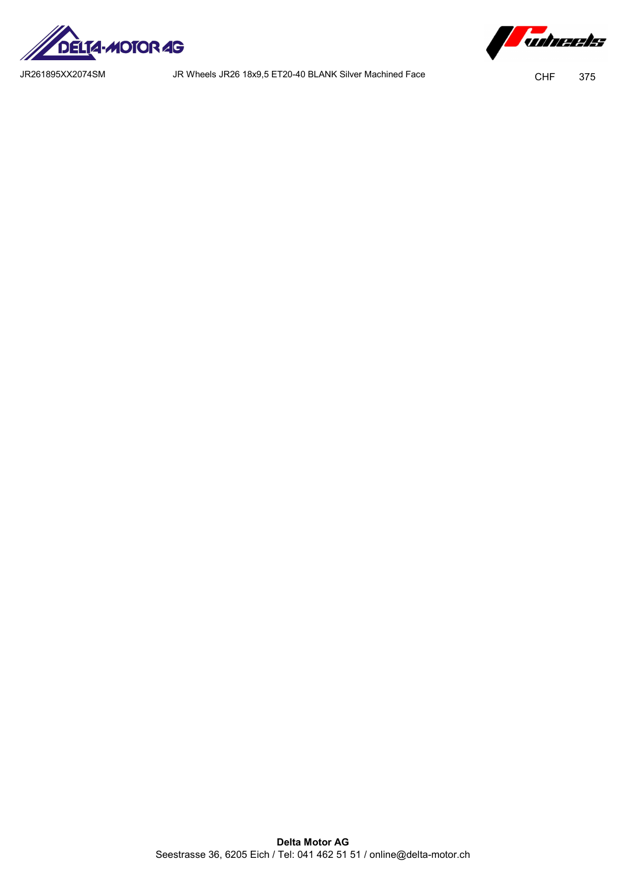



JR261895XX2074SM JR Wheels JR26 18x9,5 ET20-40 BLANK Silver Machined Face CHF 375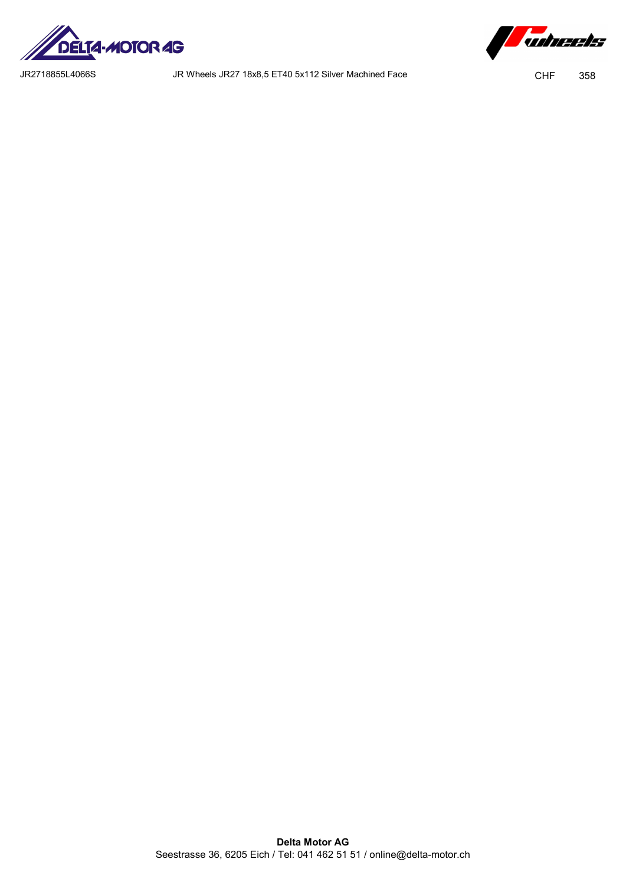

*Tubreets* 

JR2718855L4066S JR Wheels JR27 18x8,5 ET40 5x112 Silver Machined Face CHF 358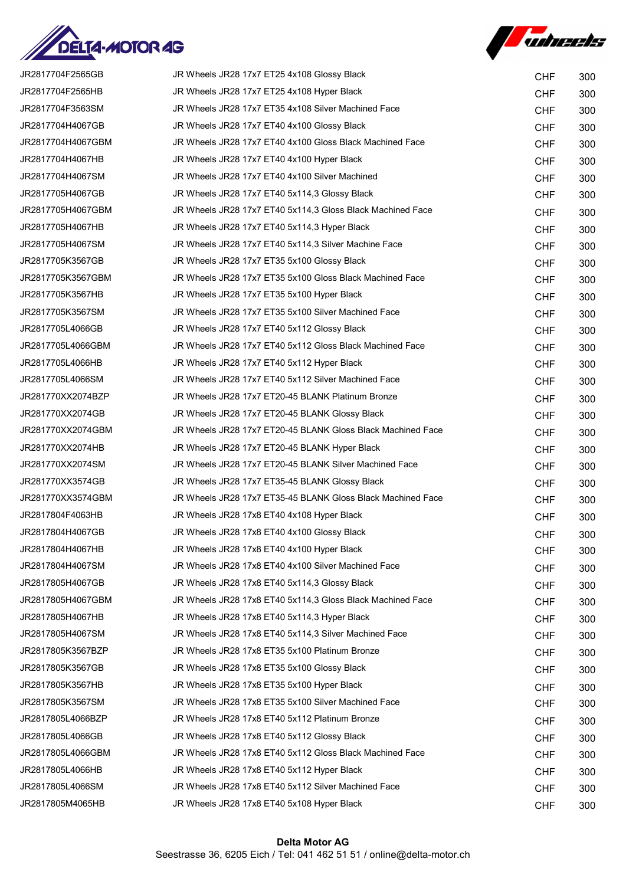



| JR2817704F2565GB  | JR Wheels JR28 17x7 ET25 4x108 Glossy Black                 | <b>CHF</b> | 300 |
|-------------------|-------------------------------------------------------------|------------|-----|
| JR2817704F2565HB  | JR Wheels JR28 17x7 ET25 4x108 Hyper Black                  | <b>CHF</b> | 300 |
| JR2817704F3563SM  | JR Wheels JR28 17x7 ET35 4x108 Silver Machined Face         | <b>CHF</b> | 300 |
| JR2817704H4067GB  | JR Wheels JR28 17x7 ET40 4x100 Glossy Black                 | <b>CHF</b> | 300 |
| JR2817704H4067GBM | JR Wheels JR28 17x7 ET40 4x100 Gloss Black Machined Face    | <b>CHF</b> | 300 |
| JR2817704H4067HB  | JR Wheels JR28 17x7 ET40 4x100 Hyper Black                  | <b>CHF</b> | 300 |
| JR2817704H4067SM  | JR Wheels JR28 17x7 ET40 4x100 Silver Machined              | <b>CHF</b> | 300 |
| JR2817705H4067GB  | JR Wheels JR28 17x7 ET40 5x114,3 Glossy Black               | <b>CHF</b> | 300 |
| JR2817705H4067GBM | JR Wheels JR28 17x7 ET40 5x114,3 Gloss Black Machined Face  | <b>CHF</b> | 300 |
| JR2817705H4067HB  | JR Wheels JR28 17x7 ET40 5x114,3 Hyper Black                | <b>CHF</b> | 300 |
| JR2817705H4067SM  | JR Wheels JR28 17x7 ET40 5x114,3 Silver Machine Face        | <b>CHF</b> | 300 |
| JR2817705K3567GB  | JR Wheels JR28 17x7 ET35 5x100 Glossy Black                 | <b>CHF</b> | 300 |
| JR2817705K3567GBM | JR Wheels JR28 17x7 ET35 5x100 Gloss Black Machined Face    | <b>CHF</b> | 300 |
| JR2817705K3567HB  | JR Wheels JR28 17x7 ET35 5x100 Hyper Black                  | <b>CHF</b> | 300 |
| JR2817705K3567SM  | JR Wheels JR28 17x7 ET35 5x100 Silver Machined Face         | <b>CHF</b> | 300 |
| JR2817705L4066GB  | JR Wheels JR28 17x7 ET40 5x112 Glossy Black                 | <b>CHF</b> | 300 |
| JR2817705L4066GBM | JR Wheels JR28 17x7 ET40 5x112 Gloss Black Machined Face    | <b>CHF</b> | 300 |
| JR2817705L4066HB  | JR Wheels JR28 17x7 ET40 5x112 Hyper Black                  | <b>CHF</b> | 300 |
| JR2817705L4066SM  | JR Wheels JR28 17x7 ET40 5x112 Silver Machined Face         | <b>CHF</b> | 300 |
| JR281770XX2074BZP | JR Wheels JR28 17x7 ET20-45 BLANK Platinum Bronze           | <b>CHF</b> | 300 |
| JR281770XX2074GB  | JR Wheels JR28 17x7 ET20-45 BLANK Glossy Black              | <b>CHF</b> | 300 |
| JR281770XX2074GBM | JR Wheels JR28 17x7 ET20-45 BLANK Gloss Black Machined Face | <b>CHF</b> | 300 |
| JR281770XX2074HB  | JR Wheels JR28 17x7 ET20-45 BLANK Hyper Black               | <b>CHF</b> | 300 |
| JR281770XX2074SM  | JR Wheels JR28 17x7 ET20-45 BLANK Silver Machined Face      | <b>CHF</b> | 300 |
| JR281770XX3574GB  | JR Wheels JR28 17x7 ET35-45 BLANK Glossy Black              | <b>CHF</b> | 300 |
| JR281770XX3574GBM | JR Wheels JR28 17x7 ET35-45 BLANK Gloss Black Machined Face | <b>CHF</b> | 300 |
| JR2817804F4063HB  | JR Wheels JR28 17x8 ET40 4x108 Hyper Black                  | <b>CHF</b> | 300 |
| JR2817804H4067GB  | JR Wheels JR28 17x8 ET40 4x100 Glossy Black                 | <b>CHF</b> | 300 |
| JR2817804H4067HB  | JR Wheels JR28 17x8 ET40 4x100 Hyper Black                  | <b>CHF</b> | 300 |
| JR2817804H4067SM  | JR Wheels JR28 17x8 ET40 4x100 Silver Machined Face         | <b>CHF</b> | 300 |
| JR2817805H4067GB  | JR Wheels JR28 17x8 ET40 5x114,3 Glossy Black               | <b>CHF</b> | 300 |
| JR2817805H4067GBM | JR Wheels JR28 17x8 ET40 5x114,3 Gloss Black Machined Face  | <b>CHF</b> | 300 |
| JR2817805H4067HB  | JR Wheels JR28 17x8 ET40 5x114,3 Hyper Black                | <b>CHF</b> | 300 |
| JR2817805H4067SM  | JR Wheels JR28 17x8 ET40 5x114,3 Silver Machined Face       | <b>CHF</b> | 300 |
| JR2817805K3567BZP | JR Wheels JR28 17x8 ET35 5x100 Platinum Bronze              | <b>CHF</b> | 300 |
| JR2817805K3567GB  | JR Wheels JR28 17x8 ET35 5x100 Glossy Black                 | <b>CHF</b> | 300 |
| JR2817805K3567HB  | JR Wheels JR28 17x8 ET35 5x100 Hyper Black                  | <b>CHF</b> | 300 |
| JR2817805K3567SM  | JR Wheels JR28 17x8 ET35 5x100 Silver Machined Face         | <b>CHF</b> | 300 |
| JR2817805L4066BZP | JR Wheels JR28 17x8 ET40 5x112 Platinum Bronze              | <b>CHF</b> | 300 |
| JR2817805L4066GB  | JR Wheels JR28 17x8 ET40 5x112 Glossy Black                 | <b>CHF</b> | 300 |
| JR2817805L4066GBM | JR Wheels JR28 17x8 ET40 5x112 Gloss Black Machined Face    | <b>CHF</b> | 300 |
| JR2817805L4066HB  | JR Wheels JR28 17x8 ET40 5x112 Hyper Black                  | <b>CHF</b> | 300 |
| JR2817805L4066SM  | JR Wheels JR28 17x8 ET40 5x112 Silver Machined Face         | <b>CHF</b> | 300 |
| JR2817805M4065HB  | JR Wheels JR28 17x8 ET40 5x108 Hyper Black                  | <b>CHF</b> | 300 |
|                   |                                                             |            |     |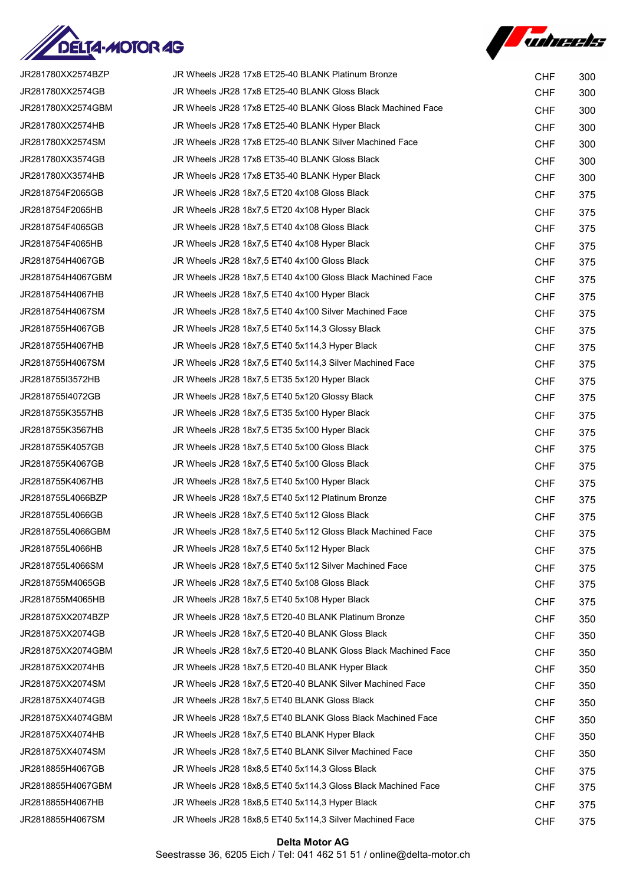



| JR281780XX2574BZP | JR Wheels JR28 17x8 ET25-40 BLANK Platinum Bronze             | <b>CHF</b> | 300 |
|-------------------|---------------------------------------------------------------|------------|-----|
| JR281780XX2574GB  | JR Wheels JR28 17x8 ET25-40 BLANK Gloss Black                 | <b>CHF</b> | 300 |
| JR281780XX2574GBM | JR Wheels JR28 17x8 ET25-40 BLANK Gloss Black Machined Face   | <b>CHF</b> | 300 |
| JR281780XX2574HB  | JR Wheels JR28 17x8 ET25-40 BLANK Hyper Black                 | <b>CHF</b> | 300 |
| JR281780XX2574SM  | JR Wheels JR28 17x8 ET25-40 BLANK Silver Machined Face        | <b>CHF</b> | 300 |
| JR281780XX3574GB  | JR Wheels JR28 17x8 ET35-40 BLANK Gloss Black                 | <b>CHF</b> | 300 |
| JR281780XX3574HB  | JR Wheels JR28 17x8 ET35-40 BLANK Hyper Black                 | <b>CHF</b> | 300 |
| JR2818754F2065GB  | JR Wheels JR28 18x7,5 ET20 4x108 Gloss Black                  | <b>CHF</b> | 375 |
| JR2818754F2065HB  | JR Wheels JR28 18x7,5 ET20 4x108 Hyper Black                  | <b>CHF</b> | 375 |
| JR2818754F4065GB  | JR Wheels JR28 18x7,5 ET40 4x108 Gloss Black                  | <b>CHF</b> | 375 |
| JR2818754F4065HB  | JR Wheels JR28 18x7,5 ET40 4x108 Hyper Black                  | <b>CHF</b> | 375 |
| JR2818754H4067GB  | JR Wheels JR28 18x7,5 ET40 4x100 Gloss Black                  | <b>CHF</b> | 375 |
| JR2818754H4067GBM | JR Wheels JR28 18x7,5 ET40 4x100 Gloss Black Machined Face    | <b>CHF</b> | 375 |
| JR2818754H4067HB  | JR Wheels JR28 18x7,5 ET40 4x100 Hyper Black                  | <b>CHF</b> | 375 |
| JR2818754H4067SM  | JR Wheels JR28 18x7,5 ET40 4x100 Silver Machined Face         | <b>CHF</b> | 375 |
| JR2818755H4067GB  | JR Wheels JR28 18x7,5 ET40 5x114,3 Glossy Black               | <b>CHF</b> | 375 |
| JR2818755H4067HB  | JR Wheels JR28 18x7,5 ET40 5x114,3 Hyper Black                | <b>CHF</b> | 375 |
| JR2818755H4067SM  | JR Wheels JR28 18x7,5 ET40 5x114,3 Silver Machined Face       | <b>CHF</b> | 375 |
| JR2818755I3572HB  | JR Wheels JR28 18x7,5 ET35 5x120 Hyper Black                  | <b>CHF</b> | 375 |
| JR2818755I4072GB  | JR Wheels JR28 18x7,5 ET40 5x120 Glossy Black                 | <b>CHF</b> | 375 |
| JR2818755K3557HB  | JR Wheels JR28 18x7,5 ET35 5x100 Hyper Black                  | <b>CHF</b> | 375 |
| JR2818755K3567HB  | JR Wheels JR28 18x7,5 ET35 5x100 Hyper Black                  | <b>CHF</b> | 375 |
| JR2818755K4057GB  | JR Wheels JR28 18x7,5 ET40 5x100 Gloss Black                  | <b>CHF</b> | 375 |
| JR2818755K4067GB  | JR Wheels JR28 18x7,5 ET40 5x100 Gloss Black                  | <b>CHF</b> | 375 |
| JR2818755K4067HB  | JR Wheels JR28 18x7,5 ET40 5x100 Hyper Black                  | <b>CHF</b> | 375 |
| JR2818755L4066BZP | JR Wheels JR28 18x7,5 ET40 5x112 Platinum Bronze              | <b>CHF</b> | 375 |
| JR2818755L4066GB  | JR Wheels JR28 18x7,5 ET40 5x112 Gloss Black                  | <b>CHF</b> | 375 |
| JR2818755L4066GBM | JR Wheels JR28 18x7,5 ET40 5x112 Gloss Black Machined Face    | <b>CHF</b> | 375 |
| JR2818755L4066HB  | JR Wheels JR28 18x7,5 ET40 5x112 Hyper Black                  | <b>CHF</b> | 375 |
| JR2818755L4066SM  | JR Wheels JR28 18x7,5 ET40 5x112 Silver Machined Face         | <b>CHF</b> | 375 |
| JR2818755M4065GB  | JR Wheels JR28 18x7,5 ET40 5x108 Gloss Black                  | <b>CHF</b> | 375 |
| JR2818755M4065HB  | JR Wheels JR28 18x7,5 ET40 5x108 Hyper Black                  | <b>CHF</b> | 375 |
| JR281875XX2074BZP | JR Wheels JR28 18x7,5 ET20-40 BLANK Platinum Bronze           | <b>CHF</b> | 350 |
| JR281875XX2074GB  | JR Wheels JR28 18x7,5 ET20-40 BLANK Gloss Black               | <b>CHF</b> | 350 |
| JR281875XX2074GBM | JR Wheels JR28 18x7,5 ET20-40 BLANK Gloss Black Machined Face | <b>CHF</b> | 350 |
| JR281875XX2074HB  | JR Wheels JR28 18x7,5 ET20-40 BLANK Hyper Black               | <b>CHF</b> | 350 |
| JR281875XX2074SM  | JR Wheels JR28 18x7,5 ET20-40 BLANK Silver Machined Face      | <b>CHF</b> | 350 |
| JR281875XX4074GB  | JR Wheels JR28 18x7,5 ET40 BLANK Gloss Black                  | <b>CHF</b> | 350 |
| JR281875XX4074GBM | JR Wheels JR28 18x7,5 ET40 BLANK Gloss Black Machined Face    | <b>CHF</b> | 350 |
| JR281875XX4074HB  | JR Wheels JR28 18x7,5 ET40 BLANK Hyper Black                  | <b>CHF</b> | 350 |
| JR281875XX4074SM  | JR Wheels JR28 18x7,5 ET40 BLANK Silver Machined Face         | <b>CHF</b> | 350 |
| JR2818855H4067GB  | JR Wheels JR28 18x8,5 ET40 5x114,3 Gloss Black                | <b>CHF</b> | 375 |
| JR2818855H4067GBM | JR Wheels JR28 18x8,5 ET40 5x114,3 Gloss Black Machined Face  | <b>CHF</b> | 375 |
| JR2818855H4067HB  | JR Wheels JR28 18x8,5 ET40 5x114,3 Hyper Black                | <b>CHF</b> | 375 |
| JR2818855H4067SM  | JR Wheels JR28 18x8,5 ET40 5x114,3 Silver Machined Face       | <b>CHF</b> | 375 |

## Delta Motor AG Seestrasse 36, 6205 Eich / Tel: 041 462 51 51 / online@delta-motor.ch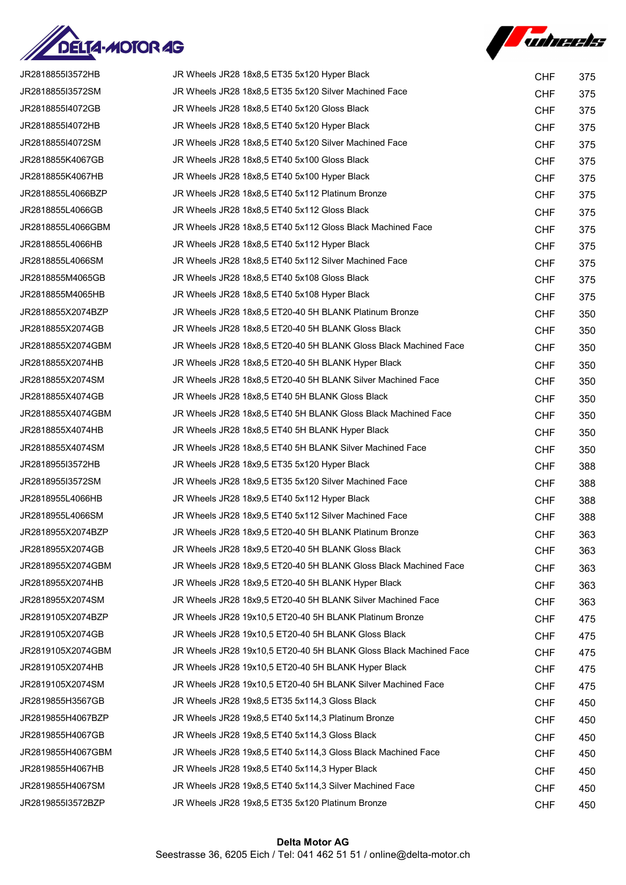



| JR2818855I3572HB  | JR Wheels JR28 18x8,5 ET35 5x120 Hyper Black                      | <b>CHF</b> | 375 |
|-------------------|-------------------------------------------------------------------|------------|-----|
| JR2818855I3572SM  | JR Wheels JR28 18x8,5 ET35 5x120 Silver Machined Face             | <b>CHF</b> | 375 |
| JR2818855I4072GB  | JR Wheels JR28 18x8,5 ET40 5x120 Gloss Black                      | <b>CHF</b> | 375 |
| JR2818855I4072HB  | JR Wheels JR28 18x8,5 ET40 5x120 Hyper Black                      | <b>CHF</b> | 375 |
| JR2818855I4072SM  | JR Wheels JR28 18x8,5 ET40 5x120 Silver Machined Face             | <b>CHF</b> | 375 |
| JR2818855K4067GB  | JR Wheels JR28 18x8,5 ET40 5x100 Gloss Black                      | <b>CHF</b> | 375 |
| JR2818855K4067HB  | JR Wheels JR28 18x8,5 ET40 5x100 Hyper Black                      | <b>CHF</b> | 375 |
| JR2818855L4066BZP | JR Wheels JR28 18x8.5 ET40 5x112 Platinum Bronze                  | <b>CHF</b> | 375 |
| JR2818855L4066GB  | JR Wheels JR28 18x8,5 ET40 5x112 Gloss Black                      | <b>CHF</b> | 375 |
| JR2818855L4066GBM | JR Wheels JR28 18x8,5 ET40 5x112 Gloss Black Machined Face        | <b>CHF</b> | 375 |
| JR2818855L4066HB  | JR Wheels JR28 18x8,5 ET40 5x112 Hyper Black                      | <b>CHF</b> | 375 |
| JR2818855L4066SM  | JR Wheels JR28 18x8,5 ET40 5x112 Silver Machined Face             | <b>CHF</b> | 375 |
| JR2818855M4065GB  | JR Wheels JR28 18x8,5 ET40 5x108 Gloss Black                      | <b>CHF</b> | 375 |
| JR2818855M4065HB  | JR Wheels JR28 18x8,5 ET40 5x108 Hyper Black                      | <b>CHF</b> | 375 |
| JR2818855X2074BZP | JR Wheels JR28 18x8.5 ET20-40 5H BLANK Platinum Bronze            | <b>CHF</b> | 350 |
| JR2818855X2074GB  | JR Wheels JR28 18x8,5 ET20-40 5H BLANK Gloss Black                | <b>CHF</b> | 350 |
| JR2818855X2074GBM | JR Wheels JR28 18x8,5 ET20-40 5H BLANK Gloss Black Machined Face  | <b>CHF</b> | 350 |
| JR2818855X2074HB  | JR Wheels JR28 18x8,5 ET20-40 5H BLANK Hyper Black                | <b>CHF</b> | 350 |
| JR2818855X2074SM  | JR Wheels JR28 18x8,5 ET20-40 5H BLANK Silver Machined Face       | <b>CHF</b> | 350 |
| JR2818855X4074GB  | JR Wheels JR28 18x8,5 ET40 5H BLANK Gloss Black                   | <b>CHF</b> | 350 |
| JR2818855X4074GBM | JR Wheels JR28 18x8,5 ET40 5H BLANK Gloss Black Machined Face     | <b>CHF</b> | 350 |
| JR2818855X4074HB  | JR Wheels JR28 18x8,5 ET40 5H BLANK Hyper Black                   | <b>CHF</b> | 350 |
| JR2818855X4074SM  | JR Wheels JR28 18x8,5 ET40 5H BLANK Silver Machined Face          | <b>CHF</b> | 350 |
| JR2818955I3572HB  | JR Wheels JR28 18x9,5 ET35 5x120 Hyper Black                      | <b>CHF</b> | 388 |
| JR2818955I3572SM  | JR Wheels JR28 18x9,5 ET35 5x120 Silver Machined Face             | <b>CHF</b> | 388 |
| JR2818955L4066HB  | JR Wheels JR28 18x9,5 ET40 5x112 Hyper Black                      | <b>CHF</b> | 388 |
| JR2818955L4066SM  | JR Wheels JR28 18x9,5 ET40 5x112 Silver Machined Face             | <b>CHF</b> | 388 |
| JR2818955X2074BZP | JR Wheels JR28 18x9,5 ET20-40 5H BLANK Platinum Bronze            | <b>CHF</b> | 363 |
| JR2818955X2074GB  | JR Wheels JR28 18x9,5 ET20-40 5H BLANK Gloss Black                | <b>CHF</b> | 363 |
| JR2818955X2074GBM | JR Wheels JR28 18x9,5 ET20-40 5H BLANK Gloss Black Machined Face  | <b>CHF</b> | 363 |
| JR2818955X2074HB  | JR Wheels JR28 18x9,5 ET20-40 5H BLANK Hyper Black                | <b>CHF</b> | 363 |
| JR2818955X2074SM  | JR Wheels JR28 18x9.5 ET20-40 5H BLANK Silver Machined Face       | <b>CHF</b> | 363 |
| JR2819105X2074BZP | JR Wheels JR28 19x10,5 ET20-40 5H BLANK Platinum Bronze           | <b>CHF</b> | 475 |
| JR2819105X2074GB  | JR Wheels JR28 19x10,5 ET20-40 5H BLANK Gloss Black               | <b>CHF</b> | 475 |
| JR2819105X2074GBM | JR Wheels JR28 19x10,5 ET20-40 5H BLANK Gloss Black Machined Face | <b>CHF</b> | 475 |
| JR2819105X2074HB  | JR Wheels JR28 19x10,5 ET20-40 5H BLANK Hyper Black               | <b>CHF</b> | 475 |
| JR2819105X2074SM  | JR Wheels JR28 19x10,5 ET20-40 5H BLANK Silver Machined Face      | <b>CHF</b> | 475 |
| JR2819855H3567GB  | JR Wheels JR28 19x8,5 ET35 5x114,3 Gloss Black                    | <b>CHF</b> | 450 |
| JR2819855H4067BZP | JR Wheels JR28 19x8,5 ET40 5x114,3 Platinum Bronze                | <b>CHF</b> | 450 |
| JR2819855H4067GB  | JR Wheels JR28 19x8,5 ET40 5x114,3 Gloss Black                    | <b>CHF</b> | 450 |
| JR2819855H4067GBM | JR Wheels JR28 19x8,5 ET40 5x114,3 Gloss Black Machined Face      | <b>CHF</b> | 450 |
| JR2819855H4067HB  | JR Wheels JR28 19x8,5 ET40 5x114,3 Hyper Black                    | <b>CHF</b> | 450 |
| JR2819855H4067SM  | JR Wheels JR28 19x8,5 ET40 5x114,3 Silver Machined Face           | <b>CHF</b> | 450 |
| JR2819855I3572BZP | JR Wheels JR28 19x8,5 ET35 5x120 Platinum Bronze                  | <b>CHF</b> | 450 |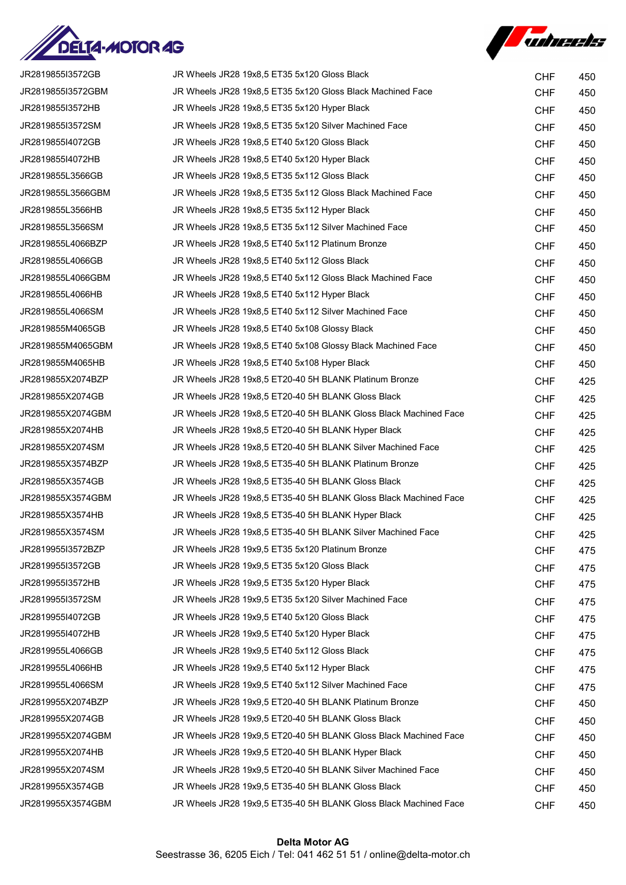



| JR2819855I3572GB  | JR Wheels JR28 19x8,5 ET35 5x120 Gloss Black                     | <b>CHF</b> | 450 |
|-------------------|------------------------------------------------------------------|------------|-----|
| JR2819855I3572GBM | JR Wheels JR28 19x8,5 ET35 5x120 Gloss Black Machined Face       | <b>CHF</b> | 450 |
| JR2819855I3572HB  | JR Wheels JR28 19x8,5 ET35 5x120 Hyper Black                     | <b>CHF</b> | 450 |
| JR2819855I3572SM  | JR Wheels JR28 19x8,5 ET35 5x120 Silver Machined Face            | <b>CHF</b> | 450 |
| JR2819855I4072GB  | JR Wheels JR28 19x8,5 ET40 5x120 Gloss Black                     | <b>CHF</b> | 450 |
| JR2819855I4072HB  | JR Wheels JR28 19x8,5 ET40 5x120 Hyper Black                     | <b>CHF</b> | 450 |
| JR2819855L3566GB  | JR Wheels JR28 19x8,5 ET35 5x112 Gloss Black                     | <b>CHF</b> | 450 |
| JR2819855L3566GBM | JR Wheels JR28 19x8,5 ET35 5x112 Gloss Black Machined Face       | <b>CHF</b> | 450 |
| JR2819855L3566HB  | JR Wheels JR28 19x8,5 ET35 5x112 Hyper Black                     | <b>CHF</b> | 450 |
| JR2819855L3566SM  | JR Wheels JR28 19x8,5 ET35 5x112 Silver Machined Face            | <b>CHF</b> | 450 |
| JR2819855L4066BZP | JR Wheels JR28 19x8,5 ET40 5x112 Platinum Bronze                 | <b>CHF</b> | 450 |
| JR2819855L4066GB  | JR Wheels JR28 19x8,5 ET40 5x112 Gloss Black                     | <b>CHF</b> | 450 |
| JR2819855L4066GBM | JR Wheels JR28 19x8,5 ET40 5x112 Gloss Black Machined Face       | <b>CHF</b> | 450 |
| JR2819855L4066HB  | JR Wheels JR28 19x8,5 ET40 5x112 Hyper Black                     | <b>CHF</b> | 450 |
| JR2819855L4066SM  | JR Wheels JR28 19x8,5 ET40 5x112 Silver Machined Face            | <b>CHF</b> | 450 |
| JR2819855M4065GB  | JR Wheels JR28 19x8,5 ET40 5x108 Glossy Black                    | <b>CHF</b> | 450 |
| JR2819855M4065GBM | JR Wheels JR28 19x8,5 ET40 5x108 Glossy Black Machined Face      | <b>CHF</b> | 450 |
| JR2819855M4065HB  | JR Wheels JR28 19x8,5 ET40 5x108 Hyper Black                     | <b>CHF</b> | 450 |
| JR2819855X2074BZP | JR Wheels JR28 19x8,5 ET20-40 5H BLANK Platinum Bronze           | <b>CHF</b> | 425 |
| JR2819855X2074GB  | JR Wheels JR28 19x8,5 ET20-40 5H BLANK Gloss Black               | <b>CHF</b> | 425 |
| JR2819855X2074GBM | JR Wheels JR28 19x8,5 ET20-40 5H BLANK Gloss Black Machined Face | <b>CHF</b> | 425 |
| JR2819855X2074HB  | JR Wheels JR28 19x8,5 ET20-40 5H BLANK Hyper Black               | <b>CHF</b> | 425 |
| JR2819855X2074SM  | JR Wheels JR28 19x8,5 ET20-40 5H BLANK Silver Machined Face      | <b>CHF</b> | 425 |
| JR2819855X3574BZP | JR Wheels JR28 19x8,5 ET35-40 5H BLANK Platinum Bronze           | <b>CHF</b> | 425 |
| JR2819855X3574GB  | JR Wheels JR28 19x8,5 ET35-40 5H BLANK Gloss Black               | <b>CHF</b> | 425 |
| JR2819855X3574GBM | JR Wheels JR28 19x8,5 ET35-40 5H BLANK Gloss Black Machined Face | <b>CHF</b> | 425 |
| JR2819855X3574HB  | JR Wheels JR28 19x8,5 ET35-40 5H BLANK Hyper Black               | <b>CHF</b> | 425 |
| JR2819855X3574SM  | JR Wheels JR28 19x8,5 ET35-40 5H BLANK Silver Machined Face      | <b>CHF</b> | 425 |
| JR2819955I3572BZP | JR Wheels JR28 19x9,5 ET35 5x120 Platinum Bronze                 | <b>CHF</b> | 475 |
| JR2819955I3572GB  | JR Wheels JR28 19x9,5 ET35 5x120 Gloss Black                     | <b>CHF</b> | 475 |
| JR2819955I3572HB  | JR Wheels JR28 19x9,5 ET35 5x120 Hyper Black                     | <b>CHF</b> | 475 |
| JR2819955I3572SM  | JR Wheels JR28 19x9,5 ET35 5x120 Silver Machined Face            | <b>CHF</b> | 475 |
| JR2819955I4072GB  | JR Wheels JR28 19x9,5 ET40 5x120 Gloss Black                     | <b>CHF</b> | 475 |
| JR2819955I4072HB  | JR Wheels JR28 19x9,5 ET40 5x120 Hyper Black                     | <b>CHF</b> | 475 |
| JR2819955L4066GB  | JR Wheels JR28 19x9,5 ET40 5x112 Gloss Black                     | <b>CHF</b> | 475 |
| JR2819955L4066HB  | JR Wheels JR28 19x9,5 ET40 5x112 Hyper Black                     | <b>CHF</b> | 475 |
| JR2819955L4066SM  | JR Wheels JR28 19x9,5 ET40 5x112 Silver Machined Face            | <b>CHF</b> | 475 |
| JR2819955X2074BZP | JR Wheels JR28 19x9,5 ET20-40 5H BLANK Platinum Bronze           | <b>CHF</b> | 450 |
| JR2819955X2074GB  | JR Wheels JR28 19x9,5 ET20-40 5H BLANK Gloss Black               | <b>CHF</b> | 450 |
| JR2819955X2074GBM | JR Wheels JR28 19x9,5 ET20-40 5H BLANK Gloss Black Machined Face | <b>CHF</b> | 450 |
| JR2819955X2074HB  | JR Wheels JR28 19x9,5 ET20-40 5H BLANK Hyper Black               | <b>CHF</b> | 450 |
| JR2819955X2074SM  | JR Wheels JR28 19x9,5 ET20-40 5H BLANK Silver Machined Face      | <b>CHF</b> | 450 |
| JR2819955X3574GB  | JR Wheels JR28 19x9,5 ET35-40 5H BLANK Gloss Black               | <b>CHF</b> | 450 |
| JR2819955X3574GBM | JR Wheels JR28 19x9,5 ET35-40 5H BLANK Gloss Black Machined Face | <b>CHF</b> | 450 |
|                   |                                                                  |            |     |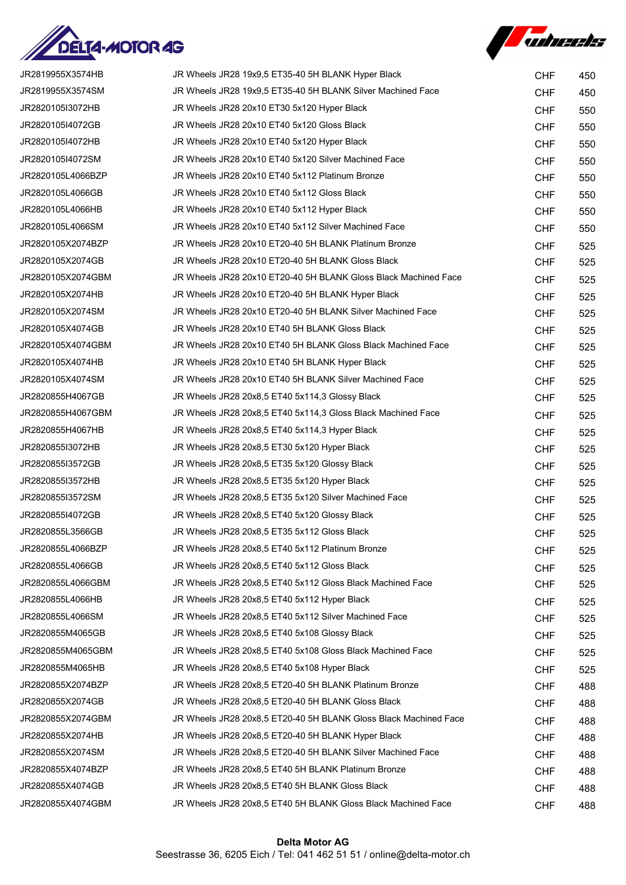



| JR2819955X3574HB  | JR Wheels JR28 19x9,5 ET35-40 5H BLANK Hyper Black               | <b>CHF</b> | 450 |
|-------------------|------------------------------------------------------------------|------------|-----|
| JR2819955X3574SM  | JR Wheels JR28 19x9,5 ET35-40 5H BLANK Silver Machined Face      | <b>CHF</b> | 450 |
| JR2820105I3072HB  | JR Wheels JR28 20x10 ET30 5x120 Hyper Black                      | <b>CHF</b> | 550 |
| JR2820105I4072GB  | JR Wheels JR28 20x10 ET40 5x120 Gloss Black                      | <b>CHF</b> | 550 |
| JR2820105I4072HB  | JR Wheels JR28 20x10 ET40 5x120 Hyper Black                      | <b>CHF</b> | 550 |
| JR2820105I4072SM  | JR Wheels JR28 20x10 ET40 5x120 Silver Machined Face             | <b>CHF</b> | 550 |
| JR2820105L4066BZP | JR Wheels JR28 20x10 ET40 5x112 Platinum Bronze                  | <b>CHF</b> | 550 |
| JR2820105L4066GB  | JR Wheels JR28 20x10 ET40 5x112 Gloss Black                      | <b>CHF</b> | 550 |
| JR2820105L4066HB  | JR Wheels JR28 20x10 ET40 5x112 Hyper Black                      | <b>CHF</b> | 550 |
| JR2820105L4066SM  | JR Wheels JR28 20x10 ET40 5x112 Silver Machined Face             | <b>CHF</b> | 550 |
| JR2820105X2074BZP | JR Wheels JR28 20x10 ET20-40 5H BLANK Platinum Bronze            | <b>CHF</b> | 525 |
| JR2820105X2074GB  | JR Wheels JR28 20x10 ET20-40 5H BLANK Gloss Black                | <b>CHF</b> | 525 |
| JR2820105X2074GBM | JR Wheels JR28 20x10 ET20-40 5H BLANK Gloss Black Machined Face  | <b>CHF</b> | 525 |
| JR2820105X2074HB  | JR Wheels JR28 20x10 ET20-40 5H BLANK Hyper Black                | <b>CHF</b> | 525 |
| JR2820105X2074SM  | JR Wheels JR28 20x10 ET20-40 5H BLANK Silver Machined Face       | <b>CHF</b> | 525 |
| JR2820105X4074GB  | JR Wheels JR28 20x10 ET40 5H BLANK Gloss Black                   | <b>CHF</b> | 525 |
| JR2820105X4074GBM | JR Wheels JR28 20x10 ET40 5H BLANK Gloss Black Machined Face     | <b>CHF</b> | 525 |
| JR2820105X4074HB  | JR Wheels JR28 20x10 ET40 5H BLANK Hyper Black                   | <b>CHF</b> | 525 |
| JR2820105X4074SM  | JR Wheels JR28 20x10 ET40 5H BLANK Silver Machined Face          | <b>CHF</b> | 525 |
| JR2820855H4067GB  | JR Wheels JR28 20x8,5 ET40 5x114,3 Glossy Black                  | <b>CHF</b> | 525 |
| JR2820855H4067GBM | JR Wheels JR28 20x8,5 ET40 5x114,3 Gloss Black Machined Face     | <b>CHF</b> | 525 |
| JR2820855H4067HB  | JR Wheels JR28 20x8,5 ET40 5x114,3 Hyper Black                   | <b>CHF</b> | 525 |
| JR2820855I3072HB  | JR Wheels JR28 20x8,5 ET30 5x120 Hyper Black                     | <b>CHF</b> | 525 |
| JR2820855I3572GB  | JR Wheels JR28 20x8,5 ET35 5x120 Glossy Black                    | <b>CHF</b> | 525 |
| JR2820855I3572HB  | JR Wheels JR28 20x8,5 ET35 5x120 Hyper Black                     | <b>CHF</b> | 525 |
| JR2820855I3572SM  | JR Wheels JR28 20x8,5 ET35 5x120 Silver Machined Face            | <b>CHF</b> | 525 |
| JR2820855I4072GB  | JR Wheels JR28 20x8,5 ET40 5x120 Glossy Black                    | <b>CHF</b> | 525 |
| JR2820855L3566GB  | JR Wheels JR28 20x8,5 ET35 5x112 Gloss Black                     | <b>CHF</b> | 525 |
| JR2820855L4066BZP | JR Wheels JR28 20x8.5 ET40 5x112 Platinum Bronze                 | <b>CHF</b> | 525 |
| JR2820855L4066GB  | JR Wheels JR28 20x8,5 ET40 5x112 Gloss Black                     | <b>CHF</b> | 525 |
| JR2820855L4066GBM | JR Wheels JR28 20x8,5 ET40 5x112 Gloss Black Machined Face       | <b>CHF</b> | 525 |
| JR2820855L4066HB  | JR Wheels JR28 20x8,5 ET40 5x112 Hyper Black                     | <b>CHF</b> | 525 |
| JR2820855L4066SM  | JR Wheels JR28 20x8,5 ET40 5x112 Silver Machined Face            | <b>CHF</b> | 525 |
| JR2820855M4065GB  | JR Wheels JR28 20x8,5 ET40 5x108 Glossy Black                    | <b>CHF</b> | 525 |
| JR2820855M4065GBM | JR Wheels JR28 20x8,5 ET40 5x108 Gloss Black Machined Face       | <b>CHF</b> | 525 |
| JR2820855M4065HB  | JR Wheels JR28 20x8,5 ET40 5x108 Hyper Black                     | <b>CHF</b> | 525 |
| JR2820855X2074BZP | JR Wheels JR28 20x8,5 ET20-40 5H BLANK Platinum Bronze           | <b>CHF</b> | 488 |
| JR2820855X2074GB  | JR Wheels JR28 20x8,5 ET20-40 5H BLANK Gloss Black               | <b>CHF</b> | 488 |
| JR2820855X2074GBM | JR Wheels JR28 20x8,5 ET20-40 5H BLANK Gloss Black Machined Face | <b>CHF</b> | 488 |
| JR2820855X2074HB  | JR Wheels JR28 20x8,5 ET20-40 5H BLANK Hyper Black               | <b>CHF</b> | 488 |
| JR2820855X2074SM  | JR Wheels JR28 20x8,5 ET20-40 5H BLANK Silver Machined Face      | <b>CHF</b> | 488 |
| JR2820855X4074BZP | JR Wheels JR28 20x8,5 ET40 5H BLANK Platinum Bronze              | <b>CHF</b> | 488 |
| JR2820855X4074GB  | JR Wheels JR28 20x8,5 ET40 5H BLANK Gloss Black                  | <b>CHF</b> | 488 |
| JR2820855X4074GBM | JR Wheels JR28 20x8,5 ET40 5H BLANK Gloss Black Machined Face    | <b>CHF</b> | 488 |
|                   |                                                                  |            |     |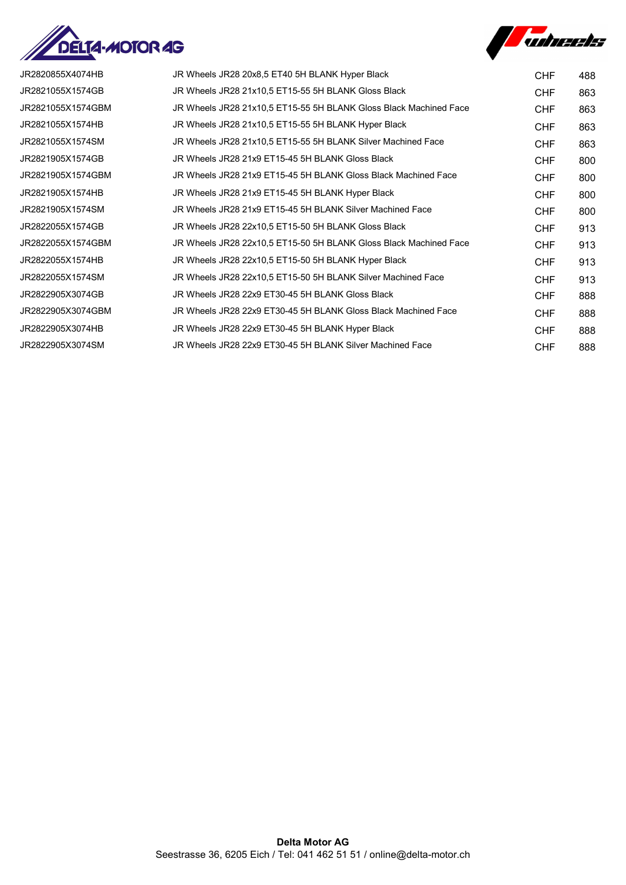



| JR2820855X4074HB  | JR Wheels JR28 20x8,5 ET40 5H BLANK Hyper Black                   | CHF        | 488 |
|-------------------|-------------------------------------------------------------------|------------|-----|
| JR2821055X1574GB  | JR Wheels JR28 21x10,5 ET15-55 5H BLANK Gloss Black               | CHF        | 863 |
| JR2821055X1574GBM | JR Wheels JR28 21x10.5 ET15-55 5H BLANK Gloss Black Machined Face | <b>CHF</b> | 863 |
| JR2821055X1574HB  | JR Wheels JR28 21x10,5 ET15-55 5H BLANK Hyper Black               | CHF        | 863 |
| JR2821055X1574SM  | JR Wheels JR28 21x10,5 ET15-55 5H BLANK Silver Machined Face      | CHF        | 863 |
| JR2821905X1574GB  | JR Wheels JR28 21x9 ET15-45 5H BLANK Gloss Black                  | CHF        | 800 |
| JR2821905X1574GBM | JR Wheels JR28 21x9 ET15-45 5H BLANK Gloss Black Machined Face    | CHF        | 800 |
| JR2821905X1574HB  | JR Wheels JR28 21x9 ET15-45 5H BLANK Hyper Black                  | <b>CHF</b> | 800 |
| JR2821905X1574SM  | JR Wheels JR28 21x9 ET15-45 5H BLANK Silver Machined Face         | <b>CHF</b> | 800 |
| JR2822055X1574GB  | JR Wheels JR28 22x10,5 ET15-50 5H BLANK Gloss Black               | <b>CHF</b> | 913 |
| JR2822055X1574GBM | JR Wheels JR28 22x10,5 ET15-50 5H BLANK Gloss Black Machined Face | CHF        | 913 |
| JR2822055X1574HB  | JR Wheels JR28 22x10,5 ET15-50 5H BLANK Hyper Black               | CHF        | 913 |
| JR2822055X1574SM  | JR Wheels JR28 22x10,5 ET15-50 5H BLANK Silver Machined Face      | CHF        | 913 |
| JR2822905X3074GB  | JR Wheels JR28 22x9 ET30-45 5H BLANK Gloss Black                  | <b>CHF</b> | 888 |
| JR2822905X3074GBM | JR Wheels JR28 22x9 ET30-45 5H BLANK Gloss Black Machined Face    | <b>CHF</b> | 888 |
| JR2822905X3074HB  | JR Wheels JR28 22x9 ET30-45 5H BLANK Hyper Black                  | <b>CHF</b> | 888 |
| JR2822905X3074SM  | JR Wheels JR28 22x9 ET30-45 5H BLANK Silver Machined Face         | <b>CHF</b> | 888 |
|                   |                                                                   |            |     |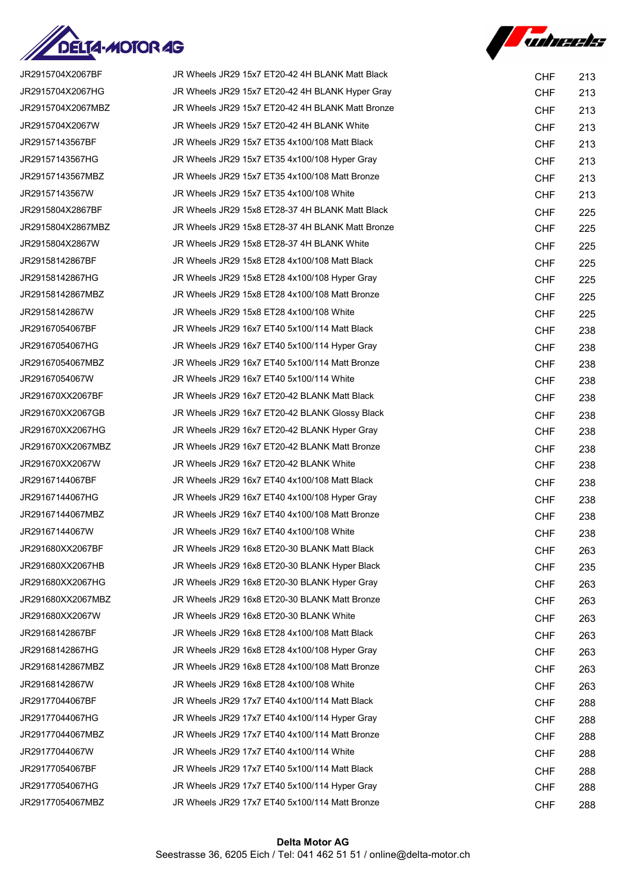

**Suhreets** 

| JR2915704X2067BF  | JR Wheels JR29 15x7 ET20-42 4H BLANK Matt Black  | <b>CHF</b> | 213 |
|-------------------|--------------------------------------------------|------------|-----|
| JR2915704X2067HG  | JR Wheels JR29 15x7 ET20-42 4H BLANK Hyper Gray  | <b>CHF</b> | 213 |
| JR2915704X2067MBZ | JR Wheels JR29 15x7 ET20-42 4H BLANK Matt Bronze | <b>CHF</b> | 213 |
| JR2915704X2067W   | JR Wheels JR29 15x7 ET20-42 4H BLANK White       | <b>CHF</b> | 213 |
| JR29157143567BF   | JR Wheels JR29 15x7 ET35 4x100/108 Matt Black    | <b>CHF</b> | 213 |
| JR29157143567HG   | JR Wheels JR29 15x7 ET35 4x100/108 Hyper Gray    | <b>CHF</b> | 213 |
| JR29157143567MBZ  | JR Wheels JR29 15x7 ET35 4x100/108 Matt Bronze   | <b>CHF</b> | 213 |
| JR29157143567W    | JR Wheels JR29 15x7 ET35 4x100/108 White         | <b>CHF</b> | 213 |
| JR2915804X2867BF  | JR Wheels JR29 15x8 ET28-37 4H BLANK Matt Black  | <b>CHF</b> | 225 |
| JR2915804X2867MBZ | JR Wheels JR29 15x8 ET28-37 4H BLANK Matt Bronze | <b>CHF</b> | 225 |
| JR2915804X2867W   | JR Wheels JR29 15x8 ET28-37 4H BLANK White       | <b>CHF</b> | 225 |
| JR29158142867BF   | JR Wheels JR29 15x8 ET28 4x100/108 Matt Black    | <b>CHF</b> | 225 |
| JR29158142867HG   | JR Wheels JR29 15x8 ET28 4x100/108 Hyper Gray    | <b>CHF</b> | 225 |
| JR29158142867MBZ  | JR Wheels JR29 15x8 ET28 4x100/108 Matt Bronze   | <b>CHF</b> | 225 |
| JR29158142867W    | JR Wheels JR29 15x8 ET28 4x100/108 White         | <b>CHF</b> | 225 |
| JR29167054067BF   | JR Wheels JR29 16x7 ET40 5x100/114 Matt Black    | <b>CHF</b> | 238 |
| JR29167054067HG   | JR Wheels JR29 16x7 ET40 5x100/114 Hyper Gray    | <b>CHF</b> | 238 |
| JR29167054067MBZ  | JR Wheels JR29 16x7 ET40 5x100/114 Matt Bronze   | <b>CHF</b> | 238 |
| JR29167054067W    | JR Wheels JR29 16x7 ET40 5x100/114 White         | <b>CHF</b> | 238 |
| JR291670XX2067BF  | JR Wheels JR29 16x7 ET20-42 BLANK Matt Black     | <b>CHF</b> | 238 |
| JR291670XX2067GB  | JR Wheels JR29 16x7 ET20-42 BLANK Glossy Black   | <b>CHF</b> | 238 |
| JR291670XX2067HG  | JR Wheels JR29 16x7 ET20-42 BLANK Hyper Gray     | <b>CHF</b> | 238 |
| JR291670XX2067MBZ | JR Wheels JR29 16x7 ET20-42 BLANK Matt Bronze    | <b>CHF</b> | 238 |
| JR291670XX2067W   | JR Wheels JR29 16x7 ET20-42 BLANK White          | <b>CHF</b> | 238 |
| JR29167144067BF   | JR Wheels JR29 16x7 ET40 4x100/108 Matt Black    | <b>CHF</b> | 238 |
| JR29167144067HG   | JR Wheels JR29 16x7 ET40 4x100/108 Hyper Gray    | <b>CHF</b> | 238 |
| JR29167144067MBZ  | JR Wheels JR29 16x7 ET40 4x100/108 Matt Bronze   | <b>CHF</b> | 238 |
| JR29167144067W    | JR Wheels JR29 16x7 ET40 4x100/108 White         | <b>CHF</b> | 238 |
| JR291680XX2067BF  | JR Wheels JR29 16x8 ET20-30 BLANK Matt Black     | <b>CHF</b> | 263 |
| JR291680XX2067HB  | JR Wheels JR29 16x8 ET20-30 BLANK Hyper Black    | <b>CHF</b> | 235 |
| JR291680XX2067HG  | JR Wheels JR29 16x8 ET20-30 BLANK Hyper Gray     | <b>CHF</b> | 263 |
| JR291680XX2067MBZ | JR Wheels JR29 16x8 ET20-30 BLANK Matt Bronze    | <b>CHF</b> | 263 |
| JR291680XX2067W   | JR Wheels JR29 16x8 ET20-30 BLANK White          | <b>CHF</b> | 263 |
| JR29168142867BF   | JR Wheels JR29 16x8 ET28 4x100/108 Matt Black    | <b>CHF</b> | 263 |
| JR29168142867HG   | JR Wheels JR29 16x8 ET28 4x100/108 Hyper Gray    | <b>CHF</b> | 263 |
| JR29168142867MBZ  | JR Wheels JR29 16x8 ET28 4x100/108 Matt Bronze   | <b>CHF</b> | 263 |
| JR29168142867W    | JR Wheels JR29 16x8 ET28 4x100/108 White         | <b>CHF</b> | 263 |
| JR29177044067BF   | JR Wheels JR29 17x7 ET40 4x100/114 Matt Black    | <b>CHF</b> | 288 |
| JR29177044067HG   | JR Wheels JR29 17x7 ET40 4x100/114 Hyper Gray    | <b>CHF</b> | 288 |
| JR29177044067MBZ  | JR Wheels JR29 17x7 ET40 4x100/114 Matt Bronze   | <b>CHF</b> | 288 |
| JR29177044067W    | JR Wheels JR29 17x7 ET40 4x100/114 White         | <b>CHF</b> | 288 |
| JR29177054067BF   | JR Wheels JR29 17x7 ET40 5x100/114 Matt Black    | <b>CHF</b> | 288 |
| JR29177054067HG   | JR Wheels JR29 17x7 ET40 5x100/114 Hyper Gray    | <b>CHF</b> | 288 |
| JR29177054067MBZ  | JR Wheels JR29 17x7 ET40 5x100/114 Matt Bronze   | <b>CHF</b> | 288 |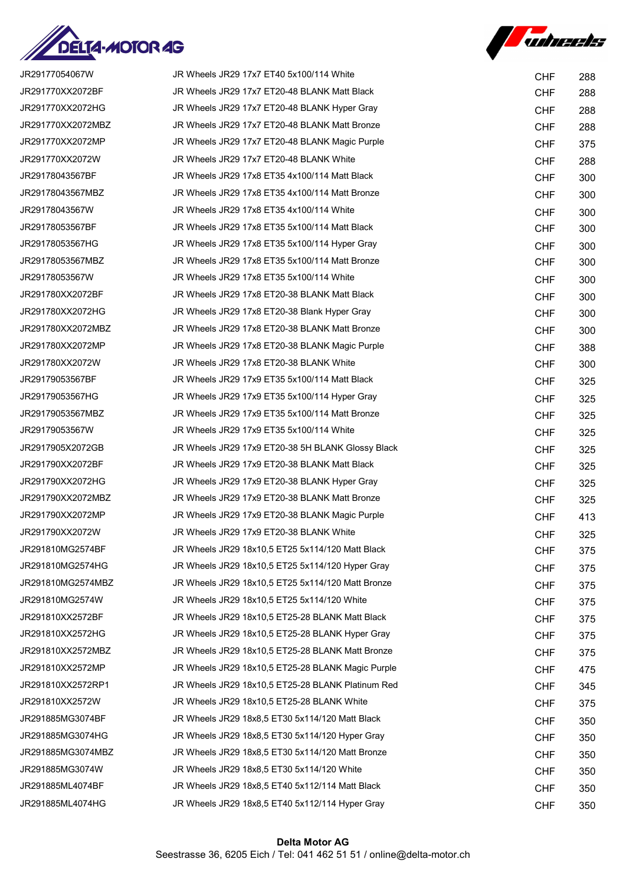

*Tubreets* 

| JR29177054067W    | JR Wheels JR29 17x7 ET40 5x100/114 White          | <b>CHF</b> | 288 |
|-------------------|---------------------------------------------------|------------|-----|
| JR291770XX2072BF  | JR Wheels JR29 17x7 ET20-48 BLANK Matt Black      | <b>CHF</b> | 288 |
| JR291770XX2072HG  | JR Wheels JR29 17x7 ET20-48 BLANK Hyper Gray      | <b>CHF</b> | 288 |
| JR291770XX2072MBZ | JR Wheels JR29 17x7 ET20-48 BLANK Matt Bronze     | <b>CHF</b> | 288 |
| JR291770XX2072MP  | JR Wheels JR29 17x7 ET20-48 BLANK Magic Purple    | <b>CHF</b> | 375 |
| JR291770XX2072W   | JR Wheels JR29 17x7 ET20-48 BLANK White           | <b>CHF</b> | 288 |
| JR29178043567BF   | JR Wheels JR29 17x8 ET35 4x100/114 Matt Black     | <b>CHF</b> | 300 |
| JR29178043567MBZ  | JR Wheels JR29 17x8 ET35 4x100/114 Matt Bronze    | <b>CHF</b> | 300 |
| JR29178043567W    | JR Wheels JR29 17x8 ET35 4x100/114 White          | <b>CHF</b> | 300 |
| JR29178053567BF   | JR Wheels JR29 17x8 ET35 5x100/114 Matt Black     | <b>CHF</b> | 300 |
| JR29178053567HG   | JR Wheels JR29 17x8 ET35 5x100/114 Hyper Gray     | <b>CHF</b> | 300 |
| JR29178053567MBZ  | JR Wheels JR29 17x8 ET35 5x100/114 Matt Bronze    | <b>CHF</b> | 300 |
| JR29178053567W    | JR Wheels JR29 17x8 ET35 5x100/114 White          | <b>CHF</b> | 300 |
| JR291780XX2072BF  | JR Wheels JR29 17x8 ET20-38 BLANK Matt Black      | <b>CHF</b> | 300 |
| JR291780XX2072HG  | JR Wheels JR29 17x8 ET20-38 Blank Hyper Gray      | <b>CHF</b> | 300 |
| JR291780XX2072MBZ | JR Wheels JR29 17x8 ET20-38 BLANK Matt Bronze     | <b>CHF</b> | 300 |
| JR291780XX2072MP  | JR Wheels JR29 17x8 ET20-38 BLANK Magic Purple    | <b>CHF</b> | 388 |
| JR291780XX2072W   | JR Wheels JR29 17x8 ET20-38 BLANK White           | <b>CHF</b> | 300 |
| JR29179053567BF   | JR Wheels JR29 17x9 ET35 5x100/114 Matt Black     | <b>CHF</b> | 325 |
| JR29179053567HG   | JR Wheels JR29 17x9 ET35 5x100/114 Hyper Gray     | <b>CHF</b> | 325 |
| JR29179053567MBZ  | JR Wheels JR29 17x9 ET35 5x100/114 Matt Bronze    | <b>CHF</b> | 325 |
| JR29179053567W    | JR Wheels JR29 17x9 ET35 5x100/114 White          | <b>CHF</b> | 325 |
| JR2917905X2072GB  | JR Wheels JR29 17x9 ET20-38 5H BLANK Glossy Black | <b>CHF</b> | 325 |
| JR291790XX2072BF  | JR Wheels JR29 17x9 ET20-38 BLANK Matt Black      | <b>CHF</b> | 325 |
| JR291790XX2072HG  | JR Wheels JR29 17x9 ET20-38 BLANK Hyper Gray      | <b>CHF</b> | 325 |
| JR291790XX2072MBZ | JR Wheels JR29 17x9 ET20-38 BLANK Matt Bronze     | <b>CHF</b> | 325 |
| JR291790XX2072MP  | JR Wheels JR29 17x9 ET20-38 BLANK Magic Purple    | <b>CHF</b> | 413 |
| JR291790XX2072W   | JR Wheels JR29 17x9 ET20-38 BLANK White           | <b>CHF</b> | 325 |
| JR291810MG2574BF  | JR Wheels JR29 18x10,5 ET25 5x114/120 Matt Black  | <b>CHF</b> | 375 |
| JR291810MG2574HG  | JR Wheels JR29 18x10,5 ET25 5x114/120 Hyper Gray  | <b>CHF</b> | 375 |
| JR291810MG2574MBZ | JR Wheels JR29 18x10,5 ET25 5x114/120 Matt Bronze | <b>CHF</b> | 375 |
| JR291810MG2574W   | JR Wheels JR29 18x10.5 ET25 5x114/120 White       | <b>CHF</b> | 375 |
| JR291810XX2572BF  | JR Wheels JR29 18x10,5 ET25-28 BLANK Matt Black   | <b>CHF</b> | 375 |
| JR291810XX2572HG  | JR Wheels JR29 18x10,5 ET25-28 BLANK Hyper Gray   | <b>CHF</b> | 375 |
| JR291810XX2572MBZ | JR Wheels JR29 18x10,5 ET25-28 BLANK Matt Bronze  | <b>CHF</b> | 375 |
| JR291810XX2572MP  | JR Wheels JR29 18x10,5 ET25-28 BLANK Magic Purple | <b>CHF</b> | 475 |
| JR291810XX2572RP1 | JR Wheels JR29 18x10,5 ET25-28 BLANK Platinum Red | <b>CHF</b> | 345 |
| JR291810XX2572W   | JR Wheels JR29 18x10,5 ET25-28 BLANK White        | <b>CHF</b> | 375 |
| JR291885MG3074BF  | JR Wheels JR29 18x8,5 ET30 5x114/120 Matt Black   | <b>CHF</b> | 350 |
| JR291885MG3074HG  | JR Wheels JR29 18x8,5 ET30 5x114/120 Hyper Gray   | <b>CHF</b> | 350 |
| JR291885MG3074MBZ | JR Wheels JR29 18x8,5 ET30 5x114/120 Matt Bronze  | <b>CHF</b> | 350 |
| JR291885MG3074W   | JR Wheels JR29 18x8,5 ET30 5x114/120 White        | <b>CHF</b> | 350 |
| JR291885ML4074BF  | JR Wheels JR29 18x8,5 ET40 5x112/114 Matt Black   | <b>CHF</b> | 350 |
| JR291885ML4074HG  | JR Wheels JR29 18x8,5 ET40 5x112/114 Hyper Gray   | <b>CHF</b> | 350 |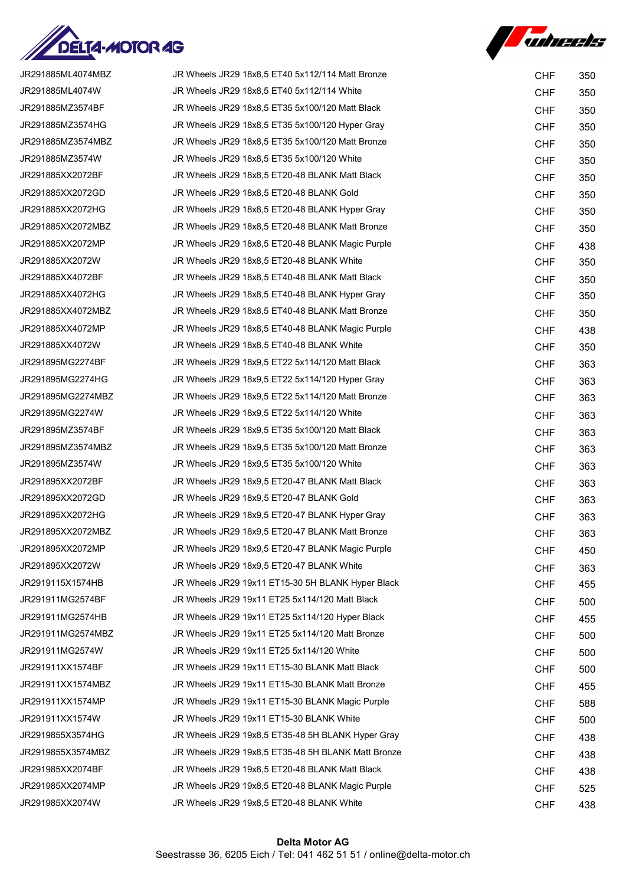

*Tuheets* 

| JR291885ML4074MBZ | JR Wheels JR29 18x8,5 ET40 5x112/114 Matt Bronze   | <b>CHF</b> | 350 |
|-------------------|----------------------------------------------------|------------|-----|
| JR291885ML4074W   | JR Wheels JR29 18x8,5 ET40 5x112/114 White         | <b>CHF</b> | 350 |
| JR291885MZ3574BF  | JR Wheels JR29 18x8,5 ET35 5x100/120 Matt Black    | <b>CHF</b> | 350 |
| JR291885MZ3574HG  | JR Wheels JR29 18x8,5 ET35 5x100/120 Hyper Gray    | <b>CHF</b> | 350 |
| JR291885MZ3574MBZ | JR Wheels JR29 18x8,5 ET35 5x100/120 Matt Bronze   | <b>CHF</b> | 350 |
| JR291885MZ3574W   | JR Wheels JR29 18x8,5 ET35 5x100/120 White         | <b>CHF</b> | 350 |
| JR291885XX2072BF  | JR Wheels JR29 18x8,5 ET20-48 BLANK Matt Black     | <b>CHF</b> | 350 |
| JR291885XX2072GD  | JR Wheels JR29 18x8,5 ET20-48 BLANK Gold           | <b>CHF</b> | 350 |
| JR291885XX2072HG  | JR Wheels JR29 18x8,5 ET20-48 BLANK Hyper Gray     | <b>CHF</b> | 350 |
| JR291885XX2072MBZ | JR Wheels JR29 18x8,5 ET20-48 BLANK Matt Bronze    | <b>CHF</b> | 350 |
| JR291885XX2072MP  | JR Wheels JR29 18x8,5 ET20-48 BLANK Magic Purple   | <b>CHF</b> | 438 |
| JR291885XX2072W   | JR Wheels JR29 18x8,5 ET20-48 BLANK White          | <b>CHF</b> | 350 |
| JR291885XX4072BF  | JR Wheels JR29 18x8,5 ET40-48 BLANK Matt Black     | <b>CHF</b> | 350 |
| JR291885XX4072HG  | JR Wheels JR29 18x8,5 ET40-48 BLANK Hyper Gray     | <b>CHF</b> | 350 |
| JR291885XX4072MBZ | JR Wheels JR29 18x8,5 ET40-48 BLANK Matt Bronze    | <b>CHF</b> | 350 |
| JR291885XX4072MP  | JR Wheels JR29 18x8,5 ET40-48 BLANK Magic Purple   | <b>CHF</b> | 438 |
| JR291885XX4072W   | JR Wheels JR29 18x8,5 ET40-48 BLANK White          | <b>CHF</b> | 350 |
| JR291895MG2274BF  | JR Wheels JR29 18x9,5 ET22 5x114/120 Matt Black    | <b>CHF</b> | 363 |
| JR291895MG2274HG  | JR Wheels JR29 18x9,5 ET22 5x114/120 Hyper Gray    | <b>CHF</b> | 363 |
| JR291895MG2274MBZ | JR Wheels JR29 18x9,5 ET22 5x114/120 Matt Bronze   | <b>CHF</b> | 363 |
| JR291895MG2274W   | JR Wheels JR29 18x9,5 ET22 5x114/120 White         | <b>CHF</b> | 363 |
| JR291895MZ3574BF  | JR Wheels JR29 18x9,5 ET35 5x100/120 Matt Black    | <b>CHF</b> | 363 |
| JR291895MZ3574MBZ | JR Wheels JR29 18x9,5 ET35 5x100/120 Matt Bronze   | <b>CHF</b> | 363 |
| JR291895MZ3574W   | JR Wheels JR29 18x9,5 ET35 5x100/120 White         | <b>CHF</b> | 363 |
| JR291895XX2072BF  | JR Wheels JR29 18x9,5 ET20-47 BLANK Matt Black     | <b>CHF</b> | 363 |
| JR291895XX2072GD  | JR Wheels JR29 18x9,5 ET20-47 BLANK Gold           | <b>CHF</b> | 363 |
| JR291895XX2072HG  | JR Wheels JR29 18x9,5 ET20-47 BLANK Hyper Gray     | <b>CHF</b> | 363 |
| JR291895XX2072MBZ | JR Wheels JR29 18x9,5 ET20-47 BLANK Matt Bronze    | <b>CHF</b> | 363 |
| JR291895XX2072MP  | JR Wheels JR29 18x9,5 ET20-47 BLANK Magic Purple   | <b>CHF</b> | 450 |
| JR291895XX2072W   | JR Wheels JR29 18x9,5 ET20-47 BLANK White          | <b>CHF</b> | 363 |
| JR2919115X1574HB  | JR Wheels JR29 19x11 ET15-30 5H BLANK Hyper Black  | <b>CHF</b> | 455 |
| JR291911MG2574BF  | JR Wheels JR29 19x11 ET25 5x114/120 Matt Black     | <b>CHF</b> | 500 |
| JR291911MG2574HB  | JR Wheels JR29 19x11 ET25 5x114/120 Hyper Black    | <b>CHF</b> | 455 |
| JR291911MG2574MBZ | JR Wheels JR29 19x11 ET25 5x114/120 Matt Bronze    | <b>CHF</b> | 500 |
| JR291911MG2574W   | JR Wheels JR29 19x11 ET25 5x114/120 White          | <b>CHF</b> | 500 |
| JR291911XX1574BF  | JR Wheels JR29 19x11 ET15-30 BLANK Matt Black      | <b>CHF</b> | 500 |
| JR291911XX1574MBZ | JR Wheels JR29 19x11 ET15-30 BLANK Matt Bronze     | <b>CHF</b> | 455 |
| JR291911XX1574MP  | JR Wheels JR29 19x11 ET15-30 BLANK Magic Purple    | <b>CHF</b> | 588 |
| JR291911XX1574W   | JR Wheels JR29 19x11 ET15-30 BLANK White           | <b>CHF</b> | 500 |
| JR2919855X3574HG  | JR Wheels JR29 19x8,5 ET35-48 5H BLANK Hyper Gray  | <b>CHF</b> | 438 |
| JR2919855X3574MBZ | JR Wheels JR29 19x8,5 ET35-48 5H BLANK Matt Bronze | <b>CHF</b> | 438 |
| JR291985XX2074BF  | JR Wheels JR29 19x8,5 ET20-48 BLANK Matt Black     | <b>CHF</b> | 438 |
| JR291985XX2074MP  | JR Wheels JR29 19x8,5 ET20-48 BLANK Magic Purple   | <b>CHF</b> | 525 |
| JR291985XX2074W   | JR Wheels JR29 19x8,5 ET20-48 BLANK White          | <b>CHF</b> | 438 |
|                   |                                                    |            |     |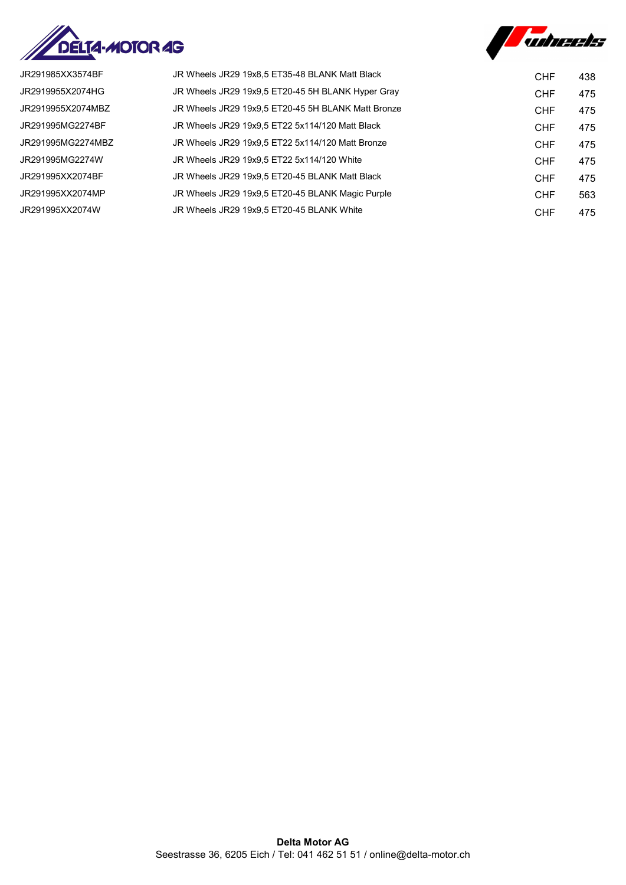



| JR Wheels JR29 19x8,5 ET35-48 BLANK Matt Black     | <b>CHF</b> | 438 |
|----------------------------------------------------|------------|-----|
| JR Wheels JR29 19x9,5 ET20-45 5H BLANK Hyper Gray  | <b>CHF</b> | 475 |
| JR Wheels JR29 19x9.5 ET20-45 5H BLANK Matt Bronze | <b>CHF</b> | 475 |
| JR Wheels JR29 19x9.5 ET22 5x114/120 Matt Black    | <b>CHF</b> | 475 |
| JR Wheels JR29 19x9.5 ET22 5x114/120 Matt Bronze   | <b>CHF</b> | 475 |
| JR Wheels JR29 19x9.5 ET22 5x114/120 White         | <b>CHF</b> | 475 |
| JR Wheels JR29 19x9.5 ET20-45 BLANK Matt Black     | <b>CHF</b> | 475 |
| JR Wheels JR29 19x9.5 ET20-45 BLANK Magic Purple   | <b>CHF</b> | 563 |
| JR Wheels JR29 19x9.5 ET20-45 BLANK White          | <b>CHF</b> | 475 |
|                                                    |            |     |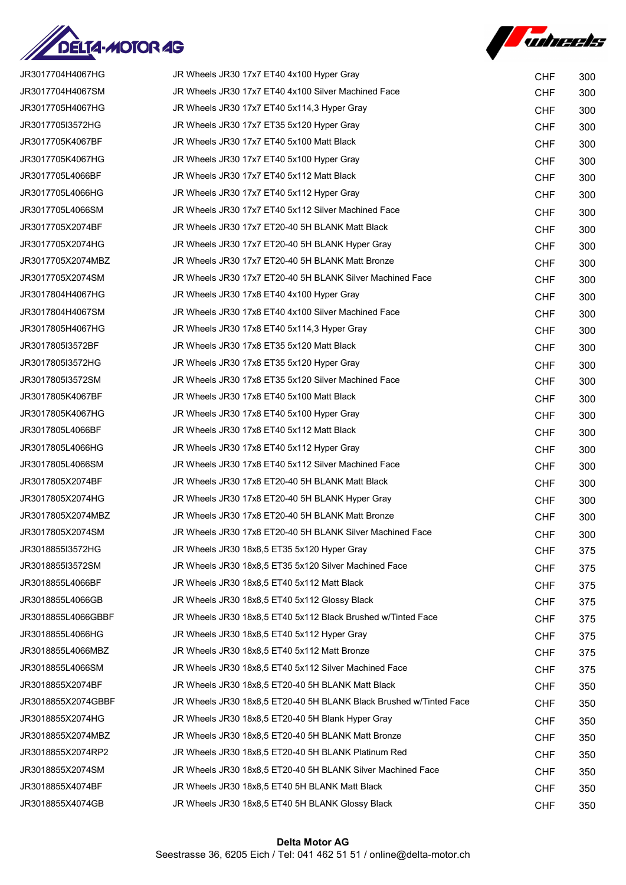



| JR3017704H4067HG   | JR Wheels JR30 17x7 ET40 4x100 Hyper Gray                          | <b>CHF</b> | 300 |
|--------------------|--------------------------------------------------------------------|------------|-----|
| JR3017704H4067SM   | JR Wheels JR30 17x7 ET40 4x100 Silver Machined Face                | <b>CHF</b> | 300 |
| JR3017705H4067HG   | JR Wheels JR30 17x7 ET40 5x114,3 Hyper Gray                        | <b>CHF</b> | 300 |
| JR3017705I3572HG   | JR Wheels JR30 17x7 ET35 5x120 Hyper Gray                          | <b>CHF</b> | 300 |
| JR3017705K4067BF   | JR Wheels JR30 17x7 ET40 5x100 Matt Black                          | <b>CHF</b> | 300 |
| JR3017705K4067HG   | JR Wheels JR30 17x7 ET40 5x100 Hyper Gray                          | <b>CHF</b> | 300 |
| JR3017705L4066BF   | JR Wheels JR30 17x7 ET40 5x112 Matt Black                          | <b>CHF</b> | 300 |
| JR3017705L4066HG   | JR Wheels JR30 17x7 ET40 5x112 Hyper Gray                          | <b>CHF</b> | 300 |
| JR3017705L4066SM   | JR Wheels JR30 17x7 ET40 5x112 Silver Machined Face                | <b>CHF</b> | 300 |
| JR3017705X2074BF   | JR Wheels JR30 17x7 ET20-40 5H BLANK Matt Black                    | <b>CHF</b> | 300 |
| JR3017705X2074HG   | JR Wheels JR30 17x7 ET20-40 5H BLANK Hyper Gray                    | <b>CHF</b> | 300 |
| JR3017705X2074MBZ  | JR Wheels JR30 17x7 ET20-40 5H BLANK Matt Bronze                   | <b>CHF</b> | 300 |
| JR3017705X2074SM   | JR Wheels JR30 17x7 ET20-40 5H BLANK Silver Machined Face          | <b>CHF</b> | 300 |
| JR3017804H4067HG   | JR Wheels JR30 17x8 ET40 4x100 Hyper Gray                          | <b>CHF</b> | 300 |
| JR3017804H4067SM   | JR Wheels JR30 17x8 ET40 4x100 Silver Machined Face                | <b>CHF</b> | 300 |
| JR3017805H4067HG   | JR Wheels JR30 17x8 ET40 5x114,3 Hyper Gray                        | <b>CHF</b> | 300 |
| JR3017805I3572BF   | JR Wheels JR30 17x8 ET35 5x120 Matt Black                          | <b>CHF</b> | 300 |
| JR3017805I3572HG   | JR Wheels JR30 17x8 ET35 5x120 Hyper Gray                          | <b>CHF</b> | 300 |
| JR3017805I3572SM   | JR Wheels JR30 17x8 ET35 5x120 Silver Machined Face                | <b>CHF</b> | 300 |
| JR3017805K4067BF   | JR Wheels JR30 17x8 ET40 5x100 Matt Black                          | <b>CHF</b> | 300 |
| JR3017805K4067HG   | JR Wheels JR30 17x8 ET40 5x100 Hyper Gray                          | <b>CHF</b> | 300 |
| JR3017805L4066BF   | JR Wheels JR30 17x8 ET40 5x112 Matt Black                          | <b>CHF</b> | 300 |
| JR3017805L4066HG   | JR Wheels JR30 17x8 ET40 5x112 Hyper Gray                          | <b>CHF</b> | 300 |
| JR3017805L4066SM   | JR Wheels JR30 17x8 ET40 5x112 Silver Machined Face                | <b>CHF</b> | 300 |
| JR3017805X2074BF   | JR Wheels JR30 17x8 ET20-40 5H BLANK Matt Black                    | <b>CHF</b> | 300 |
| JR3017805X2074HG   | JR Wheels JR30 17x8 ET20-40 5H BLANK Hyper Gray                    | <b>CHF</b> | 300 |
| JR3017805X2074MBZ  | JR Wheels JR30 17x8 ET20-40 5H BLANK Matt Bronze                   | <b>CHF</b> | 300 |
| JR3017805X2074SM   | JR Wheels JR30 17x8 ET20-40 5H BLANK Silver Machined Face          | <b>CHF</b> | 300 |
| JR3018855I3572HG   | JR Wheels JR30 18x8,5 ET35 5x120 Hyper Gray                        | <b>CHF</b> | 375 |
| JR3018855I3572SM   | JR Wheels JR30 18x8,5 ET35 5x120 Silver Machined Face              | <b>CHF</b> | 375 |
| JR3018855L4066BF   | JR Wheels JR30 18x8,5 ET40 5x112 Matt Black                        | <b>CHF</b> | 375 |
| JR3018855L4066GB   | JR Wheels JR30 18x8,5 ET40 5x112 Glossy Black                      | <b>CHF</b> | 375 |
| JR3018855L4066GBBF | JR Wheels JR30 18x8.5 ET40 5x112 Black Brushed w/Tinted Face       | <b>CHF</b> | 375 |
| JR3018855L4066HG   | JR Wheels JR30 18x8,5 ET40 5x112 Hyper Gray                        | <b>CHF</b> | 375 |
| JR3018855L4066MBZ  | JR Wheels JR30 18x8,5 ET40 5x112 Matt Bronze                       | <b>CHF</b> | 375 |
| JR3018855L4066SM   | JR Wheels JR30 18x8,5 ET40 5x112 Silver Machined Face              | <b>CHF</b> | 375 |
| JR3018855X2074BF   | JR Wheels JR30 18x8,5 ET20-40 5H BLANK Matt Black                  | <b>CHF</b> | 350 |
| JR3018855X2074GBBF | JR Wheels JR30 18x8,5 ET20-40 5H BLANK Black Brushed w/Tinted Face | <b>CHF</b> | 350 |
| JR3018855X2074HG   | JR Wheels JR30 18x8,5 ET20-40 5H Blank Hyper Gray                  | <b>CHF</b> | 350 |
| JR3018855X2074MBZ  | JR Wheels JR30 18x8,5 ET20-40 5H BLANK Matt Bronze                 | <b>CHF</b> | 350 |
| JR3018855X2074RP2  | JR Wheels JR30 18x8,5 ET20-40 5H BLANK Platinum Red                | <b>CHF</b> | 350 |
| JR3018855X2074SM   | JR Wheels JR30 18x8,5 ET20-40 5H BLANK Silver Machined Face        | <b>CHF</b> | 350 |
| JR3018855X4074BF   | JR Wheels JR30 18x8,5 ET40 5H BLANK Matt Black                     | <b>CHF</b> | 350 |
| JR3018855X4074GB   | JR Wheels JR30 18x8,5 ET40 5H BLANK Glossy Black                   | <b>CHF</b> | 350 |
|                    |                                                                    |            |     |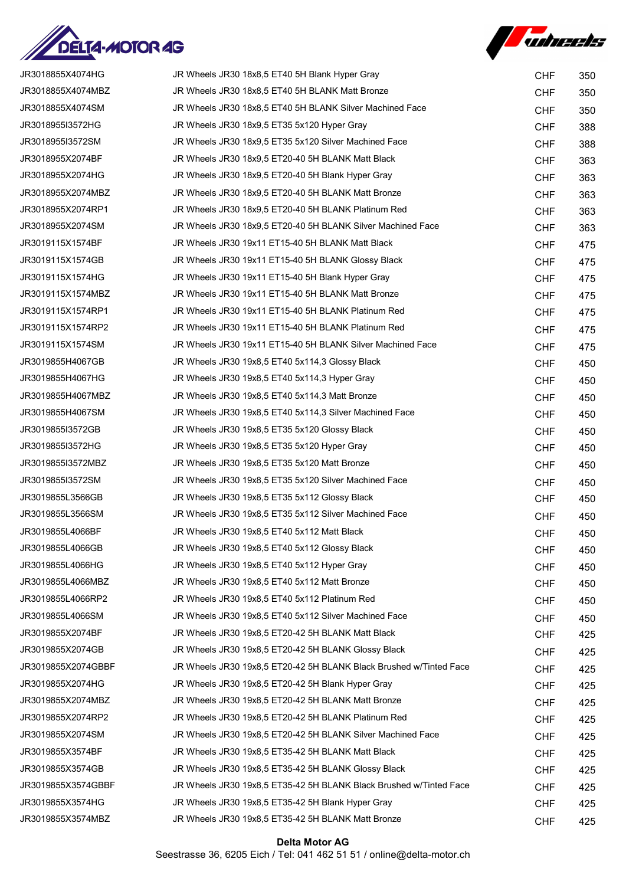



| JR3018855X4074HG   | JR Wheels JR30 18x8,5 ET40 5H Blank Hyper Gray                     | <b>CHF</b> | 350 |
|--------------------|--------------------------------------------------------------------|------------|-----|
| JR3018855X4074MBZ  | JR Wheels JR30 18x8,5 ET40 5H BLANK Matt Bronze                    | <b>CHF</b> | 350 |
| JR3018855X4074SM   | JR Wheels JR30 18x8,5 ET40 5H BLANK Silver Machined Face           | <b>CHF</b> | 350 |
| JR3018955I3572HG   | JR Wheels JR30 18x9,5 ET35 5x120 Hyper Gray                        | <b>CHF</b> | 388 |
| JR3018955I3572SM   | JR Wheels JR30 18x9,5 ET35 5x120 Silver Machined Face              | <b>CHF</b> | 388 |
| JR3018955X2074BF   | JR Wheels JR30 18x9,5 ET20-40 5H BLANK Matt Black                  | <b>CHF</b> | 363 |
| JR3018955X2074HG   | JR Wheels JR30 18x9,5 ET20-40 5H Blank Hyper Gray                  | <b>CHF</b> | 363 |
| JR3018955X2074MBZ  | JR Wheels JR30 18x9,5 ET20-40 5H BLANK Matt Bronze                 | <b>CHF</b> | 363 |
| JR3018955X2074RP1  | JR Wheels JR30 18x9.5 ET20-40 5H BLANK Platinum Red                | <b>CHF</b> | 363 |
| JR3018955X2074SM   | JR Wheels JR30 18x9,5 ET20-40 5H BLANK Silver Machined Face        | <b>CHF</b> | 363 |
| JR3019115X1574BF   | JR Wheels JR30 19x11 ET15-40 5H BLANK Matt Black                   | <b>CHF</b> | 475 |
| JR3019115X1574GB   | JR Wheels JR30 19x11 ET15-40 5H BLANK Glossy Black                 | <b>CHF</b> | 475 |
| JR3019115X1574HG   | JR Wheels JR30 19x11 ET15-40 5H Blank Hyper Gray                   | <b>CHF</b> | 475 |
| JR3019115X1574MBZ  | JR Wheels JR30 19x11 ET15-40 5H BLANK Matt Bronze                  | <b>CHF</b> | 475 |
| JR3019115X1574RP1  | JR Wheels JR30 19x11 ET15-40 5H BLANK Platinum Red                 | <b>CHF</b> | 475 |
| JR3019115X1574RP2  | JR Wheels JR30 19x11 ET15-40 5H BLANK Platinum Red                 | <b>CHF</b> | 475 |
| JR3019115X1574SM   | JR Wheels JR30 19x11 ET15-40 5H BLANK Silver Machined Face         | <b>CHF</b> | 475 |
| JR3019855H4067GB   | JR Wheels JR30 19x8,5 ET40 5x114,3 Glossy Black                    | <b>CHF</b> | 450 |
| JR3019855H4067HG   | JR Wheels JR30 19x8,5 ET40 5x114,3 Hyper Gray                      | <b>CHF</b> | 450 |
| JR3019855H4067MBZ  | JR Wheels JR30 19x8,5 ET40 5x114,3 Matt Bronze                     | <b>CHF</b> | 450 |
| JR3019855H4067SM   | JR Wheels JR30 19x8,5 ET40 5x114,3 Silver Machined Face            | <b>CHF</b> | 450 |
| JR3019855I3572GB   | JR Wheels JR30 19x8,5 ET35 5x120 Glossy Black                      | <b>CHF</b> | 450 |
| JR3019855I3572HG   | JR Wheels JR30 19x8,5 ET35 5x120 Hyper Gray                        | <b>CHF</b> | 450 |
| JR3019855I3572MBZ  | JR Wheels JR30 19x8,5 ET35 5x120 Matt Bronze                       | <b>CHF</b> | 450 |
| JR3019855I3572SM   | JR Wheels JR30 19x8,5 ET35 5x120 Silver Machined Face              | <b>CHF</b> | 450 |
| JR3019855L3566GB   | JR Wheels JR30 19x8,5 ET35 5x112 Glossy Black                      | <b>CHF</b> | 450 |
| JR3019855L3566SM   | JR Wheels JR30 19x8,5 ET35 5x112 Silver Machined Face              | <b>CHF</b> | 450 |
| JR3019855L4066BF   | JR Wheels JR30 19x8,5 ET40 5x112 Matt Black                        | <b>CHF</b> | 450 |
| JR3019855L4066GB   | JR Wheels JR30 19x8,5 ET40 5x112 Glossy Black                      | <b>CHF</b> | 450 |
| JR3019855L4066HG   | JR Wheels JR30 19x8,5 ET40 5x112 Hyper Gray                        | <b>CHF</b> | 450 |
| JR3019855L4066MBZ  | JR Wheels JR30 19x8,5 ET40 5x112 Matt Bronze                       | <b>CHF</b> | 450 |
| JR3019855L4066RP2  | JR Wheels JR30 19x8,5 ET40 5x112 Platinum Red                      | <b>CHF</b> | 450 |
| JR3019855L4066SM   | JR Wheels JR30 19x8,5 ET40 5x112 Silver Machined Face              | <b>CHF</b> | 450 |
| JR3019855X2074BF   | JR Wheels JR30 19x8,5 ET20-42 5H BLANK Matt Black                  | <b>CHF</b> | 425 |
| JR3019855X2074GB   | JR Wheels JR30 19x8,5 ET20-42 5H BLANK Glossy Black                | <b>CHF</b> | 425 |
| JR3019855X2074GBBF | JR Wheels JR30 19x8,5 ET20-42 5H BLANK Black Brushed w/Tinted Face | <b>CHF</b> | 425 |
| JR3019855X2074HG   | JR Wheels JR30 19x8,5 ET20-42 5H Blank Hyper Gray                  | <b>CHF</b> | 425 |
| JR3019855X2074MBZ  | JR Wheels JR30 19x8,5 ET20-42 5H BLANK Matt Bronze                 | <b>CHF</b> | 425 |
| JR3019855X2074RP2  | JR Wheels JR30 19x8,5 ET20-42 5H BLANK Platinum Red                | <b>CHF</b> | 425 |
| JR3019855X2074SM   | JR Wheels JR30 19x8,5 ET20-42 5H BLANK Silver Machined Face        | <b>CHF</b> | 425 |
| JR3019855X3574BF   | JR Wheels JR30 19x8,5 ET35-42 5H BLANK Matt Black                  | <b>CHF</b> | 425 |
| JR3019855X3574GB   | JR Wheels JR30 19x8,5 ET35-42 5H BLANK Glossy Black                | <b>CHF</b> | 425 |
| JR3019855X3574GBBF | JR Wheels JR30 19x8,5 ET35-42 5H BLANK Black Brushed w/Tinted Face | <b>CHF</b> | 425 |
| JR3019855X3574HG   | JR Wheels JR30 19x8,5 ET35-42 5H Blank Hyper Gray                  | <b>CHF</b> | 425 |
| JR3019855X3574MBZ  | JR Wheels JR30 19x8,5 ET35-42 5H BLANK Matt Bronze                 | <b>CHF</b> | 425 |

## Delta Motor AG Seestrasse 36, 6205 Eich / Tel: 041 462 51 51 / online@delta-motor.ch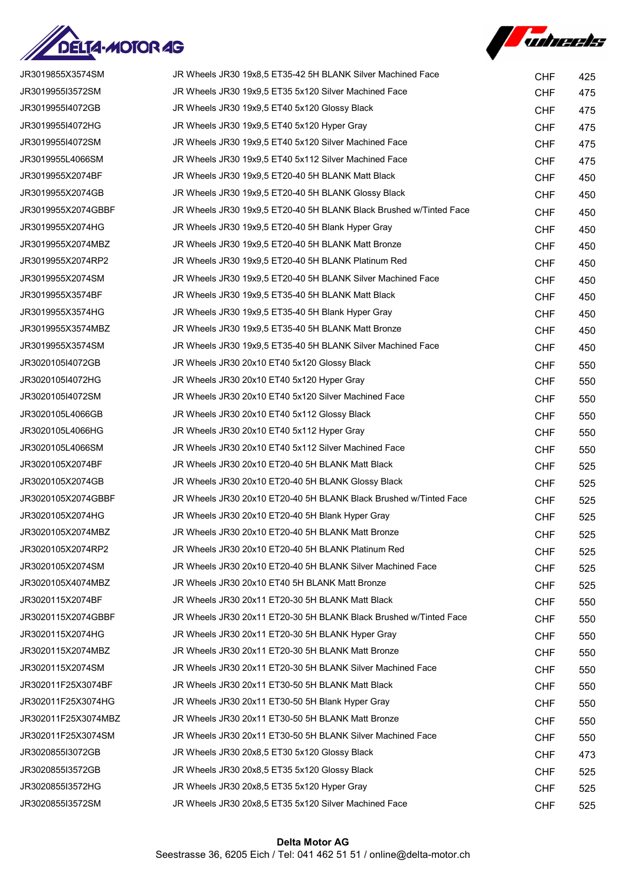



| JR3019855X3574SM    | JR Wheels JR30 19x8,5 ET35-42 5H BLANK Silver Machined Face        | <b>CHF</b> | 425 |
|---------------------|--------------------------------------------------------------------|------------|-----|
| JR3019955I3572SM    | JR Wheels JR30 19x9,5 ET35 5x120 Silver Machined Face              | <b>CHF</b> | 475 |
| JR3019955I4072GB    | JR Wheels JR30 19x9,5 ET40 5x120 Glossy Black                      | <b>CHF</b> | 475 |
| JR3019955I4072HG    | JR Wheels JR30 19x9,5 ET40 5x120 Hyper Gray                        | <b>CHF</b> | 475 |
| JR3019955I4072SM    | JR Wheels JR30 19x9,5 ET40 5x120 Silver Machined Face              | <b>CHF</b> | 475 |
| JR3019955L4066SM    | JR Wheels JR30 19x9,5 ET40 5x112 Silver Machined Face              | <b>CHF</b> | 475 |
| JR3019955X2074BF    | JR Wheels JR30 19x9,5 ET20-40 5H BLANK Matt Black                  | <b>CHF</b> | 450 |
| JR3019955X2074GB    | JR Wheels JR30 19x9,5 ET20-40 5H BLANK Glossy Black                | <b>CHF</b> | 450 |
| JR3019955X2074GBBF  | JR Wheels JR30 19x9,5 ET20-40 5H BLANK Black Brushed w/Tinted Face | <b>CHF</b> | 450 |
| JR3019955X2074HG    | JR Wheels JR30 19x9,5 ET20-40 5H Blank Hyper Gray                  | <b>CHF</b> | 450 |
| JR3019955X2074MBZ   | JR Wheels JR30 19x9,5 ET20-40 5H BLANK Matt Bronze                 | <b>CHF</b> | 450 |
| JR3019955X2074RP2   | JR Wheels JR30 19x9,5 ET20-40 5H BLANK Platinum Red                | <b>CHF</b> | 450 |
| JR3019955X2074SM    | JR Wheels JR30 19x9,5 ET20-40 5H BLANK Silver Machined Face        | <b>CHF</b> | 450 |
| JR3019955X3574BF    | JR Wheels JR30 19x9,5 ET35-40 5H BLANK Matt Black                  | <b>CHF</b> | 450 |
| JR3019955X3574HG    | JR Wheels JR30 19x9,5 ET35-40 5H Blank Hyper Gray                  | <b>CHF</b> | 450 |
| JR3019955X3574MBZ   | JR Wheels JR30 19x9,5 ET35-40 5H BLANK Matt Bronze                 | <b>CHF</b> | 450 |
| JR3019955X3574SM    | JR Wheels JR30 19x9,5 ET35-40 5H BLANK Silver Machined Face        | <b>CHF</b> | 450 |
| JR3020105I4072GB    | JR Wheels JR30 20x10 ET40 5x120 Glossy Black                       | <b>CHF</b> | 550 |
| JR3020105I4072HG    | JR Wheels JR30 20x10 ET40 5x120 Hyper Gray                         | <b>CHF</b> | 550 |
| JR3020105I4072SM    | JR Wheels JR30 20x10 ET40 5x120 Silver Machined Face               | <b>CHF</b> | 550 |
| JR3020105L4066GB    | JR Wheels JR30 20x10 ET40 5x112 Glossy Black                       | <b>CHF</b> | 550 |
| JR3020105L4066HG    | JR Wheels JR30 20x10 ET40 5x112 Hyper Gray                         | <b>CHF</b> | 550 |
| JR3020105L4066SM    | JR Wheels JR30 20x10 ET40 5x112 Silver Machined Face               | <b>CHF</b> | 550 |
| JR3020105X2074BF    | JR Wheels JR30 20x10 ET20-40 5H BLANK Matt Black                   | <b>CHF</b> | 525 |
| JR3020105X2074GB    | JR Wheels JR30 20x10 ET20-40 5H BLANK Glossy Black                 | <b>CHF</b> | 525 |
| JR3020105X2074GBBF  | JR Wheels JR30 20x10 ET20-40 5H BLANK Black Brushed w/Tinted Face  | <b>CHF</b> | 525 |
| JR3020105X2074HG    | JR Wheels JR30 20x10 ET20-40 5H Blank Hyper Gray                   | <b>CHF</b> | 525 |
| JR3020105X2074MBZ   | JR Wheels JR30 20x10 ET20-40 5H BLANK Matt Bronze                  | <b>CHF</b> | 525 |
| JR3020105X2074RP2   | JR Wheels JR30 20x10 ET20-40 5H BLANK Platinum Red                 | <b>CHF</b> | 525 |
| JR3020105X2074SM    | JR Wheels JR30 20x10 ET20-40 5H BLANK Silver Machined Face         | <b>CHF</b> | 525 |
| JR3020105X4074MBZ   | JR Wheels JR30 20x10 ET40 5H BLANK Matt Bronze                     | <b>CHF</b> | 525 |
| JR3020115X2074BF    | JR Wheels JR30 20x11 ET20-30 5H BLANK Matt Black                   | <b>CHF</b> | 550 |
| JR3020115X2074GBBF  | JR Wheels JR30 20x11 ET20-30 5H BLANK Black Brushed w/Tinted Face  | <b>CHF</b> | 550 |
| JR3020115X2074HG    | JR Wheels JR30 20x11 ET20-30 5H BLANK Hyper Gray                   | <b>CHF</b> | 550 |
| JR3020115X2074MBZ   | JR Wheels JR30 20x11 ET20-30 5H BLANK Matt Bronze                  | <b>CHF</b> | 550 |
| JR3020115X2074SM    | JR Wheels JR30 20x11 ET20-30 5H BLANK Silver Machined Face         | <b>CHF</b> | 550 |
| JR302011F25X3074BF  | JR Wheels JR30 20x11 ET30-50 5H BLANK Matt Black                   | <b>CHF</b> | 550 |
| JR302011F25X3074HG  | JR Wheels JR30 20x11 ET30-50 5H Blank Hyper Gray                   | <b>CHF</b> | 550 |
| JR302011F25X3074MBZ | JR Wheels JR30 20x11 ET30-50 5H BLANK Matt Bronze                  | <b>CHF</b> | 550 |
| JR302011F25X3074SM  | JR Wheels JR30 20x11 ET30-50 5H BLANK Silver Machined Face         | <b>CHF</b> | 550 |
| JR3020855I3072GB    | JR Wheels JR30 20x8,5 ET30 5x120 Glossy Black                      | <b>CHF</b> | 473 |
| JR3020855I3572GB    | JR Wheels JR30 20x8,5 ET35 5x120 Glossy Black                      | <b>CHF</b> | 525 |
| JR3020855I3572HG    | JR Wheels JR30 20x8,5 ET35 5x120 Hyper Gray                        | <b>CHF</b> | 525 |
| JR3020855I3572SM    | JR Wheels JR30 20x8,5 ET35 5x120 Silver Machined Face              | <b>CHF</b> | 525 |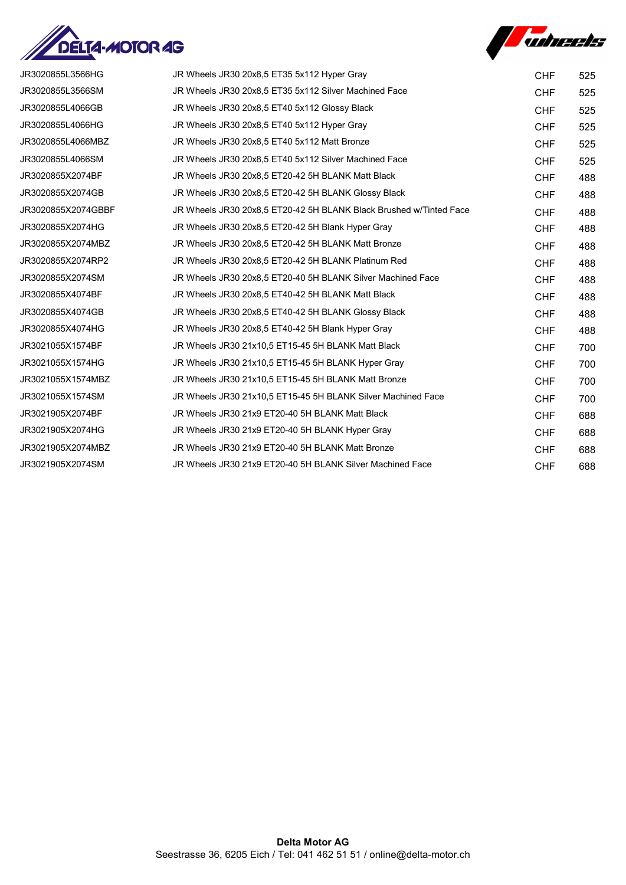



| JR3020855L3566HG   | JR Wheels JR30 20x8,5 ET35 5x112 Hyper Gray                        | <b>CHF</b> | 525 |
|--------------------|--------------------------------------------------------------------|------------|-----|
| JR3020855L3566SM   | JR Wheels JR30 20x8,5 ET35 5x112 Silver Machined Face              | <b>CHF</b> | 525 |
| JR3020855L4066GB   | JR Wheels JR30 20x8,5 ET40 5x112 Glossy Black                      | <b>CHF</b> | 525 |
| JR3020855L4066HG   | JR Wheels JR30 20x8,5 ET40 5x112 Hyper Gray                        | <b>CHF</b> | 525 |
| JR3020855L4066MBZ  | JR Wheels JR30 20x8,5 ET40 5x112 Matt Bronze                       | <b>CHF</b> | 525 |
| JR3020855L4066SM   | JR Wheels JR30 20x8,5 ET40 5x112 Silver Machined Face              | <b>CHF</b> | 525 |
| JR3020855X2074BF   | JR Wheels JR30 20x8.5 ET20-42 5H BLANK Matt Black                  | <b>CHF</b> | 488 |
| JR3020855X2074GB   | JR Wheels JR30 20x8,5 ET20-42 5H BLANK Glossy Black                | <b>CHF</b> | 488 |
| JR3020855X2074GBBF | JR Wheels JR30 20x8.5 ET20-42 5H BLANK Black Brushed w/Tinted Face | <b>CHF</b> | 488 |
| JR3020855X2074HG   | JR Wheels JR30 20x8,5 ET20-42 5H Blank Hyper Gray                  | <b>CHF</b> | 488 |
| JR3020855X2074MBZ  | JR Wheels JR30 20x8,5 ET20-42 5H BLANK Matt Bronze                 | <b>CHF</b> | 488 |
| JR3020855X2074RP2  | JR Wheels JR30 20x8,5 ET20-42 5H BLANK Platinum Red                | <b>CHF</b> | 488 |
| JR3020855X2074SM   | JR Wheels JR30 20x8,5 ET20-40 5H BLANK Silver Machined Face        | <b>CHF</b> | 488 |
| JR3020855X4074BF   | JR Wheels JR30 20x8,5 ET40-42 5H BLANK Matt Black                  | <b>CHF</b> | 488 |
| JR3020855X4074GB   | JR Wheels JR30 20x8.5 ET40-42 5H BLANK Glossy Black                | <b>CHF</b> | 488 |
| JR3020855X4074HG   | JR Wheels JR30 20x8,5 ET40-42 5H Blank Hyper Gray                  | <b>CHF</b> | 488 |
| JR3021055X1574BF   | JR Wheels JR30 21x10,5 ET15-45 5H BLANK Matt Black                 | <b>CHF</b> | 700 |
| JR3021055X1574HG   | JR Wheels JR30 21x10,5 ET15-45 5H BLANK Hyper Gray                 | <b>CHF</b> | 700 |
| JR3021055X1574MBZ  | JR Wheels JR30 21x10,5 ET15-45 5H BLANK Matt Bronze                | <b>CHF</b> | 700 |
| JR3021055X1574SM   | JR Wheels JR30 21x10.5 ET15-45 5H BLANK Silver Machined Face       | <b>CHF</b> | 700 |
| JR3021905X2074BF   | JR Wheels JR30 21x9 ET20-40 5H BLANK Matt Black                    | <b>CHF</b> | 688 |
| JR3021905X2074HG   | JR Wheels JR30 21x9 ET20-40 5H BLANK Hyper Gray                    | <b>CHF</b> | 688 |
| JR3021905X2074MBZ  | JR Wheels JR30 21x9 ET20-40 5H BLANK Matt Bronze                   | <b>CHF</b> | 688 |
| JR3021905X2074SM   | JR Wheels JR30 21x9 ET20-40 5H BLANK Silver Machined Face          | <b>CHF</b> | 688 |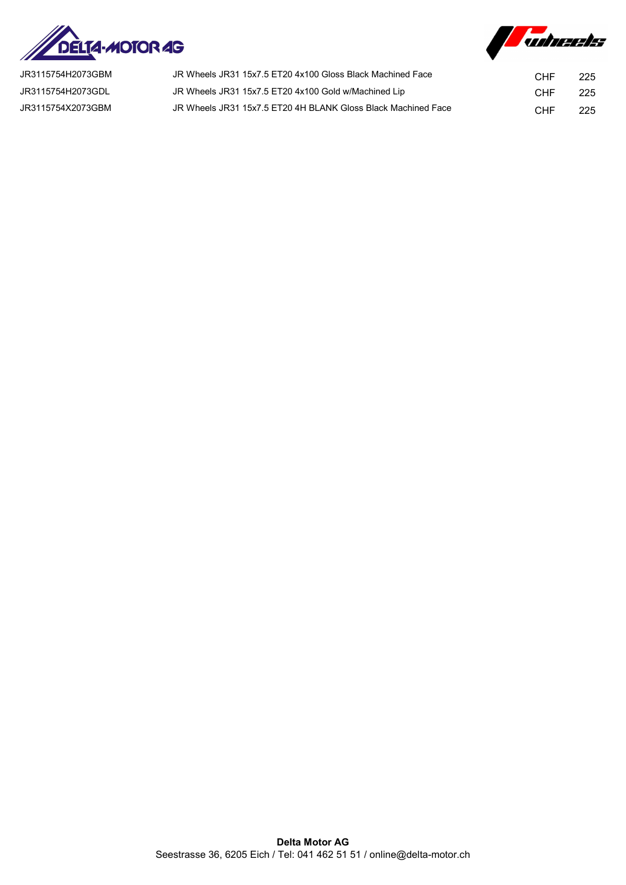



| JR3115754H2073GBM | JR Wheels JR31 15x7.5 ET20 4x100 Gloss Black Machined Face    | CHE | 225 |
|-------------------|---------------------------------------------------------------|-----|-----|
| JR3115754H2073GDL | JR Wheels JR31 15x7.5 ET20 4x100 Gold w/Machined Lip          | CHE | 225 |
| JR3115754X2073GBM | JR Wheels JR31 15x7.5 ET20 4H BLANK Gloss Black Machined Face | CHF | 225 |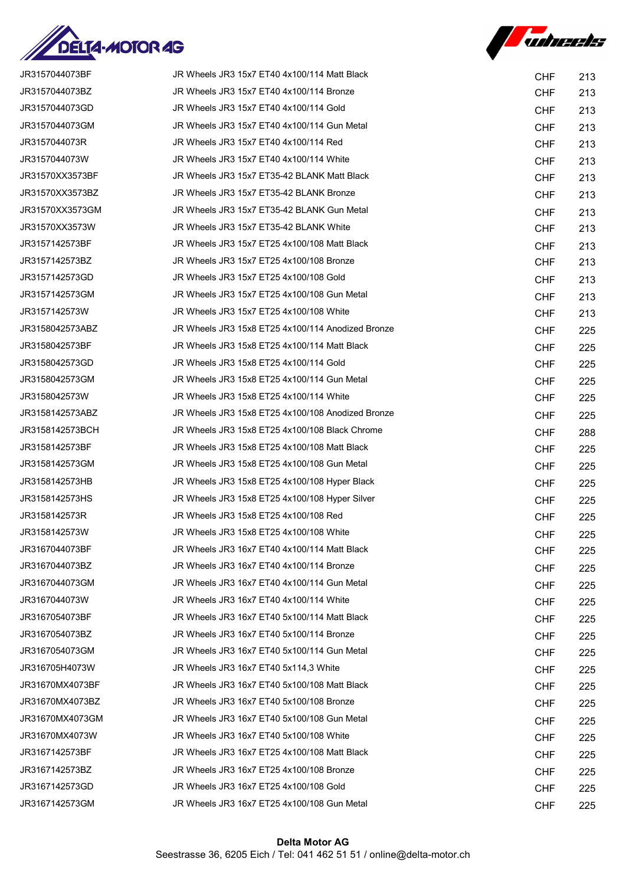



| JR3157044073BF  | JR Wheels JR3 15x7 ET40 4x100/114 Matt Black      | <b>CHF</b> | 213 |
|-----------------|---------------------------------------------------|------------|-----|
| JR3157044073BZ  | JR Wheels JR3 15x7 ET40 4x100/114 Bronze          | <b>CHF</b> | 213 |
| JR3157044073GD  | JR Wheels JR3 15x7 ET40 4x100/114 Gold            | <b>CHF</b> | 213 |
| JR3157044073GM  | JR Wheels JR3 15x7 ET40 4x100/114 Gun Metal       | <b>CHF</b> | 213 |
| JR3157044073R   | JR Wheels JR3 15x7 ET40 4x100/114 Red             | <b>CHF</b> | 213 |
| JR3157044073W   | JR Wheels JR3 15x7 ET40 4x100/114 White           | <b>CHF</b> | 213 |
| JR31570XX3573BF | JR Wheels JR3 15x7 ET35-42 BLANK Matt Black       | <b>CHF</b> | 213 |
| JR31570XX3573BZ | JR Wheels JR3 15x7 ET35-42 BLANK Bronze           | <b>CHF</b> | 213 |
| JR31570XX3573GM | JR Wheels JR3 15x7 ET35-42 BLANK Gun Metal        | <b>CHF</b> | 213 |
| JR31570XX3573W  | JR Wheels JR3 15x7 ET35-42 BLANK White            | <b>CHF</b> | 213 |
| JR3157142573BF  | JR Wheels JR3 15x7 ET25 4x100/108 Matt Black      | <b>CHF</b> | 213 |
| JR3157142573BZ  | JR Wheels JR3 15x7 ET25 4x100/108 Bronze          | <b>CHF</b> | 213 |
| JR3157142573GD  | JR Wheels JR3 15x7 ET25 4x100/108 Gold            | <b>CHF</b> | 213 |
| JR3157142573GM  | JR Wheels JR3 15x7 ET25 4x100/108 Gun Metal       | <b>CHF</b> | 213 |
| JR3157142573W   | JR Wheels JR3 15x7 ET25 4x100/108 White           | <b>CHF</b> | 213 |
| JR3158042573ABZ | JR Wheels JR3 15x8 ET25 4x100/114 Anodized Bronze | <b>CHF</b> | 225 |
| JR3158042573BF  | JR Wheels JR3 15x8 ET25 4x100/114 Matt Black      | <b>CHF</b> | 225 |
| JR3158042573GD  | JR Wheels JR3 15x8 ET25 4x100/114 Gold            | <b>CHF</b> | 225 |
| JR3158042573GM  | JR Wheels JR3 15x8 ET25 4x100/114 Gun Metal       | <b>CHF</b> | 225 |
| JR3158042573W   | JR Wheels JR3 15x8 ET25 4x100/114 White           | <b>CHF</b> | 225 |
| JR3158142573ABZ | JR Wheels JR3 15x8 ET25 4x100/108 Anodized Bronze | <b>CHF</b> | 225 |
| JR3158142573BCH | JR Wheels JR3 15x8 ET25 4x100/108 Black Chrome    | <b>CHF</b> | 288 |
| JR3158142573BF  | JR Wheels JR3 15x8 ET25 4x100/108 Matt Black      | <b>CHF</b> | 225 |
| JR3158142573GM  | JR Wheels JR3 15x8 ET25 4x100/108 Gun Metal       | <b>CHF</b> | 225 |
| JR3158142573HB  | JR Wheels JR3 15x8 ET25 4x100/108 Hyper Black     | <b>CHF</b> | 225 |
| JR3158142573HS  | JR Wheels JR3 15x8 ET25 4x100/108 Hyper Silver    | <b>CHF</b> | 225 |
| JR3158142573R   | JR Wheels JR3 15x8 ET25 4x100/108 Red             | <b>CHF</b> | 225 |
| JR3158142573W   | JR Wheels JR3 15x8 ET25 4x100/108 White           | <b>CHF</b> | 225 |
| JR3167044073BF  | JR Wheels JR3 16x7 ET40 4x100/114 Matt Black      | <b>CHF</b> | 225 |
| JR3167044073BZ  | JR Wheels JR3 16x7 ET40 4x100/114 Bronze          | <b>CHF</b> | 225 |
| JR3167044073GM  | JR Wheels JR3 16x7 ET40 4x100/114 Gun Metal       | <b>CHF</b> | 225 |
| JR3167044073W   | JR Wheels JR3 16x7 ET40 4x100/114 White           | <b>CHF</b> | 225 |
| JR3167054073BF  | JR Wheels JR3 16x7 ET40 5x100/114 Matt Black      | <b>CHF</b> | 225 |
| JR3167054073BZ  | JR Wheels JR3 16x7 ET40 5x100/114 Bronze          | <b>CHF</b> | 225 |
| JR3167054073GM  | JR Wheels JR3 16x7 ET40 5x100/114 Gun Metal       | <b>CHF</b> | 225 |
| JR316705H4073W  | JR Wheels JR3 16x7 ET40 5x114,3 White             | <b>CHF</b> | 225 |
| JR31670MX4073BF | JR Wheels JR3 16x7 ET40 5x100/108 Matt Black      | <b>CHF</b> | 225 |
| JR31670MX4073BZ | JR Wheels JR3 16x7 ET40 5x100/108 Bronze          | <b>CHF</b> | 225 |
| JR31670MX4073GM | JR Wheels JR3 16x7 ET40 5x100/108 Gun Metal       | <b>CHF</b> | 225 |
| JR31670MX4073W  | JR Wheels JR3 16x7 ET40 5x100/108 White           | <b>CHF</b> | 225 |
| JR3167142573BF  | JR Wheels JR3 16x7 ET25 4x100/108 Matt Black      | <b>CHF</b> | 225 |
| JR3167142573BZ  | JR Wheels JR3 16x7 ET25 4x100/108 Bronze          | <b>CHF</b> | 225 |
| JR3167142573GD  | JR Wheels JR3 16x7 ET25 4x100/108 Gold            | <b>CHF</b> | 225 |
| JR3167142573GM  | JR Wheels JR3 16x7 ET25 4x100/108 Gun Metal       | <b>CHF</b> | 225 |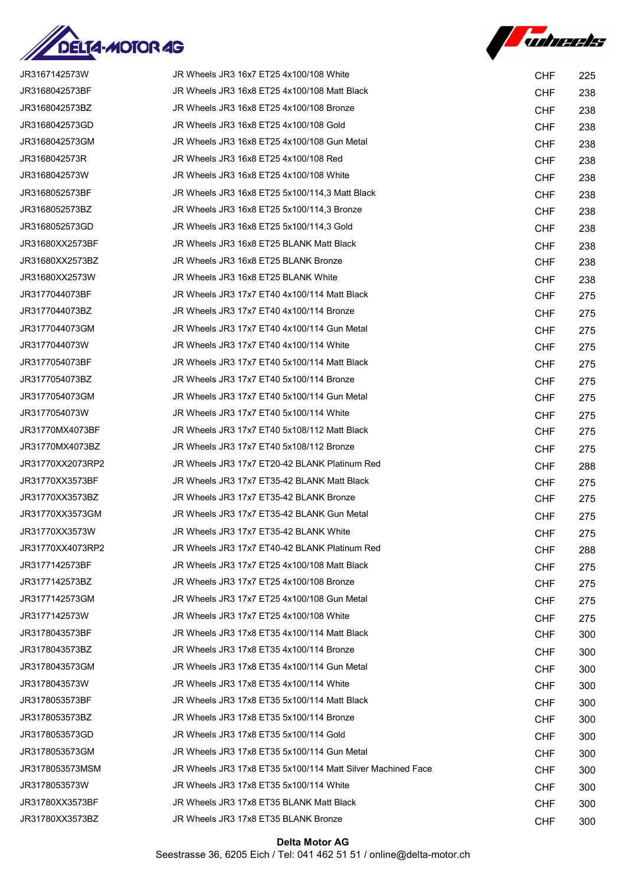



| JR3167142573W    | JR Wheels JR3 16x7 ET25 4x100/108 White                     | <b>CHF</b> | 225 |
|------------------|-------------------------------------------------------------|------------|-----|
| JR3168042573BF   | JR Wheels JR3 16x8 ET25 4x100/108 Matt Black                | <b>CHF</b> | 238 |
| JR3168042573BZ   | JR Wheels JR3 16x8 ET25 4x100/108 Bronze                    | <b>CHF</b> | 238 |
| JR3168042573GD   | JR Wheels JR3 16x8 ET25 4x100/108 Gold                      | <b>CHF</b> | 238 |
| JR3168042573GM   | JR Wheels JR3 16x8 ET25 4x100/108 Gun Metal                 | <b>CHF</b> | 238 |
| JR3168042573R    | JR Wheels JR3 16x8 ET25 4x100/108 Red                       | <b>CHF</b> | 238 |
| JR3168042573W    | JR Wheels JR3 16x8 ET25 4x100/108 White                     | <b>CHF</b> | 238 |
| JR3168052573BF   | JR Wheels JR3 16x8 ET25 5x100/114,3 Matt Black              | <b>CHF</b> | 238 |
| JR3168052573BZ   | JR Wheels JR3 16x8 ET25 5x100/114,3 Bronze                  | <b>CHF</b> | 238 |
| JR3168052573GD   | JR Wheels JR3 16x8 ET25 5x100/114,3 Gold                    | <b>CHF</b> | 238 |
| JR31680XX2573BF  | JR Wheels JR3 16x8 ET25 BLANK Matt Black                    | <b>CHF</b> | 238 |
| JR31680XX2573BZ  | JR Wheels JR3 16x8 ET25 BLANK Bronze                        | <b>CHF</b> | 238 |
| JR31680XX2573W   | JR Wheels JR3 16x8 ET25 BLANK White                         | <b>CHF</b> | 238 |
| JR3177044073BF   | JR Wheels JR3 17x7 ET40 4x100/114 Matt Black                | <b>CHF</b> | 275 |
| JR3177044073BZ   | JR Wheels JR3 17x7 ET40 4x100/114 Bronze                    | <b>CHF</b> | 275 |
| JR3177044073GM   | JR Wheels JR3 17x7 ET40 4x100/114 Gun Metal                 | <b>CHF</b> | 275 |
| JR3177044073W    | JR Wheels JR3 17x7 ET40 4x100/114 White                     | <b>CHF</b> | 275 |
| JR3177054073BF   | JR Wheels JR3 17x7 ET40 5x100/114 Matt Black                | <b>CHF</b> | 275 |
| JR3177054073BZ   | JR Wheels JR3 17x7 ET40 5x100/114 Bronze                    | <b>CHF</b> | 275 |
| JR3177054073GM   | JR Wheels JR3 17x7 ET40 5x100/114 Gun Metal                 | <b>CHF</b> | 275 |
| JR3177054073W    | JR Wheels JR3 17x7 ET40 5x100/114 White                     | <b>CHF</b> | 275 |
| JR31770MX4073BF  | JR Wheels JR3 17x7 ET40 5x108/112 Matt Black                | <b>CHF</b> | 275 |
| JR31770MX4073BZ  | JR Wheels JR3 17x7 ET40 5x108/112 Bronze                    | <b>CHF</b> | 275 |
| JR31770XX2073RP2 | JR Wheels JR3 17x7 ET20-42 BLANK Platinum Red               | <b>CHF</b> | 288 |
| JR31770XX3573BF  | JR Wheels JR3 17x7 ET35-42 BLANK Matt Black                 | <b>CHF</b> | 275 |
| JR31770XX3573BZ  | JR Wheels JR3 17x7 ET35-42 BLANK Bronze                     | <b>CHF</b> | 275 |
| JR31770XX3573GM  | JR Wheels JR3 17x7 ET35-42 BLANK Gun Metal                  | <b>CHF</b> | 275 |
| JR31770XX3573W   | JR Wheels JR3 17x7 ET35-42 BLANK White                      | <b>CHF</b> | 275 |
| JR31770XX4073RP2 | JR Wheels JR3 17x7 ET40-42 BLANK Platinum Red               | <b>CHF</b> | 288 |
| JR3177142573BF   | JR Wheels JR3 17x7 ET25 4x100/108 Matt Black                | <b>CHF</b> | 275 |
| JR3177142573BZ   | JR Wheels JR3 17x7 ET25 4x100/108 Bronze                    | <b>CHF</b> | 275 |
| JR3177142573GM   | JR Wheels JR3 17x7 ET25 4x100/108 Gun Metal                 | <b>CHF</b> | 275 |
| JR3177142573W    | JR Wheels JR3 17x7 ET25 4x100/108 White                     | <b>CHF</b> | 275 |
| JR3178043573BF   | JR Wheels JR3 17x8 ET35 4x100/114 Matt Black                | <b>CHF</b> | 300 |
| JR3178043573BZ   | JR Wheels JR3 17x8 ET35 4x100/114 Bronze                    | <b>CHF</b> | 300 |
| JR3178043573GM   | JR Wheels JR3 17x8 ET35 4x100/114 Gun Metal                 | <b>CHF</b> | 300 |
| JR3178043573W    | JR Wheels JR3 17x8 ET35 4x100/114 White                     | <b>CHF</b> | 300 |
| JR3178053573BF   | JR Wheels JR3 17x8 ET35 5x100/114 Matt Black                | <b>CHF</b> | 300 |
| JR3178053573BZ   | JR Wheels JR3 17x8 ET35 5x100/114 Bronze                    | <b>CHF</b> | 300 |
| JR3178053573GD   | JR Wheels JR3 17x8 ET35 5x100/114 Gold                      | <b>CHF</b> | 300 |
| JR3178053573GM   | JR Wheels JR3 17x8 ET35 5x100/114 Gun Metal                 | <b>CHF</b> | 300 |
| JR3178053573MSM  | JR Wheels JR3 17x8 ET35 5x100/114 Matt Silver Machined Face | <b>CHF</b> | 300 |
| JR3178053573W    | JR Wheels JR3 17x8 ET35 5x100/114 White                     | <b>CHF</b> | 300 |
| JR31780XX3573BF  | JR Wheels JR3 17x8 ET35 BLANK Matt Black                    | <b>CHF</b> | 300 |
| JR31780XX3573BZ  | JR Wheels JR3 17x8 ET35 BLANK Bronze                        | <b>CHF</b> | 300 |

## Delta Motor AG

Seestrasse 36, 6205 Eich / Tel: 041 462 51 51 / online@delta-motor.ch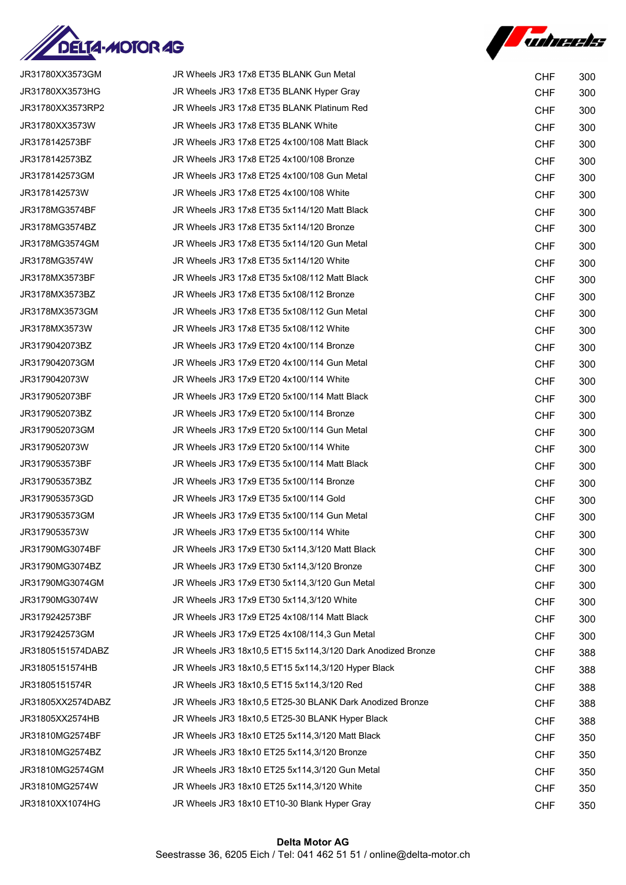



| JR31780XX3573GM   | JR Wheels JR3 17x8 ET35 BLANK Gun Metal                     | <b>CHF</b> | 300 |
|-------------------|-------------------------------------------------------------|------------|-----|
| JR31780XX3573HG   | JR Wheels JR3 17x8 ET35 BLANK Hyper Gray                    | <b>CHF</b> | 300 |
| JR31780XX3573RP2  | JR Wheels JR3 17x8 ET35 BLANK Platinum Red                  | <b>CHF</b> | 300 |
| JR31780XX3573W    | JR Wheels JR3 17x8 ET35 BLANK White                         | <b>CHF</b> | 300 |
| JR3178142573BF    | JR Wheels JR3 17x8 ET25 4x100/108 Matt Black                | <b>CHF</b> | 300 |
| JR3178142573BZ    | JR Wheels JR3 17x8 ET25 4x100/108 Bronze                    | <b>CHF</b> | 300 |
| JR3178142573GM    | JR Wheels JR3 17x8 ET25 4x100/108 Gun Metal                 | <b>CHF</b> | 300 |
| JR3178142573W     | JR Wheels JR3 17x8 ET25 4x100/108 White                     | <b>CHF</b> | 300 |
| JR3178MG3574BF    | JR Wheels JR3 17x8 ET35 5x114/120 Matt Black                | <b>CHF</b> | 300 |
| JR3178MG3574BZ    | JR Wheels JR3 17x8 ET35 5x114/120 Bronze                    | <b>CHF</b> | 300 |
| JR3178MG3574GM    | JR Wheels JR3 17x8 ET35 5x114/120 Gun Metal                 | <b>CHF</b> | 300 |
| JR3178MG3574W     | JR Wheels JR3 17x8 ET35 5x114/120 White                     | <b>CHF</b> | 300 |
| JR3178MX3573BF    | JR Wheels JR3 17x8 ET35 5x108/112 Matt Black                | <b>CHF</b> | 300 |
| JR3178MX3573BZ    | JR Wheels JR3 17x8 ET35 5x108/112 Bronze                    | <b>CHF</b> | 300 |
| JR3178MX3573GM    | JR Wheels JR3 17x8 ET35 5x108/112 Gun Metal                 | <b>CHF</b> | 300 |
| JR3178MX3573W     | JR Wheels JR3 17x8 ET35 5x108/112 White                     | <b>CHF</b> | 300 |
| JR3179042073BZ    | JR Wheels JR3 17x9 ET20 4x100/114 Bronze                    | <b>CHF</b> | 300 |
| JR3179042073GM    | JR Wheels JR3 17x9 ET20 4x100/114 Gun Metal                 | <b>CHF</b> | 300 |
| JR3179042073W     | JR Wheels JR3 17x9 ET20 4x100/114 White                     | <b>CHF</b> | 300 |
| JR3179052073BF    | JR Wheels JR3 17x9 ET20 5x100/114 Matt Black                | <b>CHF</b> | 300 |
| JR3179052073BZ    | JR Wheels JR3 17x9 ET20 5x100/114 Bronze                    | <b>CHF</b> | 300 |
| JR3179052073GM    | JR Wheels JR3 17x9 ET20 5x100/114 Gun Metal                 | <b>CHF</b> | 300 |
| JR3179052073W     | JR Wheels JR3 17x9 ET20 5x100/114 White                     | <b>CHF</b> | 300 |
| JR3179053573BF    | JR Wheels JR3 17x9 ET35 5x100/114 Matt Black                | <b>CHF</b> | 300 |
| JR3179053573BZ    | JR Wheels JR3 17x9 ET35 5x100/114 Bronze                    | <b>CHF</b> | 300 |
| JR3179053573GD    | JR Wheels JR3 17x9 ET35 5x100/114 Gold                      | <b>CHF</b> | 300 |
| JR3179053573GM    | JR Wheels JR3 17x9 ET35 5x100/114 Gun Metal                 | <b>CHF</b> | 300 |
| JR3179053573W     | JR Wheels JR3 17x9 ET35 5x100/114 White                     | <b>CHF</b> | 300 |
| JR31790MG3074BF   | JR Wheels JR3 17x9 ET30 5x114,3/120 Matt Black              | <b>CHF</b> | 300 |
| JR31790MG3074BZ   | JR Wheels JR3 17x9 ET30 5x114,3/120 Bronze                  | <b>CHF</b> | 300 |
| JR31790MG3074GM   | JR Wheels JR3 17x9 ET30 5x114,3/120 Gun Metal               | <b>CHF</b> | 300 |
| JR31790MG3074W    | JR Wheels JR3 17x9 ET30 5x114,3/120 White                   | <b>CHF</b> | 300 |
| JR3179242573BF    | JR Wheels JR3 17x9 ET25 4x108/114 Matt Black                | <b>CHF</b> | 300 |
| JR3179242573GM    | JR Wheels JR3 17x9 ET25 4x108/114,3 Gun Metal               | <b>CHF</b> | 300 |
| JR31805151574DABZ | JR Wheels JR3 18x10,5 ET15 5x114,3/120 Dark Anodized Bronze | <b>CHF</b> | 388 |
| JR31805151574HB   | JR Wheels JR3 18x10,5 ET15 5x114,3/120 Hyper Black          | <b>CHF</b> | 388 |
| JR31805151574R    | JR Wheels JR3 18x10,5 ET15 5x114,3/120 Red                  | <b>CHF</b> | 388 |
| JR31805XX2574DABZ | JR Wheels JR3 18x10,5 ET25-30 BLANK Dark Anodized Bronze    | <b>CHF</b> | 388 |
| JR31805XX2574HB   | JR Wheels JR3 18x10,5 ET25-30 BLANK Hyper Black             | <b>CHF</b> | 388 |
| JR31810MG2574BF   | JR Wheels JR3 18x10 ET25 5x114,3/120 Matt Black             | <b>CHF</b> | 350 |
| JR31810MG2574BZ   | JR Wheels JR3 18x10 ET25 5x114,3/120 Bronze                 | <b>CHF</b> | 350 |
| JR31810MG2574GM   | JR Wheels JR3 18x10 ET25 5x114,3/120 Gun Metal              | <b>CHF</b> | 350 |
| JR31810MG2574W    | JR Wheels JR3 18x10 ET25 5x114,3/120 White                  | <b>CHF</b> | 350 |
| JR31810XX1074HG   | JR Wheels JR3 18x10 ET10-30 Blank Hyper Gray                | <b>CHF</b> | 350 |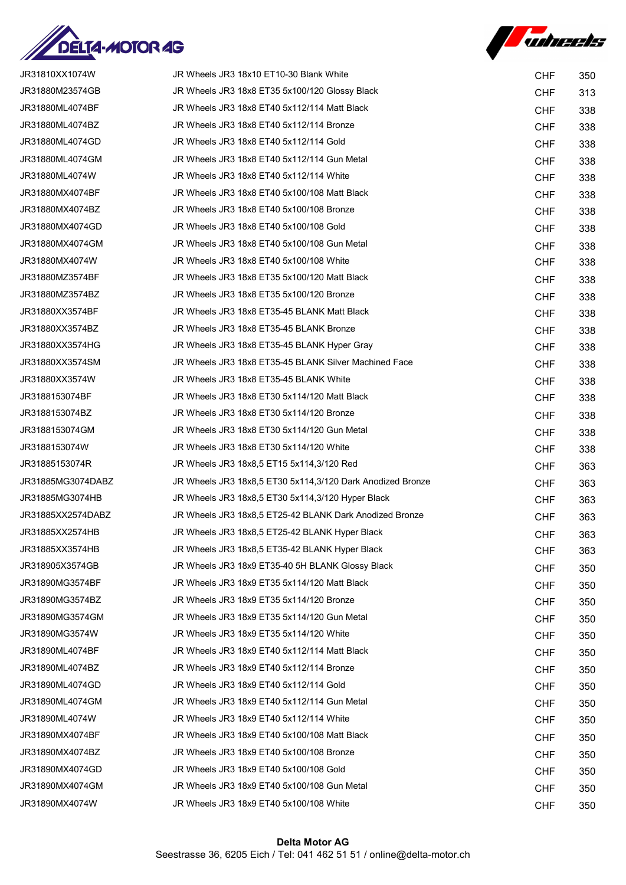



| JR31810XX1074W    | JR Wheels JR3 18x10 ET10-30 Blank White                    |                          |            |
|-------------------|------------------------------------------------------------|--------------------------|------------|
| JR31880M23574GB   | JR Wheels JR3 18x8 ET35 5x100/120 Glossy Black             | <b>CHF</b><br><b>CHF</b> | 350<br>313 |
| JR31880ML4074BF   | JR Wheels JR3 18x8 ET40 5x112/114 Matt Black               | <b>CHF</b>               | 338        |
| JR31880ML4074BZ   | JR Wheels JR3 18x8 ET40 5x112/114 Bronze                   | <b>CHF</b>               | 338        |
| JR31880ML4074GD   | JR Wheels JR3 18x8 ET40 5x112/114 Gold                     | <b>CHF</b>               | 338        |
| JR31880ML4074GM   | JR Wheels JR3 18x8 ET40 5x112/114 Gun Metal                | <b>CHF</b>               | 338        |
| JR31880ML4074W    | JR Wheels JR3 18x8 ET40 5x112/114 White                    | <b>CHF</b>               | 338        |
| JR31880MX4074BF   | JR Wheels JR3 18x8 ET40 5x100/108 Matt Black               | <b>CHF</b>               | 338        |
| JR31880MX4074BZ   | JR Wheels JR3 18x8 ET40 5x100/108 Bronze                   | <b>CHF</b>               | 338        |
| JR31880MX4074GD   | JR Wheels JR3 18x8 ET40 5x100/108 Gold                     | <b>CHF</b>               | 338        |
| JR31880MX4074GM   | JR Wheels JR3 18x8 ET40 5x100/108 Gun Metal                | <b>CHF</b>               | 338        |
| JR31880MX4074W    | JR Wheels JR3 18x8 ET40 5x100/108 White                    | <b>CHF</b>               | 338        |
| JR31880MZ3574BF   | JR Wheels JR3 18x8 ET35 5x100/120 Matt Black               | <b>CHF</b>               | 338        |
| JR31880MZ3574BZ   | JR Wheels JR3 18x8 ET35 5x100/120 Bronze                   | <b>CHF</b>               | 338        |
| JR31880XX3574BF   | JR Wheels JR3 18x8 ET35-45 BLANK Matt Black                | <b>CHF</b>               | 338        |
| JR31880XX3574BZ   | JR Wheels JR3 18x8 ET35-45 BLANK Bronze                    | <b>CHF</b>               | 338        |
| JR31880XX3574HG   | JR Wheels JR3 18x8 ET35-45 BLANK Hyper Gray                | <b>CHF</b>               | 338        |
| JR31880XX3574SM   | JR Wheels JR3 18x8 ET35-45 BLANK Silver Machined Face      | <b>CHF</b>               | 338        |
| JR31880XX3574W    | JR Wheels JR3 18x8 ET35-45 BLANK White                     | <b>CHF</b>               | 338        |
| JR3188153074BF    | JR Wheels JR3 18x8 ET30 5x114/120 Matt Black               | <b>CHF</b>               | 338        |
| JR3188153074BZ    | JR Wheels JR3 18x8 ET30 5x114/120 Bronze                   | <b>CHF</b>               | 338        |
| JR3188153074GM    | JR Wheels JR3 18x8 ET30 5x114/120 Gun Metal                | <b>CHF</b>               | 338        |
| JR3188153074W     | JR Wheels JR3 18x8 ET30 5x114/120 White                    | <b>CHF</b>               | 338        |
| JR31885153074R    | JR Wheels JR3 18x8,5 ET15 5x114,3/120 Red                  | <b>CHF</b>               | 363        |
| JR31885MG3074DABZ | JR Wheels JR3 18x8,5 ET30 5x114,3/120 Dark Anodized Bronze | <b>CHF</b>               | 363        |
| JR31885MG3074HB   | JR Wheels JR3 18x8.5 ET30 5x114,3/120 Hyper Black          | <b>CHF</b>               | 363        |
| JR31885XX2574DABZ | JR Wheels JR3 18x8,5 ET25-42 BLANK Dark Anodized Bronze    | <b>CHF</b>               | 363        |
| JR31885XX2574HB   | JR Wheels JR3 18x8,5 ET25-42 BLANK Hyper Black             | <b>CHF</b>               | 363        |
| JR31885XX3574HB   | JR Wheels JR3 18x8,5 ET35-42 BLANK Hyper Black             | <b>CHF</b>               | 363        |
| JR318905X3574GB   | JR Wheels JR3 18x9 ET35-40 5H BLANK Glossy Black           | <b>CHF</b>               | 350        |
| JR31890MG3574BF   | JR Wheels JR3 18x9 ET35 5x114/120 Matt Black               | <b>CHF</b>               | 350        |
| JR31890MG3574BZ   | JR Wheels JR3 18x9 ET35 5x114/120 Bronze                   | <b>CHF</b>               | 350        |
| JR31890MG3574GM   | JR Wheels JR3 18x9 ET35 5x114/120 Gun Metal                | <b>CHF</b>               | 350        |
| JR31890MG3574W    | JR Wheels JR3 18x9 ET35 5x114/120 White                    | <b>CHF</b>               | 350        |
| JR31890ML4074BF   | JR Wheels JR3 18x9 ET40 5x112/114 Matt Black               | <b>CHF</b>               | 350        |
| JR31890ML4074BZ   | JR Wheels JR3 18x9 ET40 5x112/114 Bronze                   | <b>CHF</b>               | 350        |
| JR31890ML4074GD   | JR Wheels JR3 18x9 ET40 5x112/114 Gold                     | <b>CHF</b>               | 350        |
| JR31890ML4074GM   | JR Wheels JR3 18x9 ET40 5x112/114 Gun Metal                | <b>CHF</b>               | 350        |
| JR31890ML4074W    | JR Wheels JR3 18x9 ET40 5x112/114 White                    | <b>CHF</b>               | 350        |
| JR31890MX4074BF   | JR Wheels JR3 18x9 ET40 5x100/108 Matt Black               | <b>CHF</b>               | 350        |
| JR31890MX4074BZ   | JR Wheels JR3 18x9 ET40 5x100/108 Bronze                   | <b>CHF</b>               | 350        |
| JR31890MX4074GD   | JR Wheels JR3 18x9 ET40 5x100/108 Gold                     | <b>CHF</b>               | 350        |
| JR31890MX4074GM   | JR Wheels JR3 18x9 ET40 5x100/108 Gun Metal                | <b>CHF</b>               | 350        |
| JR31890MX4074W    | JR Wheels JR3 18x9 ET40 5x100/108 White                    | <b>CHF</b>               | 350        |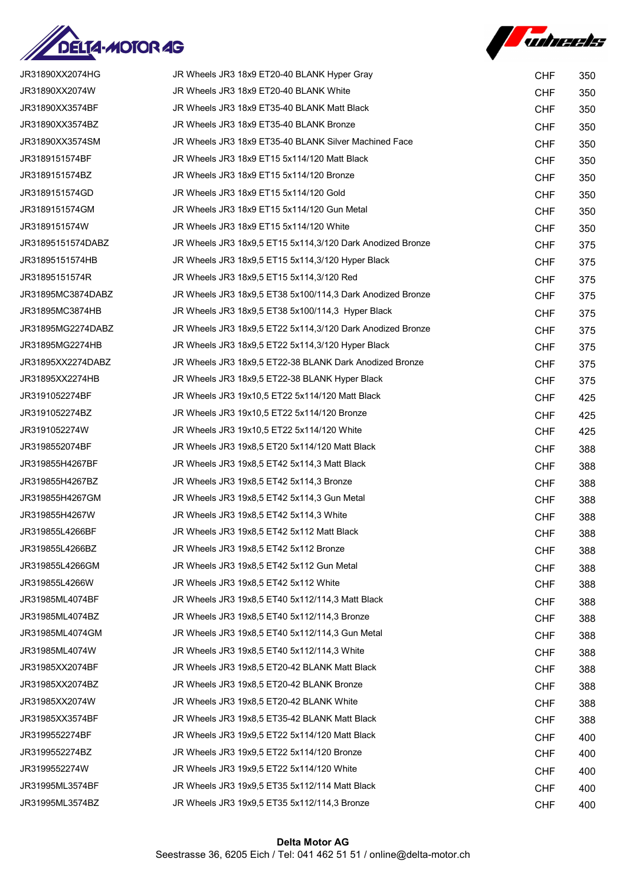



| JR31890XX2074HG   | JR Wheels JR3 18x9 ET20-40 BLANK Hyper Gray                | <b>CHF</b> | 350 |
|-------------------|------------------------------------------------------------|------------|-----|
| JR31890XX2074W    | JR Wheels JR3 18x9 ET20-40 BLANK White                     | <b>CHF</b> | 350 |
| JR31890XX3574BF   | JR Wheels JR3 18x9 ET35-40 BLANK Matt Black                | <b>CHF</b> | 350 |
| JR31890XX3574BZ   | JR Wheels JR3 18x9 ET35-40 BLANK Bronze                    | <b>CHF</b> | 350 |
| JR31890XX3574SM   | JR Wheels JR3 18x9 ET35-40 BLANK Silver Machined Face      | <b>CHF</b> | 350 |
| JR3189151574BF    | JR Wheels JR3 18x9 ET15 5x114/120 Matt Black               | <b>CHF</b> | 350 |
| JR3189151574BZ    | JR Wheels JR3 18x9 ET15 5x114/120 Bronze                   | <b>CHF</b> | 350 |
| JR3189151574GD    | JR Wheels JR3 18x9 ET15 5x114/120 Gold                     | <b>CHF</b> | 350 |
| JR3189151574GM    | JR Wheels JR3 18x9 ET15 5x114/120 Gun Metal                | <b>CHF</b> | 350 |
| JR3189151574W     | JR Wheels JR3 18x9 ET15 5x114/120 White                    | <b>CHF</b> | 350 |
| JR31895151574DABZ | JR Wheels JR3 18x9,5 ET15 5x114,3/120 Dark Anodized Bronze | <b>CHF</b> | 375 |
| JR31895151574HB   | JR Wheels JR3 18x9,5 ET15 5x114,3/120 Hyper Black          | <b>CHF</b> | 375 |
| JR31895151574R    | JR Wheels JR3 18x9.5 ET15 5x114,3/120 Red                  | <b>CHF</b> | 375 |
| JR31895MC3874DABZ | JR Wheels JR3 18x9,5 ET38 5x100/114,3 Dark Anodized Bronze | <b>CHF</b> | 375 |
| JR31895MC3874HB   | JR Wheels JR3 18x9,5 ET38 5x100/114,3 Hyper Black          | <b>CHF</b> | 375 |
| JR31895MG2274DABZ | JR Wheels JR3 18x9.5 ET22 5x114.3/120 Dark Anodized Bronze | <b>CHF</b> | 375 |
| JR31895MG2274HB   | JR Wheels JR3 18x9.5 ET22 5x114,3/120 Hyper Black          | <b>CHF</b> | 375 |
| JR31895XX2274DABZ | JR Wheels JR3 18x9,5 ET22-38 BLANK Dark Anodized Bronze    | <b>CHF</b> | 375 |
| JR31895XX2274HB   | JR Wheels JR3 18x9,5 ET22-38 BLANK Hyper Black             | <b>CHF</b> | 375 |
| JR3191052274BF    | JR Wheels JR3 19x10,5 ET22 5x114/120 Matt Black            | <b>CHF</b> | 425 |
| JR3191052274BZ    | JR Wheels JR3 19x10,5 ET22 5x114/120 Bronze                | <b>CHF</b> | 425 |
| JR3191052274W     | JR Wheels JR3 19x10,5 ET22 5x114/120 White                 | <b>CHF</b> | 425 |
| JR3198552074BF    | JR Wheels JR3 19x8,5 ET20 5x114/120 Matt Black             | <b>CHF</b> | 388 |
| JR319855H4267BF   | JR Wheels JR3 19x8,5 ET42 5x114,3 Matt Black               | <b>CHF</b> | 388 |
| JR319855H4267BZ   | JR Wheels JR3 19x8,5 ET42 5x114,3 Bronze                   | <b>CHF</b> | 388 |
| JR319855H4267GM   | JR Wheels JR3 19x8,5 ET42 5x114,3 Gun Metal                | <b>CHF</b> | 388 |
| JR319855H4267W    | JR Wheels JR3 19x8,5 ET42 5x114,3 White                    | <b>CHF</b> | 388 |
| JR319855L4266BF   | JR Wheels JR3 19x8,5 ET42 5x112 Matt Black                 | <b>CHF</b> | 388 |
| JR319855L4266BZ   | JR Wheels JR3 19x8,5 ET42 5x112 Bronze                     | <b>CHF</b> | 388 |
| JR319855L4266GM   | JR Wheels JR3 19x8,5 ET42 5x112 Gun Metal                  | <b>CHF</b> | 388 |
| JR319855L4266W    | JR Wheels JR3 19x8,5 ET42 5x112 White                      | <b>CHF</b> | 388 |
| JR31985ML4074BF   | JR Wheels JR3 19x8,5 ET40 5x112/114,3 Matt Black           | <b>CHF</b> | 388 |
| JR31985ML4074BZ   | JR Wheels JR3 19x8,5 ET40 5x112/114,3 Bronze               | <b>CHF</b> | 388 |
| JR31985ML4074GM   | JR Wheels JR3 19x8,5 ET40 5x112/114,3 Gun Metal            | <b>CHF</b> | 388 |
| JR31985ML4074W    | JR Wheels JR3 19x8,5 ET40 5x112/114,3 White                | <b>CHF</b> | 388 |
| JR31985XX2074BF   | JR Wheels JR3 19x8,5 ET20-42 BLANK Matt Black              | <b>CHF</b> | 388 |
| JR31985XX2074BZ   | JR Wheels JR3 19x8,5 ET20-42 BLANK Bronze                  | <b>CHF</b> | 388 |
| JR31985XX2074W    | JR Wheels JR3 19x8,5 ET20-42 BLANK White                   | <b>CHF</b> | 388 |
| JR31985XX3574BF   | JR Wheels JR3 19x8,5 ET35-42 BLANK Matt Black              | <b>CHF</b> | 388 |
| JR3199552274BF    | JR Wheels JR3 19x9,5 ET22 5x114/120 Matt Black             | <b>CHF</b> | 400 |
| JR3199552274BZ    | JR Wheels JR3 19x9,5 ET22 5x114/120 Bronze                 | <b>CHF</b> | 400 |
| JR3199552274W     | JR Wheels JR3 19x9,5 ET22 5x114/120 White                  | <b>CHF</b> | 400 |
| JR31995ML3574BF   | JR Wheels JR3 19x9,5 ET35 5x112/114 Matt Black             | <b>CHF</b> | 400 |
| JR31995ML3574BZ   | JR Wheels JR3 19x9,5 ET35 5x112/114,3 Bronze               | <b>CHF</b> | 400 |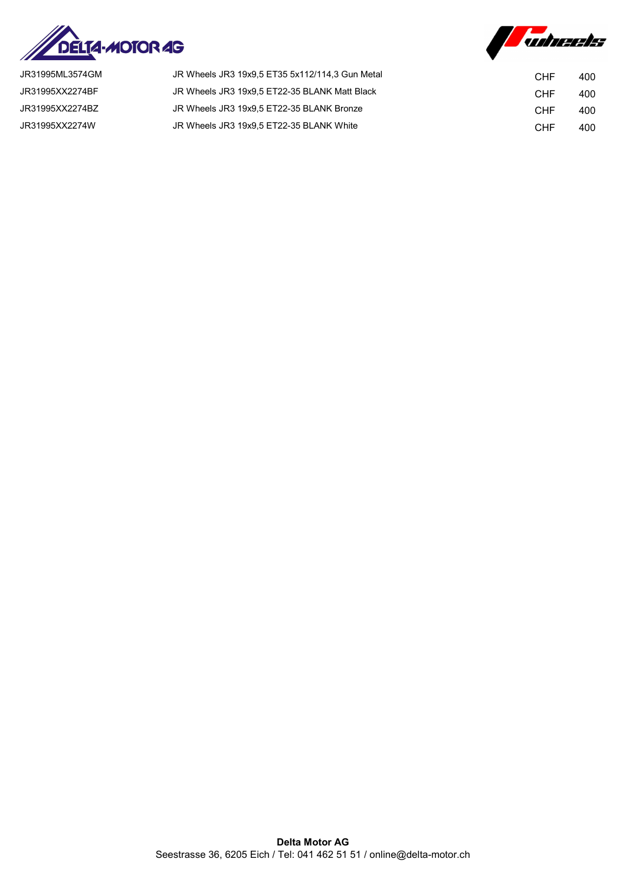



| JR31995ML3574GM | JR Wheels JR3 19x9.5 ET35 5x112/114.3 Gun Metal | CHF        | 400 |
|-----------------|-------------------------------------------------|------------|-----|
| JR31995XX2274BF | JR Wheels JR3 19x9.5 ET22-35 BLANK Matt Black   | <b>CHF</b> | 400 |
| JR31995XX2274BZ | JR Wheels JR3 19x9.5 ET22-35 BLANK Bronze       | CHF        | 400 |
| JR31995XX2274W  | JR Wheels JR3 19x9.5 ET22-35 BLANK White        | <b>CHF</b> | 400 |
|                 |                                                 |            |     |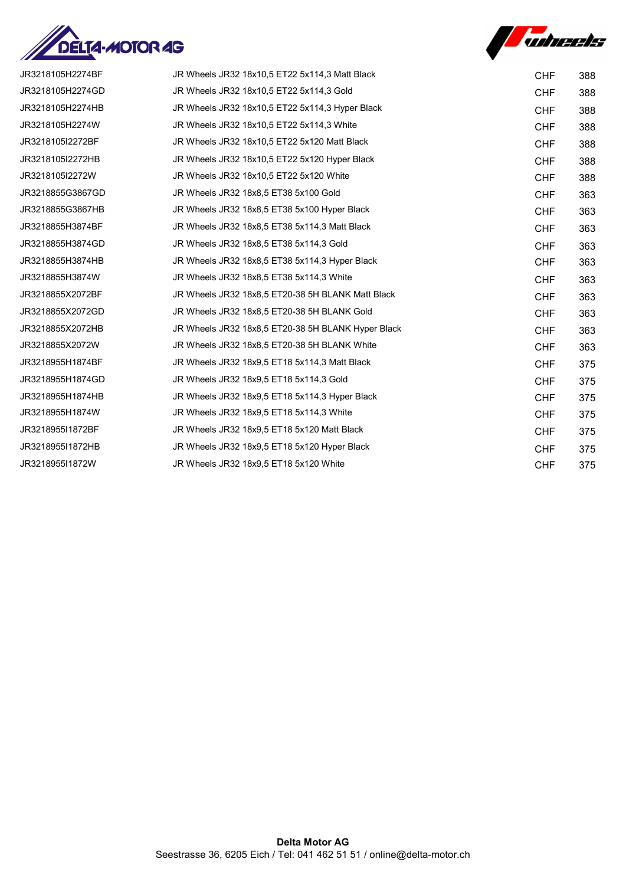



| JR3218105H2274BF | JR Wheels JR32 18x10,5 ET22 5x114,3 Matt Black     | <b>CHF</b> | 388 |
|------------------|----------------------------------------------------|------------|-----|
| JR3218105H2274GD | JR Wheels JR32 18x10,5 ET22 5x114,3 Gold           | <b>CHF</b> | 388 |
| JR3218105H2274HB | JR Wheels JR32 18x10,5 ET22 5x114,3 Hyper Black    | <b>CHF</b> | 388 |
| JR3218105H2274W  | JR Wheels JR32 18x10.5 ET22 5x114.3 White          | <b>CHF</b> | 388 |
| JR3218105I2272BF | JR Wheels JR32 18x10,5 ET22 5x120 Matt Black       | <b>CHF</b> | 388 |
| JR3218105I2272HB | JR Wheels JR32 18x10.5 ET22 5x120 Hyper Black      | <b>CHF</b> | 388 |
| JR3218105I2272W  | JR Wheels JR32 18x10.5 ET22 5x120 White            | <b>CHF</b> | 388 |
| JR3218855G3867GD | JR Wheels JR32 18x8,5 ET38 5x100 Gold              | <b>CHF</b> | 363 |
| JR3218855G3867HB | JR Wheels JR32 18x8,5 ET38 5x100 Hyper Black       | <b>CHF</b> | 363 |
| JR3218855H3874BF | JR Wheels JR32 18x8,5 ET38 5x114,3 Matt Black      | <b>CHF</b> | 363 |
| JR3218855H3874GD | JR Wheels JR32 18x8.5 ET38 5x114.3 Gold            | <b>CHF</b> | 363 |
| JR3218855H3874HB | JR Wheels JR32 18x8,5 ET38 5x114,3 Hyper Black     | <b>CHF</b> | 363 |
| JR3218855H3874W  | JR Wheels JR32 18x8,5 ET38 5x114,3 White           | <b>CHF</b> | 363 |
| JR3218855X2072BF | JR Wheels JR32 18x8,5 ET20-38 5H BLANK Matt Black  | <b>CHF</b> | 363 |
| JR3218855X2072GD | JR Wheels JR32 18x8,5 ET20-38 5H BLANK Gold        | <b>CHF</b> | 363 |
| JR3218855X2072HB | JR Wheels JR32 18x8,5 ET20-38 5H BLANK Hyper Black | <b>CHF</b> | 363 |
| JR3218855X2072W  | JR Wheels JR32 18x8,5 ET20-38 5H BLANK White       | <b>CHF</b> | 363 |
| JR3218955H1874BF | JR Wheels JR32 18x9,5 ET18 5x114,3 Matt Black      | <b>CHF</b> | 375 |
| JR3218955H1874GD | JR Wheels JR32 18x9,5 ET18 5x114,3 Gold            | <b>CHF</b> | 375 |
| JR3218955H1874HB | JR Wheels JR32 18x9.5 ET18 5x114.3 Hyper Black     | <b>CHF</b> | 375 |
| JR3218955H1874W  | JR Wheels JR32 18x9,5 ET18 5x114,3 White           | <b>CHF</b> | 375 |
| JR3218955I1872BF | JR Wheels JR32 18x9,5 ET18 5x120 Matt Black        | <b>CHF</b> | 375 |
| JR3218955I1872HB | JR Wheels JR32 18x9.5 ET18 5x120 Hyper Black       | <b>CHF</b> | 375 |
| JR3218955I1872W  | JR Wheels JR32 18x9,5 ET18 5x120 White             | <b>CHF</b> | 375 |
|                  |                                                    |            |     |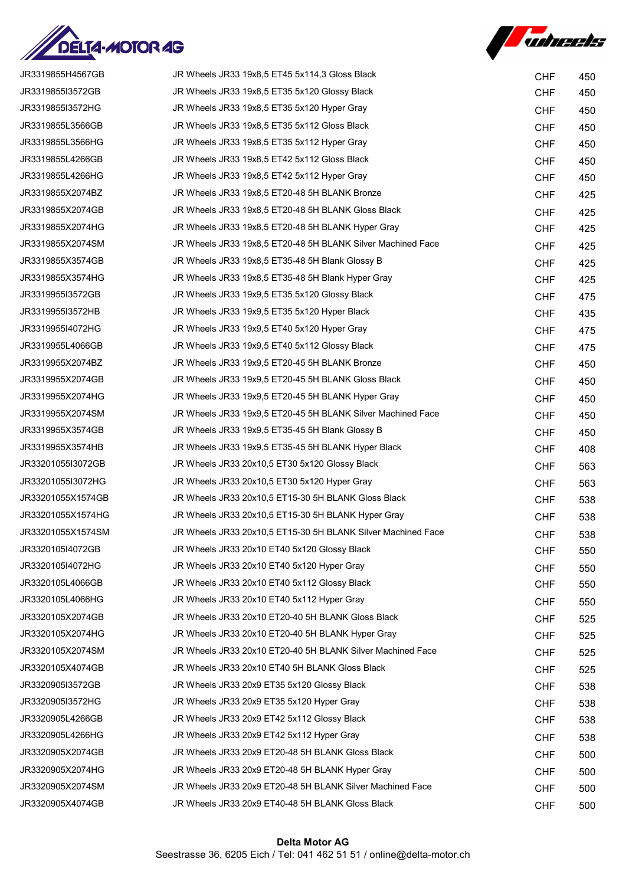



| JR3319855H4567GB  | JR Wheels JR33 19x8,5 ET45 5x114,3 Gloss Black               | <b>CHF</b> | 450 |
|-------------------|--------------------------------------------------------------|------------|-----|
| JR3319855I3572GB  | JR Wheels JR33 19x8,5 ET35 5x120 Glossy Black                | <b>CHF</b> | 450 |
| JR3319855I3572HG  | JR Wheels JR33 19x8,5 ET35 5x120 Hyper Gray                  | <b>CHF</b> | 450 |
| JR3319855L3566GB  | JR Wheels JR33 19x8,5 ET35 5x112 Gloss Black                 | <b>CHF</b> | 450 |
| JR3319855L3566HG  | JR Wheels JR33 19x8,5 ET35 5x112 Hyper Gray                  | <b>CHF</b> | 450 |
| JR3319855L4266GB  | JR Wheels JR33 19x8,5 ET42 5x112 Gloss Black                 | <b>CHF</b> | 450 |
| JR3319855L4266HG  | JR Wheels JR33 19x8,5 ET42 5x112 Hyper Gray                  | <b>CHF</b> | 450 |
| JR3319855X2074BZ  | JR Wheels JR33 19x8,5 ET20-48 5H BLANK Bronze                | <b>CHF</b> | 425 |
| JR3319855X2074GB  | JR Wheels JR33 19x8,5 ET20-48 5H BLANK Gloss Black           | <b>CHF</b> | 425 |
| JR3319855X2074HG  | JR Wheels JR33 19x8,5 ET20-48 5H BLANK Hyper Gray            | <b>CHF</b> | 425 |
| JR3319855X2074SM  | JR Wheels JR33 19x8,5 ET20-48 5H BLANK Silver Machined Face  | <b>CHF</b> | 425 |
| JR3319855X3574GB  | JR Wheels JR33 19x8,5 ET35-48 5H Blank Glossy B              | <b>CHF</b> | 425 |
| JR3319855X3574HG  | JR Wheels JR33 19x8,5 ET35-48 5H Blank Hyper Gray            | <b>CHF</b> | 425 |
| JR3319955I3572GB  | JR Wheels JR33 19x9,5 ET35 5x120 Glossy Black                | <b>CHF</b> | 475 |
| JR3319955I3572HB  | JR Wheels JR33 19x9,5 ET35 5x120 Hyper Black                 | <b>CHF</b> | 435 |
| JR3319955I4072HG  | JR Wheels JR33 19x9,5 ET40 5x120 Hyper Gray                  | <b>CHF</b> | 475 |
| JR3319955L4066GB  | JR Wheels JR33 19x9,5 ET40 5x112 Glossy Black                | <b>CHF</b> | 475 |
| JR3319955X2074BZ  | JR Wheels JR33 19x9,5 ET20-45 5H BLANK Bronze                | <b>CHF</b> | 450 |
| JR3319955X2074GB  | JR Wheels JR33 19x9,5 ET20-45 5H BLANK Gloss Black           | <b>CHF</b> | 450 |
| JR3319955X2074HG  | JR Wheels JR33 19x9,5 ET20-45 5H BLANK Hyper Gray            | <b>CHF</b> | 450 |
| JR3319955X2074SM  | JR Wheels JR33 19x9,5 ET20-45 5H BLANK Silver Machined Face  | <b>CHF</b> | 450 |
| JR3319955X3574GB  | JR Wheels JR33 19x9,5 ET35-45 5H Blank Glossy B              | <b>CHF</b> | 450 |
| JR3319955X3574HB  | JR Wheels JR33 19x9,5 ET35-45 5H BLANK Hyper Black           | <b>CHF</b> | 408 |
| JR33201055I3072GB | JR Wheels JR33 20x10,5 ET30 5x120 Glossy Black               | <b>CHF</b> | 563 |
| JR33201055I3072HG | JR Wheels JR33 20x10,5 ET30 5x120 Hyper Gray                 | <b>CHF</b> | 563 |
| JR33201055X1574GB | JR Wheels JR33 20x10,5 ET15-30 5H BLANK Gloss Black          | <b>CHF</b> | 538 |
| JR33201055X1574HG | JR Wheels JR33 20x10,5 ET15-30 5H BLANK Hyper Gray           | <b>CHF</b> | 538 |
| JR33201055X1574SM | JR Wheels JR33 20x10,5 ET15-30 5H BLANK Silver Machined Face | <b>CHF</b> | 538 |
| JR3320105I4072GB  | JR Wheels JR33 20x10 ET40 5x120 Glossy Black                 | <b>CHF</b> | 550 |
| JR3320105I4072HG  | JR Wheels JR33 20x10 ET40 5x120 Hyper Gray                   | <b>CHF</b> | 550 |
| JR3320105L4066GB  | JR Wheels JR33 20x10 ET40 5x112 Glossy Black                 | <b>CHF</b> | 550 |
| JR3320105L4066HG  | JR Wheels JR33 20x10 ET40 5x112 Hyper Gray                   | <b>CHF</b> | 550 |
| JR3320105X2074GB  | JR Wheels JR33 20x10 ET20-40 5H BLANK Gloss Black            | <b>CHF</b> | 525 |
| JR3320105X2074HG  | JR Wheels JR33 20x10 ET20-40 5H BLANK Hyper Gray             | <b>CHF</b> | 525 |
| JR3320105X2074SM  | JR Wheels JR33 20x10 ET20-40 5H BLANK Silver Machined Face   | <b>CHF</b> | 525 |
| JR3320105X4074GB  | JR Wheels JR33 20x10 ET40 5H BLANK Gloss Black               | <b>CHF</b> | 525 |
| JR3320905I3572GB  | JR Wheels JR33 20x9 ET35 5x120 Glossy Black                  | <b>CHF</b> | 538 |
| JR3320905I3572HG  | JR Wheels JR33 20x9 ET35 5x120 Hyper Gray                    | <b>CHF</b> | 538 |
| JR3320905L4266GB  | JR Wheels JR33 20x9 ET42 5x112 Glossy Black                  | <b>CHF</b> | 538 |
| JR3320905L4266HG  | JR Wheels JR33 20x9 ET42 5x112 Hyper Gray                    | <b>CHF</b> | 538 |
| JR3320905X2074GB  | JR Wheels JR33 20x9 ET20-48 5H BLANK Gloss Black             | <b>CHF</b> | 500 |
| JR3320905X2074HG  | JR Wheels JR33 20x9 ET20-48 5H BLANK Hyper Gray              | <b>CHF</b> | 500 |
| JR3320905X2074SM  | JR Wheels JR33 20x9 ET20-48 5H BLANK Silver Machined Face    | <b>CHF</b> | 500 |
| JR3320905X4074GB  | JR Wheels JR33 20x9 ET40-48 5H BLANK Gloss Black             | <b>CHF</b> | 500 |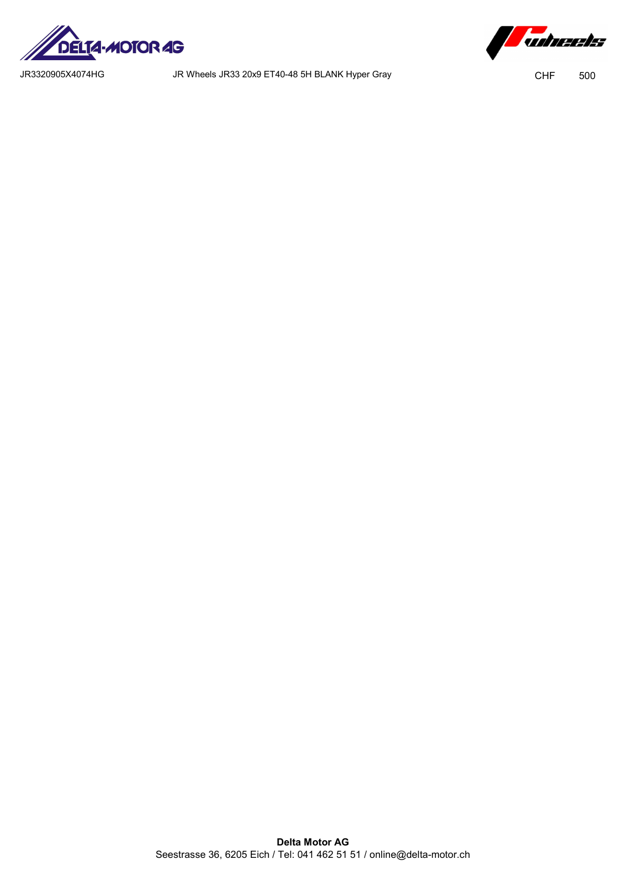

JR3320905X4074HG JR Wheels JR33 20x9 ET40-48 5H BLANK Hyper Gray CHF 500

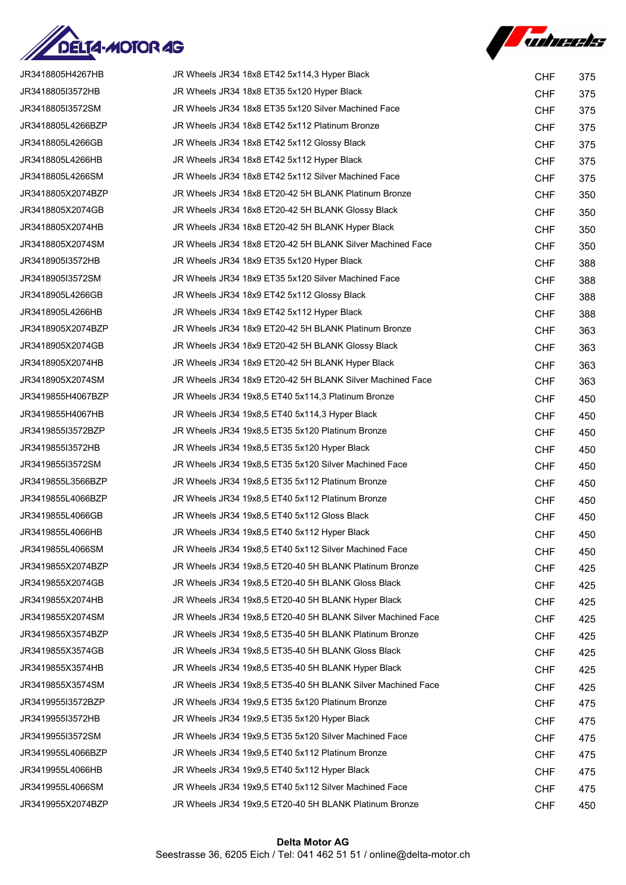



| JR3418805H4267HB  | JR Wheels JR34 18x8 ET42 5x114,3 Hyper Black                | <b>CHF</b> | 375 |
|-------------------|-------------------------------------------------------------|------------|-----|
| JR3418805I3572HB  | JR Wheels JR34 18x8 ET35 5x120 Hyper Black                  | <b>CHF</b> | 375 |
| JR3418805I3572SM  | JR Wheels JR34 18x8 ET35 5x120 Silver Machined Face         | <b>CHF</b> | 375 |
| JR3418805L4266BZP | JR Wheels JR34 18x8 ET42 5x112 Platinum Bronze              | <b>CHF</b> | 375 |
| JR3418805L4266GB  | JR Wheels JR34 18x8 ET42 5x112 Glossy Black                 | <b>CHF</b> | 375 |
| JR3418805L4266HB  | JR Wheels JR34 18x8 ET42 5x112 Hyper Black                  | <b>CHF</b> | 375 |
| JR3418805L4266SM  | JR Wheels JR34 18x8 ET42 5x112 Silver Machined Face         | <b>CHF</b> | 375 |
| JR3418805X2074BZP | JR Wheels JR34 18x8 ET20-42 5H BLANK Platinum Bronze        | <b>CHF</b> | 350 |
| JR3418805X2074GB  | JR Wheels JR34 18x8 ET20-42 5H BLANK Glossy Black           | <b>CHF</b> | 350 |
| JR3418805X2074HB  | JR Wheels JR34 18x8 ET20-42 5H BLANK Hyper Black            | <b>CHF</b> | 350 |
| JR3418805X2074SM  | JR Wheels JR34 18x8 ET20-42 5H BLANK Silver Machined Face   | <b>CHF</b> | 350 |
| JR3418905I3572HB  | JR Wheels JR34 18x9 ET35 5x120 Hyper Black                  | <b>CHF</b> | 388 |
| JR3418905I3572SM  | JR Wheels JR34 18x9 ET35 5x120 Silver Machined Face         | <b>CHF</b> | 388 |
| JR3418905L4266GB  | JR Wheels JR34 18x9 ET42 5x112 Glossy Black                 | <b>CHF</b> | 388 |
| JR3418905L4266HB  | JR Wheels JR34 18x9 ET42 5x112 Hyper Black                  | <b>CHF</b> | 388 |
| JR3418905X2074BZP | JR Wheels JR34 18x9 ET20-42 5H BLANK Platinum Bronze        | <b>CHF</b> | 363 |
| JR3418905X2074GB  | JR Wheels JR34 18x9 ET20-42 5H BLANK Glossy Black           | <b>CHF</b> | 363 |
| JR3418905X2074HB  | JR Wheels JR34 18x9 ET20-42 5H BLANK Hyper Black            | <b>CHF</b> | 363 |
| JR3418905X2074SM  | JR Wheels JR34 18x9 ET20-42 5H BLANK Silver Machined Face   | <b>CHF</b> | 363 |
| JR3419855H4067BZP | JR Wheels JR34 19x8,5 ET40 5x114,3 Platinum Bronze          | <b>CHF</b> | 450 |
| JR3419855H4067HB  | JR Wheels JR34 19x8,5 ET40 5x114,3 Hyper Black              | <b>CHF</b> | 450 |
| JR3419855I3572BZP | JR Wheels JR34 19x8,5 ET35 5x120 Platinum Bronze            | <b>CHF</b> | 450 |
| JR3419855I3572HB  | JR Wheels JR34 19x8,5 ET35 5x120 Hyper Black                | <b>CHF</b> | 450 |
| JR3419855I3572SM  | JR Wheels JR34 19x8,5 ET35 5x120 Silver Machined Face       | <b>CHF</b> | 450 |
| JR3419855L3566BZP | JR Wheels JR34 19x8,5 ET35 5x112 Platinum Bronze            | <b>CHF</b> | 450 |
| JR3419855L4066BZP | JR Wheels JR34 19x8.5 ET40 5x112 Platinum Bronze            | <b>CHF</b> | 450 |
| JR3419855L4066GB  | JR Wheels JR34 19x8,5 ET40 5x112 Gloss Black                | <b>CHF</b> | 450 |
| JR3419855L4066HB  | JR Wheels JR34 19x8,5 ET40 5x112 Hyper Black                | <b>CHF</b> | 450 |
| JR3419855L4066SM  | JR Wheels JR34 19x8,5 ET40 5x112 Silver Machined Face       | <b>CHF</b> | 450 |
| JR3419855X2074BZP | JR Wheels JR34 19x8,5 ET20-40 5H BLANK Platinum Bronze      | <b>CHF</b> | 425 |
| JR3419855X2074GB  | JR Wheels JR34 19x8,5 ET20-40 5H BLANK Gloss Black          | <b>CHF</b> | 425 |
| JR3419855X2074HB  | JR Wheels JR34 19x8,5 ET20-40 5H BLANK Hyper Black          | <b>CHF</b> | 425 |
| JR3419855X2074SM  | JR Wheels JR34 19x8,5 ET20-40 5H BLANK Silver Machined Face | <b>CHF</b> | 425 |
| JR3419855X3574BZP | JR Wheels JR34 19x8.5 ET35-40 5H BLANK Platinum Bronze      | <b>CHF</b> | 425 |
| JR3419855X3574GB  | JR Wheels JR34 19x8,5 ET35-40 5H BLANK Gloss Black          | <b>CHF</b> | 425 |
| JR3419855X3574HB  | JR Wheels JR34 19x8,5 ET35-40 5H BLANK Hyper Black          | <b>CHF</b> | 425 |
| JR3419855X3574SM  | JR Wheels JR34 19x8,5 ET35-40 5H BLANK Silver Machined Face | <b>CHF</b> | 425 |
| JR3419955I3572BZP | JR Wheels JR34 19x9,5 ET35 5x120 Platinum Bronze            | <b>CHF</b> | 475 |
| JR3419955I3572HB  | JR Wheels JR34 19x9,5 ET35 5x120 Hyper Black                | <b>CHF</b> | 475 |
| JR3419955I3572SM  | JR Wheels JR34 19x9,5 ET35 5x120 Silver Machined Face       | <b>CHF</b> | 475 |
| JR3419955L4066BZP | JR Wheels JR34 19x9,5 ET40 5x112 Platinum Bronze            | <b>CHF</b> | 475 |
| JR3419955L4066HB  | JR Wheels JR34 19x9,5 ET40 5x112 Hyper Black                | <b>CHF</b> | 475 |
| JR3419955L4066SM  | JR Wheels JR34 19x9,5 ET40 5x112 Silver Machined Face       | <b>CHF</b> | 475 |
| JR3419955X2074BZP | JR Wheels JR34 19x9,5 ET20-40 5H BLANK Platinum Bronze      | <b>CHF</b> | 450 |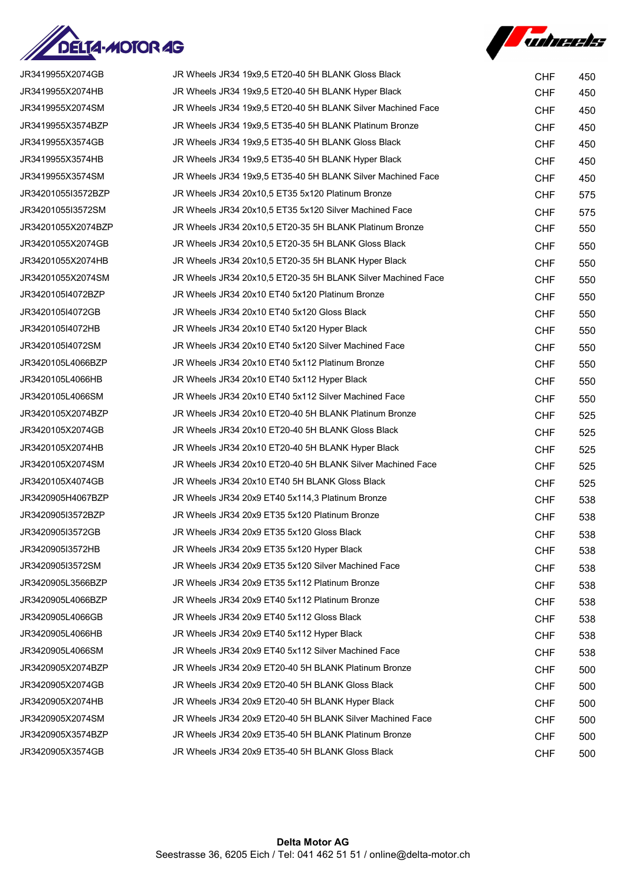



| JR3419955X2074GB   | JR Wheels JR34 19x9.5 ET20-40 5H BLANK Gloss Black           | <b>CHF</b> | 450 |
|--------------------|--------------------------------------------------------------|------------|-----|
| JR3419955X2074HB   | JR Wheels JR34 19x9,5 ET20-40 5H BLANK Hyper Black           | <b>CHF</b> | 450 |
| JR3419955X2074SM   | JR Wheels JR34 19x9,5 ET20-40 5H BLANK Silver Machined Face  | <b>CHF</b> | 450 |
| JR3419955X3574BZP  | JR Wheels JR34 19x9,5 ET35-40 5H BLANK Platinum Bronze       | <b>CHF</b> | 450 |
| JR3419955X3574GB   | JR Wheels JR34 19x9,5 ET35-40 5H BLANK Gloss Black           | <b>CHF</b> | 450 |
| JR3419955X3574HB   | JR Wheels JR34 19x9,5 ET35-40 5H BLANK Hyper Black           | <b>CHF</b> | 450 |
| JR3419955X3574SM   | JR Wheels JR34 19x9,5 ET35-40 5H BLANK Silver Machined Face  | <b>CHF</b> | 450 |
| JR34201055I3572BZP | JR Wheels JR34 20x10,5 ET35 5x120 Platinum Bronze            | <b>CHF</b> | 575 |
| JR34201055I3572SM  | JR Wheels JR34 20x10,5 ET35 5x120 Silver Machined Face       | <b>CHF</b> | 575 |
| JR34201055X2074BZP | JR Wheels JR34 20x10,5 ET20-35 5H BLANK Platinum Bronze      | <b>CHF</b> | 550 |
| JR34201055X2074GB  | JR Wheels JR34 20x10,5 ET20-35 5H BLANK Gloss Black          | <b>CHF</b> | 550 |
| JR34201055X2074HB  | JR Wheels JR34 20x10,5 ET20-35 5H BLANK Hyper Black          | <b>CHF</b> | 550 |
| JR34201055X2074SM  | JR Wheels JR34 20x10,5 ET20-35 5H BLANK Silver Machined Face | <b>CHF</b> | 550 |
| JR3420105I4072BZP  | JR Wheels JR34 20x10 ET40 5x120 Platinum Bronze              | <b>CHF</b> | 550 |
| JR3420105I4072GB   | JR Wheels JR34 20x10 ET40 5x120 Gloss Black                  | <b>CHF</b> | 550 |
| JR3420105I4072HB   | JR Wheels JR34 20x10 ET40 5x120 Hyper Black                  | <b>CHF</b> | 550 |
| JR3420105I4072SM   | JR Wheels JR34 20x10 ET40 5x120 Silver Machined Face         | <b>CHF</b> | 550 |
| JR3420105L4066BZP  | JR Wheels JR34 20x10 ET40 5x112 Platinum Bronze              | <b>CHF</b> | 550 |
| JR3420105L4066HB   | JR Wheels JR34 20x10 ET40 5x112 Hyper Black                  | <b>CHF</b> | 550 |
| JR3420105L4066SM   | JR Wheels JR34 20x10 ET40 5x112 Silver Machined Face         | <b>CHF</b> | 550 |
| JR3420105X2074BZP  | JR Wheels JR34 20x10 ET20-40 5H BLANK Platinum Bronze        | <b>CHF</b> | 525 |
| JR3420105X2074GB   | JR Wheels JR34 20x10 ET20-40 5H BLANK Gloss Black            | <b>CHF</b> | 525 |
| JR3420105X2074HB   | JR Wheels JR34 20x10 ET20-40 5H BLANK Hyper Black            | <b>CHF</b> | 525 |
| JR3420105X2074SM   | JR Wheels JR34 20x10 ET20-40 5H BLANK Silver Machined Face   | <b>CHF</b> | 525 |
| JR3420105X4074GB   | JR Wheels JR34 20x10 ET40 5H BLANK Gloss Black               | <b>CHF</b> | 525 |
| JR3420905H4067BZP  | JR Wheels JR34 20x9 ET40 5x114,3 Platinum Bronze             | <b>CHF</b> | 538 |
| JR3420905I3572BZP  | JR Wheels JR34 20x9 ET35 5x120 Platinum Bronze               | <b>CHF</b> | 538 |
| JR3420905I3572GB   | JR Wheels JR34 20x9 ET35 5x120 Gloss Black                   | <b>CHF</b> | 538 |
| JR3420905I3572HB   | JR Wheels JR34 20x9 ET35 5x120 Hyper Black                   | <b>CHF</b> | 538 |
| JR3420905I3572SM   | JR Wheels JR34 20x9 ET35 5x120 Silver Machined Face          | <b>CHF</b> | 538 |
| JR3420905L3566BZP  | JR Wheels JR34 20x9 ET35 5x112 Platinum Bronze               | <b>CHF</b> | 538 |
| JR3420905L4066BZP  | JR Wheels JR34 20x9 ET40 5x112 Platinum Bronze               | <b>CHF</b> | 538 |
| JR3420905L4066GB   | JR Wheels JR34 20x9 ET40 5x112 Gloss Black                   | <b>CHF</b> | 538 |
| JR3420905L4066HB   | JR Wheels JR34 20x9 ET40 5x112 Hyper Black                   | <b>CHF</b> | 538 |
| JR3420905L4066SM   | JR Wheels JR34 20x9 ET40 5x112 Silver Machined Face          | <b>CHF</b> | 538 |
| JR3420905X2074BZP  | JR Wheels JR34 20x9 ET20-40 5H BLANK Platinum Bronze         | <b>CHF</b> | 500 |
| JR3420905X2074GB   | JR Wheels JR34 20x9 ET20-40 5H BLANK Gloss Black             | <b>CHF</b> | 500 |
| JR3420905X2074HB   | JR Wheels JR34 20x9 ET20-40 5H BLANK Hyper Black             | <b>CHF</b> | 500 |
| JR3420905X2074SM   | JR Wheels JR34 20x9 ET20-40 5H BLANK Silver Machined Face    | <b>CHF</b> | 500 |
| JR3420905X3574BZP  | JR Wheels JR34 20x9 ET35-40 5H BLANK Platinum Bronze         | <b>CHF</b> | 500 |
| JR3420905X3574GB   | JR Wheels JR34 20x9 ET35-40 5H BLANK Gloss Black             | <b>CHF</b> | 500 |
|                    |                                                              |            |     |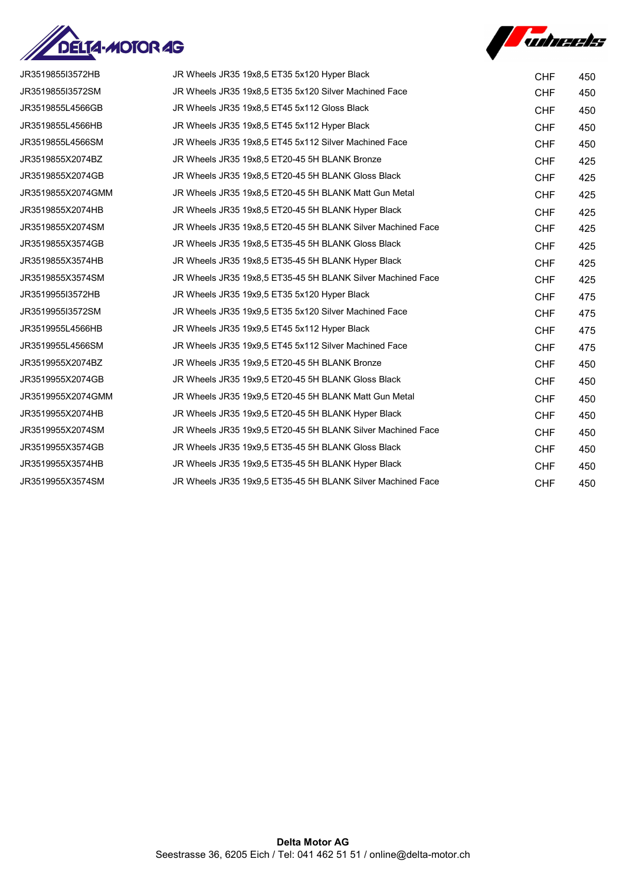



| JR3519855I3572HB  | JR Wheels JR35 19x8,5 ET35 5x120 Hyper Black                | <b>CHF</b> | 450 |
|-------------------|-------------------------------------------------------------|------------|-----|
| JR3519855I3572SM  | JR Wheels JR35 19x8,5 ET35 5x120 Silver Machined Face       | <b>CHF</b> | 450 |
| JR3519855L4566GB  | JR Wheels JR35 19x8,5 ET45 5x112 Gloss Black                | <b>CHF</b> | 450 |
| JR3519855L4566HB  | JR Wheels JR35 19x8,5 ET45 5x112 Hyper Black                | <b>CHF</b> | 450 |
| JR3519855L4566SM  | JR Wheels JR35 19x8,5 ET45 5x112 Silver Machined Face       | <b>CHF</b> | 450 |
| JR3519855X2074BZ  | JR Wheels JR35 19x8,5 ET20-45 5H BLANK Bronze               | <b>CHF</b> | 425 |
| JR3519855X2074GB  | JR Wheels JR35 19x8,5 ET20-45 5H BLANK Gloss Black          | <b>CHF</b> | 425 |
| JR3519855X2074GMM | JR Wheels JR35 19x8,5 ET20-45 5H BLANK Matt Gun Metal       | <b>CHF</b> | 425 |
| JR3519855X2074HB  | JR Wheels JR35 19x8,5 ET20-45 5H BLANK Hyper Black          | <b>CHF</b> | 425 |
| JR3519855X2074SM  | JR Wheels JR35 19x8,5 ET20-45 5H BLANK Silver Machined Face | <b>CHF</b> | 425 |
| JR3519855X3574GB  | JR Wheels JR35 19x8,5 ET35-45 5H BLANK Gloss Black          | <b>CHF</b> | 425 |
| JR3519855X3574HB  | JR Wheels JR35 19x8.5 ET35-45 5H BLANK Hyper Black          | <b>CHF</b> | 425 |
| JR3519855X3574SM  | JR Wheels JR35 19x8,5 ET35-45 5H BLANK Silver Machined Face | <b>CHF</b> | 425 |
| JR3519955I3572HB  | JR Wheels JR35 19x9,5 ET35 5x120 Hyper Black                | <b>CHF</b> | 475 |
| JR3519955I3572SM  | JR Wheels JR35 19x9,5 ET35 5x120 Silver Machined Face       | <b>CHF</b> | 475 |
| JR3519955L4566HB  | JR Wheels JR35 19x9,5 ET45 5x112 Hyper Black                | <b>CHF</b> | 475 |
| JR3519955L4566SM  | JR Wheels JR35 19x9,5 ET45 5x112 Silver Machined Face       | <b>CHF</b> | 475 |
| JR3519955X2074BZ  | JR Wheels JR35 19x9,5 ET20-45 5H BLANK Bronze               | <b>CHF</b> | 450 |
| JR3519955X2074GB  | JR Wheels JR35 19x9,5 ET20-45 5H BLANK Gloss Black          | <b>CHF</b> | 450 |
| JR3519955X2074GMM | JR Wheels JR35 19x9,5 ET20-45 5H BLANK Matt Gun Metal       | <b>CHF</b> | 450 |
| JR3519955X2074HB  | JR Wheels JR35 19x9.5 ET20-45 5H BLANK Hyper Black          | <b>CHF</b> | 450 |
| JR3519955X2074SM  | JR Wheels JR35 19x9,5 ET20-45 5H BLANK Silver Machined Face | <b>CHF</b> | 450 |
| JR3519955X3574GB  | JR Wheels JR35 19x9,5 ET35-45 5H BLANK Gloss Black          | <b>CHF</b> | 450 |
| JR3519955X3574HB  | JR Wheels JR35 19x9,5 ET35-45 5H BLANK Hyper Black          | <b>CHF</b> | 450 |
| JR3519955X3574SM  | JR Wheels JR35 19x9,5 ET35-45 5H BLANK Silver Machined Face | <b>CHF</b> | 450 |
|                   |                                                             |            |     |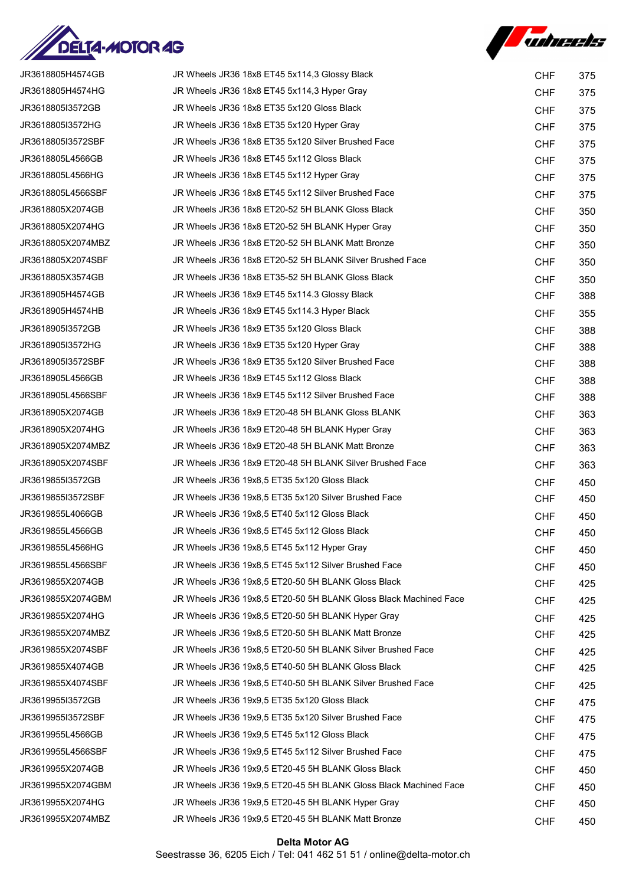



| JR3618805H4574GB  | JR Wheels JR36 18x8 ET45 5x114,3 Glossy Black                    | <b>CHF</b> | 375 |
|-------------------|------------------------------------------------------------------|------------|-----|
| JR3618805H4574HG  | JR Wheels JR36 18x8 ET45 5x114,3 Hyper Gray                      | <b>CHF</b> | 375 |
| JR3618805I3572GB  | JR Wheels JR36 18x8 ET35 5x120 Gloss Black                       | <b>CHF</b> | 375 |
| JR3618805I3572HG  | JR Wheels JR36 18x8 ET35 5x120 Hyper Gray                        | <b>CHF</b> | 375 |
| JR3618805I3572SBF | JR Wheels JR36 18x8 ET35 5x120 Silver Brushed Face               | <b>CHF</b> | 375 |
| JR3618805L4566GB  | JR Wheels JR36 18x8 ET45 5x112 Gloss Black                       | <b>CHF</b> | 375 |
| JR3618805L4566HG  | JR Wheels JR36 18x8 ET45 5x112 Hyper Gray                        | <b>CHF</b> | 375 |
| JR3618805L4566SBF | JR Wheels JR36 18x8 ET45 5x112 Silver Brushed Face               | <b>CHF</b> | 375 |
| JR3618805X2074GB  | JR Wheels JR36 18x8 ET20-52 5H BLANK Gloss Black                 | <b>CHF</b> | 350 |
| JR3618805X2074HG  | JR Wheels JR36 18x8 ET20-52 5H BLANK Hyper Gray                  | <b>CHF</b> | 350 |
| JR3618805X2074MBZ | JR Wheels JR36 18x8 ET20-52 5H BLANK Matt Bronze                 | <b>CHF</b> | 350 |
| JR3618805X2074SBF | JR Wheels JR36 18x8 ET20-52 5H BLANK Silver Brushed Face         | <b>CHF</b> | 350 |
| JR3618805X3574GB  | JR Wheels JR36 18x8 ET35-52 5H BLANK Gloss Black                 | <b>CHF</b> | 350 |
| JR3618905H4574GB  | JR Wheels JR36 18x9 ET45 5x114.3 Glossy Black                    | <b>CHF</b> | 388 |
| JR3618905H4574HB  | JR Wheels JR36 18x9 ET45 5x114.3 Hyper Black                     | <b>CHF</b> | 355 |
| JR3618905I3572GB  | JR Wheels JR36 18x9 ET35 5x120 Gloss Black                       | <b>CHF</b> | 388 |
| JR3618905I3572HG  | JR Wheels JR36 18x9 ET35 5x120 Hyper Gray                        | <b>CHF</b> | 388 |
| JR3618905I3572SBF | JR Wheels JR36 18x9 ET35 5x120 Silver Brushed Face               | <b>CHF</b> | 388 |
| JR3618905L4566GB  | JR Wheels JR36 18x9 ET45 5x112 Gloss Black                       | <b>CHF</b> | 388 |
| JR3618905L4566SBF | JR Wheels JR36 18x9 ET45 5x112 Silver Brushed Face               | <b>CHF</b> | 388 |
| JR3618905X2074GB  | JR Wheels JR36 18x9 ET20-48 5H BLANK Gloss BLANK                 | <b>CHF</b> | 363 |
| JR3618905X2074HG  | JR Wheels JR36 18x9 ET20-48 5H BLANK Hyper Gray                  | <b>CHF</b> | 363 |
| JR3618905X2074MBZ | JR Wheels JR36 18x9 ET20-48 5H BLANK Matt Bronze                 | <b>CHF</b> | 363 |
| JR3618905X2074SBF | JR Wheels JR36 18x9 ET20-48 5H BLANK Silver Brushed Face         | <b>CHF</b> | 363 |
| JR3619855I3572GB  | JR Wheels JR36 19x8,5 ET35 5x120 Gloss Black                     | <b>CHF</b> | 450 |
| JR3619855I3572SBF | JR Wheels JR36 19x8,5 ET35 5x120 Silver Brushed Face             | <b>CHF</b> | 450 |
| JR3619855L4066GB  | JR Wheels JR36 19x8,5 ET40 5x112 Gloss Black                     | <b>CHF</b> | 450 |
| JR3619855L4566GB  | JR Wheels JR36 19x8,5 ET45 5x112 Gloss Black                     | <b>CHF</b> | 450 |
| JR3619855L4566HG  | JR Wheels JR36 19x8,5 ET45 5x112 Hyper Gray                      | <b>CHF</b> | 450 |
| JR3619855L4566SBF | JR Wheels JR36 19x8,5 ET45 5x112 Silver Brushed Face             | <b>CHF</b> | 450 |
| JR3619855X2074GB  | JR Wheels JR36 19x8,5 ET20-50 5H BLANK Gloss Black               | <b>CHF</b> | 425 |
| JR3619855X2074GBM | JR Wheels JR36 19x8,5 ET20-50 5H BLANK Gloss Black Machined Face | <b>CHF</b> | 425 |
| JR3619855X2074HG  | JR Wheels JR36 19x8,5 ET20-50 5H BLANK Hyper Gray                | <b>CHF</b> | 425 |
| JR3619855X2074MBZ | JR Wheels JR36 19x8,5 ET20-50 5H BLANK Matt Bronze               | <b>CHF</b> | 425 |
| JR3619855X2074SBF | JR Wheels JR36 19x8,5 ET20-50 5H BLANK Silver Brushed Face       | <b>CHF</b> | 425 |
| JR3619855X4074GB  | JR Wheels JR36 19x8,5 ET40-50 5H BLANK Gloss Black               | <b>CHF</b> | 425 |
| JR3619855X4074SBF | JR Wheels JR36 19x8,5 ET40-50 5H BLANK Silver Brushed Face       | <b>CHF</b> | 425 |
| JR3619955I3572GB  | JR Wheels JR36 19x9,5 ET35 5x120 Gloss Black                     | <b>CHF</b> | 475 |
| JR3619955I3572SBF | JR Wheels JR36 19x9,5 ET35 5x120 Silver Brushed Face             | <b>CHF</b> | 475 |
| JR3619955L4566GB  | JR Wheels JR36 19x9,5 ET45 5x112 Gloss Black                     | <b>CHF</b> | 475 |
| JR3619955L4566SBF | JR Wheels JR36 19x9,5 ET45 5x112 Silver Brushed Face             | <b>CHF</b> | 475 |
| JR3619955X2074GB  | JR Wheels JR36 19x9,5 ET20-45 5H BLANK Gloss Black               | <b>CHF</b> | 450 |
| JR3619955X2074GBM | JR Wheels JR36 19x9,5 ET20-45 5H BLANK Gloss Black Machined Face | <b>CHF</b> | 450 |
| JR3619955X2074HG  | JR Wheels JR36 19x9,5 ET20-45 5H BLANK Hyper Gray                | <b>CHF</b> | 450 |
| JR3619955X2074MBZ | JR Wheels JR36 19x9,5 ET20-45 5H BLANK Matt Bronze               | <b>CHF</b> | 450 |

## Delta Motor AG Seestrasse 36, 6205 Eich / Tel: 041 462 51 51 / online@delta-motor.ch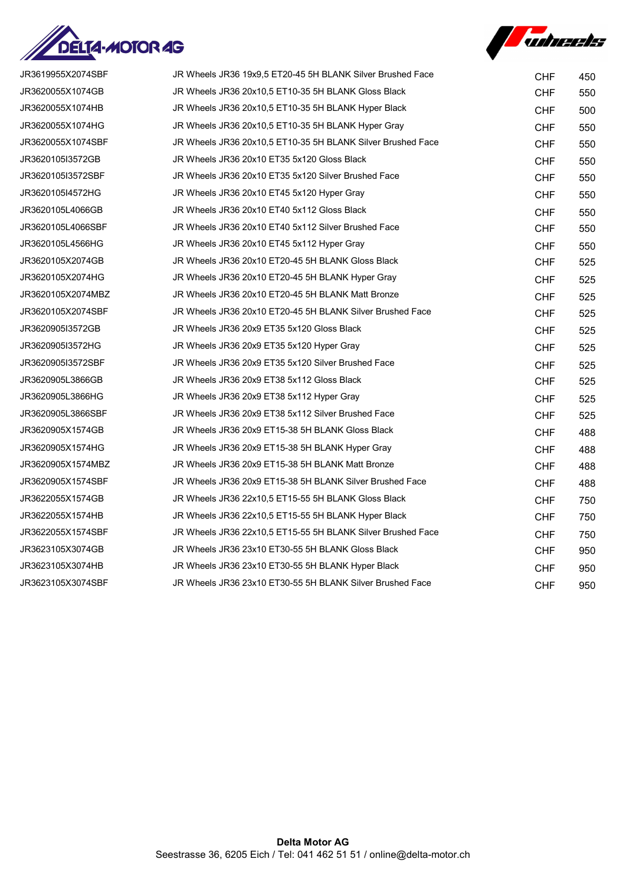



| JR3619955X2074SBF | JR Wheels JR36 19x9,5 ET20-45 5H BLANK Silver Brushed Face  | <b>CHF</b> | 450 |
|-------------------|-------------------------------------------------------------|------------|-----|
| JR3620055X1074GB  | JR Wheels JR36 20x10,5 ET10-35 5H BLANK Gloss Black         | <b>CHF</b> | 550 |
| JR3620055X1074HB  | JR Wheels JR36 20x10,5 ET10-35 5H BLANK Hyper Black         | <b>CHF</b> | 500 |
| JR3620055X1074HG  | JR Wheels JR36 20x10,5 ET10-35 5H BLANK Hyper Gray          | <b>CHF</b> | 550 |
| JR3620055X1074SBF | JR Wheels JR36 20x10,5 ET10-35 5H BLANK Silver Brushed Face | <b>CHF</b> | 550 |
| JR3620105I3572GB  | JR Wheels JR36 20x10 ET35 5x120 Gloss Black                 | <b>CHF</b> | 550 |
| JR3620105I3572SBF | JR Wheels JR36 20x10 ET35 5x120 Silver Brushed Face         | <b>CHF</b> | 550 |
| JR3620105I4572HG  | JR Wheels JR36 20x10 ET45 5x120 Hyper Gray                  | <b>CHF</b> | 550 |
| JR3620105L4066GB  | JR Wheels JR36 20x10 ET40 5x112 Gloss Black                 | <b>CHF</b> | 550 |
| JR3620105L4066SBF | JR Wheels JR36 20x10 ET40 5x112 Silver Brushed Face         | <b>CHF</b> | 550 |
| JR3620105L4566HG  | JR Wheels JR36 20x10 ET45 5x112 Hyper Gray                  | <b>CHF</b> | 550 |
| JR3620105X2074GB  | JR Wheels JR36 20x10 ET20-45 5H BLANK Gloss Black           | <b>CHF</b> | 525 |
| JR3620105X2074HG  | JR Wheels JR36 20x10 ET20-45 5H BLANK Hyper Gray            | <b>CHF</b> | 525 |
| JR3620105X2074MBZ | JR Wheels JR36 20x10 ET20-45 5H BLANK Matt Bronze           | <b>CHF</b> | 525 |
| JR3620105X2074SBF | JR Wheels JR36 20x10 ET20-45 5H BLANK Silver Brushed Face   | <b>CHF</b> | 525 |
| JR3620905I3572GB  | JR Wheels JR36 20x9 ET35 5x120 Gloss Black                  | <b>CHF</b> | 525 |
| JR3620905I3572HG  | JR Wheels JR36 20x9 ET35 5x120 Hyper Gray                   | <b>CHF</b> | 525 |
| JR3620905I3572SBF | JR Wheels JR36 20x9 ET35 5x120 Silver Brushed Face          | <b>CHF</b> | 525 |
| JR3620905L3866GB  | JR Wheels JR36 20x9 ET38 5x112 Gloss Black                  | <b>CHF</b> | 525 |
| JR3620905L3866HG  | JR Wheels JR36 20x9 ET38 5x112 Hyper Gray                   | <b>CHF</b> | 525 |
| JR3620905L3866SBF | JR Wheels JR36 20x9 ET38 5x112 Silver Brushed Face          | <b>CHF</b> | 525 |
| JR3620905X1574GB  | JR Wheels JR36 20x9 ET15-38 5H BLANK Gloss Black            | <b>CHF</b> | 488 |
| JR3620905X1574HG  | JR Wheels JR36 20x9 ET15-38 5H BLANK Hyper Gray             | <b>CHF</b> | 488 |
| JR3620905X1574MBZ | JR Wheels JR36 20x9 ET15-38 5H BLANK Matt Bronze            | <b>CHF</b> | 488 |
| JR3620905X1574SBF | JR Wheels JR36 20x9 ET15-38 5H BLANK Silver Brushed Face    | <b>CHF</b> | 488 |
| JR3622055X1574GB  | JR Wheels JR36 22x10,5 ET15-55 5H BLANK Gloss Black         | <b>CHF</b> | 750 |
| JR3622055X1574HB  | JR Wheels JR36 22x10,5 ET15-55 5H BLANK Hyper Black         | <b>CHF</b> | 750 |
| JR3622055X1574SBF | JR Wheels JR36 22x10,5 ET15-55 5H BLANK Silver Brushed Face | <b>CHF</b> | 750 |
| JR3623105X3074GB  | JR Wheels JR36 23x10 ET30-55 5H BLANK Gloss Black           | <b>CHF</b> | 950 |
| JR3623105X3074HB  | JR Wheels JR36 23x10 ET30-55 5H BLANK Hyper Black           | <b>CHF</b> | 950 |
| JR3623105X3074SBF | JR Wheels JR36 23x10 ET30-55 5H BLANK Silver Brushed Face   | <b>CHF</b> | 950 |
|                   |                                                             |            |     |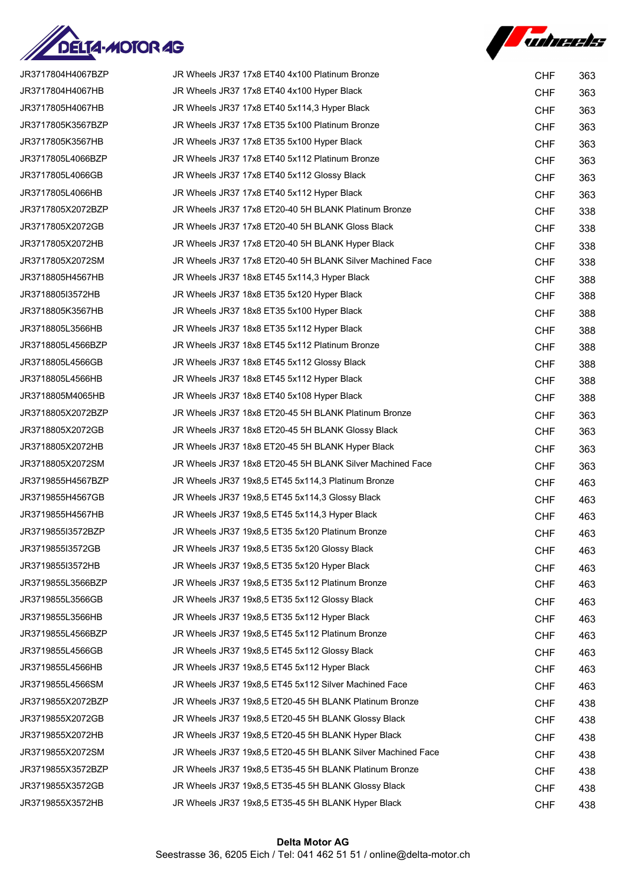



| JR3717804H4067BZP | JR Wheels JR37 17x8 ET40 4x100 Platinum Bronze              | <b>CHF</b> | 363 |
|-------------------|-------------------------------------------------------------|------------|-----|
| JR3717804H4067HB  | JR Wheels JR37 17x8 ET40 4x100 Hyper Black                  | <b>CHF</b> | 363 |
| JR3717805H4067HB  | JR Wheels JR37 17x8 ET40 5x114,3 Hyper Black                | <b>CHF</b> | 363 |
| JR3717805K3567BZP | JR Wheels JR37 17x8 ET35 5x100 Platinum Bronze              | <b>CHF</b> | 363 |
| JR3717805K3567HB  | JR Wheels JR37 17x8 ET35 5x100 Hyper Black                  | <b>CHF</b> | 363 |
| JR3717805L4066BZP | JR Wheels JR37 17x8 ET40 5x112 Platinum Bronze              | <b>CHF</b> | 363 |
| JR3717805L4066GB  | JR Wheels JR37 17x8 ET40 5x112 Glossy Black                 | <b>CHF</b> | 363 |
| JR3717805L4066HB  | JR Wheels JR37 17x8 ET40 5x112 Hyper Black                  | <b>CHF</b> | 363 |
| JR3717805X2072BZP | JR Wheels JR37 17x8 ET20-40 5H BLANK Platinum Bronze        | <b>CHF</b> | 338 |
| JR3717805X2072GB  | JR Wheels JR37 17x8 ET20-40 5H BLANK Gloss Black            | <b>CHF</b> | 338 |
| JR3717805X2072HB  | JR Wheels JR37 17x8 ET20-40 5H BLANK Hyper Black            | <b>CHF</b> | 338 |
| JR3717805X2072SM  | JR Wheels JR37 17x8 ET20-40 5H BLANK Silver Machined Face   | <b>CHF</b> | 338 |
| JR3718805H4567HB  | JR Wheels JR37 18x8 ET45 5x114,3 Hyper Black                | <b>CHF</b> | 388 |
| JR3718805I3572HB  | JR Wheels JR37 18x8 ET35 5x120 Hyper Black                  | <b>CHF</b> | 388 |
| JR3718805K3567HB  | JR Wheels JR37 18x8 ET35 5x100 Hyper Black                  | <b>CHF</b> | 388 |
| JR3718805L3566HB  | JR Wheels JR37 18x8 ET35 5x112 Hyper Black                  | <b>CHF</b> | 388 |
| JR3718805L4566BZP | JR Wheels JR37 18x8 ET45 5x112 Platinum Bronze              | <b>CHF</b> | 388 |
| JR3718805L4566GB  | JR Wheels JR37 18x8 ET45 5x112 Glossy Black                 | <b>CHF</b> | 388 |
| JR3718805L4566HB  | JR Wheels JR37 18x8 ET45 5x112 Hyper Black                  | <b>CHF</b> | 388 |
| JR3718805M4065HB  | JR Wheels JR37 18x8 ET40 5x108 Hyper Black                  | <b>CHF</b> | 388 |
| JR3718805X2072BZP | JR Wheels JR37 18x8 ET20-45 5H BLANK Platinum Bronze        | <b>CHF</b> | 363 |
| JR3718805X2072GB  | JR Wheels JR37 18x8 ET20-45 5H BLANK Glossy Black           | <b>CHF</b> | 363 |
| JR3718805X2072HB  | JR Wheels JR37 18x8 ET20-45 5H BLANK Hyper Black            | <b>CHF</b> | 363 |
| JR3718805X2072SM  | JR Wheels JR37 18x8 ET20-45 5H BLANK Silver Machined Face   | <b>CHF</b> | 363 |
| JR3719855H4567BZP | JR Wheels JR37 19x8,5 ET45 5x114,3 Platinum Bronze          | <b>CHF</b> | 463 |
| JR3719855H4567GB  | JR Wheels JR37 19x8,5 ET45 5x114,3 Glossy Black             | <b>CHF</b> | 463 |
| JR3719855H4567HB  | JR Wheels JR37 19x8,5 ET45 5x114,3 Hyper Black              | <b>CHF</b> | 463 |
| JR3719855I3572BZP | JR Wheels JR37 19x8,5 ET35 5x120 Platinum Bronze            | <b>CHF</b> | 463 |
| JR3719855I3572GB  | JR Wheels JR37 19x8,5 ET35 5x120 Glossy Black               | <b>CHF</b> | 463 |
| JR3719855I3572HB  | JR Wheels JR37 19x8,5 ET35 5x120 Hyper Black                | <b>CHF</b> | 463 |
| JR3719855L3566BZP | JR Wheels JR37 19x8,5 ET35 5x112 Platinum Bronze            | <b>CHF</b> | 463 |
| JR3719855L3566GB  | JR Wheels JR37 19x8,5 ET35 5x112 Glossy Black               | <b>CHF</b> | 463 |
| JR3719855L3566HB  | JR Wheels JR37 19x8,5 ET35 5x112 Hyper Black                | <b>CHF</b> | 463 |
| JR3719855L4566BZP | JR Wheels JR37 19x8.5 ET45 5x112 Platinum Bronze            | <b>CHF</b> | 463 |
| JR3719855L4566GB  | JR Wheels JR37 19x8,5 ET45 5x112 Glossy Black               | <b>CHF</b> | 463 |
| JR3719855L4566HB  | JR Wheels JR37 19x8,5 ET45 5x112 Hyper Black                | <b>CHF</b> | 463 |
| JR3719855L4566SM  | JR Wheels JR37 19x8,5 ET45 5x112 Silver Machined Face       | <b>CHF</b> | 463 |
| JR3719855X2072BZP | JR Wheels JR37 19x8,5 ET20-45 5H BLANK Platinum Bronze      | <b>CHF</b> | 438 |
| JR3719855X2072GB  | JR Wheels JR37 19x8,5 ET20-45 5H BLANK Glossy Black         | <b>CHF</b> | 438 |
| JR3719855X2072HB  | JR Wheels JR37 19x8,5 ET20-45 5H BLANK Hyper Black          | <b>CHF</b> | 438 |
| JR3719855X2072SM  | JR Wheels JR37 19x8,5 ET20-45 5H BLANK Silver Machined Face | <b>CHF</b> | 438 |
| JR3719855X3572BZP | JR Wheels JR37 19x8,5 ET35-45 5H BLANK Platinum Bronze      | <b>CHF</b> | 438 |
| JR3719855X3572GB  | JR Wheels JR37 19x8,5 ET35-45 5H BLANK Glossy Black         | <b>CHF</b> | 438 |
| JR3719855X3572HB  | JR Wheels JR37 19x8,5 ET35-45 5H BLANK Hyper Black          | <b>CHF</b> | 438 |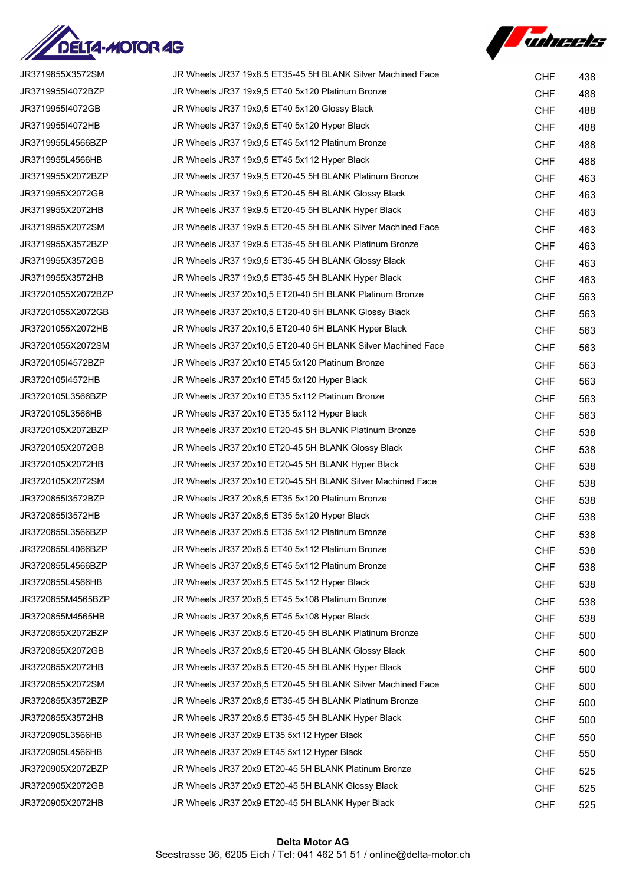



| JR3719855X3572SM   | JR Wheels JR37 19x8.5 ET35-45 5H BLANK Silver Machined Face  | <b>CHF</b> | 438 |
|--------------------|--------------------------------------------------------------|------------|-----|
| JR3719955I4072BZP  | JR Wheels JR37 19x9,5 ET40 5x120 Platinum Bronze             | <b>CHF</b> | 488 |
| JR3719955I4072GB   | JR Wheels JR37 19x9,5 ET40 5x120 Glossy Black                | <b>CHF</b> | 488 |
| JR3719955I4072HB   | JR Wheels JR37 19x9,5 ET40 5x120 Hyper Black                 | <b>CHF</b> | 488 |
| JR3719955L4566BZP  | JR Wheels JR37 19x9.5 ET45 5x112 Platinum Bronze             | <b>CHF</b> | 488 |
| JR3719955L4566HB   | JR Wheels JR37 19x9,5 ET45 5x112 Hyper Black                 | <b>CHF</b> | 488 |
| JR3719955X2072BZP  | JR Wheels JR37 19x9,5 ET20-45 5H BLANK Platinum Bronze       | <b>CHF</b> | 463 |
| JR3719955X2072GB   | JR Wheels JR37 19x9,5 ET20-45 5H BLANK Glossy Black          | <b>CHF</b> | 463 |
| JR3719955X2072HB   | JR Wheels JR37 19x9,5 ET20-45 5H BLANK Hyper Black           | <b>CHF</b> | 463 |
| JR3719955X2072SM   | JR Wheels JR37 19x9,5 ET20-45 5H BLANK Silver Machined Face  | <b>CHF</b> | 463 |
| JR3719955X3572BZP  | JR Wheels JR37 19x9,5 ET35-45 5H BLANK Platinum Bronze       | <b>CHF</b> | 463 |
| JR3719955X3572GB   | JR Wheels JR37 19x9,5 ET35-45 5H BLANK Glossy Black          | <b>CHF</b> | 463 |
| JR3719955X3572HB   | JR Wheels JR37 19x9,5 ET35-45 5H BLANK Hyper Black           | <b>CHF</b> | 463 |
| JR37201055X2072BZP | JR Wheels JR37 20x10,5 ET20-40 5H BLANK Platinum Bronze      | <b>CHF</b> | 563 |
| JR37201055X2072GB  | JR Wheels JR37 20x10,5 ET20-40 5H BLANK Glossy Black         | <b>CHF</b> | 563 |
| JR37201055X2072HB  | JR Wheels JR37 20x10,5 ET20-40 5H BLANK Hyper Black          | <b>CHF</b> | 563 |
| JR37201055X2072SM  | JR Wheels JR37 20x10,5 ET20-40 5H BLANK Silver Machined Face | <b>CHF</b> | 563 |
| JR3720105I4572BZP  | JR Wheels JR37 20x10 ET45 5x120 Platinum Bronze              | <b>CHF</b> | 563 |
| JR3720105I4572HB   | JR Wheels JR37 20x10 ET45 5x120 Hyper Black                  | <b>CHF</b> | 563 |
| JR3720105L3566BZP  | JR Wheels JR37 20x10 ET35 5x112 Platinum Bronze              | <b>CHF</b> | 563 |
| JR3720105L3566HB   | JR Wheels JR37 20x10 ET35 5x112 Hyper Black                  | <b>CHF</b> | 563 |
| JR3720105X2072BZP  | JR Wheels JR37 20x10 ET20-45 5H BLANK Platinum Bronze        | <b>CHF</b> | 538 |
| JR3720105X2072GB   | JR Wheels JR37 20x10 ET20-45 5H BLANK Glossy Black           | <b>CHF</b> | 538 |
| JR3720105X2072HB   | JR Wheels JR37 20x10 ET20-45 5H BLANK Hyper Black            | <b>CHF</b> | 538 |
| JR3720105X2072SM   | JR Wheels JR37 20x10 ET20-45 5H BLANK Silver Machined Face   | <b>CHF</b> | 538 |
| JR3720855I3572BZP  | JR Wheels JR37 20x8,5 ET35 5x120 Platinum Bronze             | <b>CHF</b> | 538 |
| JR3720855I3572HB   | JR Wheels JR37 20x8,5 ET35 5x120 Hyper Black                 | <b>CHF</b> | 538 |
| JR3720855L3566BZP  | JR Wheels JR37 20x8,5 ET35 5x112 Platinum Bronze             | <b>CHF</b> | 538 |
| JR3720855L4066BZP  | JR Wheels JR37 20x8.5 ET40 5x112 Platinum Bronze             | <b>CHF</b> | 538 |
| JR3720855L4566BZP  | JR Wheels JR37 20x8,5 ET45 5x112 Platinum Bronze             | <b>CHF</b> | 538 |
| JR3720855L4566HB   | JR Wheels JR37 20x8,5 ET45 5x112 Hyper Black                 | <b>CHF</b> | 538 |
| JR3720855M4565BZP  | JR Wheels JR37 20x8,5 ET45 5x108 Platinum Bronze             | <b>CHF</b> | 538 |
| JR3720855M4565HB   | JR Wheels JR37 20x8,5 ET45 5x108 Hyper Black                 | <b>CHF</b> | 538 |
| JR3720855X2072BZP  | JR Wheels JR37 20x8,5 ET20-45 5H BLANK Platinum Bronze       | <b>CHF</b> | 500 |
| JR3720855X2072GB   | JR Wheels JR37 20x8,5 ET20-45 5H BLANK Glossy Black          | <b>CHF</b> | 500 |
| JR3720855X2072HB   | JR Wheels JR37 20x8,5 ET20-45 5H BLANK Hyper Black           | <b>CHF</b> | 500 |
| JR3720855X2072SM   | JR Wheels JR37 20x8,5 ET20-45 5H BLANK Silver Machined Face  | <b>CHF</b> | 500 |
| JR3720855X3572BZP  | JR Wheels JR37 20x8,5 ET35-45 5H BLANK Platinum Bronze       | <b>CHF</b> | 500 |
| JR3720855X3572HB   | JR Wheels JR37 20x8,5 ET35-45 5H BLANK Hyper Black           | <b>CHF</b> | 500 |
| JR3720905L3566HB   | JR Wheels JR37 20x9 ET35 5x112 Hyper Black                   | <b>CHF</b> | 550 |
| JR3720905L4566HB   | JR Wheels JR37 20x9 ET45 5x112 Hyper Black                   | <b>CHF</b> | 550 |
| JR3720905X2072BZP  | JR Wheels JR37 20x9 ET20-45 5H BLANK Platinum Bronze         | <b>CHF</b> | 525 |
| JR3720905X2072GB   | JR Wheels JR37 20x9 ET20-45 5H BLANK Glossy Black            | <b>CHF</b> | 525 |
| JR3720905X2072HB   | JR Wheels JR37 20x9 ET20-45 5H BLANK Hyper Black             | <b>CHF</b> | 525 |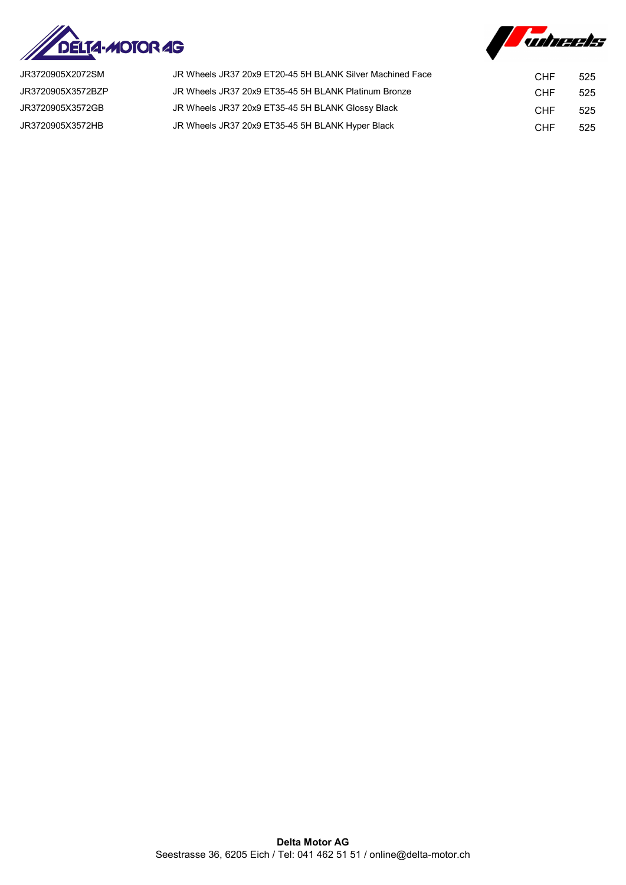



| JR3720905X2072SM  | JR Wheels JR37 20x9 ET20-45 5H BLANK Silver Machined Face | <b>CHF</b> | 525 |
|-------------------|-----------------------------------------------------------|------------|-----|
| JR3720905X3572BZP | JR Wheels JR37 20x9 ET35-45 5H BLANK Platinum Bronze      | <b>CHF</b> | 525 |
| JR3720905X3572GB  | JR Wheels JR37 20x9 ET35-45 5H BLANK Glossy Black         | <b>CHF</b> | 525 |
| JR3720905X3572HB  | JR Wheels JR37 20x9 ET35-45 5H BLANK Hyper Black          | CHF        | 525 |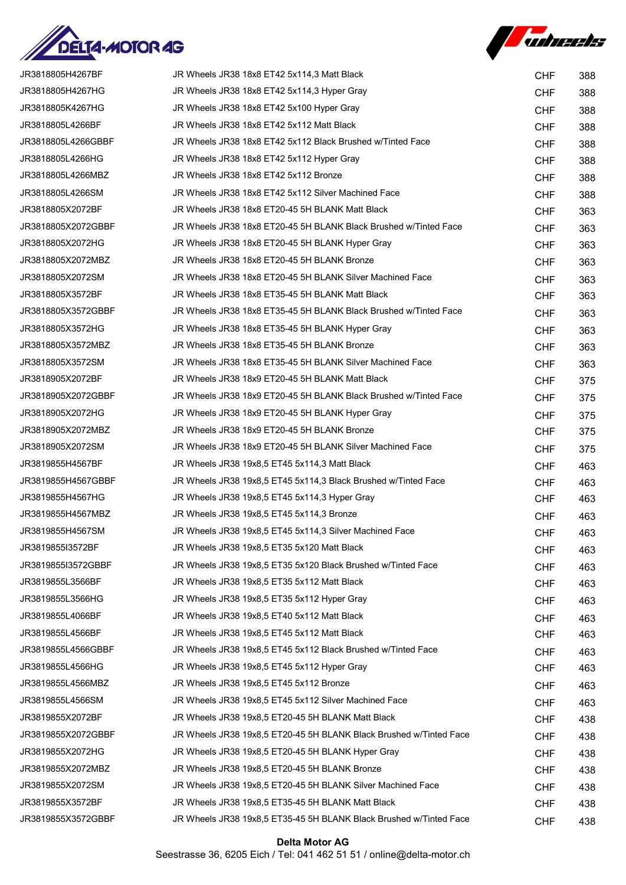



| JR3818805H4267BF   | JR Wheels JR38 18x8 ET42 5x114,3 Matt Black                        | <b>CHF</b> | 388 |
|--------------------|--------------------------------------------------------------------|------------|-----|
| JR3818805H4267HG   | JR Wheels JR38 18x8 ET42 5x114,3 Hyper Gray                        | <b>CHF</b> | 388 |
| JR3818805K4267HG   | JR Wheels JR38 18x8 ET42 5x100 Hyper Gray                          | <b>CHF</b> | 388 |
| JR3818805L4266BF   | JR Wheels JR38 18x8 ET42 5x112 Matt Black                          | <b>CHF</b> | 388 |
| JR3818805L4266GBBF | JR Wheels JR38 18x8 ET42 5x112 Black Brushed w/Tinted Face         | <b>CHF</b> | 388 |
| JR3818805L4266HG   | JR Wheels JR38 18x8 ET42 5x112 Hyper Gray                          | <b>CHF</b> | 388 |
| JR3818805L4266MBZ  | JR Wheels JR38 18x8 ET42 5x112 Bronze                              | <b>CHF</b> | 388 |
| JR3818805L4266SM   | JR Wheels JR38 18x8 ET42 5x112 Silver Machined Face                | <b>CHF</b> | 388 |
| JR3818805X2072BF   | JR Wheels JR38 18x8 ET20-45 5H BLANK Matt Black                    | <b>CHF</b> | 363 |
| JR3818805X2072GBBF | JR Wheels JR38 18x8 ET20-45 5H BLANK Black Brushed w/Tinted Face   | <b>CHF</b> | 363 |
| JR3818805X2072HG   | JR Wheels JR38 18x8 ET20-45 5H BLANK Hyper Gray                    | <b>CHF</b> | 363 |
| JR3818805X2072MBZ  | JR Wheels JR38 18x8 ET20-45 5H BLANK Bronze                        | <b>CHF</b> | 363 |
| JR3818805X2072SM   | JR Wheels JR38 18x8 ET20-45 5H BLANK Silver Machined Face          | <b>CHF</b> | 363 |
| JR3818805X3572BF   | JR Wheels JR38 18x8 ET35-45 5H BLANK Matt Black                    | <b>CHF</b> | 363 |
| JR3818805X3572GBBF | JR Wheels JR38 18x8 ET35-45 5H BLANK Black Brushed w/Tinted Face   | <b>CHF</b> | 363 |
| JR3818805X3572HG   | JR Wheels JR38 18x8 ET35-45 5H BLANK Hyper Gray                    | <b>CHF</b> | 363 |
| JR3818805X3572MBZ  | JR Wheels JR38 18x8 ET35-45 5H BLANK Bronze                        | <b>CHF</b> | 363 |
| JR3818805X3572SM   | JR Wheels JR38 18x8 ET35-45 5H BLANK Silver Machined Face          | <b>CHF</b> | 363 |
| JR3818905X2072BF   | JR Wheels JR38 18x9 ET20-45 5H BLANK Matt Black                    | <b>CHF</b> | 375 |
| JR3818905X2072GBBF | JR Wheels JR38 18x9 ET20-45 5H BLANK Black Brushed w/Tinted Face   | <b>CHF</b> | 375 |
| JR3818905X2072HG   | JR Wheels JR38 18x9 ET20-45 5H BLANK Hyper Gray                    | <b>CHF</b> | 375 |
| JR3818905X2072MBZ  | JR Wheels JR38 18x9 ET20-45 5H BLANK Bronze                        | <b>CHF</b> | 375 |
| JR3818905X2072SM   | JR Wheels JR38 18x9 ET20-45 5H BLANK Silver Machined Face          | <b>CHF</b> | 375 |
| JR3819855H4567BF   | JR Wheels JR38 19x8,5 ET45 5x114,3 Matt Black                      | <b>CHF</b> | 463 |
| JR3819855H4567GBBF | JR Wheels JR38 19x8,5 ET45 5x114,3 Black Brushed w/Tinted Face     | <b>CHF</b> | 463 |
| JR3819855H4567HG   | JR Wheels JR38 19x8,5 ET45 5x114,3 Hyper Gray                      | <b>CHF</b> | 463 |
| JR3819855H4567MBZ  | JR Wheels JR38 19x8,5 ET45 5x114,3 Bronze                          | <b>CHF</b> | 463 |
| JR3819855H4567SM   | JR Wheels JR38 19x8,5 ET45 5x114,3 Silver Machined Face            | <b>CHF</b> | 463 |
| JR381985513572BF   | JR Wheels JR38 19x8.5 ET35 5x120 Matt Black                        | <b>CHF</b> | 463 |
| JR3819855I3572GBBF | JR Wheels JR38 19x8,5 ET35 5x120 Black Brushed w/Tinted Face       | <b>CHF</b> | 463 |
| JR3819855L3566BF   | JR Wheels JR38 19x8,5 ET35 5x112 Matt Black                        | <b>CHF</b> | 463 |
| JR3819855L3566HG   | JR Wheels JR38 19x8.5 ET35 5x112 Hyper Gray                        | <b>CHF</b> | 463 |
| JR3819855L4066BF   | JR Wheels JR38 19x8,5 ET40 5x112 Matt Black                        | <b>CHF</b> | 463 |
| JR3819855L4566BF   | JR Wheels JR38 19x8,5 ET45 5x112 Matt Black                        | <b>CHF</b> | 463 |
| JR3819855L4566GBBF | JR Wheels JR38 19x8,5 ET45 5x112 Black Brushed w/Tinted Face       | <b>CHF</b> | 463 |
| JR3819855L4566HG   | JR Wheels JR38 19x8,5 ET45 5x112 Hyper Gray                        | <b>CHF</b> | 463 |
| JR3819855L4566MBZ  | JR Wheels JR38 19x8,5 ET45 5x112 Bronze                            | <b>CHF</b> | 463 |
| JR3819855L4566SM   | JR Wheels JR38 19x8,5 ET45 5x112 Silver Machined Face              | <b>CHF</b> | 463 |
| JR3819855X2072BF   | JR Wheels JR38 19x8,5 ET20-45 5H BLANK Matt Black                  | <b>CHF</b> | 438 |
| JR3819855X2072GBBF | JR Wheels JR38 19x8,5 ET20-45 5H BLANK Black Brushed w/Tinted Face | <b>CHF</b> | 438 |
| JR3819855X2072HG   | JR Wheels JR38 19x8,5 ET20-45 5H BLANK Hyper Gray                  | <b>CHF</b> | 438 |
| JR3819855X2072MBZ  | JR Wheels JR38 19x8,5 ET20-45 5H BLANK Bronze                      | <b>CHF</b> | 438 |
| JR3819855X2072SM   | JR Wheels JR38 19x8,5 ET20-45 5H BLANK Silver Machined Face        | <b>CHF</b> | 438 |
| JR3819855X3572BF   | JR Wheels JR38 19x8,5 ET35-45 5H BLANK Matt Black                  | <b>CHF</b> | 438 |
| JR3819855X3572GBBF | JR Wheels JR38 19x8,5 ET35-45 5H BLANK Black Brushed w/Tinted Face | <b>CHF</b> | 438 |

## Delta Motor AG Seestrasse 36, 6205 Eich / Tel: 041 462 51 51 / online@delta-motor.ch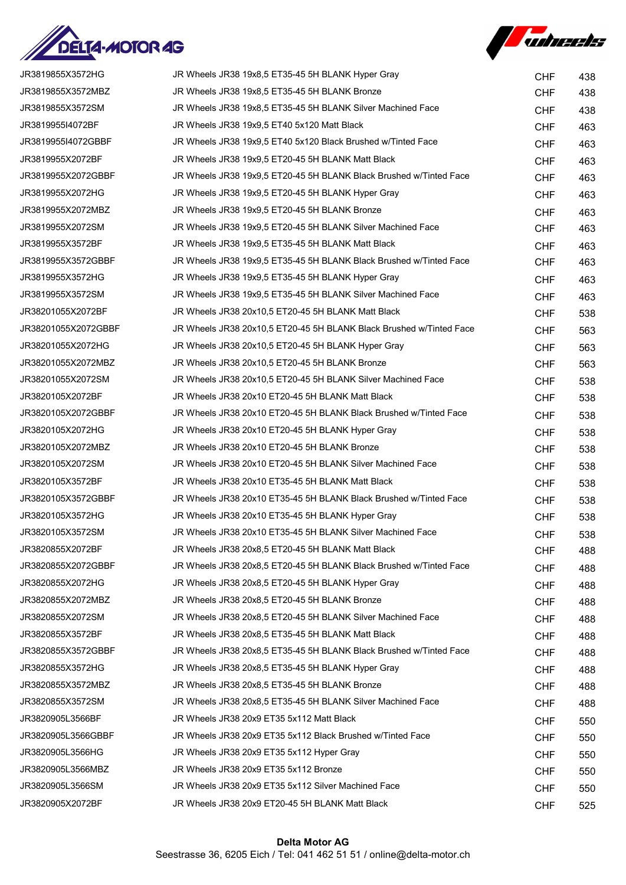



| JR3819855X3572HG    | JR Wheels JR38 19x8,5 ET35-45 5H BLANK Hyper Gray                   | <b>CHF</b> | 438 |
|---------------------|---------------------------------------------------------------------|------------|-----|
| JR3819855X3572MBZ   | JR Wheels JR38 19x8,5 ET35-45 5H BLANK Bronze                       | <b>CHF</b> | 438 |
| JR3819855X3572SM    | JR Wheels JR38 19x8,5 ET35-45 5H BLANK Silver Machined Face         | <b>CHF</b> | 438 |
| JR3819955I4072BF    | JR Wheels JR38 19x9,5 ET40 5x120 Matt Black                         | <b>CHF</b> | 463 |
| JR3819955I4072GBBF  | JR Wheels JR38 19x9,5 ET40 5x120 Black Brushed w/Tinted Face        | <b>CHF</b> | 463 |
| JR3819955X2072BF    | JR Wheels JR38 19x9,5 ET20-45 5H BLANK Matt Black                   | <b>CHF</b> | 463 |
| JR3819955X2072GBBF  | JR Wheels JR38 19x9,5 ET20-45 5H BLANK Black Brushed w/Tinted Face  | <b>CHF</b> | 463 |
| JR3819955X2072HG    | JR Wheels JR38 19x9,5 ET20-45 5H BLANK Hyper Gray                   | <b>CHF</b> | 463 |
| JR3819955X2072MBZ   | JR Wheels JR38 19x9,5 ET20-45 5H BLANK Bronze                       | <b>CHF</b> | 463 |
| JR3819955X2072SM    | JR Wheels JR38 19x9,5 ET20-45 5H BLANK Silver Machined Face         | <b>CHF</b> | 463 |
| JR3819955X3572BF    | JR Wheels JR38 19x9,5 ET35-45 5H BLANK Matt Black                   | <b>CHF</b> | 463 |
| JR3819955X3572GBBF  | JR Wheels JR38 19x9,5 ET35-45 5H BLANK Black Brushed w/Tinted Face  | <b>CHF</b> | 463 |
| JR3819955X3572HG    | JR Wheels JR38 19x9,5 ET35-45 5H BLANK Hyper Gray                   | <b>CHF</b> | 463 |
| JR3819955X3572SM    | JR Wheels JR38 19x9,5 ET35-45 5H BLANK Silver Machined Face         | <b>CHF</b> | 463 |
| JR38201055X2072BF   | JR Wheels JR38 20x10.5 ET20-45 5H BLANK Matt Black                  | <b>CHF</b> | 538 |
| JR38201055X2072GBBF | JR Wheels JR38 20x10,5 ET20-45 5H BLANK Black Brushed w/Tinted Face | <b>CHF</b> | 563 |
| JR38201055X2072HG   | JR Wheels JR38 20x10,5 ET20-45 5H BLANK Hyper Gray                  | <b>CHF</b> | 563 |
| JR38201055X2072MBZ  | JR Wheels JR38 20x10.5 ET20-45 5H BLANK Bronze                      | <b>CHF</b> | 563 |
| JR38201055X2072SM   | JR Wheels JR38 20x10,5 ET20-45 5H BLANK Silver Machined Face        | <b>CHF</b> | 538 |
| JR3820105X2072BF    | JR Wheels JR38 20x10 ET20-45 5H BLANK Matt Black                    | <b>CHF</b> | 538 |
| JR3820105X2072GBBF  | JR Wheels JR38 20x10 ET20-45 5H BLANK Black Brushed w/Tinted Face   | <b>CHF</b> | 538 |
| JR3820105X2072HG    | JR Wheels JR38 20x10 ET20-45 5H BLANK Hyper Gray                    | <b>CHF</b> | 538 |
| JR3820105X2072MBZ   | JR Wheels JR38 20x10 ET20-45 5H BLANK Bronze                        | <b>CHF</b> | 538 |
| JR3820105X2072SM    | JR Wheels JR38 20x10 ET20-45 5H BLANK Silver Machined Face          | <b>CHF</b> | 538 |
| JR3820105X3572BF    | JR Wheels JR38 20x10 ET35-45 5H BLANK Matt Black                    | <b>CHF</b> | 538 |
| JR3820105X3572GBBF  | JR Wheels JR38 20x10 ET35-45 5H BLANK Black Brushed w/Tinted Face   | <b>CHF</b> | 538 |
| JR3820105X3572HG    | JR Wheels JR38 20x10 ET35-45 5H BLANK Hyper Gray                    | <b>CHF</b> | 538 |
| JR3820105X3572SM    | JR Wheels JR38 20x10 ET35-45 5H BLANK Silver Machined Face          | <b>CHF</b> | 538 |
| JR3820855X2072BF    | JR Wheels JR38 20x8,5 ET20-45 5H BLANK Matt Black                   | <b>CHF</b> | 488 |
| JR3820855X2072GBBF  | JR Wheels JR38 20x8,5 ET20-45 5H BLANK Black Brushed w/Tinted Face  | <b>CHF</b> | 488 |
| JR3820855X2072HG    | JR Wheels JR38 20x8,5 ET20-45 5H BLANK Hyper Gray                   | <b>CHF</b> | 488 |
| JR3820855X2072MBZ   | JR Wheels JR38 20x8,5 ET20-45 5H BLANK Bronze                       | <b>CHF</b> | 488 |
| JR3820855X2072SM    | JR Wheels JR38 20x8.5 ET20-45 5H BLANK Silver Machined Face         | <b>CHF</b> | 488 |
| JR3820855X3572BF    | JR Wheels JR38 20x8,5 ET35-45 5H BLANK Matt Black                   | <b>CHF</b> | 488 |
| JR3820855X3572GBBF  | JR Wheels JR38 20x8,5 ET35-45 5H BLANK Black Brushed w/Tinted Face  | <b>CHF</b> | 488 |
| JR3820855X3572HG    | JR Wheels JR38 20x8,5 ET35-45 5H BLANK Hyper Gray                   | <b>CHF</b> | 488 |
| JR3820855X3572MBZ   | JR Wheels JR38 20x8,5 ET35-45 5H BLANK Bronze                       | <b>CHF</b> | 488 |
| JR3820855X3572SM    | JR Wheels JR38 20x8,5 ET35-45 5H BLANK Silver Machined Face         | <b>CHF</b> | 488 |
| JR3820905L3566BF    | JR Wheels JR38 20x9 ET35 5x112 Matt Black                           | <b>CHF</b> | 550 |
| JR3820905L3566GBBF  | JR Wheels JR38 20x9 ET35 5x112 Black Brushed w/Tinted Face          | <b>CHF</b> | 550 |
| JR3820905L3566HG    | JR Wheels JR38 20x9 ET35 5x112 Hyper Gray                           | <b>CHF</b> | 550 |
| JR3820905L3566MBZ   | JR Wheels JR38 20x9 ET35 5x112 Bronze                               | <b>CHF</b> | 550 |
| JR3820905L3566SM    | JR Wheels JR38 20x9 ET35 5x112 Silver Machined Face                 | <b>CHF</b> | 550 |
| JR3820905X2072BF    | JR Wheels JR38 20x9 ET20-45 5H BLANK Matt Black                     | <b>CHF</b> | 525 |
|                     |                                                                     |            |     |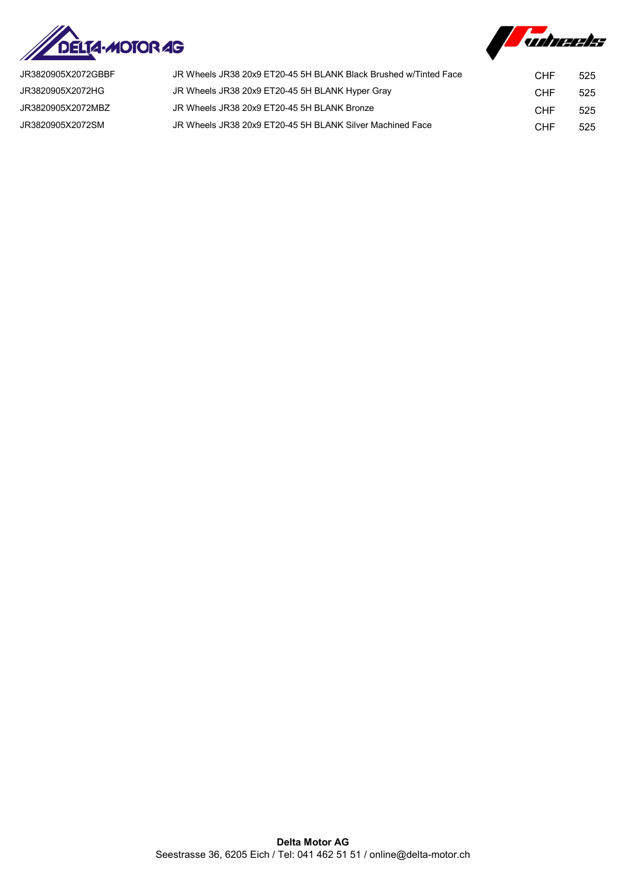



| JR3820905X2072GBBF | JR Wheels JR38 20x9 ET20-45 5H BLANK Black Brushed w/Tinted Face | CHF | 525 |
|--------------------|------------------------------------------------------------------|-----|-----|
| JR3820905X2072HG   | JR Wheels JR38 20x9 ET20-45 5H BLANK Hyper Gray                  | CHF | 525 |
| JR3820905X2072MBZ  | JR Wheels JR38 20x9 ET20-45 5H BLANK Bronze                      | CHF | 525 |
| JR3820905X2072SM   | JR Wheels JR38 20x9 ET20-45 5H BLANK Silver Machined Face        | CHF | 525 |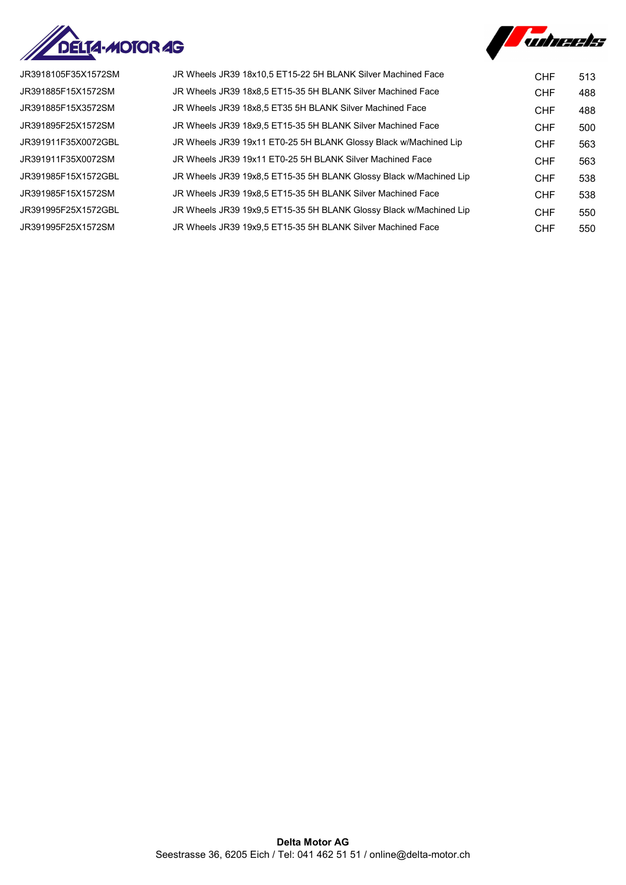



| JR3918105F35X1572SM | JR Wheels JR39 18x10.5 ET15-22 5H BLANK Silver Machined Face       | <b>CHF</b> | 513 |
|---------------------|--------------------------------------------------------------------|------------|-----|
| JR391885F15X1572SM  | JR Wheels JR39 18x8,5 ET15-35 5H BLANK Silver Machined Face        | <b>CHF</b> | 488 |
| JR391885F15X3572SM  | JR Wheels JR39 18x8.5 ET35 5H BLANK Silver Machined Face           | <b>CHF</b> | 488 |
| JR391895F25X1572SM  | JR Wheels JR39 18x9.5 ET15-35 5H BLANK Silver Machined Face        | <b>CHF</b> | 500 |
| JR391911F35X0072GBL | JR Wheels JR39 19x11 ET0-25 5H BLANK Glossy Black w/Machined Lip   | <b>CHF</b> | 563 |
| JR391911F35X0072SM  | JR Wheels JR39 19x11 ET0-25 5H BLANK Silver Machined Face          | <b>CHF</b> | 563 |
| JR391985F15X1572GBL | JR Wheels JR39 19x8,5 ET15-35 5H BLANK Glossy Black w/Machined Lip | <b>CHF</b> | 538 |
| JR391985F15X1572SM  | JR Wheels JR39 19x8,5 ET15-35 5H BLANK Silver Machined Face        | <b>CHF</b> | 538 |
| JR391995F25X1572GBL | JR Wheels JR39 19x9.5 ET15-35 5H BLANK Glossy Black w/Machined Lip | <b>CHF</b> | 550 |
| JR391995F25X1572SM  | JR Wheels JR39 19x9.5 ET15-35 5H BLANK Silver Machined Face        | <b>CHF</b> | 550 |
|                     |                                                                    |            |     |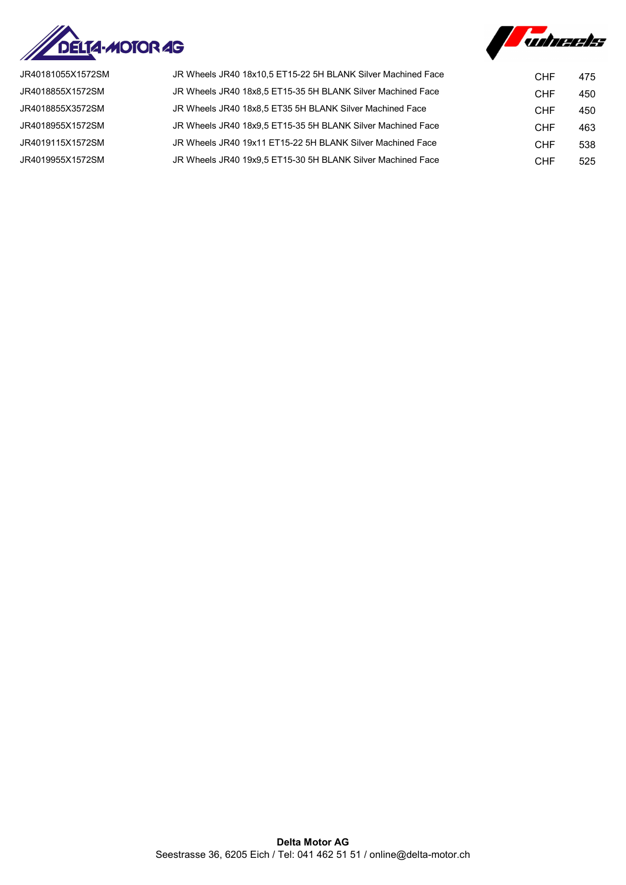



| JR40181055X1572SM | JR Wheels JR40 18x10.5 ET15-22 5H BLANK Silver Machined Face | <b>CHF</b> | 475 |
|-------------------|--------------------------------------------------------------|------------|-----|
| JR4018855X1572SM  | JR Wheels JR40 18x8,5 ET15-35 5H BLANK Silver Machined Face  | <b>CHF</b> | 450 |
| JR4018855X3572SM  | JR Wheels JR40 18x8.5 ET35 5H BLANK Silver Machined Face     | <b>CHF</b> | 450 |
| JR4018955X1572SM  | JR Wheels JR40 18x9.5 ET15-35 5H BLANK Silver Machined Face  | <b>CHF</b> | 463 |
| JR4019115X1572SM  | JR Wheels JR40 19x11 ET15-22 5H BLANK Silver Machined Face   | <b>CHF</b> | 538 |
| JR4019955X1572SM  | JR Wheels JR40 19x9,5 ET15-30 5H BLANK Silver Machined Face  | <b>CHF</b> | 525 |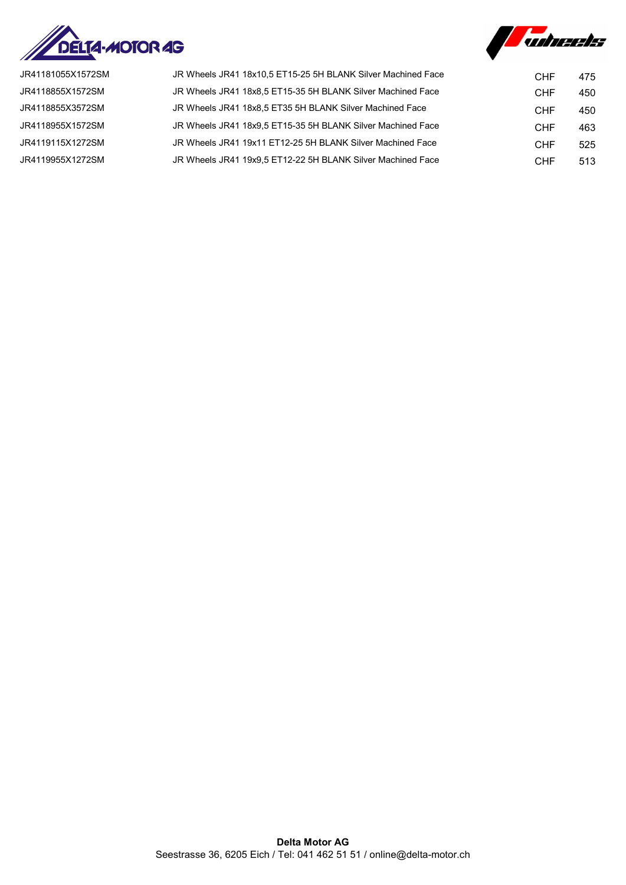



| JR41181055X1572SM | JR Wheels JR41 18x10.5 ET15-25 5H BLANK Silver Machined Face | <b>CHF</b> | 475 |
|-------------------|--------------------------------------------------------------|------------|-----|
| JR4118855X1572SM  | JR Wheels JR41 18x8,5 ET15-35 5H BLANK Silver Machined Face  | <b>CHF</b> | 450 |
| JR4118855X3572SM  | JR Wheels JR41 18x8.5 ET35 5H BLANK Silver Machined Face     | <b>CHF</b> | 450 |
| JR4118955X1572SM  | JR Wheels JR41 18x9.5 ET15-35 5H BLANK Silver Machined Face  | <b>CHF</b> | 463 |
| JR4119115X1272SM  | JR Wheels JR41 19x11 ET12-25 5H BLANK Silver Machined Face   | <b>CHF</b> | 525 |
| JR4119955X1272SM  | JR Wheels JR41 19x9.5 ET12-22 5H BLANK Silver Machined Face  | CHF        | 513 |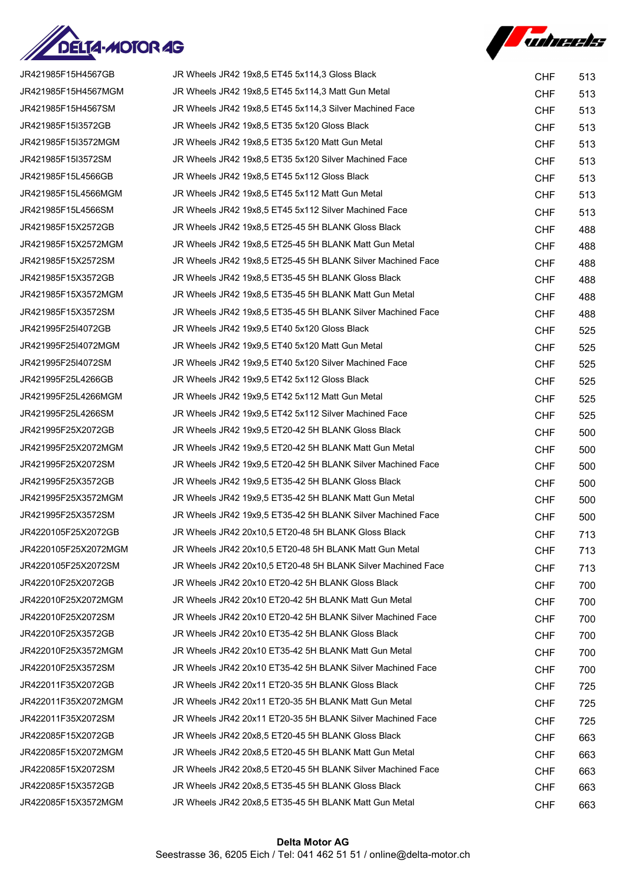



| JR421985F15H4567GB   | JR Wheels JR42 19x8,5 ET45 5x114,3 Gloss Black               | <b>CHF</b> | 513 |
|----------------------|--------------------------------------------------------------|------------|-----|
| JR421985F15H4567MGM  | JR Wheels JR42 19x8,5 ET45 5x114,3 Matt Gun Metal            | <b>CHF</b> | 513 |
| JR421985F15H4567SM   | JR Wheels JR42 19x8,5 ET45 5x114,3 Silver Machined Face      | <b>CHF</b> | 513 |
| JR421985F15I3572GB   | JR Wheels JR42 19x8,5 ET35 5x120 Gloss Black                 | <b>CHF</b> | 513 |
| JR421985F15I3572MGM  | JR Wheels JR42 19x8,5 ET35 5x120 Matt Gun Metal              | <b>CHF</b> | 513 |
| JR421985F15I3572SM   | JR Wheels JR42 19x8,5 ET35 5x120 Silver Machined Face        | <b>CHF</b> | 513 |
| JR421985F15L4566GB   | JR Wheels JR42 19x8,5 ET45 5x112 Gloss Black                 | <b>CHF</b> | 513 |
| JR421985F15L4566MGM  | JR Wheels JR42 19x8,5 ET45 5x112 Matt Gun Metal              | <b>CHF</b> | 513 |
| JR421985F15L4566SM   | JR Wheels JR42 19x8,5 ET45 5x112 Silver Machined Face        | <b>CHF</b> | 513 |
| JR421985F15X2572GB   | JR Wheels JR42 19x8,5 ET25-45 5H BLANK Gloss Black           | <b>CHF</b> | 488 |
| JR421985F15X2572MGM  | JR Wheels JR42 19x8,5 ET25-45 5H BLANK Matt Gun Metal        | <b>CHF</b> | 488 |
| JR421985F15X2572SM   | JR Wheels JR42 19x8,5 ET25-45 5H BLANK Silver Machined Face  | <b>CHF</b> | 488 |
| JR421985F15X3572GB   | JR Wheels JR42 19x8,5 ET35-45 5H BLANK Gloss Black           | <b>CHF</b> | 488 |
| JR421985F15X3572MGM  | JR Wheels JR42 19x8,5 ET35-45 5H BLANK Matt Gun Metal        | <b>CHF</b> | 488 |
| JR421985F15X3572SM   | JR Wheels JR42 19x8,5 ET35-45 5H BLANK Silver Machined Face  | <b>CHF</b> | 488 |
| JR421995F25I4072GB   | JR Wheels JR42 19x9,5 ET40 5x120 Gloss Black                 | <b>CHF</b> | 525 |
| JR421995F25I4072MGM  | JR Wheels JR42 19x9,5 ET40 5x120 Matt Gun Metal              | <b>CHF</b> | 525 |
| JR421995F25I4072SM   | JR Wheels JR42 19x9,5 ET40 5x120 Silver Machined Face        | <b>CHF</b> | 525 |
| JR421995F25L4266GB   | JR Wheels JR42 19x9,5 ET42 5x112 Gloss Black                 | <b>CHF</b> | 525 |
| JR421995F25L4266MGM  | JR Wheels JR42 19x9,5 ET42 5x112 Matt Gun Metal              | <b>CHF</b> | 525 |
| JR421995F25L4266SM   | JR Wheels JR42 19x9,5 ET42 5x112 Silver Machined Face        | <b>CHF</b> | 525 |
| JR421995F25X2072GB   | JR Wheels JR42 19x9,5 ET20-42 5H BLANK Gloss Black           | <b>CHF</b> | 500 |
| JR421995F25X2072MGM  | JR Wheels JR42 19x9,5 ET20-42 5H BLANK Matt Gun Metal        | <b>CHF</b> | 500 |
| JR421995F25X2072SM   | JR Wheels JR42 19x9,5 ET20-42 5H BLANK Silver Machined Face  | <b>CHF</b> | 500 |
| JR421995F25X3572GB   | JR Wheels JR42 19x9,5 ET35-42 5H BLANK Gloss Black           | <b>CHF</b> | 500 |
| JR421995F25X3572MGM  | JR Wheels JR42 19x9,5 ET35-42 5H BLANK Matt Gun Metal        | <b>CHF</b> | 500 |
| JR421995F25X3572SM   | JR Wheels JR42 19x9,5 ET35-42 5H BLANK Silver Machined Face  | <b>CHF</b> | 500 |
| JR4220105F25X2072GB  | JR Wheels JR42 20x10.5 ET20-48 5H BLANK Gloss Black          | <b>CHF</b> | 713 |
| JR4220105F25X2072MGM | JR Wheels JR42 20x10,5 ET20-48 5H BLANK Matt Gun Metal       | <b>CHF</b> | 713 |
| JR4220105F25X2072SM  | JR Wheels JR42 20x10,5 ET20-48 5H BLANK Silver Machined Face | <b>CHF</b> | 713 |
| JR422010F25X2072GB   | JR Wheels JR42 20x10 ET20-42 5H BLANK Gloss Black            | <b>CHF</b> | 700 |
| JR422010F25X2072MGM  | JR Wheels JR42 20x10 ET20-42 5H BLANK Matt Gun Metal         | <b>CHF</b> | 700 |
| JR422010F25X2072SM   | JR Wheels JR42 20x10 ET20-42 5H BLANK Silver Machined Face   | <b>CHF</b> | 700 |
| JR422010F25X3572GB   | JR Wheels JR42 20x10 ET35-42 5H BLANK Gloss Black            | <b>CHF</b> | 700 |
| JR422010F25X3572MGM  | JR Wheels JR42 20x10 ET35-42 5H BLANK Matt Gun Metal         | <b>CHF</b> | 700 |
| JR422010F25X3572SM   | JR Wheels JR42 20x10 ET35-42 5H BLANK Silver Machined Face   | <b>CHF</b> | 700 |
| JR422011F35X2072GB   | JR Wheels JR42 20x11 ET20-35 5H BLANK Gloss Black            | <b>CHF</b> | 725 |
| JR422011F35X2072MGM  | JR Wheels JR42 20x11 ET20-35 5H BLANK Matt Gun Metal         | <b>CHF</b> | 725 |
| JR422011F35X2072SM   | JR Wheels JR42 20x11 ET20-35 5H BLANK Silver Machined Face   | <b>CHF</b> | 725 |
| JR422085F15X2072GB   | JR Wheels JR42 20x8,5 ET20-45 5H BLANK Gloss Black           | <b>CHF</b> | 663 |
| JR422085F15X2072MGM  | JR Wheels JR42 20x8,5 ET20-45 5H BLANK Matt Gun Metal        | <b>CHF</b> | 663 |
| JR422085F15X2072SM   | JR Wheels JR42 20x8,5 ET20-45 5H BLANK Silver Machined Face  | <b>CHF</b> | 663 |
| JR422085F15X3572GB   | JR Wheels JR42 20x8,5 ET35-45 5H BLANK Gloss Black           | <b>CHF</b> | 663 |
| JR422085F15X3572MGM  | JR Wheels JR42 20x8,5 ET35-45 5H BLANK Matt Gun Metal        | <b>CHF</b> | 663 |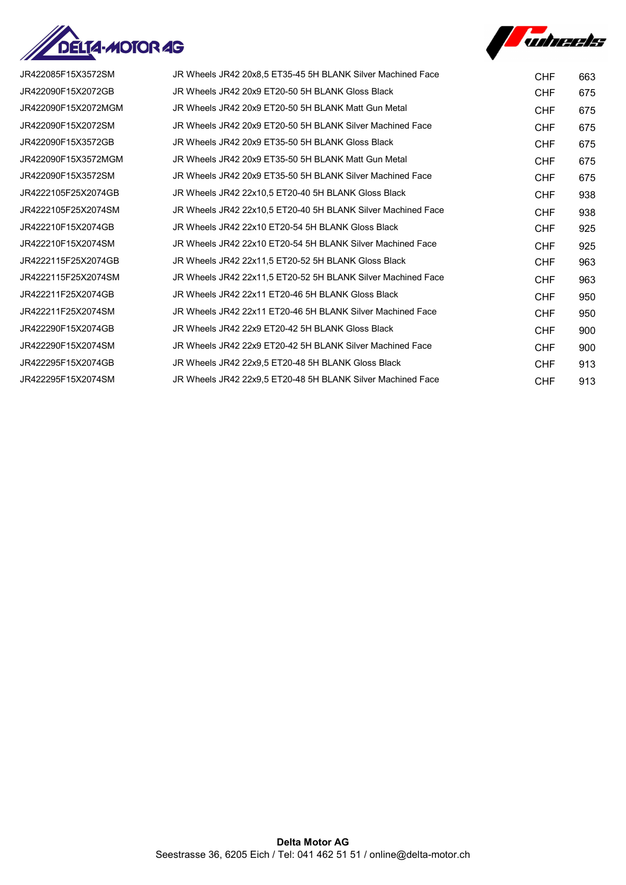



| JR422085F15X3572SM  | JR Wheels JR42 20x8.5 ET35-45 5H BLANK Silver Machined Face  | <b>CHF</b> | 663 |
|---------------------|--------------------------------------------------------------|------------|-----|
| JR422090F15X2072GB  | JR Wheels JR42 20x9 ET20-50 5H BLANK Gloss Black             | <b>CHF</b> | 675 |
| JR422090F15X2072MGM | JR Wheels JR42 20x9 ET20-50 5H BLANK Matt Gun Metal          | <b>CHF</b> | 675 |
| JR422090F15X2072SM  | JR Wheels JR42 20x9 ET20-50 5H BLANK Silver Machined Face    | <b>CHF</b> | 675 |
| JR422090F15X3572GB  | JR Wheels JR42 20x9 ET35-50 5H BLANK Gloss Black             | <b>CHF</b> | 675 |
| JR422090F15X3572MGM | JR Wheels JR42 20x9 ET35-50 5H BLANK Matt Gun Metal          | <b>CHF</b> | 675 |
| JR422090F15X3572SM  | JR Wheels JR42 20x9 ET35-50 5H BLANK Silver Machined Face    | <b>CHF</b> | 675 |
| JR4222105F25X2074GB | JR Wheels JR42 22x10.5 ET20-40 5H BLANK Gloss Black          | <b>CHF</b> | 938 |
| JR4222105F25X2074SM | JR Wheels JR42 22x10.5 ET20-40 5H BLANK Silver Machined Face | <b>CHF</b> | 938 |
| JR422210F15X2074GB  | JR Wheels JR42 22x10 ET20-54 5H BLANK Gloss Black            | <b>CHF</b> | 925 |
| JR422210F15X2074SM  | JR Wheels JR42 22x10 ET20-54 5H BLANK Silver Machined Face   | <b>CHF</b> | 925 |
| JR4222115F25X2074GB | JR Wheels JR42 22x11,5 ET20-52 5H BLANK Gloss Black          | <b>CHF</b> | 963 |
| JR4222115F25X2074SM | JR Wheels JR42 22x11.5 ET20-52 5H BLANK Silver Machined Face | <b>CHF</b> | 963 |
| JR422211F25X2074GB  | JR Wheels JR42 22x11 ET20-46 5H BLANK Gloss Black            | <b>CHF</b> | 950 |
| JR422211F25X2074SM  | JR Wheels JR42 22x11 ET20-46 5H BLANK Silver Machined Face   | <b>CHF</b> | 950 |
| JR422290F15X2074GB  | JR Wheels JR42 22x9 ET20-42 5H BLANK Gloss Black             | <b>CHF</b> | 900 |
| JR422290F15X2074SM  | JR Wheels JR42 22x9 ET20-42 5H BLANK Silver Machined Face    | <b>CHF</b> | 900 |
| JR422295F15X2074GB  | JR Wheels JR42 22x9.5 ET20-48 5H BLANK Gloss Black           | <b>CHF</b> | 913 |
| JR422295F15X2074SM  | JR Wheels JR42 22x9.5 ET20-48 5H BLANK Silver Machined Face  | <b>CHF</b> | 913 |
|                     |                                                              |            |     |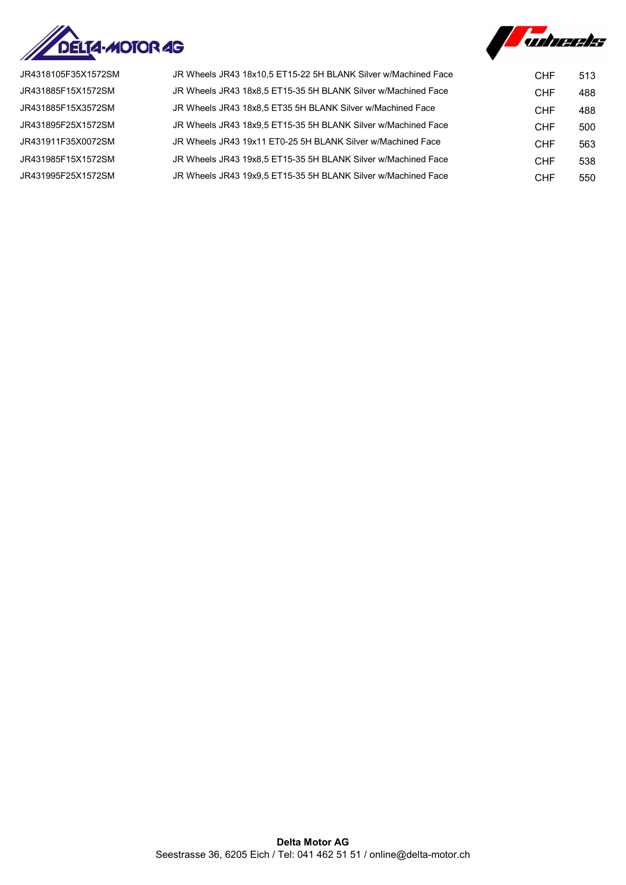



JR4318105F35X1572SM JR431885F15X1572SM JR431885F15X3572SM JR431895F25X1572SM JR431911F35X0072SM JR431985F15X1572SM JR431995F25X1572SM

| JR Wheels JR43 18x10,5 ET15-22 5H BLANK Silver w/Machined Face | CHF        | 513 |
|----------------------------------------------------------------|------------|-----|
| JR Wheels JR43 18x8,5 ET15-35 5H BLANK Silver w/Machined Face  | <b>CHF</b> | 488 |
| JR Wheels JR43 18x8.5 ET35 5H BLANK Silver w/Machined Face     | <b>CHF</b> | 488 |
| JR Wheels JR43 18x9.5 ET15-35 5H BLANK Silver w/Machined Face  | <b>CHF</b> | 500 |
| JR Wheels JR43 19x11 ET0-25 5H BLANK Silver w/Machined Face    | <b>CHF</b> | 563 |
| JR Wheels JR43 19x8.5 ET15-35 5H BLANK Silver w/Machined Face  | <b>CHF</b> | 538 |
| JR Wheels JR43 19x9.5 ET15-35 5H BLANK Silver w/Machined Face  | <b>CHF</b> | 550 |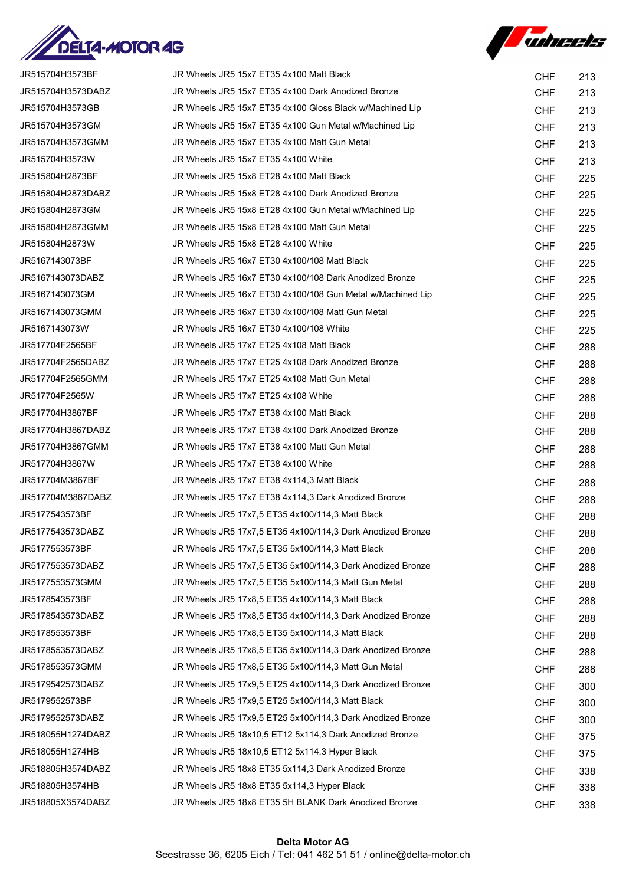



| JR515704H3573BF   | JR Wheels JR5 15x7 ET35 4x100 Matt Black                   | <b>CHF</b> | 213 |
|-------------------|------------------------------------------------------------|------------|-----|
| JR515704H3573DABZ | JR Wheels JR5 15x7 ET35 4x100 Dark Anodized Bronze         | <b>CHF</b> | 213 |
| JR515704H3573GB   | JR Wheels JR5 15x7 ET35 4x100 Gloss Black w/Machined Lip   | <b>CHF</b> | 213 |
| JR515704H3573GM   | JR Wheels JR5 15x7 ET35 4x100 Gun Metal w/Machined Lip     | <b>CHF</b> | 213 |
| JR515704H3573GMM  | JR Wheels JR5 15x7 ET35 4x100 Matt Gun Metal               | <b>CHF</b> | 213 |
| JR515704H3573W    | JR Wheels JR5 15x7 ET35 4x100 White                        | <b>CHF</b> | 213 |
| JR515804H2873BF   | JR Wheels JR5 15x8 ET28 4x100 Matt Black                   | <b>CHF</b> | 225 |
| JR515804H2873DABZ | JR Wheels JR5 15x8 ET28 4x100 Dark Anodized Bronze         | <b>CHF</b> | 225 |
| JR515804H2873GM   | JR Wheels JR5 15x8 ET28 4x100 Gun Metal w/Machined Lip     | <b>CHF</b> | 225 |
| JR515804H2873GMM  | JR Wheels JR5 15x8 ET28 4x100 Matt Gun Metal               | <b>CHF</b> | 225 |
| JR515804H2873W    | JR Wheels JR5 15x8 ET28 4x100 White                        | <b>CHF</b> | 225 |
| JR5167143073BF    | JR Wheels JR5 16x7 ET30 4x100/108 Matt Black               | <b>CHF</b> | 225 |
| JR5167143073DABZ  | JR Wheels JR5 16x7 ET30 4x100/108 Dark Anodized Bronze     | <b>CHF</b> | 225 |
| JR5167143073GM    | JR Wheels JR5 16x7 ET30 4x100/108 Gun Metal w/Machined Lip | <b>CHF</b> | 225 |
| JR5167143073GMM   | JR Wheels JR5 16x7 ET30 4x100/108 Matt Gun Metal           | <b>CHF</b> | 225 |
| JR5167143073W     | JR Wheels JR5 16x7 ET30 4x100/108 White                    | <b>CHF</b> | 225 |
| JR517704F2565BF   | JR Wheels JR5 17x7 ET25 4x108 Matt Black                   | <b>CHF</b> | 288 |
| JR517704F2565DABZ | JR Wheels JR5 17x7 ET25 4x108 Dark Anodized Bronze         | <b>CHF</b> | 288 |
| JR517704F2565GMM  | JR Wheels JR5 17x7 ET25 4x108 Matt Gun Metal               | <b>CHF</b> | 288 |
| JR517704F2565W    | JR Wheels JR5 17x7 ET25 4x108 White                        | <b>CHF</b> | 288 |
| JR517704H3867BF   | JR Wheels JR5 17x7 ET38 4x100 Matt Black                   | <b>CHF</b> | 288 |
| JR517704H3867DABZ | JR Wheels JR5 17x7 ET38 4x100 Dark Anodized Bronze         | <b>CHF</b> | 288 |
| JR517704H3867GMM  | JR Wheels JR5 17x7 ET38 4x100 Matt Gun Metal               | <b>CHF</b> | 288 |
| JR517704H3867W    | JR Wheels JR5 17x7 ET38 4x100 White                        | <b>CHF</b> | 288 |
| JR517704M3867BF   | JR Wheels JR5 17x7 ET38 4x114,3 Matt Black                 | <b>CHF</b> | 288 |
| JR517704M3867DABZ | JR Wheels JR5 17x7 ET38 4x114,3 Dark Anodized Bronze       | <b>CHF</b> | 288 |
| JR5177543573BF    | JR Wheels JR5 17x7,5 ET35 4x100/114,3 Matt Black           | <b>CHF</b> | 288 |
| JR5177543573DABZ  | JR Wheels JR5 17x7,5 ET35 4x100/114,3 Dark Anodized Bronze | <b>CHF</b> | 288 |
| JR5177553573BF    | JR Wheels JR5 17x7,5 ET35 5x100/114,3 Matt Black           | <b>CHF</b> | 288 |
| JR5177553573DABZ  | JR Wheels JR5 17x7,5 ET35 5x100/114,3 Dark Anodized Bronze | <b>CHF</b> | 288 |
| JR5177553573GMM   | JR Wheels JR5 17x7,5 ET35 5x100/114,3 Matt Gun Metal       | <b>CHF</b> | 288 |
| JR5178543573BF    | JR Wheels JR5 17x8,5 ET35 4x100/114,3 Matt Black           | <b>CHF</b> | 288 |
| JR5178543573DABZ  | JR Wheels JR5 17x8,5 ET35 4x100/114,3 Dark Anodized Bronze | <b>CHF</b> | 288 |
| JR5178553573BF    | JR Wheels JR5 17x8.5 ET35 5x100/114.3 Matt Black           | <b>CHF</b> | 288 |
| JR5178553573DABZ  | JR Wheels JR5 17x8.5 ET35 5x100/114.3 Dark Anodized Bronze | <b>CHF</b> | 288 |
| JR5178553573GMM   | JR Wheels JR5 17x8,5 ET35 5x100/114,3 Matt Gun Metal       | <b>CHF</b> | 288 |
| JR5179542573DABZ  | JR Wheels JR5 17x9,5 ET25 4x100/114,3 Dark Anodized Bronze | <b>CHF</b> | 300 |
| JR5179552573BF    | JR Wheels JR5 17x9,5 ET25 5x100/114,3 Matt Black           | <b>CHF</b> | 300 |
| JR5179552573DABZ  | JR Wheels JR5 17x9,5 ET25 5x100/114,3 Dark Anodized Bronze | <b>CHF</b> | 300 |
| JR518055H1274DABZ | JR Wheels JR5 18x10,5 ET12 5x114,3 Dark Anodized Bronze    | <b>CHF</b> | 375 |
| JR518055H1274HB   | JR Wheels JR5 18x10,5 ET12 5x114,3 Hyper Black             | <b>CHF</b> | 375 |
| JR518805H3574DABZ | JR Wheels JR5 18x8 ET35 5x114,3 Dark Anodized Bronze       | <b>CHF</b> | 338 |
| JR518805H3574HB   | JR Wheels JR5 18x8 ET35 5x114,3 Hyper Black                | <b>CHF</b> | 338 |
| JR518805X3574DABZ | JR Wheels JR5 18x8 ET35 5H BLANK Dark Anodized Bronze      | <b>CHF</b> | 338 |
|                   |                                                            |            |     |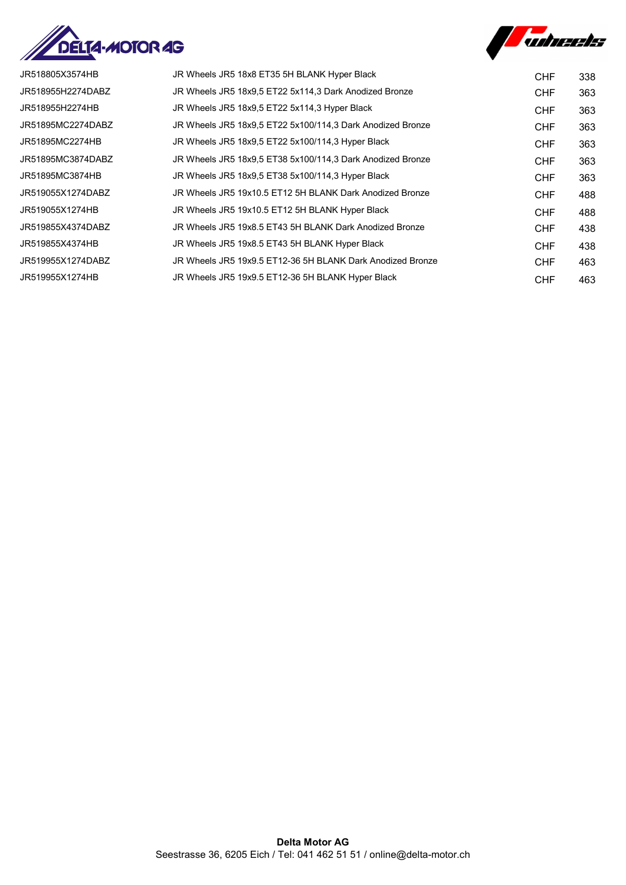



| JR518805X3574HB   | JR Wheels JR5 18x8 ET35 5H BLANK Hyper Black               | CHF        | 338 |
|-------------------|------------------------------------------------------------|------------|-----|
| JR518955H2274DABZ | JR Wheels JR5 18x9.5 ET22 5x114.3 Dark Anodized Bronze     | CHF        | 363 |
| JR518955H2274HB   | JR Wheels JR5 18x9,5 ET22 5x114,3 Hyper Black              | CHF        | 363 |
| JR51895MC2274DABZ | JR Wheels JR5 18x9.5 ET22 5x100/114.3 Dark Anodized Bronze | CHF        | 363 |
| JR51895MC2274HB   | JR Wheels JR5 18x9,5 ET22 5x100/114,3 Hyper Black          | <b>CHF</b> | 363 |
| JR51895MC3874DABZ | JR Wheels JR5 18x9.5 ET38 5x100/114.3 Dark Anodized Bronze | <b>CHF</b> | 363 |
| JR51895MC3874HB   | JR Wheels JR5 18x9.5 ET38 5x100/114.3 Hyper Black          | CHF        | 363 |
| JR519055X1274DABZ | JR Wheels JR5 19x10.5 ET12 5H BLANK Dark Anodized Bronze   | CHF        | 488 |
| JR519055X1274HB   | JR Wheels JR5 19x10.5 ET12 5H BLANK Hyper Black            | <b>CHF</b> | 488 |
| JR519855X4374DABZ | JR Wheels JR5 19x8.5 ET43 5H BLANK Dark Anodized Bronze    | CHF        | 438 |
| JR519855X4374HB   | JR Wheels JR5 19x8.5 ET43 5H BLANK Hyper Black             | CHF        | 438 |
| JR519955X1274DABZ | JR Wheels JR5 19x9.5 ET12-36 5H BLANK Dark Anodized Bronze | CHF        | 463 |
| JR519955X1274HB   | JR Wheels JR5 19x9.5 ET12-36 5H BLANK Hyper Black          | <b>CHF</b> | 463 |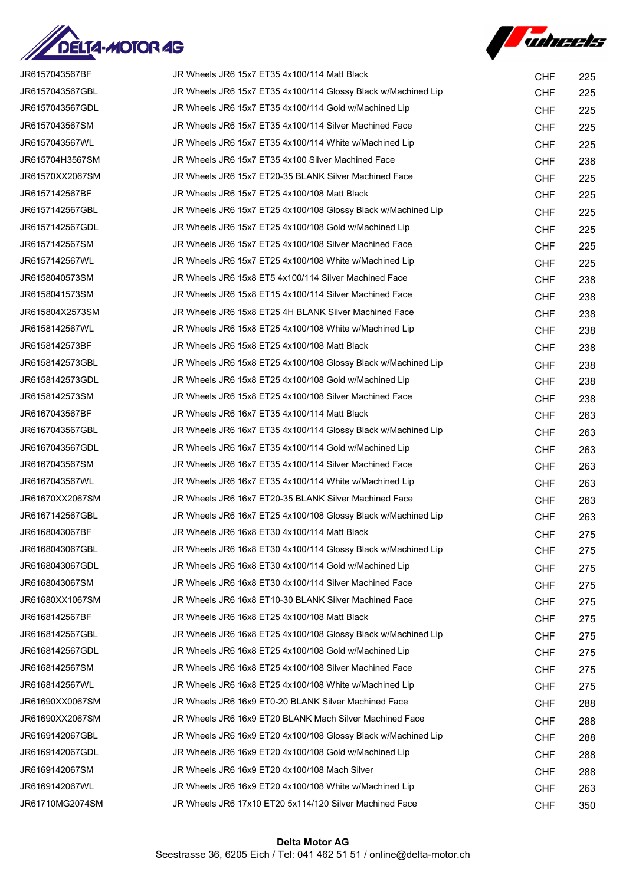



| JR6157043567BF  | JR Wheels JR6 15x7 ET35 4x100/114 Matt Black                  | <b>CHF</b> | 225 |
|-----------------|---------------------------------------------------------------|------------|-----|
| JR6157043567GBL | JR Wheels JR6 15x7 ET35 4x100/114 Glossy Black w/Machined Lip | <b>CHF</b> | 225 |
| JR6157043567GDL | JR Wheels JR6 15x7 ET35 4x100/114 Gold w/Machined Lip         | <b>CHF</b> | 225 |
| JR6157043567SM  | JR Wheels JR6 15x7 ET35 4x100/114 Silver Machined Face        | <b>CHF</b> | 225 |
| JR6157043567WL  | JR Wheels JR6 15x7 ET35 4x100/114 White w/Machined Lip        | <b>CHF</b> | 225 |
| JR615704H3567SM | JR Wheels JR6 15x7 ET35 4x100 Silver Machined Face            | <b>CHF</b> | 238 |
| JR61570XX2067SM | JR Wheels JR6 15x7 ET20-35 BLANK Silver Machined Face         | <b>CHF</b> | 225 |
| JR6157142567BF  | JR Wheels JR6 15x7 ET25 4x100/108 Matt Black                  | <b>CHF</b> | 225 |
| JR6157142567GBL | JR Wheels JR6 15x7 ET25 4x100/108 Glossy Black w/Machined Lip | <b>CHF</b> | 225 |
| JR6157142567GDL | JR Wheels JR6 15x7 ET25 4x100/108 Gold w/Machined Lip         | <b>CHF</b> | 225 |
| JR6157142567SM  | JR Wheels JR6 15x7 ET25 4x100/108 Silver Machined Face        | <b>CHF</b> | 225 |
| JR6157142567WL  | JR Wheels JR6 15x7 ET25 4x100/108 White w/Machined Lip        | <b>CHF</b> | 225 |
| JR6158040573SM  | JR Wheels JR6 15x8 ET5 4x100/114 Silver Machined Face         | <b>CHF</b> | 238 |
| JR6158041573SM  | JR Wheels JR6 15x8 ET15 4x100/114 Silver Machined Face        | <b>CHF</b> | 238 |
| JR615804X2573SM | JR Wheels JR6 15x8 ET25 4H BLANK Silver Machined Face         | <b>CHF</b> | 238 |
| JR6158142567WL  | JR Wheels JR6 15x8 ET25 4x100/108 White w/Machined Lip        | <b>CHF</b> | 238 |
| JR6158142573BF  | JR Wheels JR6 15x8 ET25 4x100/108 Matt Black                  | <b>CHF</b> | 238 |
| JR6158142573GBL | JR Wheels JR6 15x8 ET25 4x100/108 Glossy Black w/Machined Lip | <b>CHF</b> | 238 |
| JR6158142573GDL | JR Wheels JR6 15x8 ET25 4x100/108 Gold w/Machined Lip         | <b>CHF</b> | 238 |
| JR6158142573SM  | JR Wheels JR6 15x8 ET25 4x100/108 Silver Machined Face        | <b>CHF</b> | 238 |
| JR6167043567BF  | JR Wheels JR6 16x7 ET35 4x100/114 Matt Black                  | <b>CHF</b> | 263 |
| JR6167043567GBL | JR Wheels JR6 16x7 ET35 4x100/114 Glossy Black w/Machined Lip | <b>CHF</b> | 263 |
| JR6167043567GDL | JR Wheels JR6 16x7 ET35 4x100/114 Gold w/Machined Lip         | <b>CHF</b> | 263 |
| JR6167043567SM  | JR Wheels JR6 16x7 ET35 4x100/114 Silver Machined Face        | <b>CHF</b> | 263 |
| JR6167043567WL  | JR Wheels JR6 16x7 ET35 4x100/114 White w/Machined Lip        | <b>CHF</b> | 263 |
| JR61670XX2067SM | JR Wheels JR6 16x7 ET20-35 BLANK Silver Machined Face         | <b>CHF</b> | 263 |
| JR6167142567GBL | JR Wheels JR6 16x7 ET25 4x100/108 Glossy Black w/Machined Lip | <b>CHF</b> | 263 |
| JR6168043067BF  | JR Wheels JR6 16x8 ET30 4x100/114 Matt Black                  | <b>CHF</b> | 275 |
| JR6168043067GBL | JR Wheels JR6 16x8 ET30 4x100/114 Glossy Black w/Machined Lip | <b>CHF</b> | 275 |
| JR6168043067GDL | JR Wheels JR6 16x8 ET30 4x100/114 Gold w/Machined Lip         | <b>CHF</b> | 275 |
| JR6168043067SM  | JR Wheels JR6 16x8 ET30 4x100/114 Silver Machined Face        | <b>CHF</b> | 275 |
| JR61680XX1067SM | JR Wheels JR6 16x8 ET10-30 BLANK Silver Machined Face         | <b>CHF</b> | 275 |
| JR6168142567BF  | JR Wheels JR6 16x8 ET25 4x100/108 Matt Black                  | <b>CHF</b> | 275 |
| JR6168142567GBL | JR Wheels JR6 16x8 ET25 4x100/108 Glossy Black w/Machined Lip | <b>CHF</b> | 275 |
| JR6168142567GDL | JR Wheels JR6 16x8 ET25 4x100/108 Gold w/Machined Lip         | <b>CHF</b> | 275 |
| JR6168142567SM  | JR Wheels JR6 16x8 ET25 4x100/108 Silver Machined Face        | <b>CHF</b> | 275 |
| JR6168142567WL  | JR Wheels JR6 16x8 ET25 4x100/108 White w/Machined Lip        | <b>CHF</b> | 275 |
| JR61690XX0067SM | JR Wheels JR6 16x9 ET0-20 BLANK Silver Machined Face          | <b>CHF</b> | 288 |
| JR61690XX2067SM | JR Wheels JR6 16x9 ET20 BLANK Mach Silver Machined Face       | <b>CHF</b> | 288 |
| JR6169142067GBL | JR Wheels JR6 16x9 ET20 4x100/108 Glossy Black w/Machined Lip | <b>CHF</b> | 288 |
| JR6169142067GDL | JR Wheels JR6 16x9 ET20 4x100/108 Gold w/Machined Lip         | <b>CHF</b> | 288 |
| JR6169142067SM  | JR Wheels JR6 16x9 ET20 4x100/108 Mach Silver                 | <b>CHF</b> | 288 |
| JR6169142067WL  | JR Wheels JR6 16x9 ET20 4x100/108 White w/Machined Lip        | <b>CHF</b> | 263 |
| JR61710MG2074SM | JR Wheels JR6 17x10 ET20 5x114/120 Silver Machined Face       | <b>CHF</b> | 350 |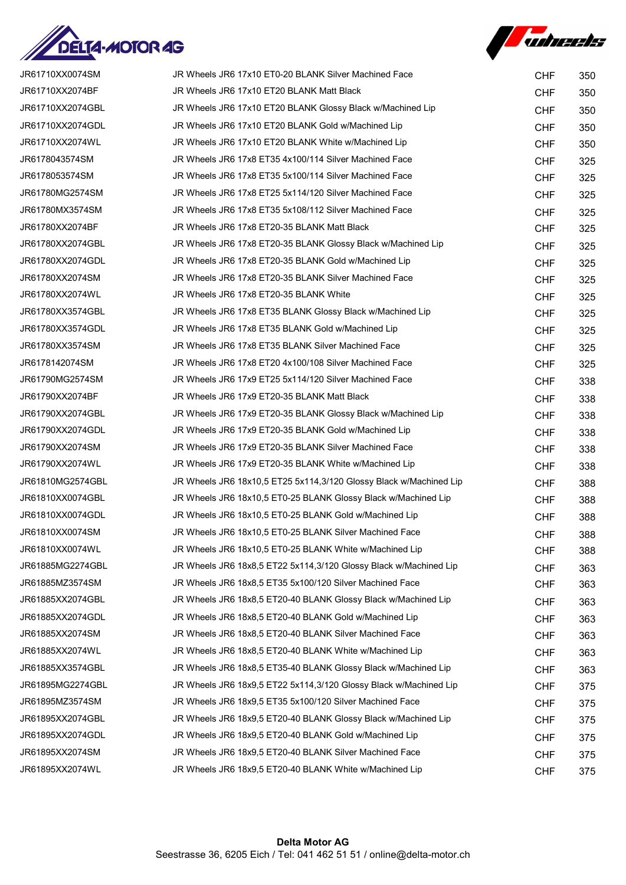



| JR61710XX0074SM  | JR Wheels JR6 17x10 ET0-20 BLANK Silver Machined Face              | <b>CHF</b> | 350 |
|------------------|--------------------------------------------------------------------|------------|-----|
| JR61710XX2074BF  | JR Wheels JR6 17x10 ET20 BLANK Matt Black                          | <b>CHF</b> | 350 |
| JR61710XX2074GBL | JR Wheels JR6 17x10 ET20 BLANK Glossy Black w/Machined Lip         | <b>CHF</b> | 350 |
| JR61710XX2074GDL | JR Wheels JR6 17x10 ET20 BLANK Gold w/Machined Lip                 | <b>CHF</b> | 350 |
| JR61710XX2074WL  | JR Wheels JR6 17x10 ET20 BLANK White w/Machined Lip                | <b>CHF</b> | 350 |
| JR6178043574SM   | JR Wheels JR6 17x8 ET35 4x100/114 Silver Machined Face             | <b>CHF</b> | 325 |
| JR6178053574SM   | JR Wheels JR6 17x8 ET35 5x100/114 Silver Machined Face             | <b>CHF</b> | 325 |
| JR61780MG2574SM  | JR Wheels JR6 17x8 ET25 5x114/120 Silver Machined Face             | <b>CHF</b> | 325 |
| JR61780MX3574SM  | JR Wheels JR6 17x8 ET35 5x108/112 Silver Machined Face             | CHF        | 325 |
| JR61780XX2074BF  | JR Wheels JR6 17x8 ET20-35 BLANK Matt Black                        | <b>CHF</b> | 325 |
| JR61780XX2074GBL | JR Wheels JR6 17x8 ET20-35 BLANK Glossy Black w/Machined Lip       | <b>CHF</b> | 325 |
| JR61780XX2074GDL | JR Wheels JR6 17x8 ET20-35 BLANK Gold w/Machined Lip               | <b>CHF</b> | 325 |
| JR61780XX2074SM  | JR Wheels JR6 17x8 ET20-35 BLANK Silver Machined Face              | <b>CHF</b> | 325 |
| JR61780XX2074WL  | JR Wheels JR6 17x8 ET20-35 BLANK White                             | <b>CHF</b> | 325 |
| JR61780XX3574GBL | JR Wheels JR6 17x8 ET35 BLANK Glossy Black w/Machined Lip          | <b>CHF</b> | 325 |
| JR61780XX3574GDL | JR Wheels JR6 17x8 ET35 BLANK Gold w/Machined Lip                  | <b>CHF</b> | 325 |
| JR61780XX3574SM  | JR Wheels JR6 17x8 ET35 BLANK Silver Machined Face                 | <b>CHF</b> | 325 |
| JR6178142074SM   | JR Wheels JR6 17x8 ET20 4x100/108 Silver Machined Face             | <b>CHF</b> | 325 |
| JR61790MG2574SM  | JR Wheels JR6 17x9 ET25 5x114/120 Silver Machined Face             | <b>CHF</b> | 338 |
| JR61790XX2074BF  | JR Wheels JR6 17x9 ET20-35 BLANK Matt Black                        | <b>CHF</b> | 338 |
| JR61790XX2074GBL | JR Wheels JR6 17x9 ET20-35 BLANK Glossy Black w/Machined Lip       | <b>CHF</b> | 338 |
| JR61790XX2074GDL | JR Wheels JR6 17x9 ET20-35 BLANK Gold w/Machined Lip               | <b>CHF</b> | 338 |
| JR61790XX2074SM  | JR Wheels JR6 17x9 ET20-35 BLANK Silver Machined Face              | <b>CHF</b> | 338 |
| JR61790XX2074WL  | JR Wheels JR6 17x9 ET20-35 BLANK White w/Machined Lip              | <b>CHF</b> | 338 |
| JR61810MG2574GBL | JR Wheels JR6 18x10,5 ET25 5x114,3/120 Glossy Black w/Machined Lip | <b>CHF</b> | 388 |
| JR61810XX0074GBL | JR Wheels JR6 18x10,5 ET0-25 BLANK Glossy Black w/Machined Lip     | <b>CHF</b> | 388 |
| JR61810XX0074GDL | JR Wheels JR6 18x10,5 ET0-25 BLANK Gold w/Machined Lip             | <b>CHF</b> | 388 |
| JR61810XX0074SM  | JR Wheels JR6 18x10,5 ET0-25 BLANK Silver Machined Face            | <b>CHF</b> | 388 |
| JR61810XX0074WL  | JR Wheels JR6 18x10,5 ET0-25 BLANK White w/Machined Lip            | <b>CHF</b> | 388 |
| JR61885MG2274GBL | JR Wheels JR6 18x8,5 ET22 5x114,3/120 Glossy Black w/Machined Lip  | <b>CHF</b> | 363 |
| JR61885MZ3574SM  | JR Wheels JR6 18x8,5 ET35 5x100/120 Silver Machined Face           | <b>CHF</b> | 363 |
| JR61885XX2074GBL | JR Wheels JR6 18x8,5 ET20-40 BLANK Glossy Black w/Machined Lip     | <b>CHF</b> | 363 |
| JR61885XX2074GDL | JR Wheels JR6 18x8,5 ET20-40 BLANK Gold w/Machined Lip             | <b>CHF</b> | 363 |
| JR61885XX2074SM  | JR Wheels JR6 18x8,5 ET20-40 BLANK Silver Machined Face            | <b>CHF</b> | 363 |
| JR61885XX2074WL  | JR Wheels JR6 18x8,5 ET20-40 BLANK White w/Machined Lip            | <b>CHF</b> | 363 |
| JR61885XX3574GBL | JR Wheels JR6 18x8,5 ET35-40 BLANK Glossy Black w/Machined Lip     | <b>CHF</b> | 363 |
| JR61895MG2274GBL | JR Wheels JR6 18x9,5 ET22 5x114,3/120 Glossy Black w/Machined Lip  | <b>CHF</b> | 375 |
| JR61895MZ3574SM  | JR Wheels JR6 18x9,5 ET35 5x100/120 Silver Machined Face           | <b>CHF</b> | 375 |
| JR61895XX2074GBL | JR Wheels JR6 18x9,5 ET20-40 BLANK Glossy Black w/Machined Lip     | <b>CHF</b> | 375 |
| JR61895XX2074GDL | JR Wheels JR6 18x9,5 ET20-40 BLANK Gold w/Machined Lip             | <b>CHF</b> | 375 |
| JR61895XX2074SM  | JR Wheels JR6 18x9,5 ET20-40 BLANK Silver Machined Face            | <b>CHF</b> | 375 |
| JR61895XX2074WL  | JR Wheels JR6 18x9,5 ET20-40 BLANK White w/Machined Lip            | <b>CHF</b> | 375 |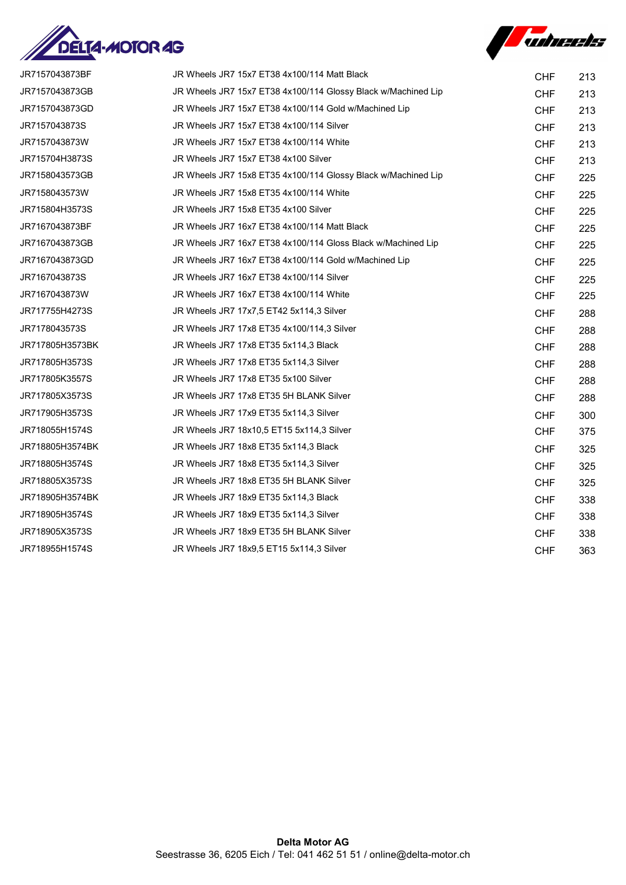



| JR7157043873BF  | JR Wheels JR7 15x7 ET38 4x100/114 Matt Black                  | <b>CHF</b> | 213 |
|-----------------|---------------------------------------------------------------|------------|-----|
| JR7157043873GB  | JR Wheels JR7 15x7 ET38 4x100/114 Glossy Black w/Machined Lip | <b>CHF</b> | 213 |
| JR7157043873GD  | JR Wheels JR7 15x7 ET38 4x100/114 Gold w/Machined Lip         | <b>CHF</b> | 213 |
| JR7157043873S   | JR Wheels JR7 15x7 ET38 4x100/114 Silver                      | <b>CHF</b> | 213 |
| JR7157043873W   | JR Wheels JR7 15x7 ET38 4x100/114 White                       | <b>CHF</b> | 213 |
| JR715704H3873S  | JR Wheels JR7 15x7 ET38 4x100 Silver                          | <b>CHF</b> | 213 |
| JR7158043573GB  | JR Wheels JR7 15x8 ET35 4x100/114 Glossy Black w/Machined Lip | <b>CHF</b> | 225 |
| JR7158043573W   | JR Wheels JR7 15x8 ET35 4x100/114 White                       | <b>CHF</b> | 225 |
| JR715804H3573S  | JR Wheels JR7 15x8 ET35 4x100 Silver                          | <b>CHF</b> | 225 |
| JR7167043873BF  | JR Wheels JR7 16x7 ET38 4x100/114 Matt Black                  | <b>CHF</b> | 225 |
| JR7167043873GB  | JR Wheels JR7 16x7 ET38 4x100/114 Gloss Black w/Machined Lip  | <b>CHF</b> | 225 |
| JR7167043873GD  | JR Wheels JR7 16x7 ET38 4x100/114 Gold w/Machined Lip         | <b>CHF</b> | 225 |
| JR7167043873S   | JR Wheels JR7 16x7 ET38 4x100/114 Silver                      | <b>CHF</b> | 225 |
| JR7167043873W   | JR Wheels JR7 16x7 ET38 4x100/114 White                       | <b>CHF</b> | 225 |
| JR717755H4273S  | JR Wheels JR7 17x7,5 ET42 5x114,3 Silver                      | <b>CHF</b> | 288 |
| JR7178043573S   | JR Wheels JR7 17x8 ET35 4x100/114,3 Silver                    | <b>CHF</b> | 288 |
| JR717805H3573BK | JR Wheels JR7 17x8 ET35 5x114,3 Black                         | <b>CHF</b> | 288 |
| JR717805H3573S  | JR Wheels JR7 17x8 ET35 5x114,3 Silver                        | <b>CHF</b> | 288 |
| JR717805K3557S  | JR Wheels JR7 17x8 ET35 5x100 Silver                          | <b>CHF</b> | 288 |
| JR717805X3573S  | JR Wheels JR7 17x8 ET35 5H BLANK Silver                       | <b>CHF</b> | 288 |
| JR717905H3573S  | JR Wheels JR7 17x9 ET35 5x114,3 Silver                        | <b>CHF</b> | 300 |
| JR718055H1574S  | JR Wheels JR7 18x10,5 ET15 5x114,3 Silver                     | <b>CHF</b> | 375 |
| JR718805H3574BK | JR Wheels JR7 18x8 ET35 5x114,3 Black                         | <b>CHF</b> | 325 |
| JR718805H3574S  | JR Wheels JR7 18x8 ET35 5x114,3 Silver                        | <b>CHF</b> | 325 |
| JR718805X3573S  | JR Wheels JR7 18x8 ET35 5H BLANK Silver                       | <b>CHF</b> | 325 |
| JR718905H3574BK | JR Wheels JR7 18x9 ET35 5x114,3 Black                         | <b>CHF</b> | 338 |
| JR718905H3574S  | JR Wheels JR7 18x9 ET35 5x114,3 Silver                        | <b>CHF</b> | 338 |
| JR718905X3573S  | JR Wheels JR7 18x9 ET35 5H BLANK Silver                       | <b>CHF</b> | 338 |
| JR718955H1574S  | JR Wheels JR7 18x9,5 ET15 5x114,3 Silver                      | <b>CHF</b> | 363 |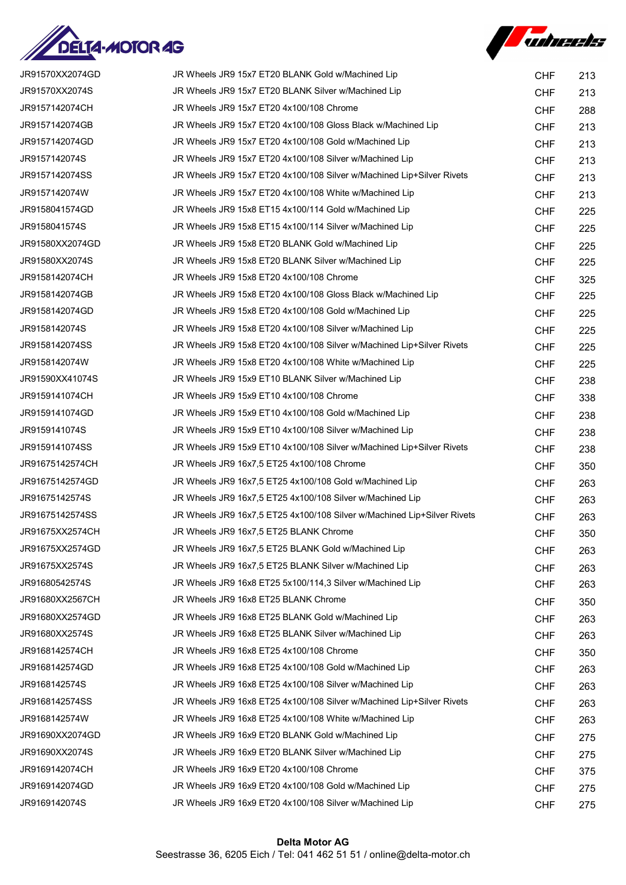



| JR91570XX2074GD | JR Wheels JR9 15x7 ET20 BLANK Gold w/Machined Lip                       | <b>CHF</b> | 213 |
|-----------------|-------------------------------------------------------------------------|------------|-----|
| JR91570XX2074S  | JR Wheels JR9 15x7 ET20 BLANK Silver w/Machined Lip                     | <b>CHF</b> | 213 |
| JR9157142074CH  | JR Wheels JR9 15x7 ET20 4x100/108 Chrome                                | <b>CHF</b> | 288 |
| JR9157142074GB  | JR Wheels JR9 15x7 ET20 4x100/108 Gloss Black w/Machined Lip            | <b>CHF</b> | 213 |
| JR9157142074GD  | JR Wheels JR9 15x7 ET20 4x100/108 Gold w/Machined Lip                   | <b>CHF</b> | 213 |
| JR9157142074S   | JR Wheels JR9 15x7 ET20 4x100/108 Silver w/Machined Lip                 | <b>CHF</b> | 213 |
| JR9157142074SS  | JR Wheels JR9 15x7 ET20 4x100/108 Silver w/Machined Lip+Silver Rivets   | <b>CHF</b> | 213 |
| JR9157142074W   | JR Wheels JR9 15x7 ET20 4x100/108 White w/Machined Lip                  | <b>CHF</b> | 213 |
| JR9158041574GD  | JR Wheels JR9 15x8 ET15 4x100/114 Gold w/Machined Lip                   | <b>CHF</b> | 225 |
| JR9158041574S   | JR Wheels JR9 15x8 ET15 4x100/114 Silver w/Machined Lip                 | <b>CHF</b> | 225 |
| JR91580XX2074GD | JR Wheels JR9 15x8 ET20 BLANK Gold w/Machined Lip                       | <b>CHF</b> | 225 |
| JR91580XX2074S  | JR Wheels JR9 15x8 ET20 BLANK Silver w/Machined Lip                     | <b>CHF</b> | 225 |
| JR9158142074CH  | JR Wheels JR9 15x8 ET20 4x100/108 Chrome                                | <b>CHF</b> | 325 |
| JR9158142074GB  | JR Wheels JR9 15x8 ET20 4x100/108 Gloss Black w/Machined Lip            | <b>CHF</b> | 225 |
| JR9158142074GD  | JR Wheels JR9 15x8 ET20 4x100/108 Gold w/Machined Lip                   | <b>CHF</b> | 225 |
| JR9158142074S   | JR Wheels JR9 15x8 ET20 4x100/108 Silver w/Machined Lip                 | <b>CHF</b> | 225 |
| JR9158142074SS  | JR Wheels JR9 15x8 ET20 4x100/108 Silver w/Machined Lip+Silver Rivets   | <b>CHF</b> | 225 |
| JR9158142074W   | JR Wheels JR9 15x8 ET20 4x100/108 White w/Machined Lip                  | <b>CHF</b> | 225 |
| JR91590XX41074S | JR Wheels JR9 15x9 ET10 BLANK Silver w/Machined Lip                     | <b>CHF</b> | 238 |
| JR9159141074CH  | JR Wheels JR9 15x9 ET10 4x100/108 Chrome                                | <b>CHF</b> | 338 |
| JR9159141074GD  | JR Wheels JR9 15x9 ET10 4x100/108 Gold w/Machined Lip                   | <b>CHF</b> | 238 |
| JR9159141074S   | JR Wheels JR9 15x9 ET10 4x100/108 Silver w/Machined Lip                 | <b>CHF</b> | 238 |
| JR9159141074SS  | JR Wheels JR9 15x9 ET10 4x100/108 Silver w/Machined Lip+Silver Rivets   | <b>CHF</b> | 238 |
| JR91675142574CH | JR Wheels JR9 16x7,5 ET25 4x100/108 Chrome                              | <b>CHF</b> | 350 |
| JR91675142574GD | JR Wheels JR9 16x7,5 ET25 4x100/108 Gold w/Machined Lip                 | <b>CHF</b> | 263 |
| JR91675142574S  | JR Wheels JR9 16x7,5 ET25 4x100/108 Silver w/Machined Lip               | <b>CHF</b> | 263 |
| JR91675142574SS | JR Wheels JR9 16x7,5 ET25 4x100/108 Silver w/Machined Lip+Silver Rivets | <b>CHF</b> | 263 |
| JR91675XX2574CH | JR Wheels JR9 16x7,5 ET25 BLANK Chrome                                  | <b>CHF</b> | 350 |
| JR91675XX2574GD | JR Wheels JR9 16x7,5 ET25 BLANK Gold w/Machined Lip                     | <b>CHF</b> | 263 |
| JR91675XX2574S  | JR Wheels JR9 16x7,5 ET25 BLANK Silver w/Machined Lip                   | <b>CHF</b> | 263 |
| JR91680542574S  | JR Wheels JR9 16x8 ET25 5x100/114,3 Silver w/Machined Lip               | <b>CHF</b> | 263 |
| JR91680XX2567CH | JR Wheels JR9 16x8 ET25 BLANK Chrome                                    | <b>CHF</b> | 350 |
| JR91680XX2574GD | JR Wheels JR9 16x8 ET25 BLANK Gold w/Machined Lip                       | <b>CHF</b> | 263 |
| JR91680XX2574S  | JR Wheels JR9 16x8 ET25 BLANK Silver w/Machined Lip                     | <b>CHF</b> | 263 |
| JR9168142574CH  | JR Wheels JR9 16x8 ET25 4x100/108 Chrome                                | <b>CHF</b> | 350 |
| JR9168142574GD  | JR Wheels JR9 16x8 ET25 4x100/108 Gold w/Machined Lip                   | <b>CHF</b> | 263 |
| JR9168142574S   | JR Wheels JR9 16x8 ET25 4x100/108 Silver w/Machined Lip                 | <b>CHF</b> | 263 |
| JR9168142574SS  | JR Wheels JR9 16x8 ET25 4x100/108 Silver w/Machined Lip+Silver Rivets   | <b>CHF</b> | 263 |
| JR9168142574W   | JR Wheels JR9 16x8 ET25 4x100/108 White w/Machined Lip                  | <b>CHF</b> | 263 |
| JR91690XX2074GD | JR Wheels JR9 16x9 ET20 BLANK Gold w/Machined Lip                       | <b>CHF</b> | 275 |
| JR91690XX2074S  | JR Wheels JR9 16x9 ET20 BLANK Silver w/Machined Lip                     | <b>CHF</b> | 275 |
| JR9169142074CH  | JR Wheels JR9 16x9 ET20 4x100/108 Chrome                                | <b>CHF</b> | 375 |
| JR9169142074GD  | JR Wheels JR9 16x9 ET20 4x100/108 Gold w/Machined Lip                   | <b>CHF</b> | 275 |
| JR9169142074S   | JR Wheels JR9 16x9 ET20 4x100/108 Silver w/Machined Lip                 | <b>CHF</b> | 275 |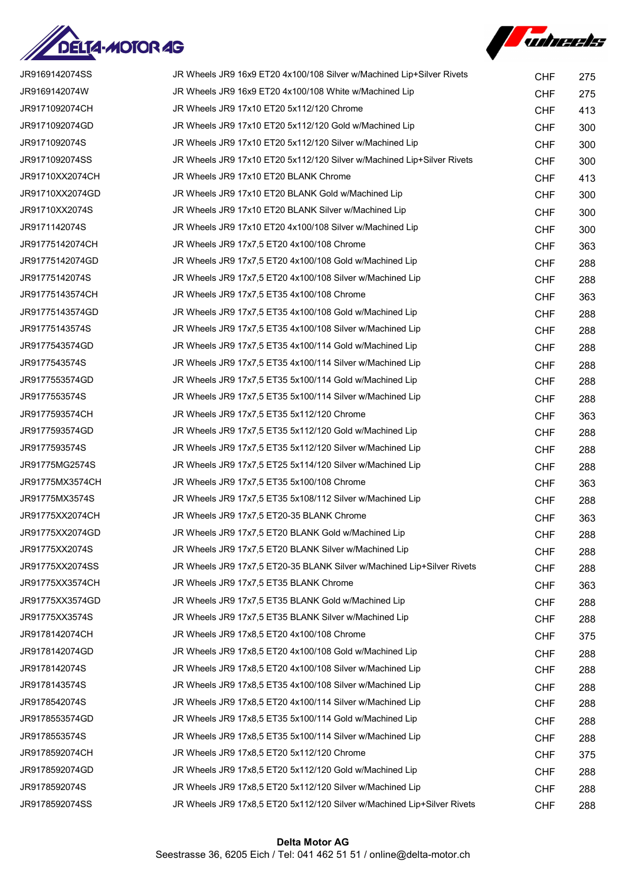



| JR9169142074SS  | JR Wheels JR9 16x9 ET20 4x100/108 Silver w/Machined Lip+Silver Rivets   | <b>CHF</b> | 275 |
|-----------------|-------------------------------------------------------------------------|------------|-----|
| JR9169142074W   | JR Wheels JR9 16x9 ET20 4x100/108 White w/Machined Lip                  | <b>CHF</b> | 275 |
| JR9171092074CH  | JR Wheels JR9 17x10 ET20 5x112/120 Chrome                               | <b>CHF</b> | 413 |
| JR9171092074GD  | JR Wheels JR9 17x10 ET20 5x112/120 Gold w/Machined Lip                  | <b>CHF</b> | 300 |
| JR9171092074S   | JR Wheels JR9 17x10 ET20 5x112/120 Silver w/Machined Lip                | <b>CHF</b> | 300 |
| JR9171092074SS  | JR Wheels JR9 17x10 ET20 5x112/120 Silver w/Machined Lip+Silver Rivets  | <b>CHF</b> | 300 |
| JR91710XX2074CH | JR Wheels JR9 17x10 ET20 BLANK Chrome                                   | <b>CHF</b> | 413 |
| JR91710XX2074GD | JR Wheels JR9 17x10 ET20 BLANK Gold w/Machined Lip                      | <b>CHF</b> | 300 |
| JR91710XX2074S  | JR Wheels JR9 17x10 ET20 BLANK Silver w/Machined Lip                    | <b>CHF</b> | 300 |
| JR9171142074S   | JR Wheels JR9 17x10 ET20 4x100/108 Silver w/Machined Lip                | <b>CHF</b> | 300 |
| JR91775142074CH | JR Wheels JR9 17x7,5 ET20 4x100/108 Chrome                              | <b>CHF</b> | 363 |
| JR91775142074GD | JR Wheels JR9 17x7,5 ET20 4x100/108 Gold w/Machined Lip                 | <b>CHF</b> | 288 |
| JR91775142074S  | JR Wheels JR9 17x7,5 ET20 4x100/108 Silver w/Machined Lip               | <b>CHF</b> | 288 |
| JR91775143574CH | JR Wheels JR9 17x7,5 ET35 4x100/108 Chrome                              | <b>CHF</b> | 363 |
| JR91775143574GD | JR Wheels JR9 17x7,5 ET35 4x100/108 Gold w/Machined Lip                 | <b>CHF</b> | 288 |
| JR91775143574S  | JR Wheels JR9 17x7,5 ET35 4x100/108 Silver w/Machined Lip               | <b>CHF</b> | 288 |
| JR9177543574GD  | JR Wheels JR9 17x7,5 ET35 4x100/114 Gold w/Machined Lip                 | <b>CHF</b> | 288 |
| JR9177543574S   | JR Wheels JR9 17x7,5 ET35 4x100/114 Silver w/Machined Lip               | <b>CHF</b> | 288 |
| JR9177553574GD  | JR Wheels JR9 17x7,5 ET35 5x100/114 Gold w/Machined Lip                 | <b>CHF</b> | 288 |
| JR9177553574S   | JR Wheels JR9 17x7,5 ET35 5x100/114 Silver w/Machined Lip               | <b>CHF</b> | 288 |
| JR9177593574CH  | JR Wheels JR9 17x7,5 ET35 5x112/120 Chrome                              | <b>CHF</b> | 363 |
| JR9177593574GD  | JR Wheels JR9 17x7,5 ET35 5x112/120 Gold w/Machined Lip                 | <b>CHF</b> | 288 |
| JR9177593574S   | JR Wheels JR9 17x7,5 ET35 5x112/120 Silver w/Machined Lip               | <b>CHF</b> | 288 |
| JR91775MG2574S  | JR Wheels JR9 17x7,5 ET25 5x114/120 Silver w/Machined Lip               | <b>CHF</b> | 288 |
| JR91775MX3574CH | JR Wheels JR9 17x7,5 ET35 5x100/108 Chrome                              | <b>CHF</b> | 363 |
| JR91775MX3574S  | JR Wheels JR9 17x7,5 ET35 5x108/112 Silver w/Machined Lip               | <b>CHF</b> | 288 |
| JR91775XX2074CH | JR Wheels JR9 17x7,5 ET20-35 BLANK Chrome                               | <b>CHF</b> | 363 |
| JR91775XX2074GD | JR Wheels JR9 17x7,5 ET20 BLANK Gold w/Machined Lip                     | <b>CHF</b> | 288 |
| JR91775XX2074S  | JR Wheels JR9 17x7,5 ET20 BLANK Silver w/Machined Lip                   | <b>CHF</b> | 288 |
| JR91775XX2074SS | JR Wheels JR9 17x7,5 ET20-35 BLANK Silver w/Machined Lip+Silver Rivets  | <b>CHF</b> | 288 |
| JR91775XX3574CH | JR Wheels JR9 17x7,5 ET35 BLANK Chrome                                  | <b>CHF</b> | 363 |
| JR91775XX3574GD | JR Wheels JR9 17x7,5 ET35 BLANK Gold w/Machined Lip                     | <b>CHF</b> | 288 |
| JR91775XX3574S  | JR Wheels JR9 17x7,5 ET35 BLANK Silver w/Machined Lip                   | <b>CHF</b> | 288 |
| JR9178142074CH  | JR Wheels JR9 17x8,5 ET20 4x100/108 Chrome                              | <b>CHF</b> | 375 |
| JR9178142074GD  | JR Wheels JR9 17x8,5 ET20 4x100/108 Gold w/Machined Lip                 | <b>CHF</b> | 288 |
| JR9178142074S   | JR Wheels JR9 17x8,5 ET20 4x100/108 Silver w/Machined Lip               | <b>CHF</b> | 288 |
| JR9178143574S   | JR Wheels JR9 17x8,5 ET35 4x100/108 Silver w/Machined Lip               | <b>CHF</b> | 288 |
| JR9178542074S   | JR Wheels JR9 17x8,5 ET20 4x100/114 Silver w/Machined Lip               | <b>CHF</b> | 288 |
| JR9178553574GD  | JR Wheels JR9 17x8,5 ET35 5x100/114 Gold w/Machined Lip                 | <b>CHF</b> | 288 |
| JR9178553574S   | JR Wheels JR9 17x8,5 ET35 5x100/114 Silver w/Machined Lip               | <b>CHF</b> | 288 |
| JR9178592074CH  | JR Wheels JR9 17x8,5 ET20 5x112/120 Chrome                              | <b>CHF</b> | 375 |
| JR9178592074GD  | JR Wheels JR9 17x8,5 ET20 5x112/120 Gold w/Machined Lip                 | <b>CHF</b> | 288 |
| JR9178592074S   | JR Wheels JR9 17x8,5 ET20 5x112/120 Silver w/Machined Lip               | <b>CHF</b> | 288 |
| JR9178592074SS  | JR Wheels JR9 17x8,5 ET20 5x112/120 Silver w/Machined Lip+Silver Rivets | <b>CHF</b> | 288 |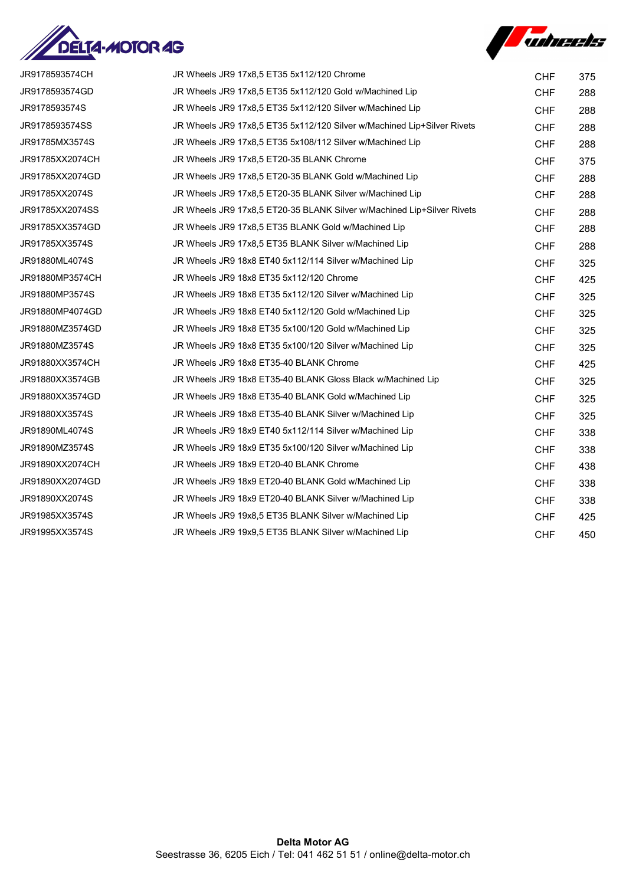



| JR9178593574CH  | JR Wheels JR9 17x8,5 ET35 5x112/120 Chrome                              | <b>CHF</b> | 375 |
|-----------------|-------------------------------------------------------------------------|------------|-----|
| JR9178593574GD  | JR Wheels JR9 17x8,5 ET35 5x112/120 Gold w/Machined Lip                 | <b>CHF</b> | 288 |
| JR9178593574S   | JR Wheels JR9 17x8,5 ET35 5x112/120 Silver w/Machined Lip               | <b>CHF</b> | 288 |
| JR9178593574SS  | JR Wheels JR9 17x8,5 ET35 5x112/120 Silver w/Machined Lip+Silver Rivets | <b>CHF</b> | 288 |
| JR91785MX3574S  | JR Wheels JR9 17x8,5 ET35 5x108/112 Silver w/Machined Lip               | <b>CHF</b> | 288 |
| JR91785XX2074CH | JR Wheels JR9 17x8,5 ET20-35 BLANK Chrome                               | <b>CHF</b> | 375 |
| JR91785XX2074GD | JR Wheels JR9 17x8.5 ET20-35 BLANK Gold w/Machined Lip                  | <b>CHF</b> | 288 |
| JR91785XX2074S  | JR Wheels JR9 17x8,5 ET20-35 BLANK Silver w/Machined Lip                | <b>CHF</b> | 288 |
| JR91785XX2074SS | JR Wheels JR9 17x8,5 ET20-35 BLANK Silver w/Machined Lip+Silver Rivets  | <b>CHF</b> | 288 |
| JR91785XX3574GD | JR Wheels JR9 17x8,5 ET35 BLANK Gold w/Machined Lip                     | <b>CHF</b> | 288 |
| JR91785XX3574S  | JR Wheels JR9 17x8,5 ET35 BLANK Silver w/Machined Lip                   | <b>CHF</b> | 288 |
| JR91880ML4074S  | JR Wheels JR9 18x8 ET40 5x112/114 Silver w/Machined Lip                 | <b>CHF</b> | 325 |
| JR91880MP3574CH | JR Wheels JR9 18x8 ET35 5x112/120 Chrome                                | <b>CHF</b> | 425 |
| JR91880MP3574S  | JR Wheels JR9 18x8 ET35 5x112/120 Silver w/Machined Lip                 | <b>CHF</b> | 325 |
| JR91880MP4074GD | JR Wheels JR9 18x8 ET40 5x112/120 Gold w/Machined Lip                   | <b>CHF</b> | 325 |
| JR91880MZ3574GD | JR Wheels JR9 18x8 ET35 5x100/120 Gold w/Machined Lip                   | <b>CHF</b> | 325 |
| JR91880MZ3574S  | JR Wheels JR9 18x8 ET35 5x100/120 Silver w/Machined Lip                 | <b>CHF</b> | 325 |
| JR91880XX3574CH | JR Wheels JR9 18x8 ET35-40 BLANK Chrome                                 | <b>CHF</b> | 425 |
| JR91880XX3574GB | JR Wheels JR9 18x8 ET35-40 BLANK Gloss Black w/Machined Lip             | <b>CHF</b> | 325 |
| JR91880XX3574GD | JR Wheels JR9 18x8 ET35-40 BLANK Gold w/Machined Lip                    | <b>CHF</b> | 325 |
| JR91880XX3574S  | JR Wheels JR9 18x8 ET35-40 BLANK Silver w/Machined Lip                  | <b>CHF</b> | 325 |
| JR91890ML4074S  | JR Wheels JR9 18x9 ET40 5x112/114 Silver w/Machined Lip                 | <b>CHF</b> | 338 |
| JR91890MZ3574S  | JR Wheels JR9 18x9 ET35 5x100/120 Silver w/Machined Lip                 | <b>CHF</b> | 338 |
| JR91890XX2074CH | JR Wheels JR9 18x9 ET20-40 BLANK Chrome                                 | <b>CHF</b> | 438 |
| JR91890XX2074GD | JR Wheels JR9 18x9 ET20-40 BLANK Gold w/Machined Lip                    | <b>CHF</b> | 338 |
| JR91890XX2074S  | JR Wheels JR9 18x9 ET20-40 BLANK Silver w/Machined Lip                  | <b>CHF</b> | 338 |
| JR91985XX3574S  | JR Wheels JR9 19x8,5 ET35 BLANK Silver w/Machined Lip                   | <b>CHF</b> | 425 |
| JR91995XX3574S  | JR Wheels JR9 19x9,5 ET35 BLANK Silver w/Machined Lip                   | <b>CHF</b> | 450 |
|                 |                                                                         |            |     |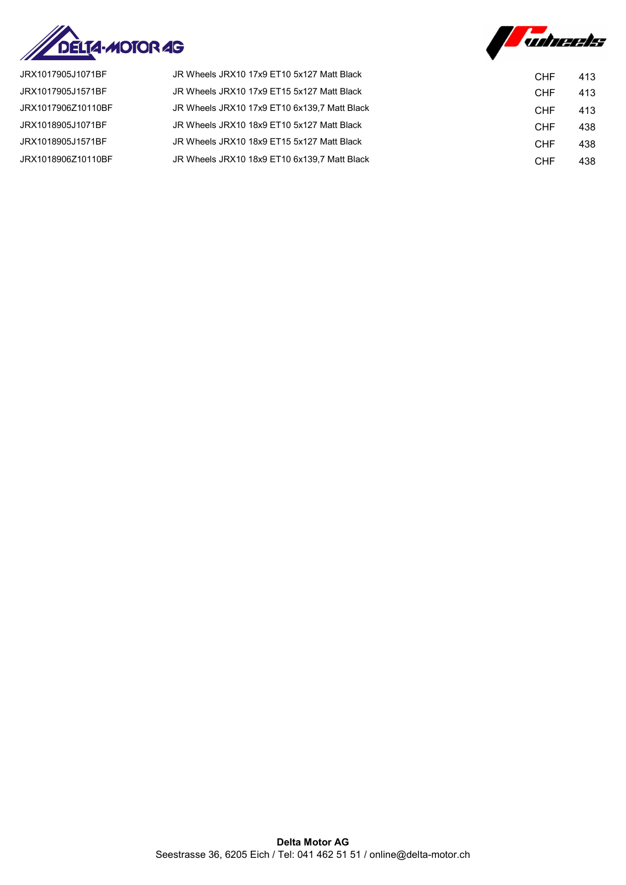



| JRX1017905J1071BF  | JR Wheels JRX10 17x9 ET10 5x127 Matt Black   | <b>CHF</b> | 413 |
|--------------------|----------------------------------------------|------------|-----|
| JRX1017905J1571BF  | JR Wheels JRX10 17x9 ET15 5x127 Matt Black   | <b>CHF</b> | 413 |
| JRX1017906Z10110BF | JR Wheels JRX10 17x9 ET10 6x139.7 Matt Black | <b>CHF</b> | 413 |
| JRX1018905J1071BF  | JR Wheels JRX10 18x9 ET10 5x127 Matt Black   | <b>CHF</b> | 438 |
| JRX1018905J1571BF  | JR Wheels JRX10 18x9 ET15 5x127 Matt Black   | <b>CHF</b> | 438 |
| JRX1018906Z10110BF | JR Wheels JRX10 18x9 ET10 6x139.7 Matt Black | <b>CHF</b> | 438 |
|                    |                                              |            |     |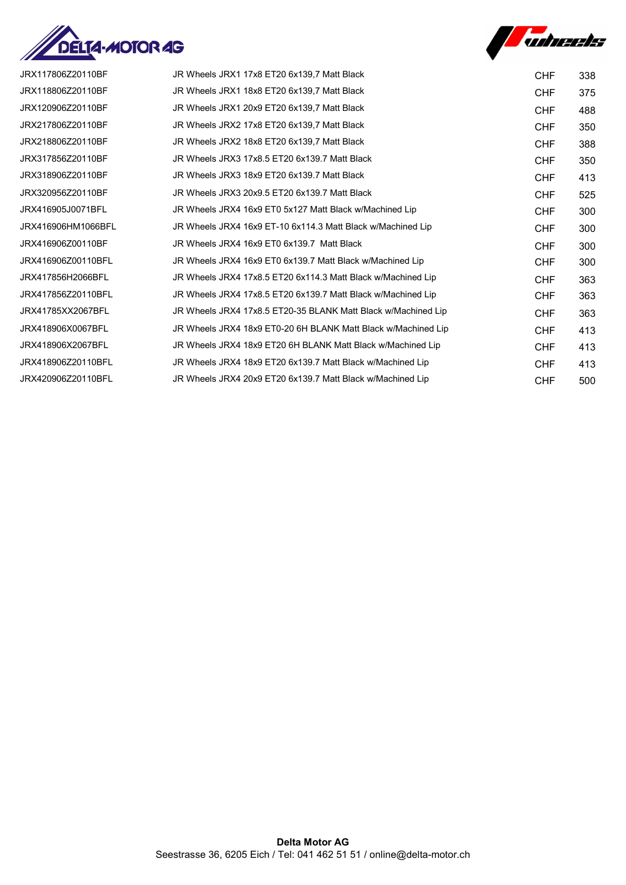



| JRX117806Z20110BF  | JR Wheels JRX1 17x8 ET20 6x139.7 Matt Black                   | <b>CHF</b> | 338 |
|--------------------|---------------------------------------------------------------|------------|-----|
| JRX118806Z20110BF  | JR Wheels JRX1 18x8 ET20 6x139.7 Matt Black                   | <b>CHF</b> | 375 |
| JRX120906Z20110BF  | JR Wheels JRX1 20x9 ET20 6x139.7 Matt Black                   | <b>CHF</b> | 488 |
| JRX217806Z20110BF  | JR Wheels JRX2 17x8 ET20 6x139.7 Matt Black                   | <b>CHF</b> | 350 |
| JRX218806Z20110BF  | JR Wheels JRX2 18x8 ET20 6x139,7 Matt Black                   | <b>CHF</b> | 388 |
| JRX317856Z20110BF  | JR Wheels JRX3 17x8.5 ET20 6x139.7 Matt Black                 | <b>CHF</b> | 350 |
| JRX318906Z20110BF  | JR Wheels JRX3 18x9 ET20 6x139.7 Matt Black                   | <b>CHF</b> | 413 |
| JRX320956Z20110BF  | JR Wheels JRX3 20x9.5 ET20 6x139.7 Matt Black                 | <b>CHF</b> | 525 |
| JRX416905J0071BFL  | JR Wheels JRX4 16x9 ET0 5x127 Matt Black w/Machined Lip       | <b>CHF</b> | 300 |
| JRX416906HM1066BFL | JR Wheels JRX4 16x9 ET-10 6x114.3 Matt Black w/Machined Lip   | <b>CHF</b> | 300 |
| JRX416906Z00110BF  | JR Wheels JRX4 16x9 ET0 6x139.7 Matt Black                    | <b>CHF</b> | 300 |
| JRX416906Z00110BFL | JR Wheels JRX4 16x9 ET0 6x139.7 Matt Black w/Machined Lip     | <b>CHF</b> | 300 |
| JRX417856H2066BFL  | JR Wheels JRX4 17x8.5 ET20 6x114.3 Matt Black w/Machined Lip  | <b>CHF</b> | 363 |
| JRX417856Z20110BFL | JR Wheels JRX4 17x8.5 ET20 6x139.7 Matt Black w/Machined Lip  | <b>CHF</b> | 363 |
| JRX41785XX2067BFL  | JR Wheels JRX4 17x8.5 ET20-35 BLANK Matt Black w/Machined Lip | <b>CHF</b> | 363 |
| JRX418906X0067BFL  | JR Wheels JRX4 18x9 ET0-20 6H BLANK Matt Black w/Machined Lip | <b>CHF</b> | 413 |
| JRX418906X2067BFL  | JR Wheels JRX4 18x9 ET20 6H BLANK Matt Black w/Machined Lip   | <b>CHF</b> | 413 |
| JRX418906Z20110BFL | JR Wheels JRX4 18x9 ET20 6x139.7 Matt Black w/Machined Lip    | <b>CHF</b> | 413 |
| JRX420906Z20110BFL | JR Wheels JRX4 20x9 ET20 6x139.7 Matt Black w/Machined Lip    | <b>CHF</b> | 500 |
|                    |                                                               |            |     |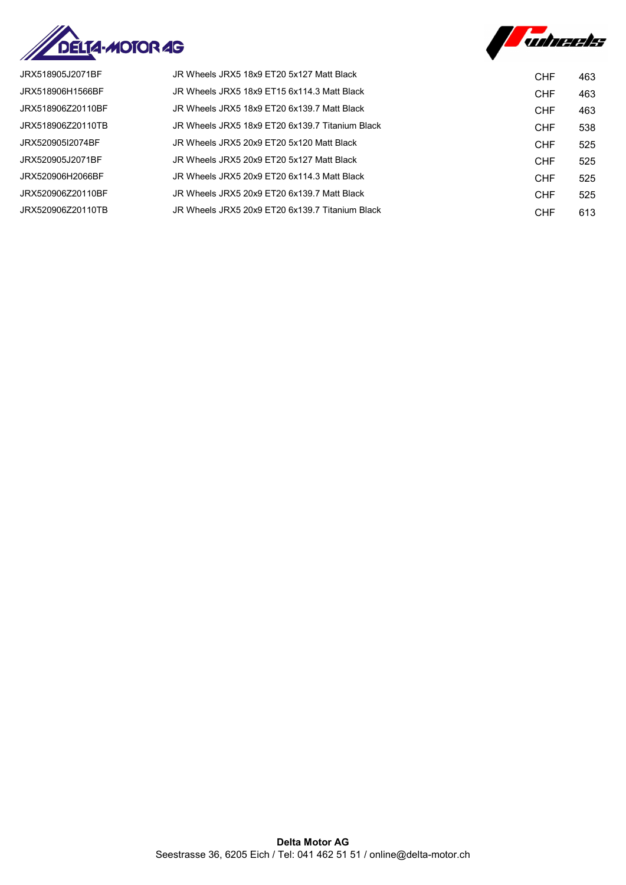



| JRX518905J2071BF  | JR Wheels JRX5 18x9 FT20 5x127 Matt Black       | <b>CHF</b> | 463 |
|-------------------|-------------------------------------------------|------------|-----|
| JRX518906H1566BF  | JR Wheels JRX5 18x9 ET15 6x114.3 Matt Black     | <b>CHF</b> | 463 |
| JRX518906Z20110BF | JR Wheels JRX5 18x9 ET20 6x139.7 Matt Black     | <b>CHF</b> | 463 |
| JRX518906Z20110TB | JR Wheels JRX5 18x9 FT20 6x139 7 Titanium Black | <b>CHF</b> | 538 |
| JRX520905I2074BF  | JR Wheels JRX5 20x9 FT20 5x120 Matt Black       | <b>CHF</b> | 525 |
| JRX520905J2071BF  | JR Wheels JRX5 20x9 ET20 5x127 Matt Black       | <b>CHF</b> | 525 |
| JRX520906H2066BF  | JR Wheels JRX5 20x9 FT20 6x114 3 Matt Black     | <b>CHF</b> | 525 |
| JRX520906Z20110BF | JR Wheels JRX5 20x9 ET20 6x139.7 Matt Black     | <b>CHF</b> | 525 |
| JRX520906Z20110TB | JR Wheels JRX5 20x9 ET20 6x139.7 Titanium Black | <b>CHF</b> | 613 |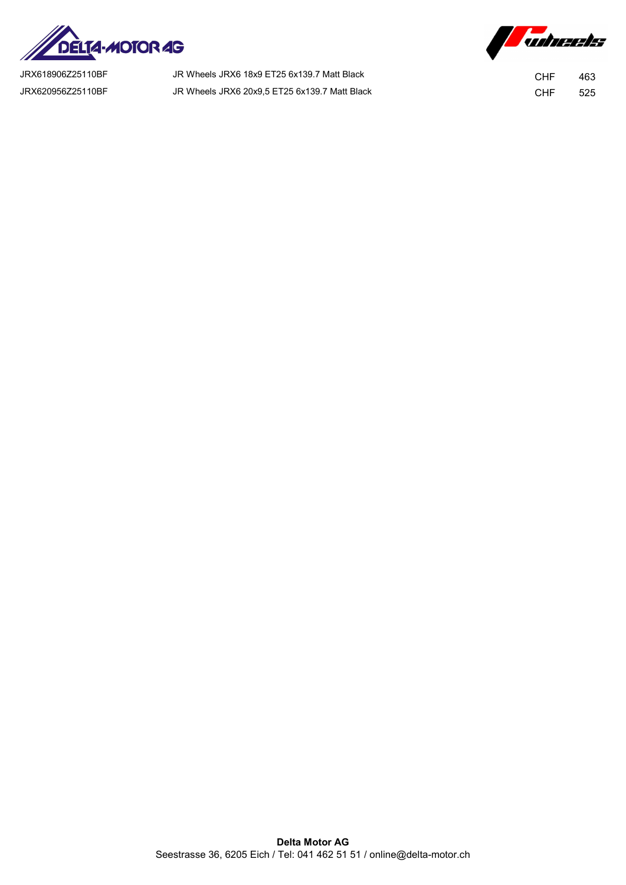

JRX618906Z25110BF JR Wheels JRX6 18x9 ET25 6x139.7 Matt Black CHF 463 JRX620956Z25110BF JR Wheels JRX6 20x9,5 ET25 6x139.7 Matt Black CHF 525

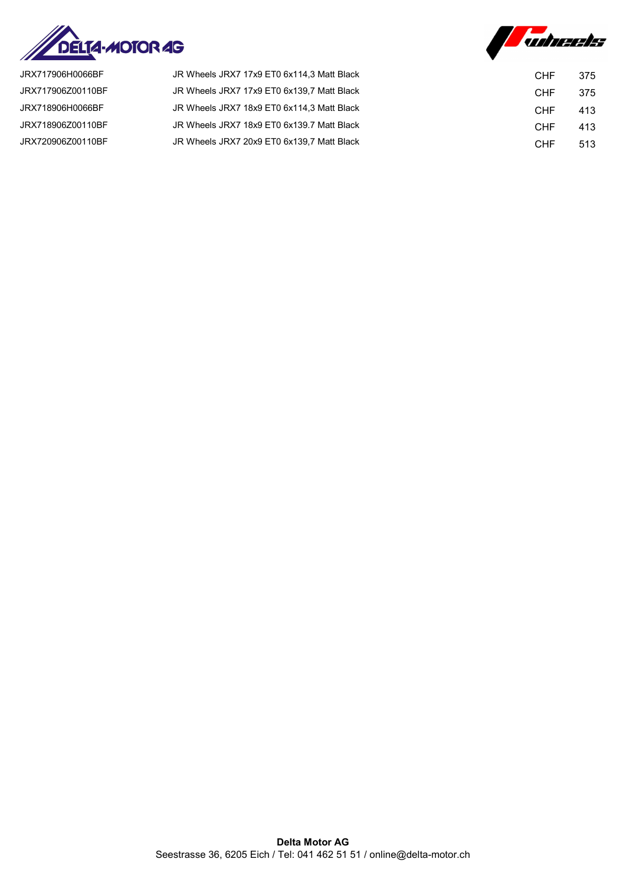



| JRX717906H0066BF  | JR Wheels JRX7 17x9 ET0 6x114.3 Matt Black | <b>CHF</b> | 375 |
|-------------------|--------------------------------------------|------------|-----|
| JRX717906Z00110BF | JR Wheels JRX7 17x9 ET0 6x139.7 Matt Black | <b>CHF</b> | 375 |
| JRX718906H0066BF  | JR Wheels JRX7 18x9 ET0 6x114.3 Matt Black | <b>CHF</b> | 413 |
| JRX718906Z00110BF | JR Wheels JRX7 18x9 ET0 6x139.7 Matt Black | <b>CHF</b> | 413 |
| JRX720906Z00110BF | JR Wheels JRX7 20x9 ET0 6x139.7 Matt Black | <b>CHF</b> | 513 |
|                   |                                            |            |     |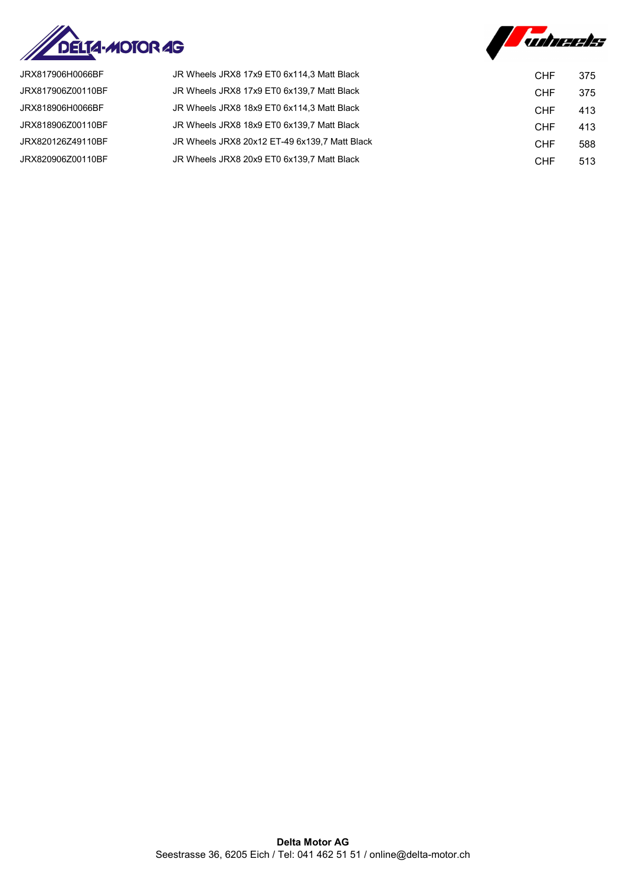



| JR Wheels JRX8 17x9 ET0 6x114,3 Matt Black<br>JRX817906H0066BF     | <b>CHF</b> | 375 |
|--------------------------------------------------------------------|------------|-----|
| JRX817906Z00110BF<br>JR Wheels JRX8 17x9 ET0 6x139.7 Matt Black    | <b>CHF</b> | 375 |
| JRX818906H0066BF<br>JR Wheels JRX8 18x9 ET0 6x114.3 Matt Black     | <b>CHF</b> | 413 |
| JRX818906Z00110BF<br>JR Wheels JRX8 18x9 ET0 6x139,7 Matt Black    | <b>CHF</b> | 413 |
| JRX820126Z49110BF<br>JR Wheels JRX8 20x12 ET-49 6x139,7 Matt Black | <b>CHF</b> | 588 |
| JR Wheels JRX8 20x9 ET0 6x139.7 Matt Black<br>JRX820906Z00110BF    | <b>CHF</b> | 513 |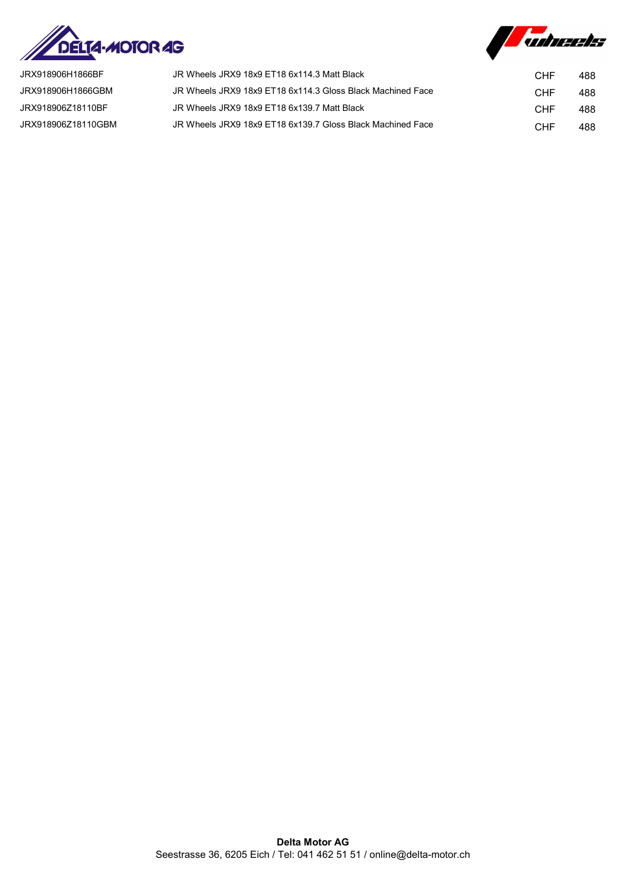



| JRX918906H1866BF   | JR Wheels JRX9 18x9 ET18 6x114.3 Matt Black                | CHF | 488 |
|--------------------|------------------------------------------------------------|-----|-----|
| JRX918906H1866GBM  | JR Wheels JRX9 18x9 ET18 6x114.3 Gloss Black Machined Face | CHF | 488 |
| JRX918906Z18110BF  | JR Wheels JRX9 18x9 ET18 6x139.7 Matt Black                | CHF | 488 |
| JRX918906Z18110GBM | JR Wheels JRX9 18x9 ET18 6x139.7 Gloss Black Machined Face | CHF | 488 |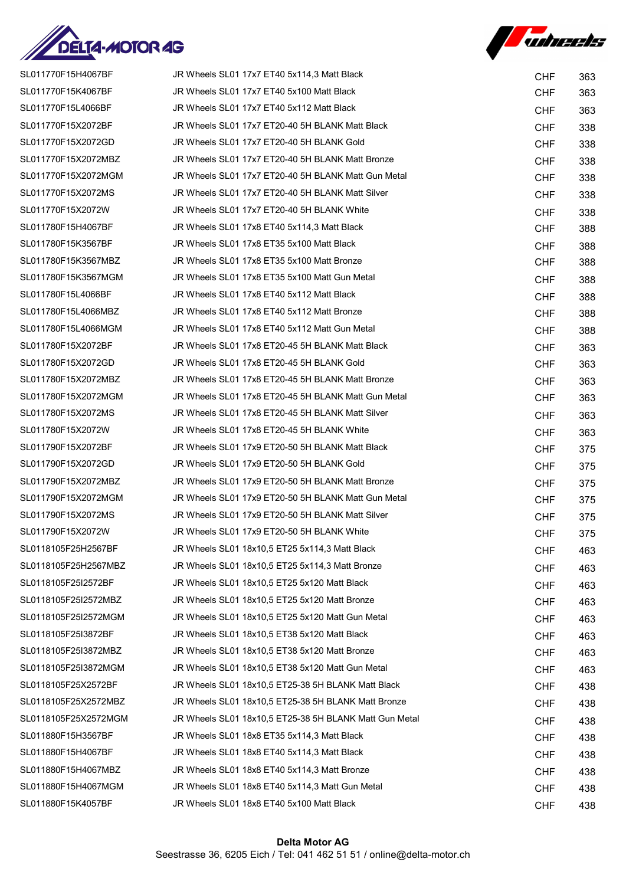



| SL011770F15H4067BF   | JR Wheels SL01 17x7 ET40 5x114,3 Matt Black            | <b>CHF</b> | 363 |
|----------------------|--------------------------------------------------------|------------|-----|
| SL011770F15K4067BF   | JR Wheels SL01 17x7 ET40 5x100 Matt Black              | <b>CHF</b> | 363 |
| SL011770F15L4066BF   | JR Wheels SL01 17x7 ET40 5x112 Matt Black              | <b>CHF</b> | 363 |
| SL011770F15X2072BF   | JR Wheels SL01 17x7 ET20-40 5H BLANK Matt Black        | <b>CHF</b> | 338 |
| SL011770F15X2072GD   | JR Wheels SL01 17x7 ET20-40 5H BLANK Gold              | <b>CHF</b> | 338 |
| SL011770F15X2072MBZ  | JR Wheels SL01 17x7 ET20-40 5H BLANK Matt Bronze       | <b>CHF</b> | 338 |
| SL011770F15X2072MGM  | JR Wheels SL01 17x7 ET20-40 5H BLANK Matt Gun Metal    | <b>CHF</b> | 338 |
| SL011770F15X2072MS   | JR Wheels SL01 17x7 ET20-40 5H BLANK Matt Silver       | <b>CHF</b> | 338 |
| SL011770F15X2072W    | JR Wheels SL01 17x7 ET20-40 5H BLANK White             | <b>CHF</b> | 338 |
| SL011780F15H4067BF   | JR Wheels SL01 17x8 ET40 5x114,3 Matt Black            | <b>CHF</b> | 388 |
| SL011780F15K3567BF   | JR Wheels SL01 17x8 ET35 5x100 Matt Black              | <b>CHF</b> | 388 |
| SL011780F15K3567MBZ  | JR Wheels SL01 17x8 ET35 5x100 Matt Bronze             | <b>CHF</b> | 388 |
| SL011780F15K3567MGM  | JR Wheels SL01 17x8 ET35 5x100 Matt Gun Metal          | <b>CHF</b> | 388 |
| SL011780F15L4066BF   | JR Wheels SL01 17x8 ET40 5x112 Matt Black              | <b>CHF</b> | 388 |
| SL011780F15L4066MBZ  | JR Wheels SL01 17x8 ET40 5x112 Matt Bronze             | <b>CHF</b> | 388 |
| SL011780F15L4066MGM  | JR Wheels SL01 17x8 ET40 5x112 Matt Gun Metal          | <b>CHF</b> | 388 |
| SL011780F15X2072BF   | JR Wheels SL01 17x8 ET20-45 5H BLANK Matt Black        | <b>CHF</b> | 363 |
| SL011780F15X2072GD   | JR Wheels SL01 17x8 ET20-45 5H BLANK Gold              | <b>CHF</b> | 363 |
| SL011780F15X2072MBZ  | JR Wheels SL01 17x8 ET20-45 5H BLANK Matt Bronze       | <b>CHF</b> | 363 |
| SL011780F15X2072MGM  | JR Wheels SL01 17x8 ET20-45 5H BLANK Matt Gun Metal    | <b>CHF</b> | 363 |
| SL011780F15X2072MS   | JR Wheels SL01 17x8 ET20-45 5H BLANK Matt Silver       | <b>CHF</b> | 363 |
| SL011780F15X2072W    | JR Wheels SL01 17x8 ET20-45 5H BLANK White             | <b>CHF</b> | 363 |
| SL011790F15X2072BF   | JR Wheels SL01 17x9 ET20-50 5H BLANK Matt Black        | <b>CHF</b> | 375 |
| SL011790F15X2072GD   | JR Wheels SL01 17x9 ET20-50 5H BLANK Gold              | <b>CHF</b> | 375 |
| SL011790F15X2072MBZ  | JR Wheels SL01 17x9 ET20-50 5H BLANK Matt Bronze       | <b>CHF</b> | 375 |
| SL011790F15X2072MGM  | JR Wheels SL01 17x9 ET20-50 5H BLANK Matt Gun Metal    | <b>CHF</b> | 375 |
| SL011790F15X2072MS   | JR Wheels SL01 17x9 ET20-50 5H BLANK Matt Silver       | <b>CHF</b> | 375 |
| SL011790F15X2072W    | JR Wheels SL01 17x9 ET20-50 5H BLANK White             | <b>CHF</b> | 375 |
| SL0118105F25H2567BF  | JR Wheels SL01 18x10,5 ET25 5x114,3 Matt Black         | <b>CHF</b> | 463 |
| SL0118105F25H2567MBZ | JR Wheels SL01 18x10.5 ET25 5x114.3 Matt Bronze        | <b>CHF</b> | 463 |
| SL0118105F25I2572BF  | JR Wheels SL01 18x10,5 ET25 5x120 Matt Black           | <b>CHF</b> | 463 |
| SL0118105F25I2572MBZ | JR Wheels SL01 18x10,5 ET25 5x120 Matt Bronze          | <b>CHF</b> | 463 |
| SL0118105F25I2572MGM | JR Wheels SL01 18x10,5 ET25 5x120 Matt Gun Metal       | <b>CHF</b> | 463 |
| SL0118105F25I3872BF  | JR Wheels SL01 18x10,5 ET38 5x120 Matt Black           | <b>CHF</b> | 463 |
| SL0118105F25I3872MBZ | JR Wheels SL01 18x10,5 ET38 5x120 Matt Bronze          | <b>CHF</b> | 463 |
| SL0118105F25I3872MGM | JR Wheels SL01 18x10,5 ET38 5x120 Matt Gun Metal       | <b>CHF</b> | 463 |
| SL0118105F25X2572BF  | JR Wheels SL01 18x10,5 ET25-38 5H BLANK Matt Black     | <b>CHF</b> | 438 |
| SL0118105F25X2572MBZ | JR Wheels SL01 18x10,5 ET25-38 5H BLANK Matt Bronze    | <b>CHF</b> | 438 |
| SL0118105F25X2572MGM | JR Wheels SL01 18x10,5 ET25-38 5H BLANK Matt Gun Metal | <b>CHF</b> | 438 |
| SL011880F15H3567BF   | JR Wheels SL01 18x8 ET35 5x114,3 Matt Black            | <b>CHF</b> | 438 |
| SL011880F15H4067BF   | JR Wheels SL01 18x8 ET40 5x114,3 Matt Black            | <b>CHF</b> | 438 |
| SL011880F15H4067MBZ  | JR Wheels SL01 18x8 ET40 5x114,3 Matt Bronze           | <b>CHF</b> | 438 |
| SL011880F15H4067MGM  | JR Wheels SL01 18x8 ET40 5x114,3 Matt Gun Metal        | <b>CHF</b> | 438 |
| SL011880F15K4057BF   | JR Wheels SL01 18x8 ET40 5x100 Matt Black              | <b>CHF</b> | 438 |
|                      |                                                        |            |     |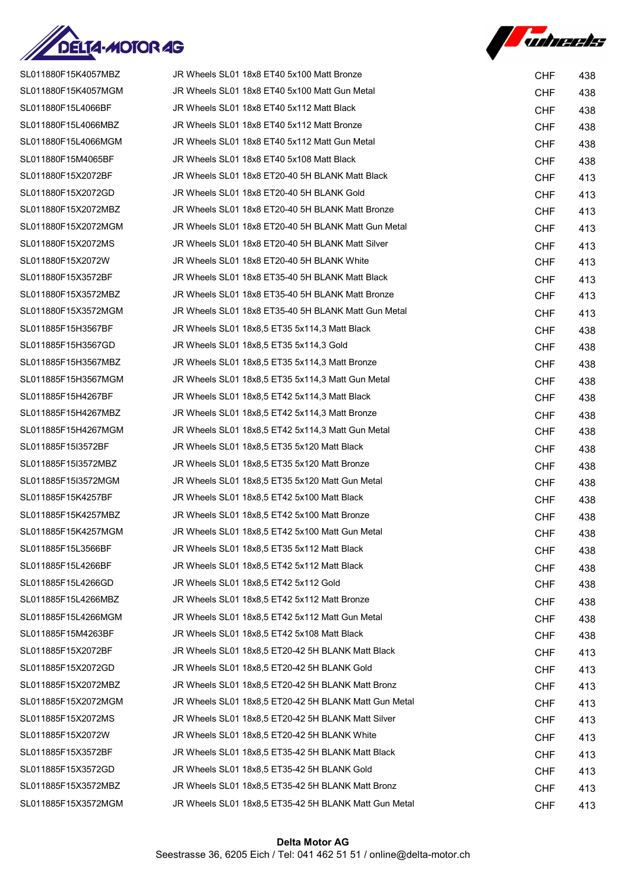



| SL011880F15K4057MBZ | JR Wheels SL01 18x8 ET40 5x100 Matt Bronze            | <b>CHF</b> | 438 |
|---------------------|-------------------------------------------------------|------------|-----|
| SL011880F15K4057MGM | JR Wheels SL01 18x8 ET40 5x100 Matt Gun Metal         | <b>CHF</b> | 438 |
| SL011880F15L4066BF  | JR Wheels SL01 18x8 ET40 5x112 Matt Black             | <b>CHF</b> | 438 |
| SL011880F15L4066MBZ | JR Wheels SL01 18x8 ET40 5x112 Matt Bronze            | <b>CHF</b> | 438 |
| SL011880F15L4066MGM | JR Wheels SL01 18x8 ET40 5x112 Matt Gun Metal         | <b>CHF</b> | 438 |
| SL011880F15M4065BF  | JR Wheels SL01 18x8 ET40 5x108 Matt Black             | <b>CHF</b> | 438 |
| SL011880F15X2072BF  | JR Wheels SL01 18x8 ET20-40 5H BLANK Matt Black       | <b>CHF</b> | 413 |
| SL011880F15X2072GD  | JR Wheels SL01 18x8 ET20-40 5H BLANK Gold             | <b>CHF</b> | 413 |
| SL011880F15X2072MBZ | JR Wheels SL01 18x8 ET20-40 5H BLANK Matt Bronze      | <b>CHF</b> | 413 |
| SL011880F15X2072MGM | JR Wheels SL01 18x8 ET20-40 5H BLANK Matt Gun Metal   | <b>CHF</b> | 413 |
| SL011880F15X2072MS  | JR Wheels SL01 18x8 ET20-40 5H BLANK Matt Silver      | <b>CHF</b> | 413 |
| SL011880F15X2072W   | JR Wheels SL01 18x8 ET20-40 5H BLANK White            | <b>CHF</b> | 413 |
| SL011880F15X3572BF  | JR Wheels SL01 18x8 ET35-40 5H BLANK Matt Black       | <b>CHF</b> | 413 |
| SL011880F15X3572MBZ | JR Wheels SL01 18x8 ET35-40 5H BLANK Matt Bronze      | <b>CHF</b> | 413 |
| SL011880F15X3572MGM | JR Wheels SL01 18x8 ET35-40 5H BLANK Matt Gun Metal   | <b>CHF</b> | 413 |
| SL011885F15H3567BF  | JR Wheels SL01 18x8,5 ET35 5x114,3 Matt Black         | <b>CHF</b> | 438 |
| SL011885F15H3567GD  | JR Wheels SL01 18x8,5 ET35 5x114,3 Gold               | <b>CHF</b> | 438 |
| SL011885F15H3567MBZ | JR Wheels SL01 18x8,5 ET35 5x114,3 Matt Bronze        | <b>CHF</b> | 438 |
| SL011885F15H3567MGM | JR Wheels SL01 18x8,5 ET35 5x114,3 Matt Gun Metal     | <b>CHF</b> | 438 |
| SL011885F15H4267BF  | JR Wheels SL01 18x8,5 ET42 5x114,3 Matt Black         | <b>CHF</b> | 438 |
| SL011885F15H4267MBZ | JR Wheels SL01 18x8,5 ET42 5x114,3 Matt Bronze        | <b>CHF</b> | 438 |
| SL011885F15H4267MGM | JR Wheels SL01 18x8,5 ET42 5x114,3 Matt Gun Metal     | <b>CHF</b> | 438 |
| SL011885F15I3572BF  | JR Wheels SL01 18x8,5 ET35 5x120 Matt Black           | <b>CHF</b> | 438 |
| SL011885F15I3572MBZ | JR Wheels SL01 18x8,5 ET35 5x120 Matt Bronze          | <b>CHF</b> | 438 |
| SL011885F15I3572MGM | JR Wheels SL01 18x8,5 ET35 5x120 Matt Gun Metal       | <b>CHF</b> | 438 |
| SL011885F15K4257BF  | JR Wheels SL01 18x8,5 ET42 5x100 Matt Black           | <b>CHF</b> | 438 |
| SL011885F15K4257MBZ | JR Wheels SL01 18x8,5 ET42 5x100 Matt Bronze          | <b>CHF</b> | 438 |
| SL011885F15K4257MGM | JR Wheels SL01 18x8.5 ET42 5x100 Matt Gun Metal       | <b>CHF</b> | 438 |
| SL011885F15L3566BF  | JR Wheels SL01 18x8.5 ET35 5x112 Matt Black           | <b>CHF</b> | 438 |
| SL011885F15L4266BF  | JR Wheels SL01 18x8,5 ET42 5x112 Matt Black           | <b>CHF</b> | 438 |
| SL011885F15L4266GD  | JR Wheels SL01 18x8,5 ET42 5x112 Gold                 | <b>CHF</b> | 438 |
| SL011885F15L4266MBZ | JR Wheels SL01 18x8.5 ET42 5x112 Matt Bronze          | <b>CHF</b> | 438 |
| SL011885F15L4266MGM | JR Wheels SL01 18x8.5 ET42 5x112 Matt Gun Metal       | <b>CHF</b> | 438 |
| SL011885F15M4263BF  | JR Wheels SL01 18x8.5 ET42 5x108 Matt Black           | <b>CHF</b> | 438 |
| SL011885F15X2072BF  | JR Wheels SL01 18x8,5 ET20-42 5H BLANK Matt Black     | <b>CHF</b> | 413 |
| SL011885F15X2072GD  | JR Wheels SL01 18x8.5 ET20-42 5H BLANK Gold           | <b>CHF</b> | 413 |
| SL011885F15X2072MBZ | JR Wheels SL01 18x8,5 ET20-42 5H BLANK Matt Bronz     | <b>CHF</b> | 413 |
| SL011885F15X2072MGM | JR Wheels SL01 18x8,5 ET20-42 5H BLANK Matt Gun Metal | <b>CHF</b> | 413 |
| SL011885F15X2072MS  | JR Wheels SL01 18x8,5 ET20-42 5H BLANK Matt Silver    | <b>CHF</b> | 413 |
| SL011885F15X2072W   | JR Wheels SL01 18x8,5 ET20-42 5H BLANK White          | <b>CHF</b> | 413 |
| SL011885F15X3572BF  | JR Wheels SL01 18x8.5 ET35-42 5H BLANK Matt Black     | <b>CHF</b> | 413 |
| SL011885F15X3572GD  | JR Wheels SL01 18x8,5 ET35-42 5H BLANK Gold           | <b>CHF</b> | 413 |
| SL011885F15X3572MBZ | JR Wheels SL01 18x8,5 ET35-42 5H BLANK Matt Bronz     | <b>CHF</b> | 413 |
| SL011885F15X3572MGM | JR Wheels SL01 18x8,5 ET35-42 5H BLANK Matt Gun Metal | <b>CHF</b> | 413 |
|                     |                                                       |            |     |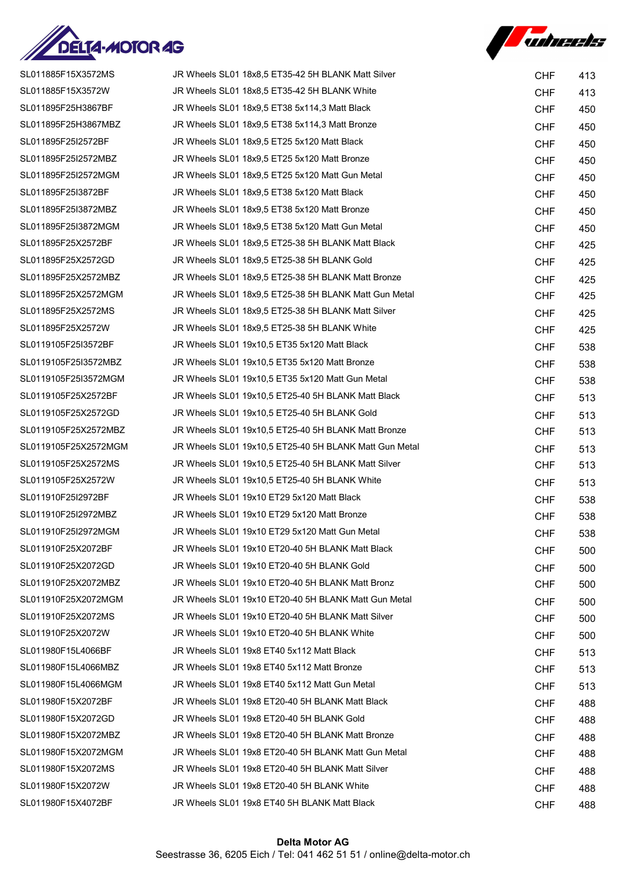



| SL011885F15X3572MS   | JR Wheels SL01 18x8,5 ET35-42 5H BLANK Matt Silver     | <b>CHF</b> | 413 |
|----------------------|--------------------------------------------------------|------------|-----|
| SL011885F15X3572W    | JR Wheels SL01 18x8,5 ET35-42 5H BLANK White           | <b>CHF</b> | 413 |
| SL011895F25H3867BF   | JR Wheels SL01 18x9.5 ET38 5x114.3 Matt Black          | <b>CHF</b> | 450 |
| SL011895F25H3867MBZ  | JR Wheels SL01 18x9,5 ET38 5x114,3 Matt Bronze         | <b>CHF</b> | 450 |
| SL011895F25I2572BF   | JR Wheels SL01 18x9,5 ET25 5x120 Matt Black            | <b>CHF</b> | 450 |
| SL011895F25I2572MBZ  | JR Wheels SL01 18x9,5 ET25 5x120 Matt Bronze           | <b>CHF</b> | 450 |
| SL011895F25I2572MGM  | JR Wheels SL01 18x9,5 ET25 5x120 Matt Gun Metal        | <b>CHF</b> | 450 |
| SL011895F25I3872BF   | JR Wheels SL01 18x9,5 ET38 5x120 Matt Black            | <b>CHF</b> | 450 |
| SL011895F25I3872MBZ  | JR Wheels SL01 18x9,5 ET38 5x120 Matt Bronze           | <b>CHF</b> | 450 |
| SL011895F25I3872MGM  | JR Wheels SL01 18x9,5 ET38 5x120 Matt Gun Metal        | <b>CHF</b> | 450 |
| SL011895F25X2572BF   | JR Wheels SL01 18x9,5 ET25-38 5H BLANK Matt Black      | <b>CHF</b> | 425 |
| SL011895F25X2572GD   | JR Wheels SL01 18x9,5 ET25-38 5H BLANK Gold            | <b>CHF</b> | 425 |
| SL011895F25X2572MBZ  | JR Wheels SL01 18x9,5 ET25-38 5H BLANK Matt Bronze     | <b>CHF</b> | 425 |
| SL011895F25X2572MGM  | JR Wheels SL01 18x9,5 ET25-38 5H BLANK Matt Gun Metal  | <b>CHF</b> | 425 |
| SL011895F25X2572MS   | JR Wheels SL01 18x9,5 ET25-38 5H BLANK Matt Silver     | <b>CHF</b> | 425 |
| SL011895F25X2572W    | JR Wheels SL01 18x9,5 ET25-38 5H BLANK White           | <b>CHF</b> | 425 |
| SL0119105F25I3572BF  | JR Wheels SL01 19x10,5 ET35 5x120 Matt Black           | <b>CHF</b> | 538 |
| SL0119105F25I3572MBZ | JR Wheels SL01 19x10,5 ET35 5x120 Matt Bronze          | <b>CHF</b> | 538 |
| SL0119105F25I3572MGM | JR Wheels SL01 19x10,5 ET35 5x120 Matt Gun Metal       | <b>CHF</b> | 538 |
| SL0119105F25X2572BF  | JR Wheels SL01 19x10,5 ET25-40 5H BLANK Matt Black     | <b>CHF</b> | 513 |
| SL0119105F25X2572GD  | JR Wheels SL01 19x10,5 ET25-40 5H BLANK Gold           | <b>CHF</b> | 513 |
| SL0119105F25X2572MBZ | JR Wheels SL01 19x10,5 ET25-40 5H BLANK Matt Bronze    | <b>CHF</b> | 513 |
| SL0119105F25X2572MGM | JR Wheels SL01 19x10,5 ET25-40 5H BLANK Matt Gun Metal | <b>CHF</b> | 513 |
| SL0119105F25X2572MS  | JR Wheels SL01 19x10,5 ET25-40 5H BLANK Matt Silver    | <b>CHF</b> | 513 |
| SL0119105F25X2572W   | JR Wheels SL01 19x10,5 ET25-40 5H BLANK White          | <b>CHF</b> | 513 |
| SL011910F25I2972BF   | JR Wheels SL01 19x10 ET29 5x120 Matt Black             | <b>CHF</b> | 538 |
| SL011910F25I2972MBZ  | JR Wheels SL01 19x10 ET29 5x120 Matt Bronze            | <b>CHF</b> | 538 |
| SL011910F25I2972MGM  | JR Wheels SL01 19x10 ET29 5x120 Matt Gun Metal         | <b>CHF</b> | 538 |
| SL011910F25X2072BF   | JR Wheels SL01 19x10 ET20-40 5H BLANK Matt Black       | <b>CHF</b> | 500 |
| SL011910F25X2072GD   | JR Wheels SL01 19x10 ET20-40 5H BLANK Gold             | <b>CHF</b> | 500 |
| SL011910F25X2072MBZ  | JR Wheels SL01 19x10 ET20-40 5H BLANK Matt Bronz       | <b>CHF</b> | 500 |
| SL011910F25X2072MGM  | JR Wheels SL01 19x10 ET20-40 5H BLANK Matt Gun Metal   | <b>CHF</b> | 500 |
| SL011910F25X2072MS   | JR Wheels SL01 19x10 ET20-40 5H BLANK Matt Silver      | <b>CHF</b> | 500 |
| SL011910F25X2072W    | JR Wheels SL01 19x10 ET20-40 5H BLANK White            | <b>CHF</b> | 500 |
| SL011980F15L4066BF   | JR Wheels SL01 19x8 ET40 5x112 Matt Black              | <b>CHF</b> | 513 |
| SL011980F15L4066MBZ  | JR Wheels SL01 19x8 ET40 5x112 Matt Bronze             | <b>CHF</b> | 513 |
| SL011980F15L4066MGM  | JR Wheels SL01 19x8 ET40 5x112 Matt Gun Metal          | <b>CHF</b> | 513 |
| SL011980F15X2072BF   | JR Wheels SL01 19x8 ET20-40 5H BLANK Matt Black        | <b>CHF</b> | 488 |
| SL011980F15X2072GD   | JR Wheels SL01 19x8 ET20-40 5H BLANK Gold              | <b>CHF</b> | 488 |
| SL011980F15X2072MBZ  | JR Wheels SL01 19x8 ET20-40 5H BLANK Matt Bronze       | <b>CHF</b> | 488 |
| SL011980F15X2072MGM  | JR Wheels SL01 19x8 ET20-40 5H BLANK Matt Gun Metal    | <b>CHF</b> | 488 |
| SL011980F15X2072MS   | JR Wheels SL01 19x8 ET20-40 5H BLANK Matt Silver       | <b>CHF</b> | 488 |
| SL011980F15X2072W    | JR Wheels SL01 19x8 ET20-40 5H BLANK White             | <b>CHF</b> | 488 |
| SL011980F15X4072BF   | JR Wheels SL01 19x8 ET40 5H BLANK Matt Black           | <b>CHF</b> | 488 |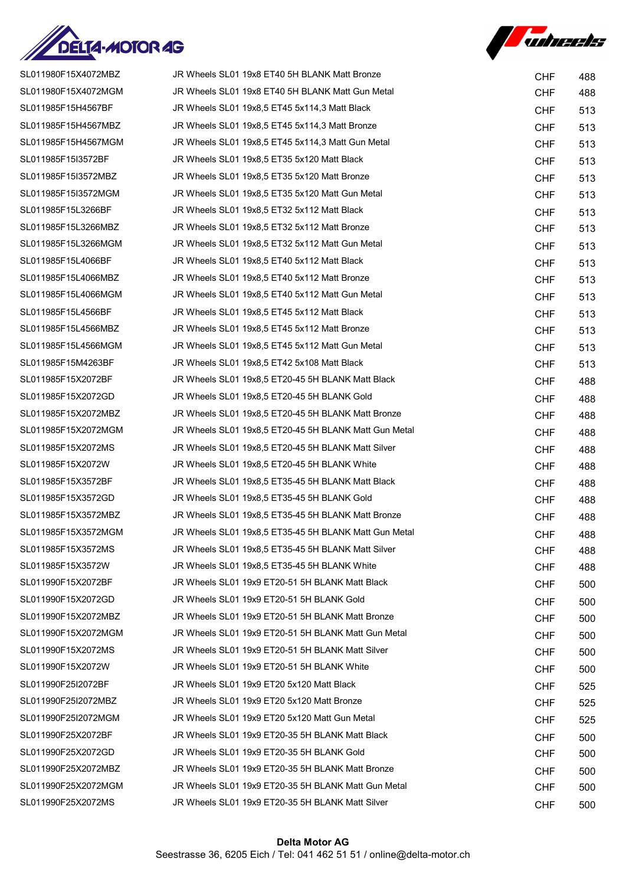

*Fuhreets* 

| SL011980F15X4072MBZ | JR Wheels SL01 19x8 ET40 5H BLANK Matt Bronze         | <b>CHF</b> | 488 |
|---------------------|-------------------------------------------------------|------------|-----|
| SL011980F15X4072MGM | JR Wheels SL01 19x8 ET40 5H BLANK Matt Gun Metal      | <b>CHF</b> | 488 |
| SL011985F15H4567BF  | JR Wheels SL01 19x8,5 ET45 5x114,3 Matt Black         | <b>CHF</b> | 513 |
| SL011985F15H4567MBZ | JR Wheels SL01 19x8.5 ET45 5x114.3 Matt Bronze        | <b>CHF</b> | 513 |
| SL011985F15H4567MGM | JR Wheels SL01 19x8,5 ET45 5x114,3 Matt Gun Metal     | <b>CHF</b> | 513 |
| SL011985F15I3572BF  | JR Wheels SL01 19x8,5 ET35 5x120 Matt Black           | <b>CHF</b> | 513 |
| SL011985F15I3572MBZ | JR Wheels SL01 19x8.5 ET35 5x120 Matt Bronze          | <b>CHF</b> | 513 |
| SL011985F15I3572MGM | JR Wheels SL01 19x8,5 ET35 5x120 Matt Gun Metal       | <b>CHF</b> | 513 |
| SL011985F15L3266BF  | JR Wheels SL01 19x8.5 ET32 5x112 Matt Black           | <b>CHF</b> | 513 |
| SL011985F15L3266MBZ | JR Wheels SL01 19x8,5 ET32 5x112 Matt Bronze          | <b>CHF</b> | 513 |
| SL011985F15L3266MGM | JR Wheels SL01 19x8,5 ET32 5x112 Matt Gun Metal       | <b>CHF</b> | 513 |
| SL011985F15L4066BF  | JR Wheels SL01 19x8,5 ET40 5x112 Matt Black           | <b>CHF</b> | 513 |
| SL011985F15L4066MBZ | JR Wheels SL01 19x8,5 ET40 5x112 Matt Bronze          | <b>CHF</b> | 513 |
| SL011985F15L4066MGM | JR Wheels SL01 19x8,5 ET40 5x112 Matt Gun Metal       | <b>CHF</b> | 513 |
| SL011985F15L4566BF  | JR Wheels SL01 19x8,5 ET45 5x112 Matt Black           | <b>CHF</b> | 513 |
| SL011985F15L4566MBZ | JR Wheels SL01 19x8.5 ET45 5x112 Matt Bronze          | <b>CHF</b> | 513 |
| SL011985F15L4566MGM | JR Wheels SL01 19x8,5 ET45 5x112 Matt Gun Metal       | <b>CHF</b> | 513 |
| SL011985F15M4263BF  | JR Wheels SL01 19x8.5 ET42 5x108 Matt Black           | <b>CHF</b> | 513 |
| SL011985F15X2072BF  | JR Wheels SL01 19x8,5 ET20-45 5H BLANK Matt Black     | <b>CHF</b> | 488 |
| SL011985F15X2072GD  | JR Wheels SL01 19x8,5 ET20-45 5H BLANK Gold           | <b>CHF</b> | 488 |
| SL011985F15X2072MBZ | JR Wheels SL01 19x8,5 ET20-45 5H BLANK Matt Bronze    | <b>CHF</b> | 488 |
| SL011985F15X2072MGM | JR Wheels SL01 19x8,5 ET20-45 5H BLANK Matt Gun Metal | <b>CHF</b> | 488 |
| SL011985F15X2072MS  | JR Wheels SL01 19x8,5 ET20-45 5H BLANK Matt Silver    | <b>CHF</b> | 488 |
| SL011985F15X2072W   | JR Wheels SL01 19x8,5 ET20-45 5H BLANK White          | <b>CHF</b> | 488 |
| SL011985F15X3572BF  | JR Wheels SL01 19x8,5 ET35-45 5H BLANK Matt Black     | <b>CHF</b> | 488 |
| SL011985F15X3572GD  | JR Wheels SL01 19x8,5 ET35-45 5H BLANK Gold           | <b>CHF</b> | 488 |
| SL011985F15X3572MBZ | JR Wheels SL01 19x8,5 ET35-45 5H BLANK Matt Bronze    | <b>CHF</b> | 488 |
| SL011985F15X3572MGM | JR Wheels SL01 19x8,5 ET35-45 5H BLANK Matt Gun Metal | <b>CHF</b> | 488 |
| SL011985F15X3572MS  | JR Wheels SL01 19x8,5 ET35-45 5H BLANK Matt Silver    | <b>CHF</b> | 488 |
| SL011985F15X3572W   | JR Wheels SL01 19x8.5 ET35-45 5H BLANK White          | <b>CHF</b> | 488 |
| SL011990F15X2072BF  | JR Wheels SL01 19x9 ET20-51 5H BLANK Matt Black       | <b>CHF</b> | 500 |
| SL011990F15X2072GD  | JR Wheels SL01 19x9 ET20-51 5H BLANK Gold             | <b>CHF</b> | 500 |
| SL011990F15X2072MBZ | JR Wheels SL01 19x9 ET20-51 5H BLANK Matt Bronze      | <b>CHF</b> | 500 |
| SL011990F15X2072MGM | JR Wheels SL01 19x9 ET20-51 5H BLANK Matt Gun Metal   | <b>CHF</b> | 500 |
| SL011990F15X2072MS  | JR Wheels SL01 19x9 ET20-51 5H BLANK Matt Silver      | <b>CHF</b> | 500 |
| SL011990F15X2072W   | JR Wheels SL01 19x9 ET20-51 5H BLANK White            | <b>CHF</b> | 500 |
| SL011990F25I2072BF  | JR Wheels SL01 19x9 ET20 5x120 Matt Black             | <b>CHF</b> | 525 |
| SL011990F25I2072MBZ | JR Wheels SL01 19x9 ET20 5x120 Matt Bronze            | <b>CHF</b> | 525 |
| SL011990F25I2072MGM | JR Wheels SL01 19x9 ET20 5x120 Matt Gun Metal         | <b>CHF</b> | 525 |
| SL011990F25X2072BF  | JR Wheels SL01 19x9 ET20-35 5H BLANK Matt Black       | <b>CHF</b> | 500 |
| SL011990F25X2072GD  | JR Wheels SL01 19x9 ET20-35 5H BLANK Gold             | <b>CHF</b> | 500 |
| SL011990F25X2072MBZ | JR Wheels SL01 19x9 ET20-35 5H BLANK Matt Bronze      | <b>CHF</b> | 500 |
| SL011990F25X2072MGM | JR Wheels SL01 19x9 ET20-35 5H BLANK Matt Gun Metal   | <b>CHF</b> | 500 |
| SL011990F25X2072MS  | JR Wheels SL01 19x9 ET20-35 5H BLANK Matt Silver      | <b>CHF</b> | 500 |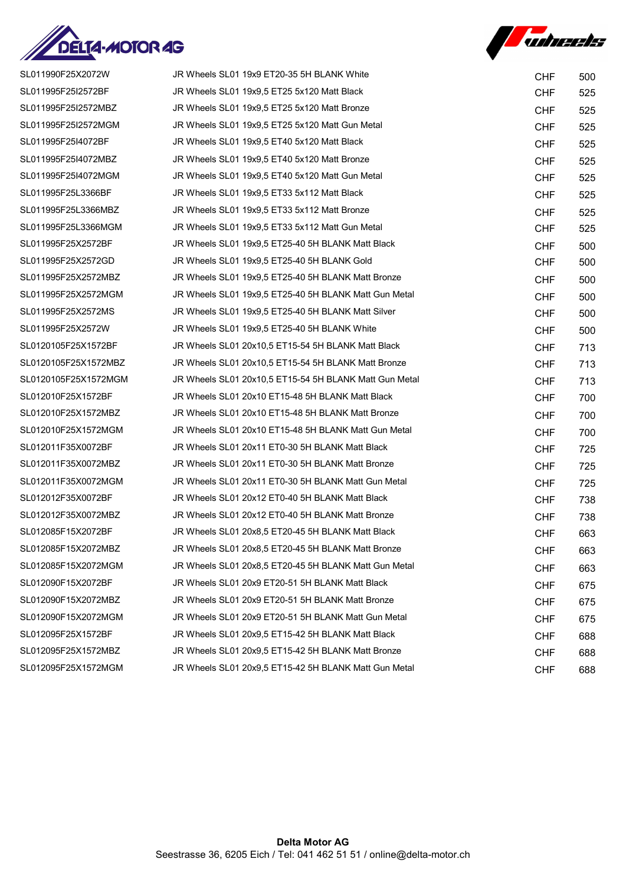



| SL011990F25X2072W    | JR Wheels SL01 19x9 ET20-35 5H BLANK White             | <b>CHF</b> | 500 |
|----------------------|--------------------------------------------------------|------------|-----|
| SL011995F25I2572BF   | JR Wheels SL01 19x9,5 ET25 5x120 Matt Black            | <b>CHF</b> | 525 |
| SL011995F25I2572MBZ  | JR Wheels SL01 19x9.5 ET25 5x120 Matt Bronze           | <b>CHF</b> | 525 |
| SL011995F25I2572MGM  | JR Wheels SL01 19x9,5 ET25 5x120 Matt Gun Metal        | <b>CHF</b> | 525 |
| SL011995F25I4072BF   | JR Wheels SL01 19x9,5 ET40 5x120 Matt Black            | <b>CHF</b> | 525 |
| SL011995F25I4072MBZ  | JR Wheels SL01 19x9.5 ET40 5x120 Matt Bronze           | <b>CHF</b> | 525 |
| SL011995F25I4072MGM  | JR Wheels SL01 19x9.5 ET40 5x120 Matt Gun Metal        | <b>CHF</b> | 525 |
| SL011995F25L3366BF   | JR Wheels SL01 19x9,5 ET33 5x112 Matt Black            | <b>CHF</b> | 525 |
| SL011995F25L3366MBZ  | JR Wheels SL01 19x9,5 ET33 5x112 Matt Bronze           | <b>CHF</b> | 525 |
| SL011995F25L3366MGM  | JR Wheels SL01 19x9,5 ET33 5x112 Matt Gun Metal        | <b>CHF</b> | 525 |
| SL011995F25X2572BF   | JR Wheels SL01 19x9,5 ET25-40 5H BLANK Matt Black      | <b>CHF</b> | 500 |
| SL011995F25X2572GD   | JR Wheels SL01 19x9,5 ET25-40 5H BLANK Gold            | <b>CHF</b> | 500 |
| SL011995F25X2572MBZ  | JR Wheels SL01 19x9,5 ET25-40 5H BLANK Matt Bronze     | <b>CHF</b> | 500 |
| SL011995F25X2572MGM  | JR Wheels SL01 19x9,5 ET25-40 5H BLANK Matt Gun Metal  | <b>CHF</b> | 500 |
| SL011995F25X2572MS   | JR Wheels SL01 19x9,5 ET25-40 5H BLANK Matt Silver     | <b>CHF</b> | 500 |
| SL011995F25X2572W    | JR Wheels SL01 19x9.5 ET25-40 5H BLANK White           | <b>CHF</b> | 500 |
| SL0120105F25X1572BF  | JR Wheels SL01 20x10,5 ET15-54 5H BLANK Matt Black     | <b>CHF</b> | 713 |
| SL0120105F25X1572MBZ | JR Wheels SL01 20x10,5 ET15-54 5H BLANK Matt Bronze    | <b>CHF</b> | 713 |
| SL0120105F25X1572MGM | JR Wheels SL01 20x10,5 ET15-54 5H BLANK Matt Gun Metal | <b>CHF</b> | 713 |
| SL012010F25X1572BF   | JR Wheels SL01 20x10 ET15-48 5H BLANK Matt Black       | <b>CHF</b> | 700 |
| SL012010F25X1572MBZ  | JR Wheels SL01 20x10 ET15-48 5H BLANK Matt Bronze      | <b>CHF</b> | 700 |
| SL012010F25X1572MGM  | JR Wheels SL01 20x10 ET15-48 5H BLANK Matt Gun Metal   | <b>CHF</b> | 700 |
| SL012011F35X0072BF   | JR Wheels SL01 20x11 ET0-30 5H BLANK Matt Black        | <b>CHF</b> | 725 |
| SL012011F35X0072MBZ  | JR Wheels SL01 20x11 ET0-30 5H BLANK Matt Bronze       | <b>CHF</b> | 725 |
| SL012011F35X0072MGM  | JR Wheels SL01 20x11 ET0-30 5H BLANK Matt Gun Metal    | <b>CHF</b> | 725 |
| SL012012F35X0072BF   | JR Wheels SL01 20x12 ET0-40 5H BLANK Matt Black        | <b>CHF</b> | 738 |
| SL012012F35X0072MBZ  | JR Wheels SL01 20x12 ET0-40 5H BLANK Matt Bronze       | <b>CHF</b> | 738 |
| SL012085F15X2072BF   | JR Wheels SL01 20x8,5 ET20-45 5H BLANK Matt Black      | <b>CHF</b> | 663 |
| SL012085F15X2072MBZ  | JR Wheels SL01 20x8,5 ET20-45 5H BLANK Matt Bronze     | <b>CHF</b> | 663 |
| SL012085F15X2072MGM  | JR Wheels SL01 20x8,5 ET20-45 5H BLANK Matt Gun Metal  | <b>CHF</b> | 663 |
| SL012090F15X2072BF   | JR Wheels SL01 20x9 ET20-51 5H BLANK Matt Black        | <b>CHF</b> | 675 |
| SL012090F15X2072MBZ  | JR Wheels SL01 20x9 ET20-51 5H BLANK Matt Bronze       | <b>CHF</b> | 675 |
| SL012090F15X2072MGM  | JR Wheels SL01 20x9 ET20-51 5H BLANK Matt Gun Metal    | <b>CHF</b> | 675 |
| SL012095F25X1572BF   | JR Wheels SL01 20x9,5 ET15-42 5H BLANK Matt Black      | <b>CHF</b> | 688 |
| SL012095F25X1572MBZ  | JR Wheels SL01 20x9,5 ET15-42 5H BLANK Matt Bronze     | <b>CHF</b> | 688 |
| SL012095F25X1572MGM  | JR Wheels SL01 20x9,5 ET15-42 5H BLANK Matt Gun Metal  | <b>CHF</b> | 688 |